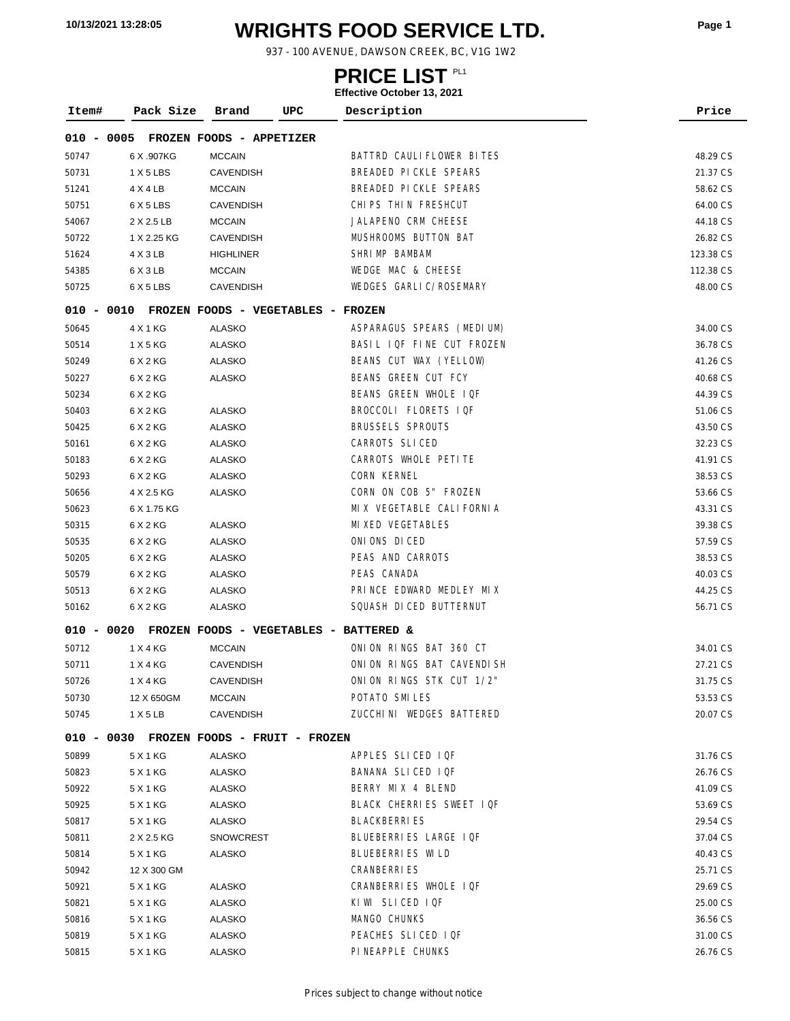# **WRIGHTS FOOD SERVICE LTD. 10/13/2021 13:28:05 Page <sup>1</sup>**

937 - 100 AVENUE, DAWSON CREEK, BC, V1G 1W2

### **PRICE LIST**

| Item# | Pack Size                                         | Brand            | UPC | Description                   | Price     |
|-------|---------------------------------------------------|------------------|-----|-------------------------------|-----------|
|       | 010 - 0005 FROZEN FOODS - APPETIZER               |                  |     |                               |           |
| 50747 | 6 X .907KG                                        | <b>MCCAIN</b>    |     | BATTRD CAULIFLOWER BITES      | 48.29 CS  |
| 50731 | 1 X 5 LBS                                         | <b>CAVENDISH</b> |     | BREADED PICKLE SPEARS         | 21.37 CS  |
| 51241 | 4 X 4 LB                                          | <b>MCCAIN</b>    |     | BREADED PICKLE SPEARS         | 58.62 CS  |
| 50751 | 6 X 5 LBS                                         | <b>CAVENDISH</b> |     | CHIPS THIN FRESHCUT           | 64.00 CS  |
| 54067 | 2 X 2.5 LB                                        | <b>MCCAIN</b>    |     | JALAPENO CRM CHEESE           | 44.18 CS  |
| 50722 | 1 X 2.25 KG                                       | <b>CAVENDISH</b> |     | MUSHROOMS BUTTON BAT          | 26.82 CS  |
| 51624 | 4 X 3 LB                                          | <b>HIGHLINER</b> |     | SHRIMP BAMBAM                 | 123.38 CS |
| 54385 | 6 X 3 LB                                          | <b>MCCAIN</b>    |     | WEDGE MAC & CHEESE            | 112.38 CS |
| 50725 | 6 X 5 LBS                                         | <b>CAVENDISH</b> |     | <b>WEDGES GARLIC/ROSEMARY</b> | 48.00 CS  |
|       | 010 - 0010 FROZEN FOODS - VEGETABLES -            |                  |     | <b>FROZEN</b>                 |           |
| 50645 | 4 X 1 KG                                          | <b>ALASKO</b>    |     | ASPARAGUS SPEARS (MEDIUM)     | 34.00 CS  |
| 50514 | 1 X 5 KG                                          | ALASKO           |     | BASIL IQF FINE CUT FROZEN     | 36.78 CS  |
| 50249 | 6 X 2 KG                                          | ALASKO           |     | BEANS CUT WAX (YELLOW)        | 41.26 CS  |
| 50227 | 6 X 2 KG                                          | ALASKO           |     | <b>BEANS GREEN CUT FCY</b>    | 40.68 CS  |
| 50234 | 6 X 2 KG                                          |                  |     | BEANS GREEN WHOLE IQF         | 44.39 CS  |
| 50403 | 6 X 2 KG                                          | ALASKO           |     | BROCCOLI FLORETS IQF          | 51.06 CS  |
| 50425 | 6 X 2 KG                                          | <b>ALASKO</b>    |     | <b>BRUSSELS SPROUTS</b>       | 43.50 CS  |
| 50161 | 6 X 2 KG                                          | ALASKO           |     | <b>CARROTS SLICED</b>         | 32.23 CS  |
| 50183 | 6 X 2 KG                                          | <b>ALASKO</b>    |     | CARROTS WHOLE PETITE          | 41.91 CS  |
| 50293 | 6 X 2 KG                                          | ALASKO           |     | <b>CORN KERNEL</b>            | 38.53 CS  |
| 50656 | 4 X 2.5 KG                                        | <b>ALASKO</b>    |     | CORN ON COB 5" FROZEN         | 53.66 CS  |
| 50623 | 6 X 1.75 KG                                       |                  |     | MIX VEGETABLE CALIFORNIA      | 43.31 CS  |
| 50315 | 6 X 2 KG                                          | ALASKO           |     | MIXED VEGETABLES              | 39.38 CS  |
| 50535 | 6 X 2 KG                                          | <b>ALASKO</b>    |     | ONIONS DICED                  | 57.59 CS  |
| 50205 | 6 X 2 KG                                          | ALASKO           |     | PEAS AND CARROTS              | 38.53 CS  |
| 50579 | 6 X 2 KG                                          | <b>ALASKO</b>    |     | PEAS CANADA                   | 40.03 CS  |
| 50513 | 6 X 2 KG                                          | ALASKO           |     | PRINCE EDWARD MEDLEY MIX      | 44.25 CS  |
| 50162 | 6 X 2 KG                                          | <b>ALASKO</b>    |     | SQUASH DI CED BUTTERNUT       | 56.71 CS  |
|       | 010 - 0020 FROZEN FOODS - VEGETABLES - BATTERED & |                  |     |                               |           |
| 50712 | 1 X 4 KG                                          | <b>MCCAIN</b>    |     | ONION RINGS BAT 360 CT        | 34.01 CS  |
| 50711 | 1 X 4 KG                                          | <b>CAVENDISH</b> |     | ONION RINGS BAT CAVENDISH     | 27.21 CS  |
| 50726 | 1 X 4 KG                                          | CAVENDISH        |     | ONION RINGS STK CUT 1/2"      | 31.75 CS  |
| 50730 | 12 X 650GM                                        | <b>MCCAIN</b>    |     | POTATO SMILES                 | 53.53 CS  |
| 50745 | 1 X 5 LB                                          | <b>CAVENDISH</b> |     | ZUCCHINI WEDGES BATTERED      | 20.07 CS  |
|       | 010 - 0030 FROZEN FOODS - FRUIT - FROZEN          |                  |     |                               |           |
| 50899 | 5 X 1 KG                                          | ALASKO           |     | APPLES SLICED IQF             | 31.76 CS  |
| 50823 | 5 X 1 KG                                          | ALASKO           |     | BANANA SLICED IQF             | 26.76 CS  |
| 50922 | 5 X 1 KG                                          | ALASKO           |     | BERRY MIX 4 BLEND             | 41.09 CS  |
| 50925 | 5 X 1 KG                                          | ALASKO           |     | BLACK CHERRIES SWEET IQF      | 53.69 CS  |
| 50817 | 5 X 1 KG                                          | ALASKO           |     | <b>BLACKBERRIES</b>           | 29.54 CS  |
| 50811 | 2 X 2.5 KG                                        | <b>SNOWCREST</b> |     | BLUEBERRIES LARGE IQF         | 37.04 CS  |
| 50814 | 5 X 1 KG                                          | ALASKO           |     | BLUEBERRIES WILD              | 40.43 CS  |
| 50942 | 12 X 300 GM                                       |                  |     | <b>CRANBERRIES</b>            | 25.71 CS  |
| 50921 | 5 X 1 KG                                          | ALASKO           |     | CRANBERRIES WHOLE IQF         | 29.69 CS  |
| 50821 | 5 X 1 KG                                          | ALASKO           |     | KIWI SLICED IQF               | 25.00 CS  |
| 50816 | 5 X 1 KG                                          | ALASKO           |     | MANGO CHUNKS                  | 36.56 CS  |
| 50819 | 5 X 1 KG                                          | ALASKO           |     | PEACHES SLICED IQF            | 31.00 CS  |
| 50815 | 5 X 1 KG                                          | <b>ALASKO</b>    |     | PI NEAPPLE CHUNKS             | 26.76 CS  |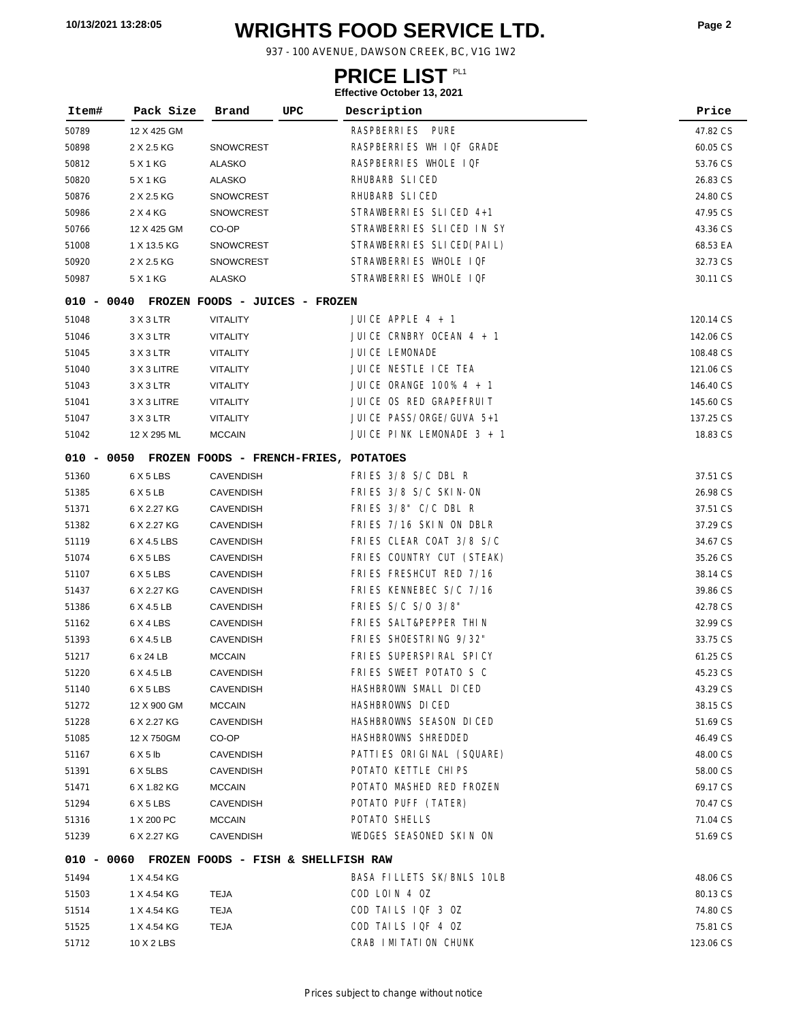# **WRIGHTS FOOD SERVICE LTD. 10/13/2021 13:28:05 Page <sup>2</sup>**

937 - 100 AVENUE, DAWSON CREEK, BC, V1G 1W2

### **PRICE LIST**

| Item# | Pack Size                                        | Brand            | UPC | Description                | Price     |
|-------|--------------------------------------------------|------------------|-----|----------------------------|-----------|
| 50789 | 12 X 425 GM                                      |                  |     | RASPBERRIES PURE           | 47.82 CS  |
| 50898 | 2 X 2.5 KG                                       | <b>SNOWCREST</b> |     | RASPBERRIES WH IQF GRADE   | 60.05 CS  |
| 50812 | 5 X 1 KG                                         | ALASKO           |     | RASPBERRIES WHOLE IQF      | 53.76 CS  |
| 50820 | 5 X 1 KG                                         | <b>ALASKO</b>    |     | RHUBARB SLICED             | 26.83 CS  |
| 50876 | 2 X 2.5 KG                                       | <b>SNOWCREST</b> |     | RHUBARB SLICED             | 24.80 CS  |
| 50986 | 2 X 4 KG                                         | <b>SNOWCREST</b> |     | STRAWBERRIES SLICED 4+1    | 47.95 CS  |
| 50766 | 12 X 425 GM                                      | CO-OP            |     | STRAWBERRIES SLICED IN SY  | 43.36 CS  |
| 51008 | 1 X 13.5 KG                                      | SNOWCREST        |     | STRAWBERRIES SLICED(PAIL)  | 68.53 EA  |
| 50920 | 2 X 2.5 KG                                       | <b>SNOWCREST</b> |     | STRAWBERRIES WHOLE IQF     | 32.73 CS  |
| 50987 | 5 X 1 KG                                         | ALASKO           |     | STRAWBERRIES WHOLE IQF     | 30.11 CS  |
|       |                                                  |                  |     |                            |           |
|       | 010 - 0040 FROZEN FOODS - JUICES - FROZEN        |                  |     |                            |           |
| 51048 | 3 X 3 LTR                                        | VITALITY         |     | JUICE APPLE 4 + 1          | 120.14 CS |
| 51046 | 3 X 3 LTR                                        | VITALITY         |     | JUICE CRNBRY OCEAN $4 + 1$ | 142.06 CS |
| 51045 | 3 X 3 LTR                                        | VITALITY         |     | JUICE LEMONADE             | 108.48 CS |
| 51040 | 3 X 3 LITRE                                      | VITALITY         |     | JUICE NESTLE ICE TEA       | 121.06 CS |
| 51043 | 3 X 3 LTR                                        | VITALITY         |     | JUICE ORANGE 100% 4 + 1    | 146.40 CS |
| 51041 | 3 X 3 LITRE                                      | VITALITY         |     | JUICE OS RED GRAPEFRUIT    | 145.60 CS |
| 51047 | 3 X 3 LTR                                        | <b>VITALITY</b>  |     | JUICE PASS/ORGE/GUVA 5+1   | 137.25 CS |
| 51042 | 12 X 295 ML                                      | <b>MCCAIN</b>    |     | JUICE PINK LEMONADE 3 + 1  | 18.83 CS  |
|       | 010 - 0050 FROZEN FOODS - FRENCH-FRIES, POTATOES |                  |     |                            |           |
| 51360 | 6 X 5 LBS                                        | <b>CAVENDISH</b> |     | FRIES 3/8 S/C DBL R        | 37.51 CS  |
| 51385 | 6 X 5 LB                                         | <b>CAVENDISH</b> |     | FRIES 3/8 S/C SKIN-ON      | 26.98 CS  |
| 51371 | 6 X 2.27 KG                                      | <b>CAVENDISH</b> |     | FRIES 3/8" C/C DBL R       | 37.51 CS  |
| 51382 | 6 X 2.27 KG                                      | <b>CAVENDISH</b> |     | FRIES 7/16 SKIN ON DBLR    | 37.29 CS  |
| 51119 | 6 X 4.5 LBS                                      | <b>CAVENDISH</b> |     | FRIES CLEAR COAT 3/8 S/C   | 34.67 CS  |
| 51074 | 6 X 5 LBS                                        | <b>CAVENDISH</b> |     | FRIES COUNTRY CUT (STEAK)  | 35.26 CS  |
| 51107 | 6 X 5 LBS                                        | <b>CAVENDISH</b> |     | FRIES FRESHCUT RED 7/16    | 38.14 CS  |
| 51437 | 6 X 2.27 KG                                      | <b>CAVENDISH</b> |     | FRIES KENNEBEC S/C 7/16    | 39.86 CS  |
| 51386 | 6 X 4.5 LB                                       | CAVENDISH        |     | FRIES S/C S/0 3/8"         | 42.78 CS  |
| 51162 | 6 X 4 LBS                                        | <b>CAVENDISH</b> |     | FRIES SALT&PEPPER THIN     | 32.99 CS  |
| 51393 | 6 X 4.5 LB                                       | <b>CAVENDISH</b> |     | FRIES SHOESTRING 9/32"     | 33.75 CS  |
| 51217 | 6 x 24 LB                                        | <b>MCCAIN</b>    |     | FRIES SUPERSPIRAL SPICY    | 61.25 CS  |
| 51220 | 6 X 4.5 LB                                       | <b>CAVENDISH</b> |     | FRIES SWEET POTATO S C     | 45.23 CS  |
| 51140 | 6 X 5 LBS                                        | <b>CAVENDISH</b> |     | HASHBROWN SMALL DICED      | 43.29 CS  |
| 51272 | 12 X 900 GM                                      | <b>MCCAIN</b>    |     | HASHBROWNS DICED           | 38.15 CS  |
| 51228 | 6 X 2.27 KG                                      | <b>CAVENDISH</b> |     | HASHBROWNS SEASON DICED    | 51.69 CS  |
| 51085 | 12 X 750GM                                       | CO-OP            |     | HASHBROWNS SHREDDED        | 46.49 CS  |
| 51167 | 6X5lb                                            | <b>CAVENDISH</b> |     | PATTIES ORIGINAL (SQUARE)  | 48.00 CS  |
| 51391 | 6 X 5LBS                                         | <b>CAVENDISH</b> |     | POTATO KETTLE CHIPS        | 58.00 CS  |
| 51471 | 6 X 1.82 KG                                      | <b>MCCAIN</b>    |     | POTATO MASHED RED FROZEN   | 69.17 CS  |
| 51294 | 6 X 5 LBS                                        | CAVENDISH        |     | POTATO PUFF (TATER)        | 70.47 CS  |
| 51316 | 1 X 200 PC                                       | <b>MCCAIN</b>    |     | POTATO SHELLS              | 71.04 CS  |
| 51239 | 6 X 2.27 KG                                      | <b>CAVENDISH</b> |     | WEDGES SEASONED SKIN ON    | 51.69 CS  |
|       | 010 - 0060 FROZEN FOODS - FISH & SHELLFISH RAW   |                  |     |                            |           |
| 51494 | 1 X 4.54 KG                                      |                  |     | BASA FILLETS SK/BNLS 10LB  | 48.06 CS  |
| 51503 | 1 X 4.54 KG                                      | TEJA             |     | COD LOIN 4 OZ              | 80.13 CS  |
| 51514 | 1 X 4.54 KG                                      | <b>TEJA</b>      |     | COD TAILS IQF 3 OZ         | 74.80 CS  |
| 51525 | 1 X 4.54 KG                                      | <b>TEJA</b>      |     | COD TAILS IQF 4 OZ         | 75.81 CS  |
| 51712 | 10 X 2 LBS                                       |                  |     | CRAB I MI TATI ON CHUNK    | 123.06 CS |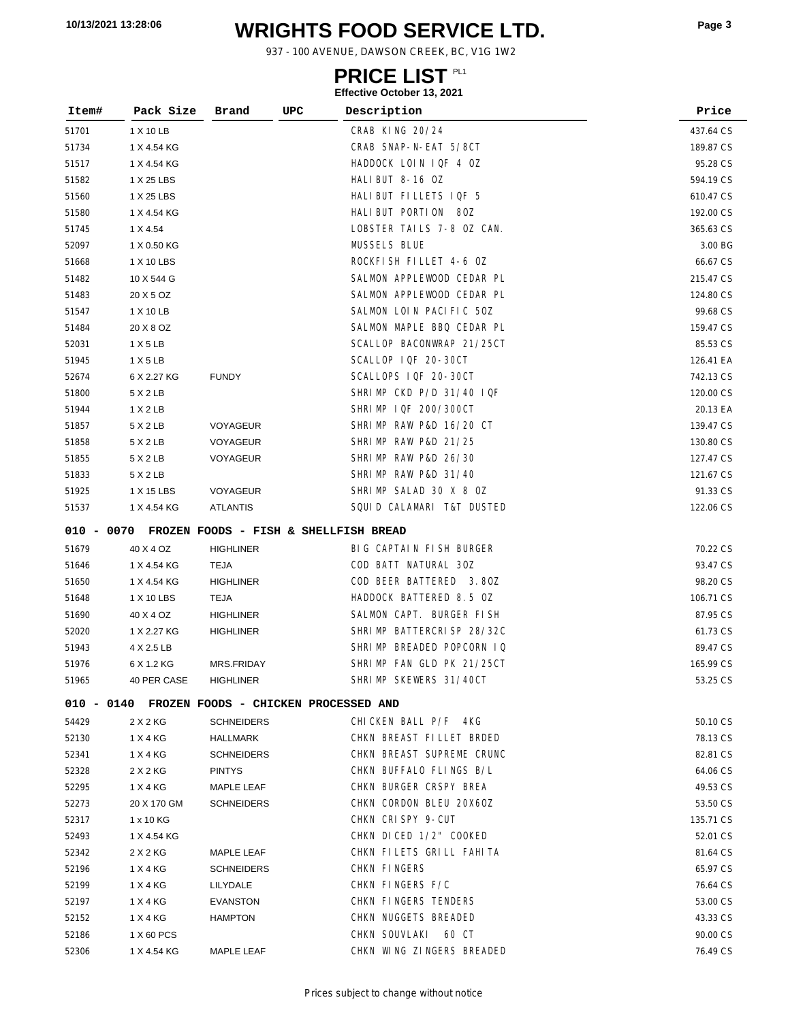# **WRIGHTS FOOD SERVICE LTD. 10/13/2021 13:28:06 Page <sup>3</sup>**

937 - 100 AVENUE, DAWSON CREEK, BC, V1G 1W2

### **PRICE LIST**

| Item# | Pack Size                                        | Brand             | UPC | Description               | Price     |
|-------|--------------------------------------------------|-------------------|-----|---------------------------|-----------|
| 51701 | 1 X 10 LB                                        |                   |     | CRAB KING 20/24           | 437.64 CS |
| 51734 | 1 X 4.54 KG                                      |                   |     | CRAB SNAP-N-EAT 5/8CT     | 189.87 CS |
| 51517 | 1 X 4.54 KG                                      |                   |     | HADDOCK LOIN IQF 4 OZ     | 95.28 CS  |
| 51582 | 1 X 25 LBS                                       |                   |     | HALIBUT 8-16 OZ           | 594.19 CS |
| 51560 | 1 X 25 LBS                                       |                   |     | HALIBUT FILLETS IQF 5     | 610.47 CS |
| 51580 | 1 X 4.54 KG                                      |                   |     | HALI BUT PORTION 80Z      | 192.00 CS |
| 51745 | 1 X 4.54                                         |                   |     | LOBSTER TAILS 7-8 OZ CAN. | 365.63 CS |
| 52097 | 1 X 0.50 KG                                      |                   |     | <b>MUSSELS BLUE</b>       | 3.00 BG   |
| 51668 | 1 X 10 LBS                                       |                   |     | ROCKFISH FILLET 4-6 OZ    | 66.67 CS  |
| 51482 | 10 X 544 G                                       |                   |     | SALMON APPLEWOOD CEDAR PL | 215.47 CS |
| 51483 | 20 X 5 OZ                                        |                   |     | SALMON APPLEWOOD CEDAR PL | 124.80 CS |
| 51547 | 1 X 10 LB                                        |                   |     | SALMON LOIN PACIFIC 50Z   | 99.68 CS  |
| 51484 | 20 X 8 OZ                                        |                   |     | SALMON MAPLE BBQ CEDAR PL | 159.47 CS |
| 52031 | 1 X 5 LB                                         |                   |     | SCALLOP BACONWRAP 21/25CT | 85.53 CS  |
| 51945 | 1 X 5 LB                                         |                   |     | SCALLOP IQF 20-30CT       | 126.41 EA |
| 52674 | 6 X 2.27 KG                                      | <b>FUNDY</b>      |     | SCALLOPS IQF 20-30CT      | 742.13 CS |
| 51800 | 5 X 2 LB                                         |                   |     | SHRIMP CKD P/D 31/40 IQF  | 120.00 CS |
| 51944 | 1 X 2 LB                                         |                   |     | SHRIMP IQF 200/300CT      | 20.13 EA  |
| 51857 | 5 X 2 LB                                         | VOYAGEUR          |     | SHRIMP RAW P&D 16/20 CT   | 139.47 CS |
| 51858 | 5 X 2 LB                                         | VOYAGEUR          |     | SHRIMP RAW P&D 21/25      | 130.80 CS |
| 51855 | 5 X 2 LB                                         | VOYAGEUR          |     | SHRIMP RAW P&D 26/30      | 127.47 CS |
| 51833 | 5 X 2 LB                                         |                   |     | SHRIMP RAW P&D 31/40      | 121.67 CS |
| 51925 | 1 X 15 LBS                                       | VOYAGEUR          |     | SHRIMP SALAD 30 X 8 OZ    | 91.33 CS  |
| 51537 | 1 X 4.54 KG                                      | <b>ATLANTIS</b>   |     | SQUID CALAMARI T&T DUSTED | 122.06 CS |
|       | 010 - 0070 FROZEN FOODS - FISH & SHELLFISH BREAD |                   |     |                           |           |
| 51679 | 40 X 4 OZ                                        | <b>HIGHLINER</b>  |     | BIG CAPTAIN FISH BURGER   | 70.22 CS  |
| 51646 | 1 X 4.54 KG                                      | TEJA              |     | COD BATT NATURAL 30Z      | 93.47 CS  |
| 51650 | 1 X 4.54 KG                                      | <b>HIGHLINER</b>  |     | COD BEER BATTERED 3.80Z   | 98.20 CS  |
| 51648 | 1 X 10 LBS                                       | TEJA              |     | HADDOCK BATTERED 8.5 OZ   | 106.71 CS |
| 51690 | 40 X 4 OZ                                        | <b>HIGHLINER</b>  |     | SALMON CAPT. BURGER FISH  | 87.95 CS  |
| 52020 | 1 X 2.27 KG                                      | <b>HIGHLINER</b>  |     | SHRIMP BATTERCRISP 28/32C | 61.73 CS  |
| 51943 | 4 X 2.5 LB                                       |                   |     | SHRIMP BREADED POPCORN IQ | 89.47 CS  |
| 51976 | 6 X 1.2 KG                                       | MRS.FRIDAY        |     | SHRIMP FAN GLD PK 21/25CT | 165.99 CS |
| 51965 | 40 PER CASE                                      | <b>HIGHLINER</b>  |     | SHRIMP SKEWERS 31/40CT    | 53.25 CS  |
|       | 010 - 0140 FROZEN FOODS - CHICKEN PROCESSED AND  |                   |     |                           |           |
| 54429 | 2 X 2 KG                                         | <b>SCHNEIDERS</b> |     | CHICKEN BALL P/F 4KG      | 50.10 CS  |
| 52130 | 1 X 4 KG                                         | HALLMARK          |     | CHKN BREAST FILLET BRDED  | 78.13 CS  |
| 52341 | 1 X 4 KG                                         | <b>SCHNEIDERS</b> |     | CHKN BREAST SUPREME CRUNC | 82.81 CS  |
| 52328 | 2 X 2 KG                                         | <b>PINTYS</b>     |     | CHKN BUFFALO FLINGS B/L   | 64.06 CS  |
| 52295 | 1 X 4 KG                                         | MAPLE LEAF        |     | CHKN BURGER CRSPY BREA    | 49.53 CS  |
| 52273 | 20 X 170 GM                                      | <b>SCHNEIDERS</b> |     | CHKN CORDON BLEU 20X60Z   | 53.50 CS  |
| 52317 | 1 x 10 KG                                        |                   |     | CHKN CRISPY 9-CUT         | 135.71 CS |
| 52493 | 1 X 4.54 KG                                      |                   |     | CHKN DICED 1/2" COOKED    | 52.01 CS  |
| 52342 | 2 X 2 KG                                         | MAPLE LEAF        |     | CHKN FILETS GRILL FAHITA  | 81.64 CS  |
| 52196 | 1 X 4 KG                                         | <b>SCHNEIDERS</b> |     | CHKN FINGERS              | 65.97 CS  |
| 52199 | 1 X 4 KG                                         | LILYDALE          |     | CHKN FINGERS F/C          | 76.64 CS  |
| 52197 | 1 X 4 KG                                         | <b>EVANSTON</b>   |     | CHKN FINGERS TENDERS      | 53.00 CS  |
| 52152 | 1 X 4 KG                                         | <b>HAMPTON</b>    |     | CHKN NUGGETS BREADED      | 43.33 CS  |
| 52186 | 1 X 60 PCS                                       |                   |     | CHKN SOUVLAKI 60 CT       | 90.00 CS  |
| 52306 | 1 X 4.54 KG                                      | <b>MAPLE LEAF</b> |     | CHKN WING ZINGERS BREADED | 76.49 CS  |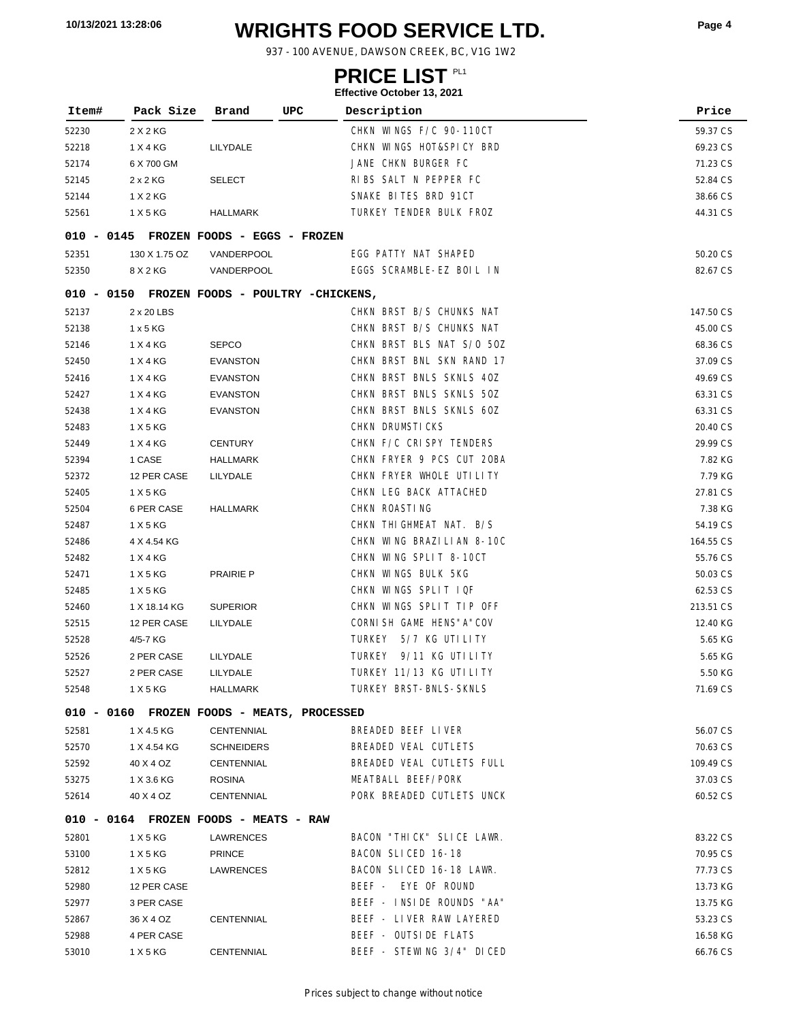# **WRIGHTS FOOD SERVICE LTD. 10/13/2021 13:28:06 Page <sup>4</sup>**

937 - 100 AVENUE, DAWSON CREEK, BC, V1G 1W2

### **PRICE LIST**

| Item# | Pack Size     | Brand<br>UPC                                 | Description               | Price     |
|-------|---------------|----------------------------------------------|---------------------------|-----------|
| 52230 | 2 X 2 KG      |                                              | CHKN WINGS F/C 90-110CT   | 59.37 CS  |
| 52218 | 1 X 4 KG      | LILYDALE                                     | CHKN WINGS HOT&SPICY BRD  | 69.23 CS  |
| 52174 | 6 X 700 GM    |                                              | JANE CHKN BURGER FC       | 71.23 CS  |
| 52145 | 2x2KG         | <b>SELECT</b>                                | RIBS SALT N PEPPER FC     | 52.84 CS  |
| 52144 | 1 X 2 KG      |                                              | SNAKE BITES BRD 91CT      | 38.66 CS  |
| 52561 | 1 X 5 KG      | <b>HALLMARK</b>                              | TURKEY TENDER BULK FROZ   | 44.31 CS  |
|       |               |                                              |                           |           |
|       |               | 010 - 0145 FROZEN FOODS - EGGS - FROZEN      |                           |           |
| 52351 | 130 X 1.75 OZ | VANDERPOOL                                   | EGG PATTY NAT SHAPED      | 50.20 CS  |
| 52350 | 8 X 2 KG      | VANDERPOOL                                   | EGGS SCRAMBLE-EZ BOIL IN  | 82.67 CS  |
|       |               | 010 - 0150 FROZEN FOODS - POULTRY -CHICKENS, |                           |           |
| 52137 | 2 x 20 LBS    |                                              | CHKN BRST B/S CHUNKS NAT  | 147.50 CS |
| 52138 | 1x5KG         |                                              | CHKN BRST B/S CHUNKS NAT  | 45.00 CS  |
| 52146 | 1 X 4 KG      | <b>SEPCO</b>                                 | CHKN BRST BLS NAT S/0 50Z | 68.36 CS  |
| 52450 | 1 X 4 KG      | <b>EVANSTON</b>                              | CHKN BRST BNL SKN RAND 17 | 37.09 CS  |
| 52416 | 1 X 4 KG      | <b>EVANSTON</b>                              | CHKN BRST BNLS SKNLS 40Z  | 49.69 CS  |
| 52427 | 1 X 4 KG      | <b>EVANSTON</b>                              | CHKN BRST BNLS SKNLS 50Z  | 63.31 CS  |
| 52438 | 1 X 4 KG      | <b>EVANSTON</b>                              | CHKN BRST BNLS SKNLS 60Z  | 63.31 CS  |
| 52483 | 1 X 5 KG      |                                              | CHKN DRUMSTICKS           | 20.40 CS  |
| 52449 | 1 X 4 KG      | <b>CENTURY</b>                               | CHKN F/C CRISPY TENDERS   | 29.99 CS  |
| 52394 | 1 CASE        | HALLMARK                                     | CHKN FRYER 9 PCS CUT 20BA | 7.82 KG   |
| 52372 | 12 PER CASE   | LILYDALE                                     | CHKN FRYER WHOLE UTILITY  | 7.79 KG   |
| 52405 | 1 X 5 KG      |                                              | CHKN LEG BACK ATTACHED    | 27.81 CS  |
| 52504 | 6 PER CASE    | <b>HALLMARK</b>                              | CHKN ROASTING             | 7.38 KG   |
| 52487 | 1 X 5 KG      |                                              | CHKN THI GHMEAT NAT. B/S  | 54.19 CS  |
| 52486 | 4 X 4.54 KG   |                                              | CHKN WING BRAZILIAN 8-10C | 164.55 CS |
| 52482 | 1 X 4 KG      |                                              | CHKN WING SPLIT 8-10CT    | 55.76 CS  |
| 52471 | 1 X 5 KG      | <b>PRAIRIE P</b>                             | CHKN WINGS BULK 5KG       | 50.03 CS  |
| 52485 | 1 X 5 KG      |                                              | CHKN WINGS SPLIT IQF      | 62.53 CS  |
| 52460 | 1 X 18.14 KG  | <b>SUPERIOR</b>                              | CHKN WINGS SPLIT TIP OFF  | 213.51 CS |
| 52515 | 12 PER CASE   | LILYDALE                                     | CORNI SH GAME HENS" A"COV | 12.40 KG  |
| 52528 | 4/5-7 KG      |                                              | TURKEY 5/7 KG UTI LI TY   | 5.65 KG   |
| 52526 | 2 PER CASE    | LILYDALE                                     | TURKEY 9/11 KG UTI LI TY  | 5.65 KG   |
| 52527 | 2 PER CASE    | LILYDALE                                     | TURKEY 11/13 KG UTILITY   | 5.50 KG   |
| 52548 | 1 X 5 KG      | HALLMARK                                     | TURKEY BRST-BNLS-SKNLS    | 71.69 CS  |
|       |               | 010 - 0160 FROZEN FOODS - MEATS, PROCESSED   |                           |           |
| 52581 | 1 X 4.5 KG    | CENTENNIAL                                   | BREADED BEEF LIVER        | 56.07 CS  |
| 52570 | 1 X 4.54 KG   | SCHNEIDERS                                   | BREADED VEAL CUTLETS      | 70.63 CS  |
| 52592 | 40 X 4 OZ     | CENTENNIAL                                   | BREADED VEAL CUTLETS FULL | 109.49 CS |
| 53275 | 1 X 3.6 KG    | <b>ROSINA</b>                                | MEATBALL BEEF/PORK        | 37.03 CS  |
| 52614 | 40 X 4 OZ     | CENTENNIAL                                   | PORK BREADED CUTLETS UNCK | 60.52 CS  |
|       |               | 010 - 0164 FROZEN FOODS - MEATS - RAW        |                           |           |
| 52801 | 1 X 5 KG      | LAWRENCES                                    | BACON "THICK" SLICE LAWR. | 83.22 CS  |
| 53100 | 1 X 5 KG      | <b>PRINCE</b>                                | BACON SLICED 16-18        | 70.95 CS  |
| 52812 | 1 X 5 KG      | LAWRENCES                                    | BACON SLICED 16-18 LAWR.  | 77.73 CS  |
| 52980 | 12 PER CASE   |                                              | BEEF - EYE OF ROUND       | 13.73 KG  |
| 52977 | 3 PER CASE    |                                              | BEEF - INSIDE ROUNDS "AA" | 13.75 KG  |
| 52867 | 36 X 4 OZ     | CENTENNIAL                                   | BEEF - LIVER RAW LAYERED  | 53.23 CS  |
| 52988 | 4 PER CASE    |                                              | BEEF - OUTSIDE FLATS      | 16.58 KG  |
| 53010 | 1 X 5 KG      | CENTENNIAL                                   | BEEF - STEWING 3/4" DICED | 66.76 CS  |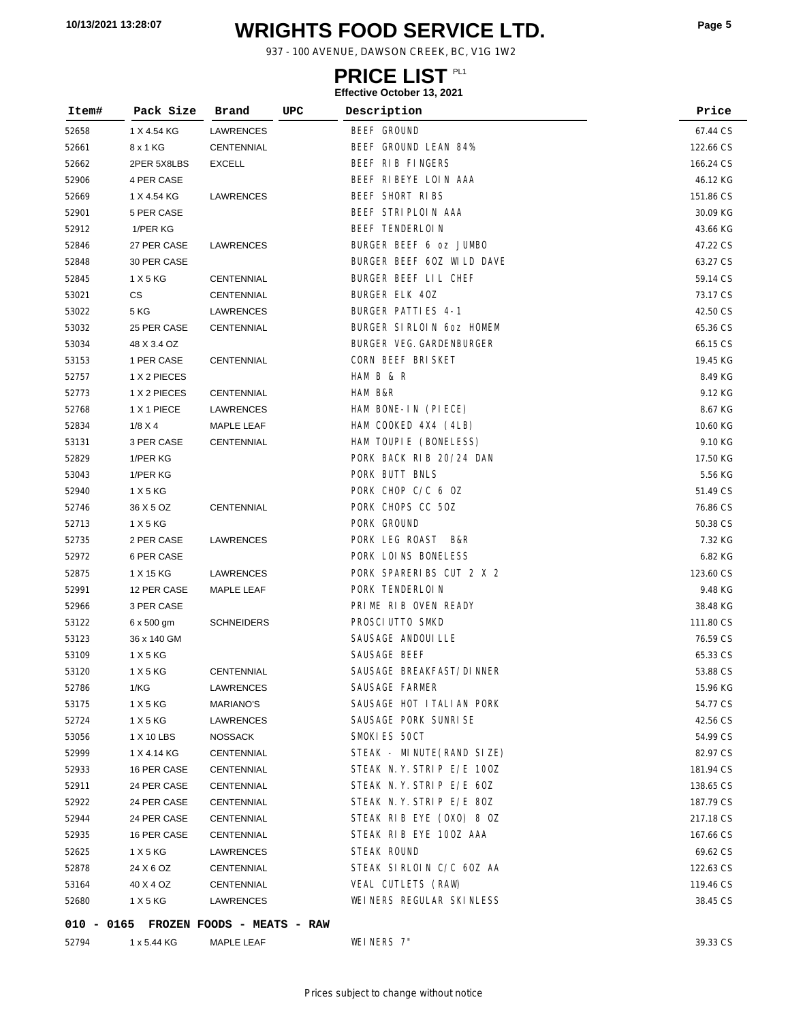# **WRIGHTS FOOD SERVICE LTD. 10/13/2021 13:28:07 Page <sup>5</sup>**

937 - 100 AVENUE, DAWSON CREEK, BC, V1G 1W2

### **PRICE LIST**

#### **Effective October 13, 2021**

| Item# | Pack Size    | Brand             | UPC | Description                     | Price     |
|-------|--------------|-------------------|-----|---------------------------------|-----------|
| 52658 | 1 X 4.54 KG  | LAWRENCES         |     | BEEF GROUND                     | 67.44 CS  |
| 52661 | 8 x 1 KG     | CENTENNIAL        |     | BEEF GROUND LEAN 84%            | 122.66 CS |
| 52662 | 2PER 5X8LBS  | <b>EXCELL</b>     |     | BEEF RIB FINGERS                | 166.24 CS |
| 52906 | 4 PER CASE   |                   |     | BEEF RIBEYE LOIN AAA            | 46.12 KG  |
| 52669 | 1 X 4.54 KG  | LAWRENCES         |     | BEEF SHORT RIBS                 | 151.86 CS |
| 52901 | 5 PER CASE   |                   |     | BEEF STRIPLOIN AAA              | 30.09 KG  |
| 52912 | 1/PER KG     |                   |     | <b>BEEF TENDERLOIN</b>          | 43.66 KG  |
| 52846 | 27 PER CASE  | LAWRENCES         |     | BURGER BEEF 6 oz JUMBO          | 47.22 CS  |
| 52848 | 30 PER CASE  |                   |     | BURGER BEEF 60Z WILD DAVE       | 63.27 CS  |
| 52845 | 1 X 5 KG     | CENTENNIAL        |     | BURGER BEEF LIL CHEF            | 59.14 CS  |
| 53021 | CS           | CENTENNIAL        |     | BURGER ELK 40Z                  | 73.17 CS  |
| 53022 | 5 KG         | LAWRENCES         |     | BURGER PATTI ES 4-1             | 42.50 CS  |
| 53032 | 25 PER CASE  | CENTENNIAL        |     | BURGER SIRLOIN 60Z HOMEM        | 65.36 CS  |
| 53034 | 48 X 3.4 OZ  |                   |     | <b>BURGER VEG. GARDENBURGER</b> | 66.15 CS  |
| 53153 | 1 PER CASE   | CENTENNIAL        |     | CORN BEEF BRISKET               | 19.45 KG  |
| 52757 | 1 X 2 PIECES |                   |     | HAM B & R                       | 8.49 KG   |
| 52773 | 1 X 2 PIECES | <b>CENTENNIAL</b> |     | HAM B&R                         | 9.12 KG   |
| 52768 | 1 X 1 PIECE  | LAWRENCES         |     | HAM BONE-IN (PIECE)             | 8.67 KG   |
| 52834 | 1/8 X 4      | MAPLE LEAF        |     | HAM COOKED 4X4 (4LB)            | 10.60 KG  |
| 53131 | 3 PER CASE   | CENTENNIAL        |     | HAM TOUPIE (BONELESS)           | 9.10 KG   |
| 52829 | 1/PER KG     |                   |     | PORK BACK RIB 20/24 DAN         | 17.50 KG  |
| 53043 | 1/PER KG     |                   |     | PORK BUTT BNLS                  | 5.56 KG   |
| 52940 | 1 X 5 KG     |                   |     | PORK CHOP C/C 6 OZ              | 51.49 CS  |
| 52746 | 36 X 5 OZ    | CENTENNIAL        |     | PORK CHOPS CC 50Z               | 76.86 CS  |
| 52713 | 1 X 5 KG     |                   |     | PORK GROUND                     | 50.38 CS  |
| 52735 | 2 PER CASE   | LAWRENCES         |     | PORK LEG ROAST<br>B&R           | 7.32 KG   |
| 52972 | 6 PER CASE   |                   |     | PORK LOINS BONELESS             | 6.82 KG   |
| 52875 | 1 X 15 KG    | LAWRENCES         |     | PORK SPARERIBS CUT 2 X 2        | 123.60 CS |
| 52991 | 12 PER CASE  | MAPLE LEAF        |     | PORK TENDERLOIN                 | 9.48 KG   |
| 52966 | 3 PER CASE   |                   |     | PRIME RIB OVEN READY            | 38.48 KG  |
| 53122 | 6 x 500 gm   | <b>SCHNEIDERS</b> |     | PROSCI UTTO SMKD                | 111.80 CS |
| 53123 | 36 x 140 GM  |                   |     | SAUSAGE ANDOUI LLE              | 76.59 CS  |
| 53109 | 1 X 5 KG     |                   |     | SAUSAGE BEEF                    | 65.33 CS  |
| 53120 | 1 X 5 KG     | CENTENNIAL        |     | SAUSAGE BREAKFAST/DINNER        | 53.88 CS  |
| 52786 | 1/KG         | LAWRENCES         |     | SAUSAGE FARMER                  | 15.96 KG  |
| 53175 | 1 X 5 KG     | <b>MARIANO'S</b>  |     | SAUSAGE HOT ITALIAN PORK        | 54.77 CS  |
| 52724 | 1 X 5 KG     | LAWRENCES         |     | SAUSAGE PORK SUNRISE            | 42.56 CS  |
| 53056 | 1 X 10 LBS   | <b>NOSSACK</b>    |     | SMOKIES 50CT                    | 54.99 CS  |
| 52999 | 1 X 4.14 KG  | CENTENNIAL        |     | STEAK - MINUTE (RAND SIZE)      | 82.97 CS  |
| 52933 | 16 PER CASE  | CENTENNIAL        |     | STEAK N.Y. STRIP E/E 100Z       | 181.94 CS |
| 52911 | 24 PER CASE  | CENTENNIAL        |     | STEAK N.Y. STRIP E/E 60Z        | 138.65 CS |
| 52922 | 24 PER CASE  | <b>CENTENNIAL</b> |     | STEAK N.Y. STRIP E/E 80Z        | 187.79 CS |
| 52944 | 24 PER CASE  | CENTENNIAL        |     | STEAK RIB EYE (OXO) 8 OZ        | 217.18 CS |
| 52935 | 16 PER CASE  | <b>CENTENNIAL</b> |     | STEAK RIB EYE 100Z AAA          | 167.66 CS |
| 52625 | 1 X 5 KG     | LAWRENCES         |     | STEAK ROUND                     | 69.62 CS  |
| 52878 | 24 X 6 OZ    | CENTENNIAL        |     | STEAK SIRLOIN C/C 60Z AA        | 122.63 CS |
| 53164 | 40 X 4 OZ    | CENTENNIAL        |     | VEAL CUTLETS (RAW)              | 119.46 CS |
| 52680 | 1 X 5 KG     | LAWRENCES         |     | WEINERS REGULAR SKINLESS        | 38.45 CS  |
|       |              |                   |     |                                 |           |

**010 - 0165 FROZEN FOODS - MEATS - RAW**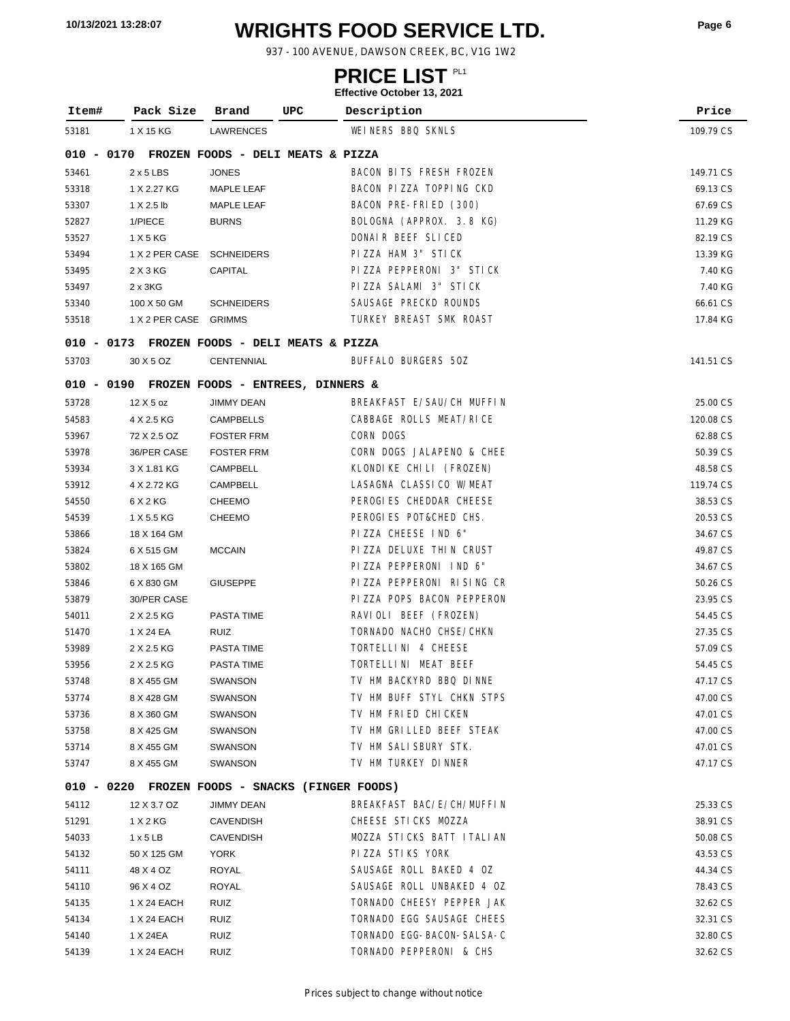# **WRIGHTS FOOD SERVICE LTD. 10/13/2021 13:28:07 Page <sup>6</sup>**

937 - 100 AVENUE, DAWSON CREEK, BC, V1G 1W2

### **PRICE LIST**

|       |                       |                                                 | Ellective October 13, 2021 |           |  |  |
|-------|-----------------------|-------------------------------------------------|----------------------------|-----------|--|--|
| Item# | Pack Size             | Brand<br>UPC                                    | Description                | Price     |  |  |
| 53181 | 1 X 15 KG             | LAWRENCES                                       | WEINERS BBQ SKNLS          | 109.79 CS |  |  |
|       |                       | 010 - 0170 FROZEN FOODS - DELI MEATS & PIZZA    |                            |           |  |  |
| 53461 | $2 \times 5$ LBS      | <b>JONES</b>                                    | BACON BITS FRESH FROZEN    | 149.71 CS |  |  |
| 53318 | 1 X 2.27 KG           | <b>MAPLE LEAF</b>                               | BACON PIZZA TOPPING CKD    | 69.13 CS  |  |  |
| 53307 | 1 X 2.5 lb            | MAPLE LEAF                                      | BACON PRE-FRIED (300)      | 67.69 CS  |  |  |
| 52827 | 1/PIECE               | <b>BURNS</b>                                    | BOLOGNA (APPROX. 3.8 KG)   | 11.29 KG  |  |  |
| 53527 | 1 X 5 KG              |                                                 | DONAIR BEEF SLICED         | 82.19 CS  |  |  |
| 53494 |                       | 1 X 2 PER CASE SCHNEIDERS                       | PIZZA HAM 3" STICK         | 13.39 KG  |  |  |
| 53495 | 2 X 3 KG              | CAPITAL                                         | PIZZA PEPPERONI 3" STICK   | 7.40 KG   |  |  |
| 53497 | $2 \times 3$ KG       |                                                 | PIZZA SALAMI 3" STICK      | 7.40 KG   |  |  |
| 53340 | 100 X 50 GM           | <b>SCHNEIDERS</b>                               | SAUSAGE PRECKD ROUNDS      | 66.61 CS  |  |  |
| 53518 | 1 X 2 PER CASE GRIMMS |                                                 | TURKEY BREAST SMK ROAST    | 17.84 KG  |  |  |
|       |                       | 010 - 0173 FROZEN FOODS - DELI MEATS & PIZZA    |                            |           |  |  |
| 53703 | 30 X 5 OZ             | <b>CENTENNIAL</b>                               | BUFFALO BURGERS 50Z        | 141.51 CS |  |  |
|       |                       | 010 - 0190 FROZEN FOODS - ENTREES, DINNERS &    |                            |           |  |  |
| 53728 | $12$ X 5 oz           | <b>JIMMY DEAN</b>                               | BREAKFAST E/SAU/CH MUFFIN  | 25.00 CS  |  |  |
| 54583 | 4 X 2.5 KG            | <b>CAMPBELLS</b>                                | CABBAGE ROLLS MEAT/RICE    | 120.08 CS |  |  |
| 53967 | 72 X 2.5 OZ           | <b>FOSTER FRM</b>                               | CORN DOGS                  | 62.88 CS  |  |  |
| 53978 | 36/PER CASE           | <b>FOSTER FRM</b>                               | CORN DOGS JALAPENO & CHEE  | 50.39 CS  |  |  |
| 53934 | 3 X 1.81 KG           | <b>CAMPBELL</b>                                 | KLONDIKE CHILI (FROZEN)    | 48.58 CS  |  |  |
| 53912 | 4 X 2.72 KG           | CAMPBELL                                        | LASAGNA CLASSICO W/MEAT    | 119.74 CS |  |  |
| 54550 | 6 X 2 KG              | <b>CHEEMO</b>                                   | PEROGIES CHEDDAR CHEESE    | 38.53 CS  |  |  |
| 54539 | 1 X 5.5 KG            | <b>CHEEMO</b>                                   | PEROGIES POT&CHED CHS.     | 20.53 CS  |  |  |
| 53866 | 18 X 164 GM           |                                                 | PIZZA CHEESE IND 6"        | 34.67 CS  |  |  |
| 53824 | 6 X 515 GM            | <b>MCCAIN</b>                                   | PIZZA DELUXE THIN CRUST    | 49.87 CS  |  |  |
| 53802 | 18 X 165 GM           |                                                 | PIZZA PEPPERONI IND 6"     | 34.67 CS  |  |  |
| 53846 | 6 X 830 GM            | <b>GIUSEPPE</b>                                 | PIZZA PEPPERONI RISING CR  | 50.26 CS  |  |  |
| 53879 | 30/PER CASE           |                                                 | PIZZA POPS BACON PEPPERON  | 23.95 CS  |  |  |
| 54011 | 2 X 2.5 KG            | PASTA TIME                                      | RAVIOLI BEEF (FROZEN)      | 54.45 CS  |  |  |
| 51470 | 1 X 24 EA             | RUIZ                                            | TORNADO NACHO CHSE/CHKN    | 27.35 CS  |  |  |
| 53989 | 2 X 2.5 KG            | PASTA TIME                                      | TORTELLINI 4 CHEESE        | 57.09 CS  |  |  |
| 53956 | 2 X 2.5 KG            | <b>PASTA TIME</b>                               | TORTELLINI MEAT BEEF       | 54.45 CS  |  |  |
| 53748 | 8 X 455 GM            | SWANSON                                         | TV HM BACKYRD BBQ DINNE    | 47.17 CS  |  |  |
| 53774 | 8 X 428 GM            | SWANSON                                         | TV HM BUFF STYL CHKN STPS  | 47.00 CS  |  |  |
| 53736 | 8 X 360 GM            | SWANSON                                         | TV HM FRIED CHICKEN        | 47.01 CS  |  |  |
| 53758 | 8 X 425 GM            | <b>SWANSON</b>                                  | TV HM GRILLED BEEF STEAK   | 47.00 CS  |  |  |
| 53714 | 8 X 455 GM            | SWANSON                                         | TV HM SALI SBURY STK.      | 47.01 CS  |  |  |
| 53747 | 8 X 455 GM            | SWANSON                                         | TV HM TURKEY DINNER        | 47.17 CS  |  |  |
|       |                       | 010 - 0220 FROZEN FOODS - SNACKS (FINGER FOODS) |                            |           |  |  |
| 54112 | 12 X 3.7 OZ           | <b>JIMMY DEAN</b>                               | BREAKFAST BAC/E/CH/MUFFIN  | 25.33 CS  |  |  |
| 51291 | 1 X 2 KG              | <b>CAVENDISH</b>                                | CHEESE STICKS MOZZA        | 38.91 CS  |  |  |
| 54033 | $1 \times 5$ LB       | <b>CAVENDISH</b>                                | MOZZA STICKS BATT ITALIAN  | 50.08 CS  |  |  |
| 54132 | 50 X 125 GM           | YORK                                            | PIZZA STIKS YORK           | 43.53 CS  |  |  |
| 54111 | 48 X 4 OZ             | ROYAL                                           | SAUSAGE ROLL BAKED 4 OZ    | 44.34 CS  |  |  |
| 54110 | 96 X 4 OZ             | ROYAL                                           | SAUSAGE ROLL UNBAKED 4 OZ  | 78.43 CS  |  |  |
| 54135 | 1 X 24 EACH           | RUIZ                                            | TORNADO CHEESY PEPPER JAK  | 32.62 CS  |  |  |
| 54134 | 1 X 24 EACH           | RUIZ                                            | TORNADO EGG SAUSAGE CHEES  | 32.31 CS  |  |  |
| 54140 | 1 X 24EA              | <b>RUIZ</b>                                     | TORNADO EGG-BACON-SALSA-C  | 32.80 CS  |  |  |
| 54139 | 1 X 24 EACH           | <b>RUIZ</b>                                     | TORNADO PEPPERONI & CHS    | 32.62 CS  |  |  |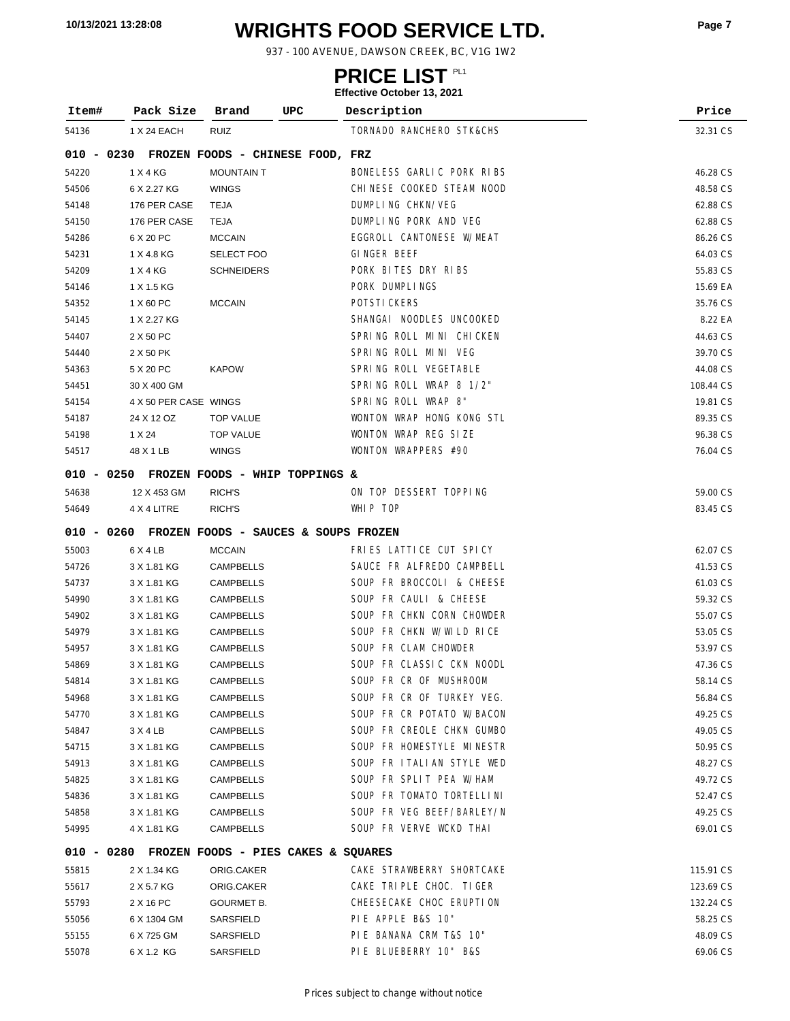# **WRIGHTS FOOD SERVICE LTD. 10/13/2021 13:28:08 Page <sup>7</sup>**

937 - 100 AVENUE, DAWSON CREEK, BC, V1G 1W2

### **PRICE LIST**

| Item#        | Pack Size             | UPC<br>Brand                                    | Description               | Price     |
|--------------|-----------------------|-------------------------------------------------|---------------------------|-----------|
| 54136        | 1 X 24 EACH           | <b>RUIZ</b>                                     | TORNADO RANCHERO STK&CHS  | 32.31 CS  |
| 010 - 0230   |                       | FROZEN FOODS - CHINESE FOOD, FRZ                |                           |           |
| 54220        | 1 X 4 KG              | <b>MOUNTAIN T</b>                               | BONELESS GARLIC PORK RIBS | 46.28 CS  |
| 54506        | 6 X 2.27 KG           | <b>WINGS</b>                                    | CHINESE COOKED STEAM NOOD | 48.58 CS  |
| 54148        | 176 PER CASE          | <b>TEJA</b>                                     | DUMPLING CHKN/VEG         | 62.88 CS  |
| 54150        | 176 PER CASE          | <b>TEJA</b>                                     | DUMPLING PORK AND VEG     | 62.88 CS  |
| 54286        | 6 X 20 PC             | <b>MCCAIN</b>                                   | EGGROLL CANTONESE W/MEAT  | 86.26 CS  |
| 54231        | 1 X 4.8 KG            | <b>SELECT FOO</b>                               | GINGER BEEF               | 64.03 CS  |
| 54209        | 1 X 4 KG              | <b>SCHNEIDERS</b>                               | PORK BITES DRY RIBS       | 55.83 CS  |
| 54146        | 1 X 1.5 KG            |                                                 | PORK DUMPLINGS            | 15.69 EA  |
| 54352        | 1 X 60 PC             | <b>MCCAIN</b>                                   | POTSTI CKERS              | 35.76 CS  |
| 54145        | 1 X 2.27 KG           |                                                 | SHANGAI NOODLES UNCOOKED  | 8.22 EA   |
| 54407        | 2 X 50 PC             |                                                 | SPRING ROLL MINI CHICKEN  | 44.63 CS  |
| 54440        | 2 X 50 PK             |                                                 | SPRING ROLL MINI VEG      | 39.70 CS  |
| 54363        | 5 X 20 PC             | <b>KAPOW</b>                                    | SPRING ROLL VEGETABLE     | 44.08 CS  |
| 54451        | 30 X 400 GM           |                                                 | SPRING ROLL WRAP 8 1/2"   | 108.44 CS |
| 54154        | 4 X 50 PER CASE WINGS |                                                 | SPRING ROLL WRAP 8"       | 19.81 CS  |
| 54187        | 24 X 12 OZ            | <b>TOP VALUE</b>                                | WONTON WRAP HONG KONG STL | 89.35 CS  |
| 54198        | 1 X 24                | <b>TOP VALUE</b>                                | WONTON WRAP REG SIZE      | 96.38 CS  |
| 54517        | 48 X 1 LB             | <b>WINGS</b>                                    | WONTON WRAPPERS #90       | 76.04 CS  |
|              |                       | 010 - 0250 FROZEN FOODS - WHIP TOPPINGS &       |                           |           |
| 54638        | 12 X 453 GM           | RICH'S                                          | ON TOP DESSERT TOPPING    | 59.00 CS  |
| 54649        | 4 X 4 LITRE           | RICH'S                                          | WHIP TOP                  | 83.45 CS  |
|              |                       |                                                 |                           |           |
|              |                       | 010 - 0260 FROZEN FOODS - SAUCES & SOUPS FROZEN |                           |           |
| 55003        | 6 X 4 LB              | <b>MCCAIN</b>                                   | FRIES LATTICE CUT SPICY   | 62.07 CS  |
| 54726        | 3 X 1.81 KG           | <b>CAMPBELLS</b>                                | SAUCE FR ALFREDO CAMPBELL | 41.53 CS  |
| 54737        | 3 X 1.81 KG           | <b>CAMPBELLS</b>                                | SOUP FR BROCCOLI & CHEESE | 61.03 CS  |
| 54990        | 3 X 1.81 KG           | <b>CAMPBELLS</b>                                | SOUP FR CAULI & CHEESE    | 59.32 CS  |
| 54902        | 3 X 1.81 KG           | <b>CAMPBELLS</b>                                | SOUP FR CHKN CORN CHOWDER | 55.07 CS  |
| 54979        | 3 X 1.81 KG           | <b>CAMPBELLS</b>                                | SOUP FR CHKN W/WILD RICE  | 53.05 CS  |
| 54957        | 3 X 1.81 KG           | <b>CAMPBELLS</b>                                | SOUP FR CLAM CHOWDER      | 53.97 CS  |
| 54869        | 3 X 1.81 KG           | <b>CAMPBELLS</b>                                | SOUP FR CLASSIC CKN NOODL | 47.36 CS  |
| 54814        | 3 X 1.81 KG           | CAMPBELLS                                       | SOUP FR CR OF MUSHROOM    | 58.14 CS  |
| 54968        | 3 X 1.81 KG           | CAMPBELLS                                       | SOUP FR CR OF TURKEY VEG. | 56.84 CS  |
| 54770        | 3 X 1.81 KG           | CAMPBELLS                                       | SOUP FR CR POTATO W/BACON | 49.25 CS  |
| 54847        | 3X4LB                 | CAMPBELLS                                       | SOUP FR CREOLE CHKN GUMBO | 49.05 CS  |
| 54715        | 3 X 1.81 KG           | <b>CAMPBELLS</b>                                | SOUP FR HOMESTYLE MINESTR | 50.95 CS  |
| 54913        | 3 X 1.81 KG           | CAMPBELLS                                       | SOUP FR ITALIAN STYLE WED | 48.27 CS  |
| 54825        | 3 X 1.81 KG           | CAMPBELLS                                       | SOUP FR SPLIT PEA W/HAM   | 49.72 CS  |
| 54836        | 3 X 1.81 KG           | <b>CAMPBELLS</b>                                | SOUP FR TOMATO TORTELLINI | 52.47 CS  |
| 54858        | 3 X 1.81 KG           | <b>CAMPBELLS</b>                                | SOUP FR VEG BEEF/BARLEY/N | 49.25 CS  |
| 54995        | 4 X 1.81 KG           | <b>CAMPBELLS</b>                                | SOUP FR VERVE WCKD THAI   | 69.01 CS  |
| $010 - 0280$ |                       | FROZEN FOODS - PIES CAKES & SQUARES             |                           |           |
| 55815        | 2 X 1.34 KG           | ORIG.CAKER                                      | CAKE STRAWBERRY SHORTCAKE | 115.91 CS |
| 55617        | 2 X 5.7 KG            | ORIG.CAKER                                      | CAKE TRIPLE CHOC. TIGER   | 123.69 CS |
| 55793        | 2 X 16 PC             | <b>GOURMET B.</b>                               | CHEESECAKE CHOC ERUPTION  | 132.24 CS |
| 55056        | 6 X 1304 GM           | SARSFIELD                                       | PIE APPLE B&S 10"         | 58.25 CS  |
| 55155        | 6 X 725 GM            | SARSFIELD                                       | PIE BANANA CRM T&S 10"    | 48.09 CS  |
| 55078        | 6 X 1.2 KG            | SARSFIELD                                       | PIE BLUEBERRY 10" B&S     | 69.06 CS  |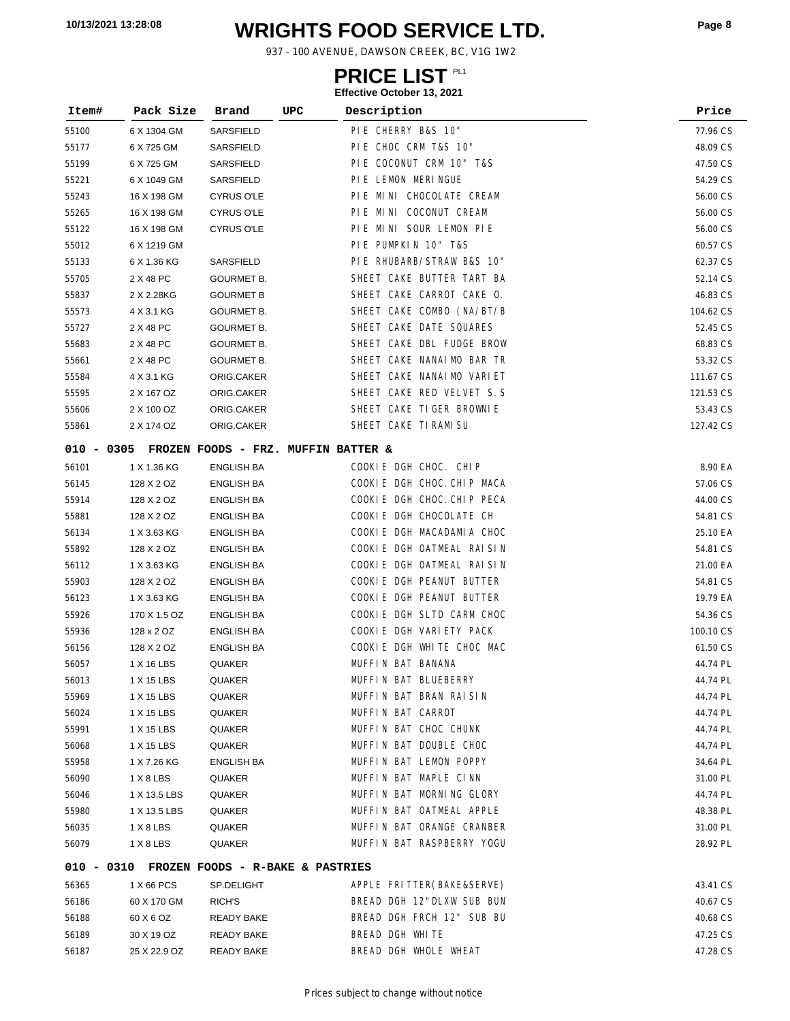# **WRIGHTS FOOD SERVICE LTD. 10/13/2021 13:28:08 Page <sup>8</sup>**

937 - 100 AVENUE, DAWSON CREEK, BC, V1G 1W2

### **PRICE LIST**

| Item# | Pack Size                                      | Brand                            | UPC | Description                | Price     |
|-------|------------------------------------------------|----------------------------------|-----|----------------------------|-----------|
| 55100 | 6 X 1304 GM                                    | SARSFIELD                        |     | PIE CHERRY B&S 10"         | 77.96 CS  |
| 55177 | 6 X 725 GM                                     | SARSFIELD                        |     | PIE CHOC CRM T&S 10"       | 48.09 CS  |
| 55199 | 6 X 725 GM                                     | SARSFIELD                        |     | PIE COCONUT CRM 10" T&S    | 47.50 CS  |
| 55221 | 6 X 1049 GM                                    | SARSFIELD                        |     | PIE LEMON MERINGUE         | 54.29 CS  |
| 55243 | 16 X 198 GM                                    | <b>CYRUS O'LE</b>                |     | PIE MINI CHOCOLATE CREAM   | 56.00 CS  |
| 55265 | 16 X 198 GM                                    | <b>CYRUS O'LE</b>                |     | PIE MINI COCONUT CREAM     | 56.00 CS  |
| 55122 | 16 X 198 GM                                    | <b>CYRUS O'LE</b>                |     | PIE MINI SOUR LEMON PIE    | 56.00 CS  |
| 55012 | 6 X 1219 GM                                    |                                  |     | PIE PUMPKIN 10" T&S        | 60.57 CS  |
| 55133 | 6 X 1.36 KG                                    | SARSFIELD                        |     | PIE RHUBARB/STRAW B&S 10"  | 62.37 CS  |
| 55705 | 2 X 48 PC                                      | <b>GOURMET B.</b>                |     | SHEET CAKE BUTTER TART BA  | 52.14 CS  |
| 55837 | 2 X 2.28KG                                     | <b>GOURMET B</b>                 |     | SHEET CAKE CARROT CAKE O.  | 46.83 CS  |
| 55573 | 4 X 3.1 KG                                     | <b>GOURMET B.</b>                |     | SHEET CAKE COMBO (NA/BT/B  | 104.62 CS |
| 55727 | 2 X 48 PC                                      | <b>GOURMET B.</b>                |     | SHEET CAKE DATE SQUARES    | 52.45 CS  |
| 55683 | 2 X 48 PC                                      | <b>GOURMET B.</b>                |     | SHEET CAKE DBL FUDGE BROW  | 68.83 CS  |
| 55661 | 2 X 48 PC                                      | <b>GOURMET B.</b>                |     | SHEET CAKE NANAIMO BAR TR  | 53.32 CS  |
| 55584 | 4 X 3.1 KG                                     | ORIG.CAKER                       |     | SHEET CAKE NANAI MO VARIET | 111.67 CS |
| 55595 | 2 X 167 OZ                                     | ORIG.CAKER                       |     | SHEET CAKE RED VELVET S.S  | 121.53 CS |
| 55606 | 2 X 100 OZ                                     | ORIG.CAKER                       |     | SHEET CAKE TIGER BROWNLE   | 53.43 CS  |
| 55861 | 2 X 174 OZ                                     | ORIG.CAKER                       |     | SHEET CAKE TI RAMI SU      | 127.42 CS |
|       | 010 - 0305 FROZEN FOODS - FRZ. MUFFIN BATTER & |                                  |     |                            |           |
| 56101 | 1 X 1.36 KG                                    | <b>ENGLISH BA</b>                |     | COOKIE DGH CHOC. CHIP      | 8.90 EA   |
| 56145 | 128 X 2 OZ                                     | <b>ENGLISH BA</b>                |     | COOKIE DGH CHOC. CHIP MACA | 57.06 CS  |
| 55914 | 128 X 2 OZ                                     | ENGLISH BA                       |     | COOKIE DGH CHOC. CHIP PECA | 44.00 CS  |
| 55881 | 128 X 2 OZ                                     | <b>ENGLISH BA</b>                |     | COOKIE DGH CHOCOLATE CH    | 54.81 CS  |
| 56134 | 1 X 3.63 KG                                    | <b>ENGLISH BA</b>                |     | COOKIE DGH MACADAMIA CHOC  | 25.10 EA  |
| 55892 | 128 X 2 OZ                                     | <b>ENGLISH BA</b>                |     | COOKIE DGH OATMEAL RAISIN  | 54.81 CS  |
| 56112 | 1 X 3.63 KG                                    | <b>ENGLISH BA</b>                |     | COOKIE DGH OATMEAL RAISIN  | 21.00 EA  |
| 55903 | 128 X 2 OZ                                     | <b>ENGLISH BA</b>                |     | COOKIE DGH PEANUT BUTTER   | 54.81 CS  |
| 56123 | 1 X 3.63 KG                                    | <b>ENGLISH BA</b>                |     | COOKIE DGH PEANUT BUTTER   | 19.79 EA  |
| 55926 | 170 X 1.5 OZ                                   | <b>ENGLISH BA</b>                |     | COOKIE DGH SLTD CARM CHOC  | 54.36 CS  |
| 55936 | 128 x 2 OZ                                     | <b>ENGLISH BA</b>                |     | COOKIE DGH VARIETY PACK    | 100.10 CS |
| 56156 | 128 X 2 OZ                                     | <b>ENGLISH BA</b>                |     | COOKIE DGH WHITE CHOC MAC  | 61.50 CS  |
| 56057 | 1 X 16 LBS                                     | <b>QUAKER</b>                    |     | MUFFIN BAT BANANA          | 44.74 PL  |
| 56013 | 1 X 15 LBS                                     | QUAKER                           |     | MUFFIN BAT BLUEBERRY       | 44.74 PL  |
| 55969 | 1 X 15 LBS                                     | QUAKER                           |     | MUFFIN BAT BRAN RAISIN     | 44.74 PL  |
| 56024 | 1 X 15 LBS                                     | QUAKER                           |     | MUFFIN BAT CARROT          | 44.74 PL  |
| 55991 | 1 X 15 LBS                                     | QUAKER                           |     | MUFFIN BAT CHOC CHUNK      | 44.74 PL  |
| 56068 | 1 X 15 LBS                                     | QUAKER                           |     | MUFFIN BAT DOUBLE CHOC     | 44.74 PL  |
| 55958 | 1 X 7.26 KG                                    | <b>ENGLISH BA</b>                |     | MUFFIN BAT LEMON POPPY     | 34.64 PL  |
| 56090 | 1 X 8 LBS                                      | QUAKER                           |     | MUFFIN BAT MAPLE CINN      | 31.00 PL  |
| 56046 | 1 X 13.5 LBS                                   | QUAKER                           |     | MUFFIN BAT MORNING GLORY   | 44.74 PL  |
| 55980 | 1 X 13.5 LBS                                   | QUAKER                           |     | MUFFIN BAT OATMEAL APPLE   | 48.38 PL  |
| 56035 | 1 X 8 LBS                                      | QUAKER                           |     | MUFFIN BAT ORANGE CRANBER  | 31.00 PL  |
| 56079 | 1 X 8 LBS                                      | QUAKER                           |     | MUFFIN BAT RASPBERRY YOGU  | 28.92 PL  |
|       | 010 - 0310                                     | FROZEN FOODS - R-BAKE & PASTRIES |     |                            |           |
| 56365 | 1 X 66 PCS                                     | SP.DELIGHT                       |     | APPLE FRITTER (BAKE&SERVE) | 43.41 CS  |
| 56186 | 60 X 170 GM                                    | RICH'S                           |     | BREAD DGH 12"DLXW SUB BUN  | 40.67 CS  |
| 56188 | 60 X 6 OZ                                      | <b>READY BAKE</b>                |     | BREAD DGH FRCH 12" SUB BU  | 40.68 CS  |
| 56189 | 30 X 19 OZ                                     | <b>READY BAKE</b>                |     | BREAD DGH WHITE            | 47.25 CS  |
| 56187 | 25 X 22.9 OZ                                   | <b>READY BAKE</b>                |     | BREAD DGH WHOLE WHEAT      | 47.28 CS  |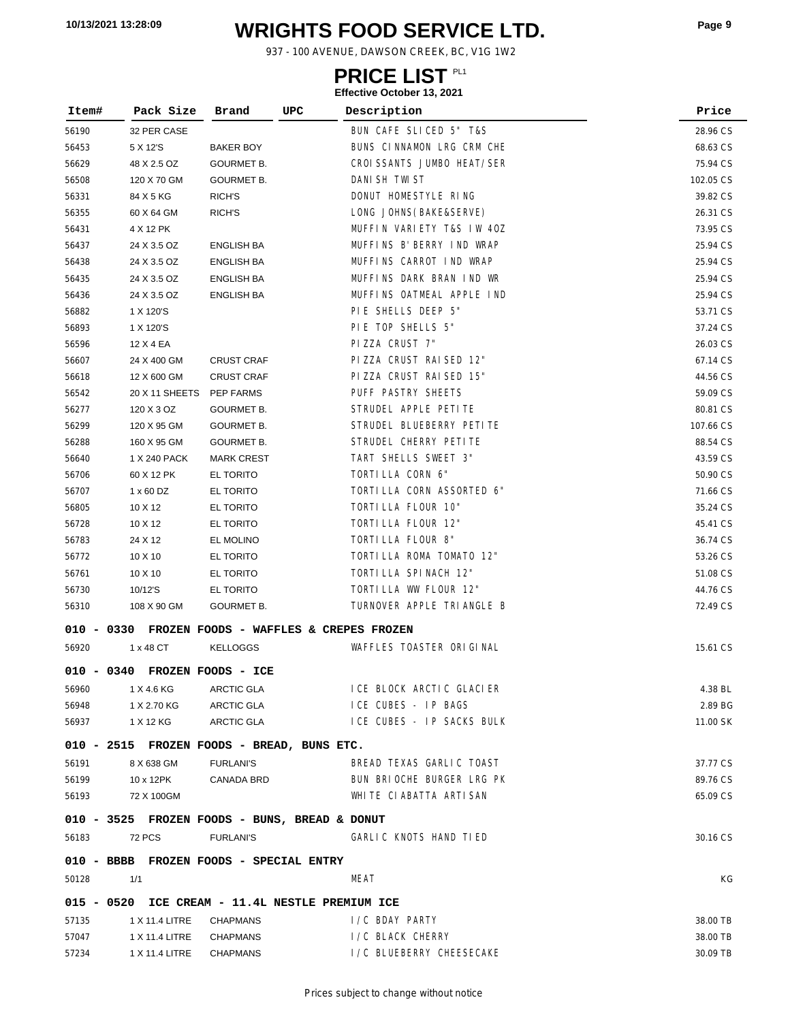# **WRIGHTS FOOD SERVICE LTD. 10/13/2021 13:28:09 Page <sup>9</sup>**

937 - 100 AVENUE, DAWSON CREEK, BC, V1G 1W2

### **PRICE LIST**

| Item#      | Pack Size                               | Brand              | UPC<br>Description                                | Price     |
|------------|-----------------------------------------|--------------------|---------------------------------------------------|-----------|
| 56190      | 32 PER CASE                             |                    | BUN CAFE SLICED 5" T&S                            | 28.96 CS  |
| 56453      | 5 X 12'S                                | <b>BAKER BOY</b>   | BUNS CINNAMON LRG CRM CHE                         | 68.63 CS  |
| 56629      | 48 X 2.5 OZ                             | <b>GOURMET B.</b>  | CROI SSANTS JUMBO HEAT/SER                        | 75.94 CS  |
| 56508      | 120 X 70 GM                             | <b>GOURMET B.</b>  | DANI SH TWI ST                                    | 102.05 CS |
| 56331      | 84 X 5 KG                               | RICH'S             | DONUT HOMESTYLE RING                              | 39.82 CS  |
| 56355      | 60 X 64 GM                              | RICH'S             | LONG JOHNS (BAKE&SERVE)                           | 26.31 CS  |
| 56431      | 4 X 12 PK                               |                    | MUFFIN VARIETY T&S IW 40Z                         | 73.95 CS  |
| 56437      | 24 X 3.5 OZ                             | <b>ENGLISH BA</b>  | MUFFINS B' BERRY IND WRAP                         | 25.94 CS  |
| 56438      | 24 X 3.5 OZ                             | <b>ENGLISH BA</b>  | MUFFINS CARROT IND WRAP                           | 25.94 CS  |
| 56435      | 24 X 3.5 OZ                             | <b>ENGLISH BA</b>  | MUFFINS DARK BRAN IND WR                          | 25.94 CS  |
| 56436      | 24 X 3.5 OZ                             | <b>ENGLISH BA</b>  | MUFFINS OATMEAL APPLE IND                         | 25.94 CS  |
| 56882      | 1 X 120'S                               |                    | PIE SHELLS DEEP 5"                                | 53.71 CS  |
| 56893      | 1 X 120'S                               |                    | PIE TOP SHELLS 5"                                 | 37.24 CS  |
| 56596      | 12 X 4 EA                               |                    | PIZZA CRUST 7"                                    | 26.03 CS  |
| 56607      | 24 X 400 GM                             | <b>CRUST CRAF</b>  | PIZZA CRUST RAISED 12"                            | 67.14 CS  |
| 56618      | 12 X 600 GM                             | <b>CRUST CRAF</b>  | PIZZA CRUST RAISED 15"                            | 44.56 CS  |
| 56542      | 20 X 11 SHEETS                          | PEP FARMS          | PUFF PASTRY SHEETS                                | 59.09 CS  |
| 56277      | 120 X 3 OZ                              | <b>GOURMET B.</b>  | STRUDEL APPLE PETITE                              | 80.81 CS  |
| 56299      | 120 X 95 GM                             | <b>GOURMET B.</b>  | STRUDEL BLUEBERRY PETITE                          | 107.66 CS |
| 56288      | 160 X 95 GM                             | <b>GOURMET B.</b>  | STRUDEL CHERRY PETITE                             | 88.54 CS  |
| 56640      | 1 X 240 PACK                            | <b>MARK CREST</b>  | TART SHELLS SWEET 3"                              | 43.59 CS  |
| 56706      | 60 X 12 PK                              | EL TORITO          | TORTILLA CORN 6"                                  | 50.90 CS  |
| 56707      | 1 x 60 DZ                               | EL TORITO          | TORTILLA CORN ASSORTED 6"                         | 71.66 CS  |
| 56805      | 10 X 12                                 | EL TORITO          | TORTILLA FLOUR 10"                                | 35.24 CS  |
| 56728      | 10 X 12                                 | EL TORITO          | TORTILLA FLOUR 12"                                | 45.41 CS  |
| 56783      | 24 X 12                                 | EL MOLINO          | TORTILLA FLOUR 8"                                 | 36.74 CS  |
| 56772      | 10 X 10                                 | EL TORITO          | TORTILLA ROMA TOMATO 12"                          | 53.26 CS  |
| 56761      | $10 \times 10$                          | EL TORITO          | TORTILLA SPINACH 12"                              | 51.08 CS  |
| 56730      | 10/12'S                                 | EL TORITO          | TORTILLA WW FLOUR 12"                             | 44.76 CS  |
| 56310      | 108 X 90 GM                             | <b>GOURMET B.</b>  | TURNOVER APPLE TRIANGLE B                         | 72.49 CS  |
|            |                                         |                    | 010 - 0330 FROZEN FOODS - WAFFLES & CREPES FROZEN |           |
| 56920      | 1 x 48 CT                               | <b>KELLOGGS</b>    | WAFFLES TOASTER ORIGINAL                          | 15.61 CS  |
| 010 - 0340 |                                         | FROZEN FOODS - ICE |                                                   |           |
|            |                                         |                    |                                                   |           |
| 56960      | 1 X 4.6 KG                              | ARCTIC GLA         | I CE BLOCK ARCTIC GLACIER<br>ICE CUBES - IP BAGS  | 4.38 BL   |
| 56948      | 1 X 2.70 KG                             | <b>ARCTIC GLA</b>  |                                                   | 2.89 BG   |
| 56937      | 1 X 12 KG                               | ARCTIC GLA         | ICE CUBES - IP SACKS BULK                         | 11.00 SK  |
|            |                                         |                    | 010 - 2515 FROZEN FOODS - BREAD, BUNS ETC.        |           |
| 56191      | 8 X 638 GM                              | <b>FURLANI'S</b>   | BREAD TEXAS GARLIC TOAST                          | 37.77 CS  |
| 56199      | 10 x 12PK                               | CANADA BRD         | BUN BRIOCHE BURGER LRG PK                         | 89.76 CS  |
| 56193      | 72 X 100GM                              |                    | WHITE CIABATTA ARTISAN                            | 65.09 CS  |
|            |                                         |                    | 010 - 3525 FROZEN FOODS - BUNS, BREAD & DONUT     |           |
| 56183      | 72 PCS                                  | <b>FURLANI'S</b>   | GARLIC KNOTS HAND TIED                            | 30.16 CS  |
|            | 010 - BBBB FROZEN FOODS - SPECIAL ENTRY |                    |                                                   |           |
| 50128      | 1/1                                     |                    | MEAT                                              | КG        |
|            |                                         |                    | 015 - 0520 ICE CREAM - 11.4L NESTLE PREMIUM ICE   |           |
| 57135      | 1 X 11.4 LITRE                          | <b>CHAPMANS</b>    | I/C BDAY PARTY                                    | 38.00 TB  |
| 57047      | 1 X 11.4 LITRE                          | <b>CHAPMANS</b>    | I / C BLACK CHERRY                                | 38.00 TB  |
| 57234      | 1 X 11.4 LITRE                          | CHAPMANS           | I/C BLUEBERRY CHEESECAKE                          | 30.09 TB  |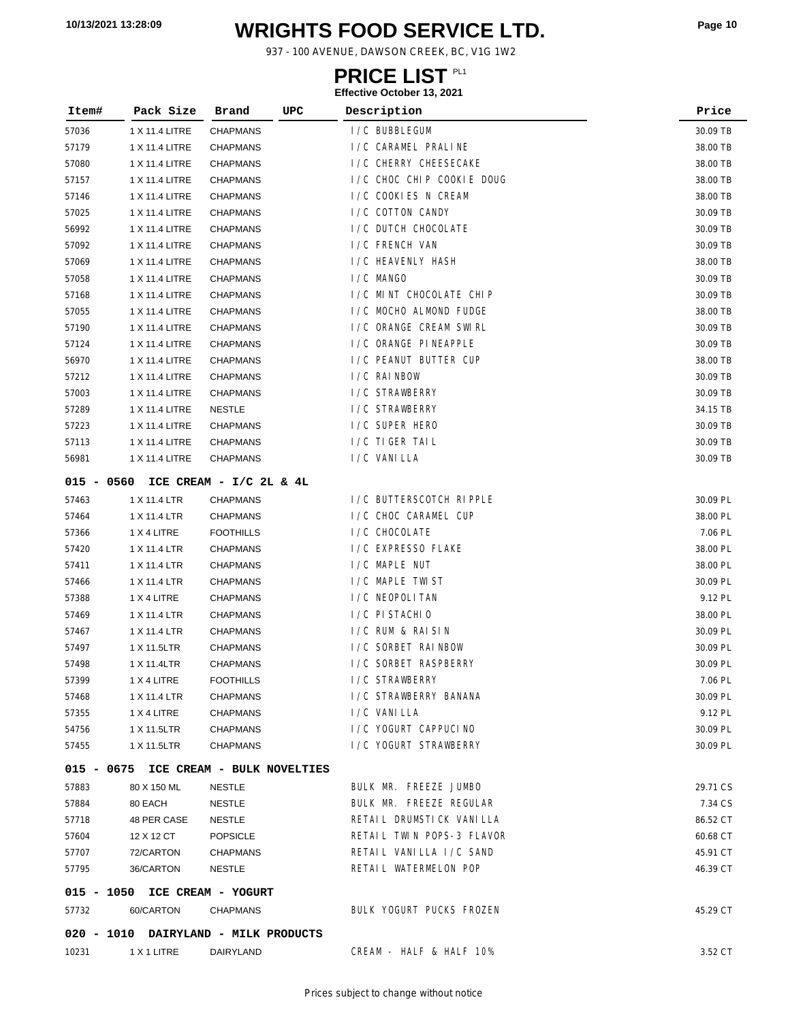# **WRIGHTS FOOD SERVICE LTD. 10/13/2021 13:28:09 Page <sup>10</sup>**

937 - 100 AVENUE, DAWSON CREEK, BC, V1G 1W2

### **PRICE LIST**

| Item#        | Pack Size                             | Brand                   | UPC | Description               | Price    |
|--------------|---------------------------------------|-------------------------|-----|---------------------------|----------|
| 57036        | 1 X 11.4 LITRE                        | CHAPMANS                |     | I/C BUBBLEGUM             | 30.09 TB |
| 57179        | 1 X 11.4 LITRE                        | <b>CHAPMANS</b>         |     | I/C CARAMEL PRALINE       | 38.00 TB |
| 57080        | 1 X 11.4 LITRE                        | <b>CHAPMANS</b>         |     | I / C CHERRY CHEESECAKE   | 38.00 TB |
| 57157        | 1 X 11.4 LITRE                        | CHAPMANS                |     | I/C CHOC CHIP COOKIE DOUG | 38.00 TB |
| 57146        | 1 X 11.4 LITRE                        | CHAPMANS                |     | I/C COOKIES N CREAM       | 38.00 TB |
| 57025        | 1 X 11.4 LITRE                        | CHAPMANS                |     | I/C COTTON CANDY          | 30.09 TB |
| 56992        | 1 X 11.4 LITRE                        | <b>CHAPMANS</b>         |     | I/C DUTCH CHOCOLATE       | 30.09 TB |
| 57092        | 1 X 11.4 LITRE                        | <b>CHAPMANS</b>         |     | I /C FRENCH VAN           | 30.09 TB |
| 57069        | 1 X 11.4 LITRE                        | <b>CHAPMANS</b>         |     | I/C HEAVENLY HASH         | 38.00 TB |
| 57058        | 1 X 11.4 LITRE                        | <b>CHAPMANS</b>         |     | I/C MANGO                 | 30.09 TB |
| 57168        | 1 X 11.4 LITRE                        | <b>CHAPMANS</b>         |     | I/C MINT CHOCOLATE CHIP   | 30.09 TB |
| 57055        | 1 X 11.4 LITRE                        | CHAPMANS                |     | I/C MOCHO ALMOND FUDGE    | 38.00 TB |
| 57190        | 1 X 11.4 LITRE                        | <b>CHAPMANS</b>         |     | I/C ORANGE CREAM SWIRL    | 30.09 TB |
| 57124        | 1 X 11.4 LITRE                        | CHAPMANS                |     | I/C ORANGE PINEAPPLE      | 30.09 TB |
| 56970        | 1 X 11.4 LITRE                        | <b>CHAPMANS</b>         |     | I/C PEANUT BUTTER CUP     | 38.00 TB |
| 57212        | 1 X 11.4 LITRE                        | <b>CHAPMANS</b>         |     | I/C RAINBOW               | 30.09 TB |
| 57003        | 1 X 11.4 LITRE                        | <b>CHAPMANS</b>         |     | I/C STRAWBERRY            | 30.09 TB |
| 57289        | 1 X 11.4 LITRE                        | <b>NESTLE</b>           |     | I/C STRAWBERRY            | 34.15 TB |
| 57223        | 1 X 11.4 LITRE                        | <b>CHAPMANS</b>         |     | I/C SUPER HERO            | 30.09 TB |
| 57113        | 1 X 11.4 LITRE                        | <b>CHAPMANS</b>         |     | I/C TIGER TAIL            | 30.09 TB |
| 56981        | 1 X 11.4 LITRE                        | <b>CHAPMANS</b>         |     | I/C VANILLA               | 30.09 TB |
| $015 - 0560$ |                                       | ICE CREAM - I/C 2L & 4L |     |                           |          |
| 57463        | 1 X 11.4 LTR                          | <b>CHAPMANS</b>         |     | I/C BUTTERSCOTCH RIPPLE   | 30.09 PL |
| 57464        | 1 X 11.4 LTR                          | <b>CHAPMANS</b>         |     | I/C CHOC CARAMEL CUP      | 38.00 PL |
| 57366        | 1 X 4 LITRE                           | <b>FOOTHILLS</b>        |     | I /C CHOCOLATE            | 7.06 PL  |
| 57420        | 1 X 11.4 LTR                          | <b>CHAPMANS</b>         |     | I/C EXPRESSO FLAKE        | 38.00 PL |
| 57411        | 1 X 11.4 LTR                          | <b>CHAPMANS</b>         |     | I/C MAPLE NUT             | 38.00 PL |
| 57466        | 1 X 11.4 LTR                          | CHAPMANS                |     | I/C MAPLE TWIST           | 30.09 PL |
| 57388        | 1 X 4 LITRE                           | CHAPMANS                |     | I / C NEOPOLI TAN         | 9.12 PL  |
| 57469        | 1 X 11.4 LTR                          | <b>CHAPMANS</b>         |     | I / C PI STACHIO          | 38.00 PL |
| 57467        | 1 X 11.4 LTR                          | <b>CHAPMANS</b>         |     | I/C RUM & RAISIN          | 30.09 PL |
| 57497        | 1 X 11.5LTR                           | <b>CHAPMANS</b>         |     | I/C SORBET RAINBOW        | 30.09 PL |
| 57498        | 1 X 11.4LTR                           | <b>CHAPMANS</b>         |     | I/C SORBET RASPBERRY      | 30.09 PL |
| 57399        | 1 X 4 LITRE                           | <b>FOOTHILLS</b>        |     | I /C STRAWBERRY           | 7.06 PL  |
| 57468        | 1 X 11.4 LTR                          | <b>CHAPMANS</b>         |     | I/C STRAWBERRY BANANA     | 30.09 PL |
| 57355        | 1 X 4 LITRE                           | <b>CHAPMANS</b>         |     | I / C VANI LLA            | 9.12 PL  |
| 54756        | 1 X 11.5LTR                           | <b>CHAPMANS</b>         |     | I/C YOGURT CAPPUCINO      | 30.09 PL |
| 57455        | 1 X 11.5LTR                           | <b>CHAPMANS</b>         |     | I/C YOGURT STRAWBERRY     | 30.09 PL |
|              | 015 - 0675 ICE CREAM - BULK NOVELTIES |                         |     |                           |          |
| 57883        | 80 X 150 ML                           | NESTLE                  |     | BULK MR. FREEZE JUMBO     | 29.71 CS |
| 57884        | 80 EACH                               | NESTLE                  |     | BULK MR. FREEZE REGULAR   | 7.34 CS  |
| 57718        | 48 PER CASE                           | NESTLE                  |     | RETAIL DRUMSTICK VANILLA  | 86.52 CT |
| 57604        | 12 X 12 CT                            | <b>POPSICLE</b>         |     | RETAIL TWIN POPS-3 FLAVOR | 60.68 CT |
| 57707        | 72/CARTON                             | <b>CHAPMANS</b>         |     | RETAIL VANILLA I/C SAND   | 45.91 CT |
| 57795        | 36/CARTON                             | <b>NESTLE</b>           |     | RETAIL WATERMELON POP     | 46.39 CT |
|              | 015 - 1050 ICE CREAM - YOGURT         |                         |     |                           |          |
| 57732        | 60/CARTON                             | <b>CHAPMANS</b>         |     | BULK YOGURT PUCKS FROZEN  | 45.29 CT |
|              | 020 - 1010 DAIRYLAND - MILK PRODUCTS  |                         |     |                           |          |
| 10231        | 1 X 1 LITRE                           | DAIRYLAND               |     | CREAM - HALF & HALF 10%   | 3.52 CT  |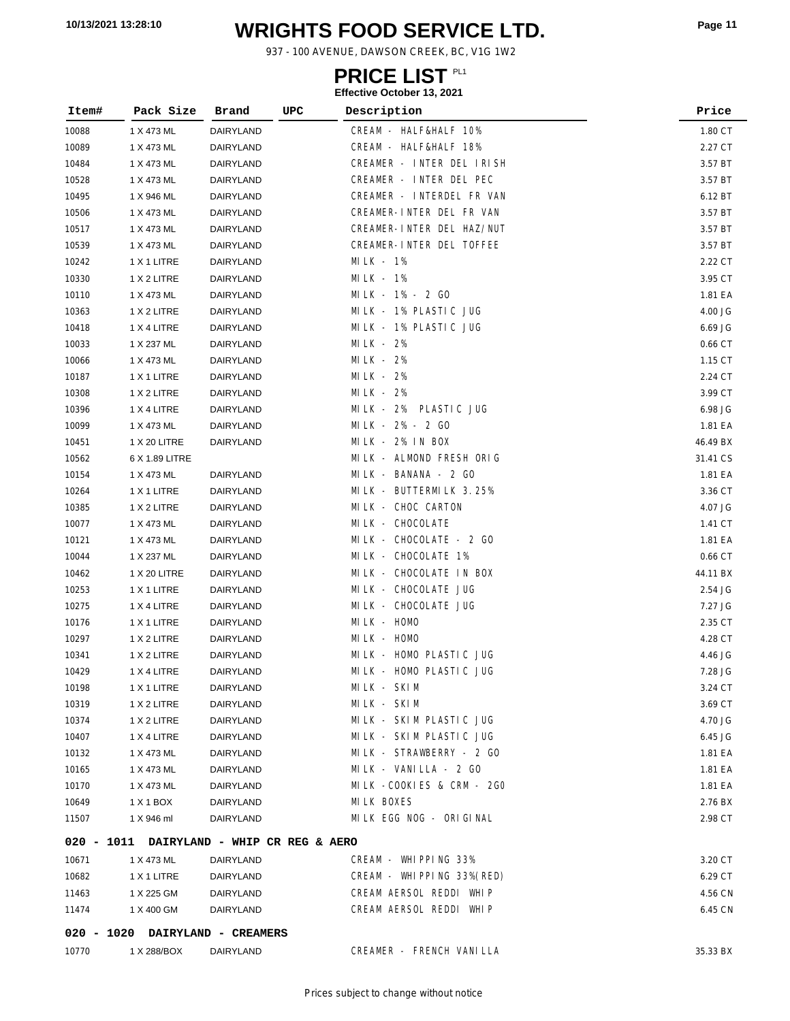# **WRIGHTS FOOD SERVICE LTD. 10/13/2021 13:28:10 Page <sup>11</sup>**

937 - 100 AVENUE, DAWSON CREEK, BC, V1G 1W2

### **PRICE LIST**

| Item# | Pack Size                                 | Brand     | <b>UPC</b> | Description                | Price    |
|-------|-------------------------------------------|-----------|------------|----------------------------|----------|
| 10088 | 1 X 473 ML                                | DAIRYLAND |            | CREAM - HALF&HALF 10%      | 1.80 CT  |
| 10089 | 1 X 473 ML                                | DAIRYLAND |            | CREAM - HALF&HALF 18%      | 2.27 CT  |
| 10484 | 1 X 473 ML                                | DAIRYLAND |            | CREAMER - INTER DEL IRISH  | 3.57 BT  |
| 10528 | 1 X 473 ML                                | DAIRYLAND |            | CREAMER - INTER DEL PEC    | 3.57 BT  |
| 10495 | 1 X 946 ML                                | DAIRYLAND |            | CREAMER - INTERDEL FR VAN  | 6.12 BT  |
| 10506 | 1 X 473 ML                                | DAIRYLAND |            | CREAMER-INTER DEL FR VAN   | 3.57 BT  |
| 10517 | 1 X 473 ML                                | DAIRYLAND |            | CREAMER-INTER DEL HAZ/NUT  | 3.57 BT  |
| 10539 | 1 X 473 ML                                | DAIRYLAND |            | CREAMER-INTER DEL TOFFEE   | 3.57 BT  |
| 10242 | 1 X 1 LITRE                               | DAIRYLAND |            | MILK - $1\%$               | 2.22 CT  |
| 10330 | 1 X 2 LITRE                               | DAIRYLAND |            | $MLK - 1%$                 | 3.95 CT  |
| 10110 | 1 X 473 ML                                | DAIRYLAND |            | MILK - 1% - 2 GO           | 1.81 EA  |
| 10363 | 1 X 2 LITRE                               | DAIRYLAND |            | MILK - 1% PLASTIC JUG      | 4.00 JG  |
| 10418 | 1 X 4 LITRE                               | DAIRYLAND |            | MILK - 1% PLASTIC JUG      | 6.69 JG  |
| 10033 | 1 X 237 ML                                | DAIRYLAND |            | $MILK - 2%$                | 0.66 CT  |
| 10066 | 1 X 473 ML                                | DAIRYLAND |            | MI LK - 2%                 | 1.15 CT  |
| 10187 | 1 X 1 LITRE                               | DAIRYLAND |            | MILK - 2%                  | 2.24 CT  |
| 10308 | 1 X 2 LITRE                               | DAIRYLAND |            | MILK - $2\%$               | 3.99 CT  |
| 10396 | 1 X 4 LITRE                               | DAIRYLAND |            | MILK - 2%<br>PLASTIC JUG   | 6.98 JG  |
| 10099 | 1 X 473 ML                                | DAIRYLAND |            | MILK - 2% - 2 GO           | 1.81 EA  |
| 10451 | 1 X 20 LITRE                              | DAIRYLAND |            | MILK - 2% IN BOX           | 46.49 BX |
| 10562 | 6 X 1.89 LITRE                            |           |            | MILK - ALMOND FRESH ORIG   | 31.41 CS |
| 10154 | 1 X 473 ML                                | DAIRYLAND |            | MILK - BANANA - 2 GO       | 1.81 EA  |
| 10264 | 1 X 1 LITRE                               | DAIRYLAND |            | MILK - BUTTERMILK 3.25%    | 3.36 CT  |
| 10385 | 1 X 2 LITRE                               | DAIRYLAND |            | MILK - CHOC CARTON         | 4.07 JG  |
| 10077 | 1 X 473 ML                                | DAIRYLAND |            | MILK - CHOCOLATE           | 1.41 CT  |
| 10121 | 1 X 473 ML                                | DAIRYLAND |            | MILK - CHOCOLATE - 2 GO    | 1.81 EA  |
| 10044 | 1 X 237 ML                                | DAIRYLAND |            | MILK - CHOCOLATE 1%        | 0.66 CT  |
| 10462 | 1 X 20 LITRE                              | DAIRYLAND |            | MILK - CHOCOLATE IN BOX    | 44.11 BX |
| 10253 | 1 X 1 LITRE                               | DAIRYLAND |            | MI LK - CHOCOLATE JUG      | 2.54 JG  |
| 10275 | 1 X 4 LITRE                               | DAIRYLAND |            | MILK - CHOCOLATE JUG       | 7.27 JG  |
| 10176 | 1 X 1 LITRE                               | DAIRYLAND |            | MILK - HOMO                | 2.35 CT  |
| 10297 | 1 X 2 LITRE                               | DAIRYLAND |            | MILK - HOMO                | 4.28 CT  |
| 10341 | 1 X 2 LITRE                               | DAIRYLAND |            | MILK - HOMO PLASTIC JUG    | 4.46 JG  |
| 10429 | 1 X 4 LITRE                               | DAIRYLAND |            | MILK - HOMO PLASTIC JUG    | 7.28 JG  |
| 10198 | 1 X 1 LITRE                               | DAIRYLAND |            | MILK - SKIM                | 3.24 CT  |
| 10319 | 1 X 2 LITRE                               | DAIRYLAND |            | MILK - SKIM                | 3.69 CT  |
| 10374 | 1 X 2 LITRE                               | DAIRYLAND |            | MILK - SKIM PLASTIC JUG    | 4.70 JG  |
| 10407 | 1 X 4 LITRE                               | DAIRYLAND |            | MILK - SKIM PLASTIC JUG    | 6.45 JG  |
| 10132 | 1 X 473 ML                                | DAIRYLAND |            | MILK - STRAWBERRY - 2 GO   | 1.81 EA  |
| 10165 | 1 X 473 ML                                | DAIRYLAND |            | MILK - VANILLA - 2 GO      | 1.81 EA  |
| 10170 | 1 X 473 ML                                | DAIRYLAND |            | MILK-COOKIES & CRM-2GO     | 1.81 EA  |
| 10649 | 1 X 1 BOX                                 | DAIRYLAND |            | MILK BOXES                 | 2.76 BX  |
| 11507 | 1 X 946 ml                                | DAIRYLAND |            | MILK EGG NOG - ORIGINAL    | 2.98 CT  |
|       | 020 - 1011 DAIRYLAND - WHIP CR REG & AERO |           |            |                            |          |
| 10671 | 1 X 473 ML                                | DAIRYLAND |            | CREAM - WHIPPING 33%       | 3.20 CT  |
| 10682 | 1 X 1 LITRE                               | DAIRYLAND |            | CREAM - WHIPPING 33% (RED) | 6.29 CT  |
| 11463 | 1 X 225 GM                                | DAIRYLAND |            | CREAM AERSOL REDDI WHIP    | 4.56 CN  |
| 11474 | 1 X 400 GM                                | DAIRYLAND |            | CREAM AERSOL REDDI WHIP    | 6.45 CN  |
|       | 020 - 1020 DAIRYLAND - CREAMERS           |           |            |                            |          |
| 10770 | 1 X 288/BOX                               | DAIRYLAND |            | CREAMER - FRENCH VANILLA   | 35.33 BX |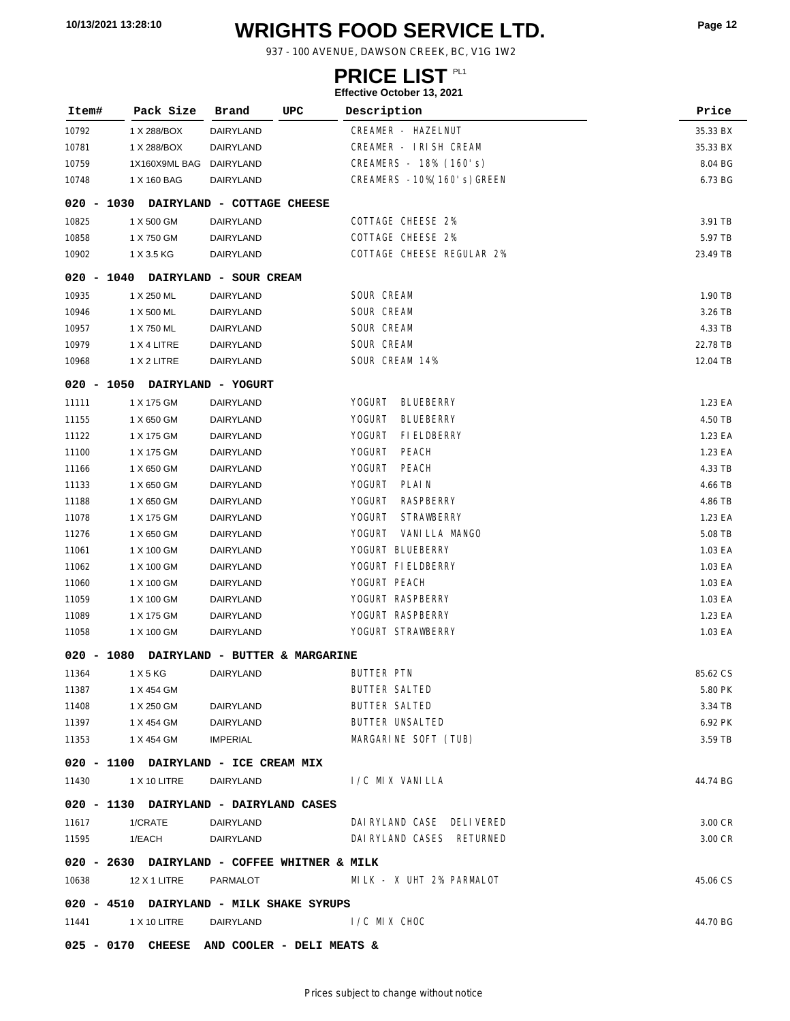# **WRIGHTS FOOD SERVICE LTD. 10/13/2021 13:28:10 Page <sup>12</sup>**

937 - 100 AVENUE, DAWSON CREEK, BC, V1G 1W2

### **PRICE LIST**

| Item#      | Pack Size                                    | Brand                      | UPC                            | Description                         | Price    |
|------------|----------------------------------------------|----------------------------|--------------------------------|-------------------------------------|----------|
| 10792      | 1 X 288/BOX                                  | DAIRYLAND                  |                                | CREAMER - HAZELNUT                  | 35.33 BX |
| 10781      | 1 X 288/BOX                                  | DAIRYLAND                  |                                | CREAMER - IRISH CREAM               | 35.33 BX |
| 10759      | 1X160X9ML BAG                                | DAIRYLAND                  |                                | CREAMERS - 18% (160's)              | 8.04 BG  |
| 10748      | 1 X 160 BAG                                  | DAIRYLAND                  |                                | CREAMERS -10% (160's) GREEN         | 6.73 BG  |
| 020 - 1030 |                                              | DAIRYLAND - COTTAGE CHEESE |                                |                                     |          |
| 10825      | 1 X 500 GM                                   | DAIRYLAND                  |                                | COTTAGE CHEESE 2%                   | 3.91 TB  |
| 10858      | 1 X 750 GM                                   | DAIRYLAND                  |                                | COTTAGE CHEESE 2%                   | 5.97 TB  |
| 10902      | 1 X 3.5 KG                                   | DAIRYLAND                  |                                | COTTAGE CHEESE REGULAR 2%           | 23.49 TB |
|            | 020 - 1040 DAIRYLAND - SOUR CREAM            |                            |                                |                                     |          |
| 10935      | 1 X 250 ML                                   | DAIRYLAND                  |                                | SOUR CREAM                          | 1.90 TB  |
| 10946      | 1 X 500 ML                                   | DAIRYLAND                  |                                | SOUR CREAM                          | 3.26 TB  |
| 10957      | 1 X 750 ML                                   | DAIRYLAND                  |                                | SOUR CREAM                          | 4.33 TB  |
| 10979      | 1 X 4 LITRE                                  | DAIRYLAND                  |                                | SOUR CREAM                          | 22.78 TB |
| 10968      | 1 X 2 LITRE                                  | DAIRYLAND                  |                                | SOUR CREAM 14%                      | 12.04 TB |
|            | 020 - 1050 DAIRYLAND - YOGURT                |                            |                                |                                     |          |
| 11111      | 1 X 175 GM                                   | DAIRYLAND                  |                                | <b>YOGURT</b><br><b>BLUEBERRY</b>   | 1.23 EA  |
| 11155      | 1 X 650 GM                                   | DAIRYLAND                  |                                | <b>YOGURT</b><br><b>BLUEBERRY</b>   | 4.50 TB  |
| 11122      | 1 X 175 GM                                   | DAIRYLAND                  |                                | <b>YOGURT</b><br><b>FI ELDBERRY</b> | 1.23 EA  |
| 11100      | 1 X 175 GM                                   | DAIRYLAND                  |                                | YOGURT<br><b>PEACH</b>              | 1.23 EA  |
| 11166      | 1 X 650 GM                                   | DAIRYLAND                  |                                | <b>YOGURT</b><br>PEACH              | 4.33 TB  |
| 11133      | 1 X 650 GM                                   | DAIRYLAND                  |                                | <b>YOGURT</b><br>PLAIN              | 4.66 TB  |
| 11188      | 1 X 650 GM                                   | DAIRYLAND                  |                                | <b>YOGURT</b><br>RASPBERRY          | 4.86 TB  |
| 11078      | 1 X 175 GM                                   | DAIRYLAND                  |                                | <b>YOGURT</b><br><b>STRAWBERRY</b>  | 1.23 EA  |
| 11276      | 1 X 650 GM                                   | DAIRYLAND                  |                                | <b>YOGURT</b><br>VANI LLA MANGO     | 5.08 TB  |
| 11061      | 1 X 100 GM                                   | DAIRYLAND                  |                                | YOGURT BLUEBERRY                    | 1.03 EA  |
| 11062      | 1 X 100 GM                                   | DAIRYLAND                  |                                | YOGURT FIELDBERRY                   | 1.03 EA  |
| 11060      | 1 X 100 GM                                   | DAIRYLAND                  |                                | YOGURT PEACH                        | 1.03 EA  |
| 11059      | 1 X 100 GM                                   | DAIRYLAND                  |                                | YOGURT RASPBERRY                    | 1.03 EA  |
| 11089      | 1 X 175 GM                                   | DAIRYLAND                  |                                | YOGURT RASPBERRY                    | 1.23 EA  |
| 11058      | 1 X 100 GM                                   | DAIRYLAND                  |                                | YOGURT STRAWBERRY                   | 1.03 EA  |
| 020 - 1080 |                                              |                            | DAIRYLAND - BUTTER & MARGARINE |                                     |          |
| 11364      | 1 X 5 KG                                     | DAIRYLAND                  |                                | BUTTER PTN                          | 85.62 CS |
| 11387      | 1 X 454 GM                                   |                            |                                | BUTTER SALTED                       | 5.80 PK  |
| 11408      | 1 X 250 GM                                   | DAIRYLAND                  |                                | <b>BUTTER SALTED</b>                | 3.34 TB  |
| 11397      | 1 X 454 GM                                   | DAIRYLAND                  |                                | BUTTER UNSALTED                     | 6.92 PK  |
| 11353      | 1 X 454 GM                                   | IMPERIAL                   |                                | MARGARINE SOFT (TUB)                | 3.59 TB  |
|            | 020 - 1100 DAIRYLAND - ICE CREAM MIX         |                            |                                |                                     |          |
| 11430      | 1 X 10 LITRE                                 | DAIRYLAND                  |                                | I/C MIX VANILLA                     | 44.74 BG |
|            | 020 - 1130 DAIRYLAND - DAIRYLAND CASES       |                            |                                |                                     |          |
|            | 11617 1/CRATE DAIRYLAND                      |                            |                                | DAI RYLAND CASE DELI VERED          | 3.00 CR  |
| 11595      | 1/EACH                                       | DAIRYLAND                  |                                | DAI RYLAND CASES RETURNED           | 3.00 CR  |
|            | 020 - 2630 DAIRYLAND - COFFEE WHITNER & MILK |                            |                                |                                     |          |
|            | 10638 12 X 1 LITRE PARMALOT                  |                            |                                | MILK - X UHT 2% PARMALOT            | 45.06 CS |
|            | 020 - 4510 DAIRYLAND - MILK SHAKE SYRUPS     |                            |                                |                                     |          |
|            | 11441 1 X 10 LITRE DAIRYLAND                 |                            |                                | I /C MIX CHOC                       | 44.70 BG |
|            | 025 - 0170 CHEESE AND COOLER - DELI MEATS &  |                            |                                |                                     |          |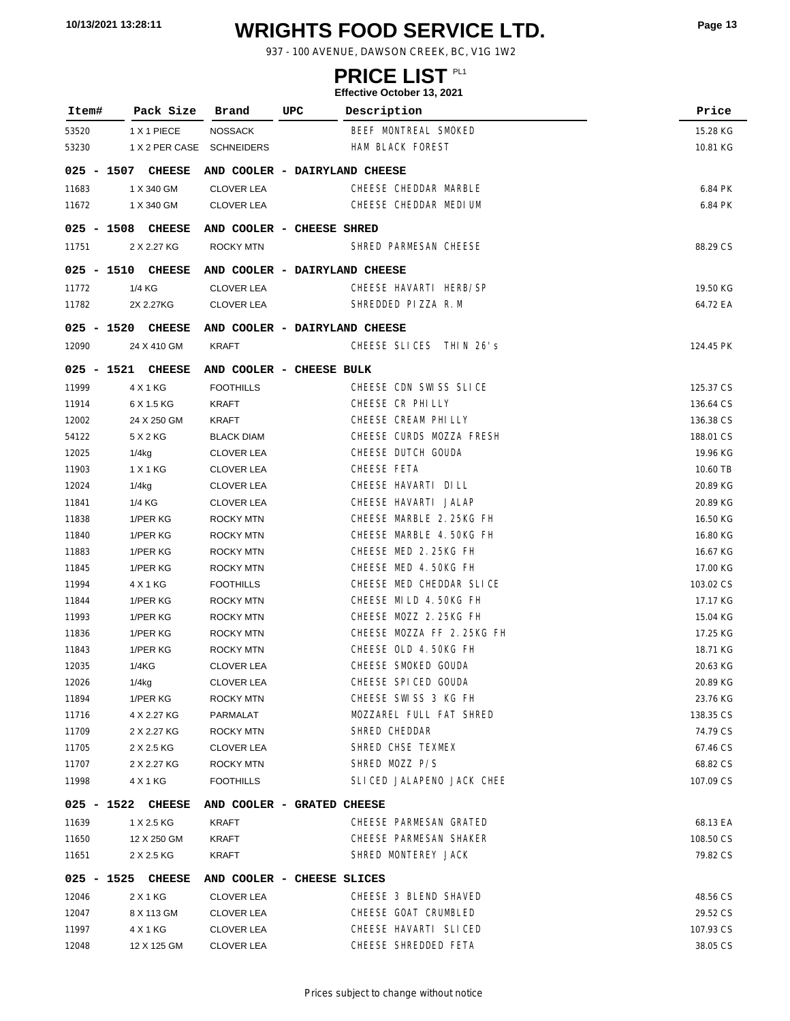# **WRIGHTS FOOD SERVICE LTD. 10/13/2021 13:28:11 Page <sup>13</sup>**

937 - 100 AVENUE, DAWSON CREEK, BC, V1G 1W2

### **PRICE LIST**

| Item#             | Pack Size                 | Brand                         | UPC | Description               | Price     |
|-------------------|---------------------------|-------------------------------|-----|---------------------------|-----------|
| 53520             | 1 X 1 PIECE               | <b>NOSSACK</b>                |     | BEEF MONTREAL SMOKED      | 15.28 KG  |
| 53230             | 1 X 2 PER CASE SCHNEIDERS |                               |     | HAM BLACK FOREST          | 10.81 KG  |
|                   | 025 - 1507 CHEESE         | AND COOLER - DAIRYLAND CHEESE |     |                           |           |
| 11683             | 1 X 340 GM                | <b>CLOVER LEA</b>             |     | CHEESE CHEDDAR MARBLE     | 6.84 PK   |
| 11672             | 1 X 340 GM                | <b>CLOVER LEA</b>             |     | CHEESE CHEDDAR MEDIUM     | 6.84 PK   |
|                   |                           |                               |     |                           |           |
| 025 - 1508 CHEESE |                           | AND COOLER - CHEESE SHRED     |     |                           |           |
| 11751             | 2 X 2.27 KG               | <b>ROCKY MTN</b>              |     | SHRED PARMESAN CHEESE     | 88.29 CS  |
| $025 - 1510$      | <b>CHEESE</b>             | AND COOLER - DAIRYLAND CHEESE |     |                           |           |
| 11772             | 1/4 KG                    | <b>CLOVER LEA</b>             |     | CHEESE HAVARTI HERB/SP    | 19.50 KG  |
| 11782             | 2X 2.27KG                 | <b>CLOVER LEA</b>             |     | SHREDDED PIZZA R.M        | 64.72 EA  |
| 025 - 1520 CHEESE |                           | AND COOLER - DAIRYLAND CHEESE |     |                           |           |
| 12090             | 24 X 410 GM               | KRAFT                         |     | CHEESE SLICES THIN 26's   | 124.45 PK |
| 025 - 1521 CHEESE |                           | AND COOLER - CHEESE BULK      |     |                           |           |
| 11999             | 4 X 1 KG                  | <b>FOOTHILLS</b>              |     | CHEESE CDN SWISS SLICE    | 125.37 CS |
| 11914             | 6 X 1.5 KG                | <b>KRAFT</b>                  |     | CHEESE CR PHILLY          | 136.64 CS |
| 12002             | 24 X 250 GM               | KRAFT                         |     | CHEESE CREAM PHILLY       | 136.38 CS |
| 54122             | 5 X 2 KG                  | <b>BLACK DIAM</b>             |     | CHEESE CURDS MOZZA FRESH  | 188.01 CS |
| 12025             | $1/4$ kg                  | <b>CLOVER LEA</b>             |     | CHEESE DUTCH GOUDA        | 19.96 KG  |
| 11903             | 1 X 1 KG                  | <b>CLOVER LEA</b>             |     | CHEESE FETA               | 10.60 TB  |
| 12024             | $1/4$ kg                  | <b>CLOVER LEA</b>             |     | CHEESE HAVARTI DILL       | 20.89 KG  |
| 11841             | 1/4 KG                    | <b>CLOVER LEA</b>             |     | CHEESE HAVARTI JALAP      | 20.89 KG  |
| 11838             | 1/PER KG                  | ROCKY MTN                     |     | CHEESE MARBLE 2.25KG FH   | 16.50 KG  |
| 11840             | 1/PER KG                  | <b>ROCKY MTN</b>              |     | CHEESE MARBLE 4.50KG FH   | 16.80 KG  |
| 11883             | 1/PER KG                  | <b>ROCKY MTN</b>              |     | CHEESE MED 2.25KG FH      | 16.67 KG  |
| 11845             | 1/PER KG                  | <b>ROCKY MTN</b>              |     | CHEESE MED 4.50KG FH      | 17.00 KG  |
| 11994             | 4 X 1 KG                  | <b>FOOTHILLS</b>              |     | CHEESE MED CHEDDAR SLICE  | 103.02 CS |
| 11844             | 1/PER KG                  | <b>ROCKY MTN</b>              |     | CHEESE MILD 4.50KG FH     | 17.17 KG  |
| 11993             | 1/PER KG                  | <b>ROCKY MTN</b>              |     | CHEESE MOZZ 2.25KG FH     | 15.04 KG  |
| 11836             | 1/PER KG                  | <b>ROCKY MTN</b>              |     | CHEESE MOZZA FF 2.25KG FH | 17.25 KG  |
| 11843             | 1/PER KG                  | <b>ROCKY MTN</b>              |     | CHEESE OLD 4.50KG FH      | 18.71 KG  |
| 12035             | 1/4KG                     | <b>CLOVER LEA</b>             |     | CHEESE SMOKED GOUDA       | 20.63 KG  |
| 12026             | 1/4kg                     | <b>CLOVER LEA</b>             |     | CHEESE SPICED GOUDA       | 20.89 KG  |
| 11894             | 1/PER KG                  | <b>ROCKY MTN</b>              |     | CHEESE SWISS 3 KG FH      | 23.76 KG  |
| 11716             | 4 X 2.27 KG               | PARMALAT                      |     | MOZZAREL FULL FAT SHRED   | 138.35 CS |
| 11709             | 2 X 2.27 KG               | ROCKY MTN                     |     | SHRED CHEDDAR             | 74.79 CS  |
| 11705             | 2 X 2.5 KG                | <b>CLOVER LEA</b>             |     | SHRED CHSE TEXMEX         | 67.46 CS  |
| 11707             | 2 X 2.27 KG               | <b>ROCKY MTN</b>              |     | SHRED MOZZ P/S            | 68.82 CS  |
| 11998             | 4 X 1 KG                  | <b>FOOTHILLS</b>              |     | SLICED JALAPENO JACK CHEE | 107.09 CS |
| $025 - 1522$      | <b>CHEESE</b>             | AND COOLER - GRATED CHEESE    |     |                           |           |
| 11639             | 1 X 2.5 KG                | KRAFT                         |     | CHEESE PARMESAN GRATED    | 68.13 EA  |
| 11650             | 12 X 250 GM               | <b>KRAFT</b>                  |     | CHEESE PARMESAN SHAKER    | 108.50 CS |
| 11651             | 2 X 2.5 KG                | <b>KRAFT</b>                  |     | SHRED MONTEREY JACK       | 79.82 CS  |
| $025 - 1525$      | <b>CHEESE</b>             | AND COOLER - CHEESE SLICES    |     |                           |           |
| 12046             | 2 X 1 KG                  | <b>CLOVER LEA</b>             |     | CHEESE 3 BLEND SHAVED     | 48.56 CS  |
| 12047             | 8 X 113 GM                | <b>CLOVER LEA</b>             |     | CHEESE GOAT CRUMBLED      | 29.52 CS  |
| 11997             | 4 X 1 KG                  | <b>CLOVER LEA</b>             |     | CHEESE HAVARTI SLICED     | 107.93 CS |
| 12048             | 12 X 125 GM               | <b>CLOVER LEA</b>             |     | CHEESE SHREDDED FETA      | 38.05 CS  |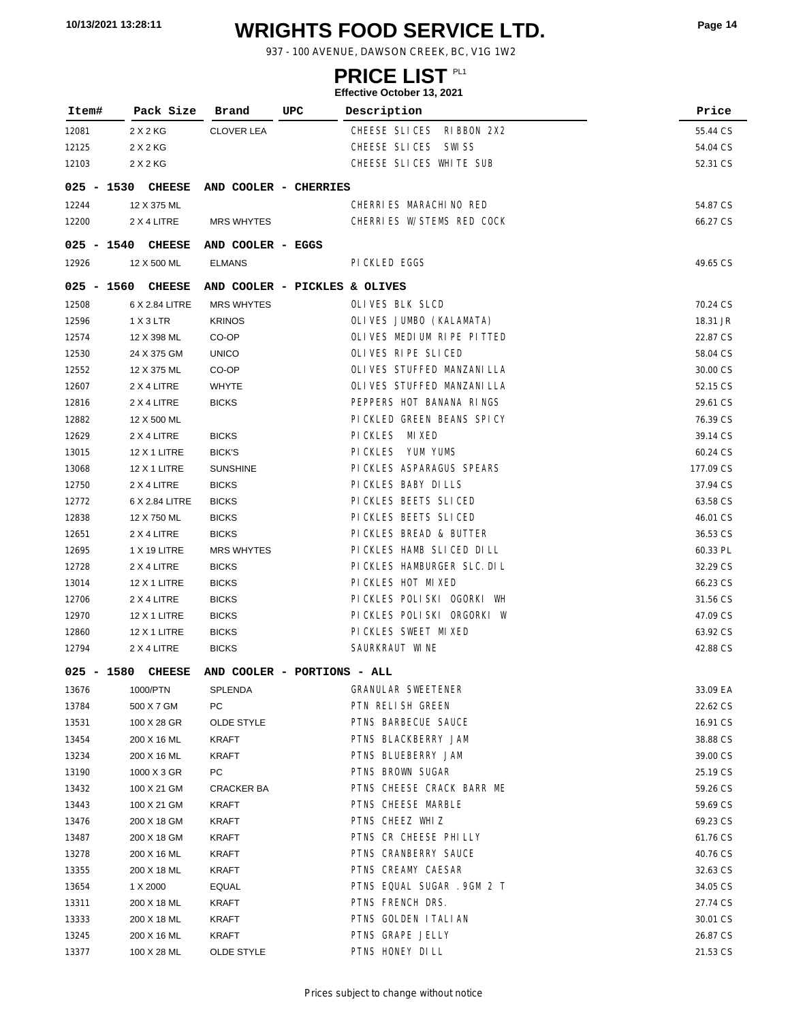# **WRIGHTS FOOD SERVICE LTD. 10/13/2021 13:28:11 Page <sup>14</sup>**

937 - 100 AVENUE, DAWSON CREEK, BC, V1G 1W2

### **PRICE LIST**

|              |      |                   |                               |     | Ellective October 19, ZUZT |           |
|--------------|------|-------------------|-------------------------------|-----|----------------------------|-----------|
| Item#        |      | Pack Size         | Brand                         | UPC | Description                | Price     |
| 12081        |      | 2 X 2 KG          | <b>CLOVER LEA</b>             |     | CHEESE SLICES RIBBON 2X2   | 55.44 CS  |
| 12125        |      | 2 X 2 KG          |                               |     | CHEESE SLICES SWISS        | 54.04 CS  |
| 12103        |      | 2 X 2 KG          |                               |     | CHEESE SLICES WHITE SUB    | 52.31 CS  |
|              |      | 025 - 1530 CHEESE | AND COOLER - CHERRIES         |     |                            |           |
| 12244        |      | 12 X 375 ML       |                               |     | CHERRIES MARACHINO RED     | 54.87 CS  |
| 12200        |      | 2 X 4 LITRE       | <b>MRS WHYTES</b>             |     | CHERRIES W/STEMS RED COCK  | 66.27 CS  |
| 025 - 1540   |      | <b>CHEESE</b>     | AND COOLER - EGGS             |     |                            |           |
| 12926        |      | 12 X 500 ML       | <b>ELMANS</b>                 |     | PI CKLED EGGS              | 49.65 CS  |
| $025 - 1560$ |      | <b>CHEESE</b>     | AND COOLER - PICKLES & OLIVES |     |                            |           |
| 12508        |      | 6 X 2.84 LITRE    | <b>MRS WHYTES</b>             |     | OLIVES BLK SLCD            | 70.24 CS  |
| 12596        |      | 1 X 3 LTR         | <b>KRINOS</b>                 |     | OLIVES JUMBO (KALAMATA)    | 18.31 JR  |
| 12574        |      | 12 X 398 ML       | CO-OP                         |     | OLIVES MEDIUM RIPE PITTED  | 22.87 CS  |
| 12530        |      | 24 X 375 GM       | <b>UNICO</b>                  |     | OLIVES RIPE SLICED         | 58.04 CS  |
| 12552        |      | 12 X 375 ML       | CO-OP                         |     | OLIVES STUFFED MANZANILLA  | 30.00 CS  |
| 12607        |      | 2 X 4 LITRE       | <b>WHYTE</b>                  |     | OLIVES STUFFED MANZANILLA  | 52.15 CS  |
| 12816        |      | 2 X 4 LITRE       | <b>BICKS</b>                  |     | PEPPERS HOT BANANA RINGS   | 29.61 CS  |
| 12882        |      | 12 X 500 ML       |                               |     | PICKLED GREEN BEANS SPICY  | 76.39 CS  |
| 12629        |      | 2 X 4 LITRE       | <b>BICKS</b>                  |     | PICKLES MIXED              | 39.14 CS  |
| 13015        |      | 12 X 1 LITRE      | <b>BICK'S</b>                 |     | PICKLES YUM YUMS           | 60.24 CS  |
| 13068        |      | 12 X 1 LITRE      | <b>SUNSHINE</b>               |     | PI CKLES ASPARAGUS SPEARS  | 177.09 CS |
| 12750        |      | 2 X 4 LITRE       | <b>BICKS</b>                  |     | PICKLES BABY DILLS         | 37.94 CS  |
| 12772        |      | 6 X 2.84 LITRE    | <b>BICKS</b>                  |     | PICKLES BEETS SLICED       | 63.58 CS  |
| 12838        |      | 12 X 750 ML       | <b>BICKS</b>                  |     | PICKLES BEETS SLICED       | 46.01 CS  |
| 12651        |      | 2 X 4 LITRE       | <b>BICKS</b>                  |     | PICKLES BREAD & BUTTER     | 36.53 CS  |
| 12695        |      | 1 X 19 LITRE      | MRS WHYTES                    |     | PICKLES HAMB SLICED DILL   | 60.33 PL  |
| 12728        |      | 2 X 4 LITRE       | <b>BICKS</b>                  |     | PICKLES HAMBURGER SLC. DIL | 32.29 CS  |
| 13014        |      | 12 X 1 LITRE      | <b>BICKS</b>                  |     | PICKLES HOT MIXED          | 66.23 CS  |
| 12706        |      | 2 X 4 LITRE       | <b>BICKS</b>                  |     | PICKLES POLISKI OGORKI WH  | 31.56 CS  |
| 12970        |      | 12 X 1 LITRE      | <b>BICKS</b>                  |     | PICKLES POLISKI ORGORKI W  | 47.09 CS  |
| 12860        |      | 12 X 1 LITRE      | <b>BICKS</b>                  |     | PICKLES SWEET MIXED        | 63.92 CS  |
| 12794        |      | 2 X 4 LITRE       | <b>BICKS</b>                  |     | SAURKRAUT WINE             | 42.88 CS  |
| 025          | 1580 | <b>CHEESE</b>     | AND COOLER - PORTIONS - ALL   |     |                            |           |
| 13676        |      | 1000/PTN          | SPLENDA                       |     | <b>GRANULAR SWEETENER</b>  | 33.09 EA  |
| 13784        |      | 500 X 7 GM        | PC                            |     | PTN RELISH GREEN           | 22.62 CS  |
| 13531        |      | 100 X 28 GR       | <b>OLDE STYLE</b>             |     | PTNS BARBECUE SAUCE        | 16.91 CS  |
| 13454        |      | 200 X 16 ML       | KRAFT                         |     | PTNS BLACKBERRY JAM        | 38.88 CS  |
| 13234        |      | 200 X 16 ML       | <b>KRAFT</b>                  |     | PTNS BLUEBERRY JAM         | 39.00 CS  |
| 13190        |      | 1000 X 3 GR       | PC                            |     | PTNS BROWN SUGAR           | 25.19 CS  |
| 13432        |      | 100 X 21 GM       | CRACKER BA                    |     | PTNS CHEESE CRACK BARR ME  | 59.26 CS  |
| 13443        |      | 100 X 21 GM       | KRAFT                         |     | PTNS CHEESE MARBLE         | 59.69 CS  |
| 13476        |      | 200 X 18 GM       | <b>KRAFT</b>                  |     | PTNS CHEEZ WHIZ            | 69.23 CS  |
| 13487        |      | 200 X 18 GM       | KRAFT                         |     | PTNS CR CHEESE PHILLY      | 61.76 CS  |
| 13278        |      | 200 X 16 ML       | KRAFT                         |     | PTNS CRANBERRY SAUCE       | 40.76 CS  |
| 13355        |      | 200 X 18 ML       | KRAFT                         |     | PTNS CREAMY CAESAR         | 32.63 CS  |
| 13654        |      | 1 X 2000          | <b>EQUAL</b>                  |     | PTNS EQUAL SUGAR . 9GM 2 T | 34.05 CS  |
| 13311        |      | 200 X 18 ML       | <b>KRAFT</b>                  |     | PTNS FRENCH DRS.           | 27.74 CS  |
| 13333        |      | 200 X 18 ML       | KRAFT                         |     | PTNS GOLDEN ITALIAN        | 30.01 CS  |
| 13245        |      | 200 X 16 ML       | <b>KRAFT</b>                  |     | PTNS GRAPE JELLY           | 26.87 CS  |
| 13377        |      | 100 X 28 ML       | OLDE STYLE                    |     | PTNS HONEY DILL            | 21.53 CS  |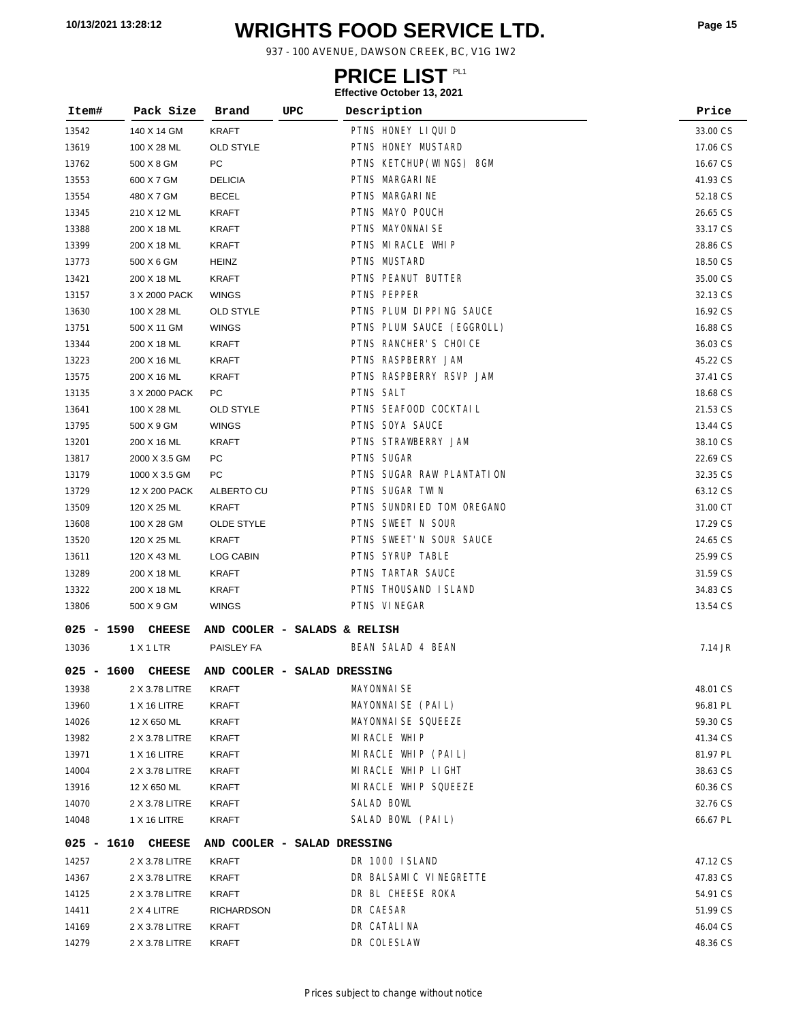# **WRIGHTS FOOD SERVICE LTD. 10/13/2021 13:28:12 Page <sup>15</sup>**

937 - 100 AVENUE, DAWSON CREEK, BC, V1G 1W2

### **PRICE LIST**

| Item#        | Pack Size      | Brand             | UPC                          | Description               | Price    |  |
|--------------|----------------|-------------------|------------------------------|---------------------------|----------|--|
| 13542        | 140 X 14 GM    | KRAFT             |                              | PTNS HONEY LIQUID         | 33.00 CS |  |
| 13619        | 100 X 28 ML    | <b>OLD STYLE</b>  |                              | PTNS HONEY MUSTARD        | 17.06 CS |  |
| 13762        | 500 X 8 GM     | PC                |                              | PTNS KETCHUP (WINGS) 8GM  | 16.67 CS |  |
| 13553        | 600 X 7 GM     | <b>DELICIA</b>    |                              | PTNS MARGARINE            | 41.93 CS |  |
| 13554        | 480 X 7 GM     | <b>BECEL</b>      |                              | PTNS MARGARINE            | 52.18 CS |  |
| 13345        | 210 X 12 ML    | KRAFT             |                              | PTNS MAYO POUCH           | 26.65 CS |  |
| 13388        | 200 X 18 ML    | KRAFT             |                              | PTNS MAYONNAI SE          | 33.17 CS |  |
| 13399        | 200 X 18 ML    | KRAFT             |                              | PTNS MIRACLE WHIP         | 28.86 CS |  |
| 13773        | 500 X 6 GM     | HEINZ             |                              | PTNS MUSTARD              | 18.50 CS |  |
| 13421        | 200 X 18 ML    | KRAFT             |                              | PTNS PEANUT BUTTER        | 35.00 CS |  |
| 13157        | 3 X 2000 PACK  | <b>WINGS</b>      |                              | PTNS PEPPER               | 32.13 CS |  |
| 13630        | 100 X 28 ML    | <b>OLD STYLE</b>  |                              | PTNS PLUM DI PPING SAUCE  | 16.92 CS |  |
| 13751        | 500 X 11 GM    | <b>WINGS</b>      |                              | PTNS PLUM SAUCE (EGGROLL) | 16.88 CS |  |
| 13344        | 200 X 18 ML    | KRAFT             |                              | PTNS RANCHER'S CHOICE     | 36.03 CS |  |
| 13223        | 200 X 16 ML    | KRAFT             |                              | PTNS RASPBERRY JAM        | 45.22 CS |  |
| 13575        | 200 X 16 ML    | <b>KRAFT</b>      |                              | PTNS RASPBERRY RSVP JAM   | 37.41 CS |  |
| 13135        | 3 X 2000 PACK  | PC                |                              | PTNS SALT                 | 18.68 CS |  |
| 13641        | 100 X 28 ML    | <b>OLD STYLE</b>  |                              | PTNS SEAFOOD COCKTAIL     | 21.53 CS |  |
| 13795        | 500 X 9 GM     | <b>WINGS</b>      |                              | PTNS SOYA SAUCE           | 13.44 CS |  |
| 13201        | 200 X 16 ML    | <b>KRAFT</b>      |                              | PTNS STRAWBERRY JAM       | 38.10 CS |  |
| 13817        | 2000 X 3.5 GM  | PC                |                              | PTNS SUGAR                | 22.69 CS |  |
| 13179        | 1000 X 3.5 GM  | PC                |                              | PTNS SUGAR RAW PLANTATION | 32.35 CS |  |
| 13729        | 12 X 200 PACK  | ALBERTO CU        |                              | PTNS SUGAR TWIN           | 63.12 CS |  |
| 13509        | 120 X 25 ML    | <b>KRAFT</b>      |                              | PTNS SUNDRIED TOM OREGANO | 31.00 CT |  |
| 13608        | 100 X 28 GM    | OLDE STYLE        |                              | PTNS SWEET N SOUR         | 17.29 CS |  |
| 13520        | 120 X 25 ML    | <b>KRAFT</b>      |                              | PTNS SWEET'N SOUR SAUCE   | 24.65 CS |  |
| 13611        | 120 X 43 ML    | LOG CABIN         |                              | PTNS SYRUP TABLE          | 25.99 CS |  |
| 13289        | 200 X 18 ML    | <b>KRAFT</b>      |                              | PTNS TARTAR SAUCE         | 31.59 CS |  |
| 13322        | 200 X 18 ML    | <b>KRAFT</b>      |                              | PTNS THOUSAND I SLAND     | 34.83 CS |  |
| 13806        | 500 X 9 GM     | WINGS             |                              | PTNS VINEGAR              | 13.54 CS |  |
| $025 - 1590$ | <b>CHEESE</b>  |                   | AND COOLER - SALADS & RELISH |                           |          |  |
| 13036        | 1 X 1 LTR      | PAISLEY FA        |                              | BEAN SALAD 4 BEAN         | 7.14 JR  |  |
| $025 - 1600$ | <b>CHEESE</b>  |                   | AND COOLER - SALAD DRESSING  |                           |          |  |
| 13938        | 2 X 3.78 LITRE | <b>KRAFT</b>      |                              | <b>MAYONNAI SE</b>        | 48.01 CS |  |
| 13960        | 1 X 16 LITRE   | KRAFT             |                              | MAYONNAI SE (PAIL)        | 96.81 PL |  |
| 14026        | 12 X 650 ML    | <b>KRAFT</b>      |                              | MAYONNAI SE SQUEEZE       | 59.30 CS |  |
| 13982        | 2 X 3.78 LITRE | KRAFT             |                              | MIRACLE WHIP              | 41.34 CS |  |
| 13971        | 1 X 16 LITRE   | KRAFT             |                              | MIRACLE WHIP (PAIL)       | 81.97 PL |  |
| 14004        | 2 X 3.78 LITRE | KRAFT             |                              | MIRACLE WHIP LIGHT        | 38.63 CS |  |
| 13916        | 12 X 650 ML    | KRAFT             |                              | MI RACLE WHIP SQUEEZE     | 60.36 CS |  |
| 14070        | 2 X 3.78 LITRE | KRAFT             |                              | SALAD BOWL                | 32.76 CS |  |
| 14048        | 1 X 16 LITRE   | KRAFT             |                              | SALAD BOWL (PAIL)         | 66.67 PL |  |
| 025 - 1610   | <b>CHEESE</b>  |                   | AND COOLER - SALAD DRESSING  |                           |          |  |
| 14257        | 2 X 3.78 LITRE | KRAFT             |                              | DR 1000 ISLAND            | 47.12 CS |  |
| 14367        | 2 X 3.78 LITRE | KRAFT             |                              | DR BALSAMIC VINEGRETTE    | 47.83 CS |  |
| 14125        | 2 X 3.78 LITRE | KRAFT             |                              | DR BL CHEESE ROKA         | 54.91 CS |  |
| 14411        | 2 X 4 LITRE    | <b>RICHARDSON</b> |                              | DR CAESAR                 | 51.99 CS |  |
| 14169        | 2 X 3.78 LITRE | <b>KRAFT</b>      |                              | DR CATALINA               | 46.04 CS |  |
| 14279        | 2 X 3.78 LITRE | KRAFT             |                              | DR COLESLAW               | 48.36 CS |  |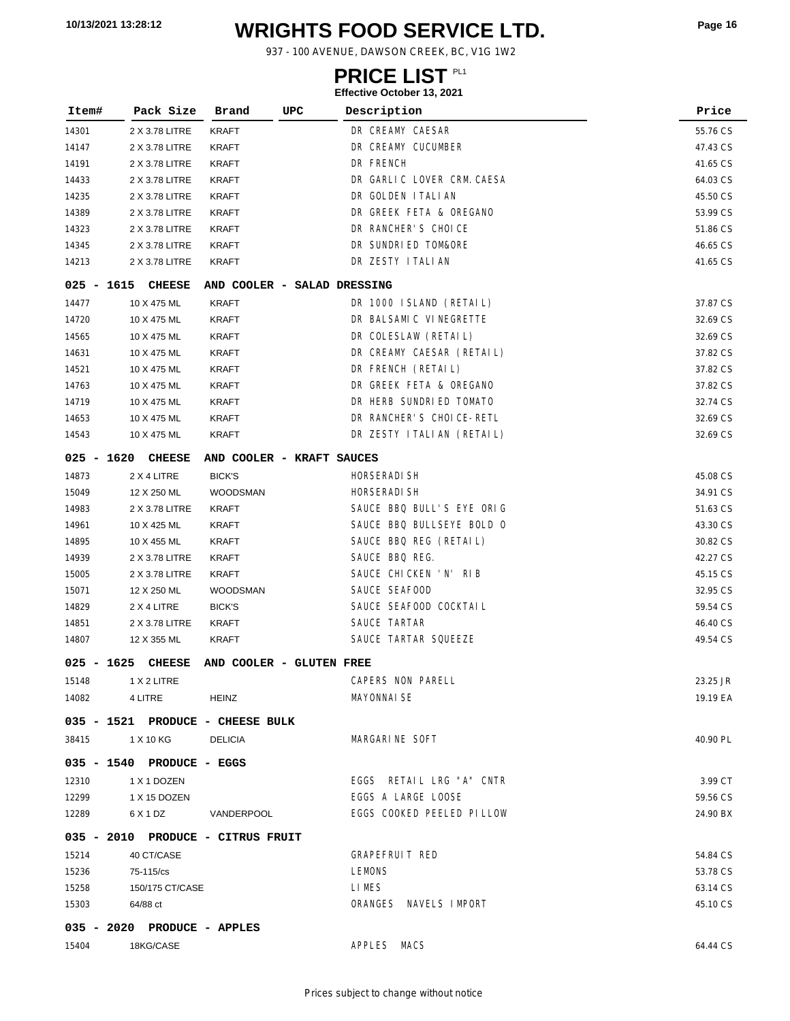# **WRIGHTS FOOD SERVICE LTD. 10/13/2021 13:28:12 Page <sup>16</sup>**

937 - 100 AVENUE, DAWSON CREEK, BC, V1G 1W2

### **PRICE LIST**

| Item#        | Pack Size                         | Brand                       | UPC | Description                | Price    |
|--------------|-----------------------------------|-----------------------------|-----|----------------------------|----------|
| 14301        | 2 X 3.78 LITRE                    | <b>KRAFT</b>                |     | DR CREAMY CAESAR           | 55.76 CS |
| 14147        | 2 X 3.78 LITRE                    | KRAFT                       |     | DR CREAMY CUCUMBER         | 47.43 CS |
| 14191        | 2 X 3.78 LITRE                    | <b>KRAFT</b>                |     | DR FRENCH                  | 41.65 CS |
| 14433        | 2 X 3.78 LITRE                    | <b>KRAFT</b>                |     | DR GARLIC LOVER CRM. CAESA | 64.03 CS |
| 14235        | 2 X 3.78 LITRE                    | <b>KRAFT</b>                |     | DR GOLDEN I TALI AN        | 45.50 CS |
| 14389        | 2 X 3.78 LITRE                    | KRAFT                       |     | DR GREEK FETA & OREGANO    | 53.99 CS |
| 14323        | 2 X 3.78 LITRE                    | <b>KRAFT</b>                |     | DR RANCHER'S CHOICE        | 51.86 CS |
| 14345        | 2 X 3.78 LITRE                    | KRAFT                       |     | DR SUNDRIED TOM&ORE        | 46.65 CS |
| 14213        | 2 X 3.78 LITRE                    | KRAFT                       |     | DR ZESTY I TALI AN         | 41.65 CS |
| 025 - 1615   | <b>CHEESE</b>                     | AND COOLER - SALAD DRESSING |     |                            |          |
| 14477        | 10 X 475 ML                       | KRAFT                       |     | DR 1000 ISLAND (RETAIL)    | 37.87 CS |
| 14720        | 10 X 475 ML                       | <b>KRAFT</b>                |     | DR BALSAMIC VINEGRETTE     | 32.69 CS |
| 14565        | 10 X 475 ML                       | <b>KRAFT</b>                |     | DR COLESLAW (RETAIL)       | 32.69 CS |
| 14631        | 10 X 475 ML                       | <b>KRAFT</b>                |     | DR CREAMY CAESAR (RETAIL)  | 37.82 CS |
| 14521        | 10 X 475 ML                       | KRAFT                       |     | DR FRENCH (RETAIL)         | 37.82 CS |
| 14763        | 10 X 475 ML                       | KRAFT                       |     | DR GREEK FETA & OREGANO    | 37.82 CS |
| 14719        | 10 X 475 ML                       | KRAFT                       |     | DR HERB SUNDRIED TOMATO    | 32.74 CS |
| 14653        | 10 X 475 ML                       | KRAFT                       |     | DR RANCHER'S CHOICE-RETL   | 32.69 CS |
| 14543        | 10 X 475 ML                       | <b>KRAFT</b>                |     | DR ZESTY I TALIAN (RETAIL) | 32.69 CS |
|              | 025 - 1620 CHEESE                 | AND COOLER - KRAFT SAUCES   |     |                            |          |
| 14873        | 2 X 4 LITRE                       | <b>BICK'S</b>               |     | HORSERADI SH               | 45.08 CS |
| 15049        | 12 X 250 ML                       | WOODSMAN                    |     | HORSERADI SH               | 34.91 CS |
| 14983        | 2 X 3.78 LITRE                    | <b>KRAFT</b>                |     | SAUCE BBQ BULL'S EYE ORIG  | 51.63 CS |
| 14961        | 10 X 425 ML                       | <b>KRAFT</b>                |     | SAUCE BBQ BULLSEYE BOLD O  | 43.30 CS |
| 14895        | 10 X 455 ML                       | KRAFT                       |     | SAUCE BBQ REG (RETAIL)     | 30.82 CS |
| 14939        | 2 X 3.78 LITRE                    | KRAFT                       |     | SAUCE BBQ REG.             | 42.27 CS |
| 15005        | 2 X 3.78 LITRE                    | KRAFT                       |     | SAUCE CHICKEN 'N' RIB      | 45.15 CS |
| 15071        | 12 X 250 ML                       | WOODSMAN                    |     | SAUCE SEAFOOD              | 32.95 CS |
| 14829        | 2 X 4 LITRE                       | <b>BICK'S</b>               |     | SAUCE SEAFOOD COCKTAIL     | 59.54 CS |
| 14851        | 2 X 3.78 LITRE                    | <b>KRAFT</b>                |     | SAUCE TARTAR               | 46.40 CS |
| 14807        | 12 X 355 ML                       | <b>KRAFT</b>                |     | SAUCE TARTAR SQUEEZE       | 49.54 CS |
| $025 - 1625$ | <b>CHEESE</b>                     | AND COOLER - GLUTEN FREE    |     |                            |          |
| 15148        | 1 X 2 LITRE                       |                             |     | CAPERS NON PARELL          | 23.25 JR |
| 14082        | 4 LITRE                           | <b>HEINZ</b>                |     | <b>MAYONNAI SE</b>         | 19.19 EA |
|              | 035 - 1521 PRODUCE - CHEESE BULK  |                             |     |                            |          |
| 38415        | 1 X 10 KG                         | <b>DELICIA</b>              |     | MARGARINE SOFT             | 40.90 PL |
|              | 035 - 1540 PRODUCE - EGGS         |                             |     |                            |          |
| 12310        | 1 X 1 DOZEN                       |                             |     | EGGS RETAIL LRG "A" CNTR   | 3.99 CT  |
| 12299        | 1 X 15 DOZEN                      |                             |     | EGGS A LARGE LOOSE         | 59.56 CS |
| 12289        | 6 X 1 DZ                          | VANDERPOOL                  |     | EGGS COOKED PEELED PILLOW  | 24.90 BX |
|              | 035 - 2010 PRODUCE - CITRUS FRUIT |                             |     |                            |          |
| 15214        | 40 CT/CASE                        |                             |     | GRAPEFRUIT RED             | 54.84 CS |
| 15236        | 75-115/cs                         |                             |     | <b>LEMONS</b>              | 53.78 CS |
| 15258        | 150/175 CT/CASE                   |                             |     | LI MES                     | 63.14 CS |
| 15303        | 64/88 ct                          |                             |     | ORANGES NAVELS IMPORT      | 45.10 CS |
|              | 035 - 2020 PRODUCE - APPLES       |                             |     |                            |          |
| 15404        | 18KG/CASE                         |                             |     | APPLES MACS                | 64.44 CS |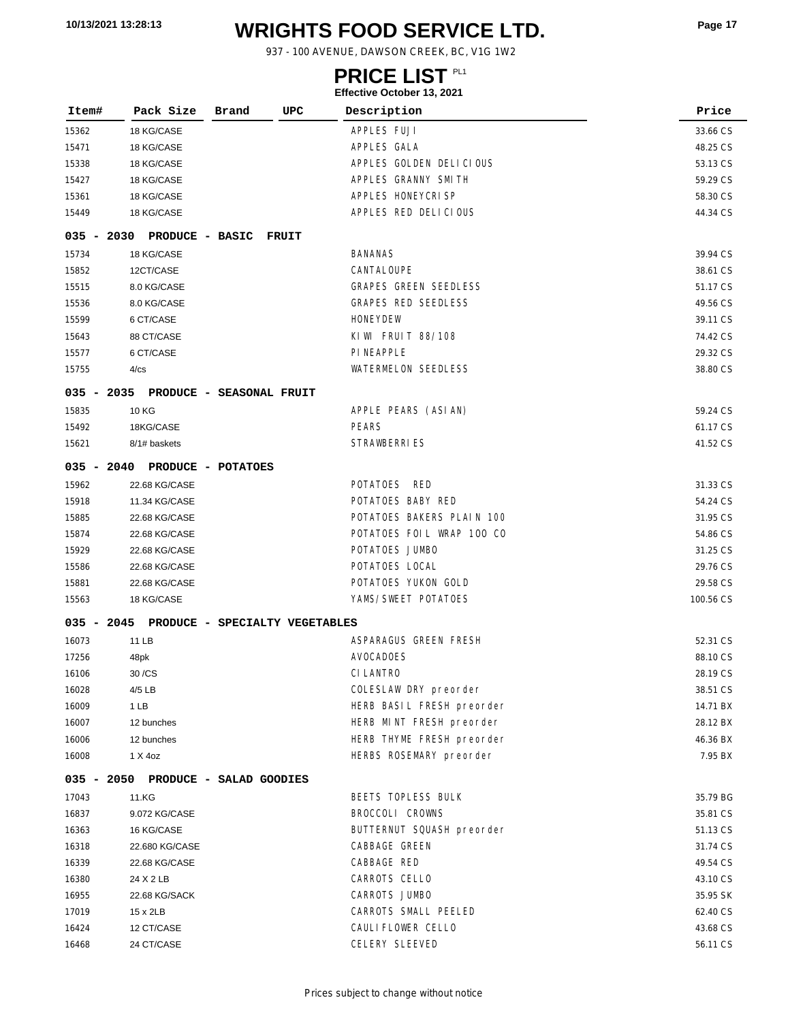# **WRIGHTS FOOD SERVICE LTD. 10/13/2021 13:28:13 Page <sup>17</sup>**

937 - 100 AVENUE, DAWSON CREEK, BC, V1G 1W2

### **PRICE LIST**

| Item# | Pack Size                                 | Brand | UPC   | LIICCUVC OCLODOI 19, ZUZ I<br>Description | Price     |
|-------|-------------------------------------------|-------|-------|-------------------------------------------|-----------|
|       |                                           |       |       |                                           |           |
| 15362 | 18 KG/CASE                                |       |       | APPLES FUJI                               | 33.66 CS  |
| 15471 | 18 KG/CASE                                |       |       | APPLES GALA                               | 48.25 CS  |
| 15338 | 18 KG/CASE                                |       |       | APPLES GOLDEN DELICIOUS                   | 53.13 CS  |
| 15427 | 18 KG/CASE                                |       |       | APPLES GRANNY SMITH                       | 59.29 CS  |
| 15361 | 18 KG/CASE                                |       |       | APPLES HONEYCRISP                         | 58.30 CS  |
| 15449 | 18 KG/CASE                                |       |       | APPLES RED DELICIOUS                      | 44.34 CS  |
|       | 035 - 2030 PRODUCE - BASIC                |       | FRUIT |                                           |           |
| 15734 | 18 KG/CASE                                |       |       | <b>BANANAS</b>                            | 39.94 CS  |
| 15852 | 12CT/CASE                                 |       |       | CANTALOUPE                                | 38.61 CS  |
| 15515 | 8.0 KG/CASE                               |       |       | <b>GRAPES GREEN SEEDLESS</b>              | 51.17 CS  |
| 15536 | 8.0 KG/CASE                               |       |       | <b>GRAPES RED SEEDLESS</b>                | 49.56 CS  |
| 15599 | 6 CT/CASE                                 |       |       | <b>HONEYDEW</b>                           | 39.11 CS  |
| 15643 | 88 CT/CASE                                |       |       | KIWI FRUIT 88/108                         | 74.42 CS  |
| 15577 | 6 CT/CASE                                 |       |       | <b>PI NEAPPLE</b>                         | 29.32 CS  |
| 15755 | 4/cs                                      |       |       | <b>WATERMELON SEEDLESS</b>                | 38.80 CS  |
|       | 035 - 2035 PRODUCE - SEASONAL FRUIT       |       |       |                                           |           |
| 15835 | <b>10 KG</b>                              |       |       | APPLE PEARS (ASIAN)                       | 59.24 CS  |
| 15492 | 18KG/CASE                                 |       |       | <b>PEARS</b>                              | 61.17 CS  |
| 15621 | 8/1# baskets                              |       |       | <b>STRAWBERRIES</b>                       | 41.52 CS  |
|       | 035 - 2040 PRODUCE - POTATOES             |       |       |                                           |           |
| 15962 | 22.68 KG/CASE                             |       |       | POTATOES RED                              | 31.33 CS  |
| 15918 | 11.34 KG/CASE                             |       |       | POTATOES BABY RED                         | 54.24 CS  |
| 15885 | 22.68 KG/CASE                             |       |       | POTATOES BAKERS PLAIN 100                 | 31.95 CS  |
| 15874 | 22.68 KG/CASE                             |       |       | POTATOES FOIL WRAP 100 CO                 | 54.86 CS  |
| 15929 | 22.68 KG/CASE                             |       |       | POTATOES JUMBO                            | 31.25 CS  |
| 15586 | 22.68 KG/CASE                             |       |       | POTATOES LOCAL                            | 29.76 CS  |
| 15881 | 22.68 KG/CASE                             |       |       | POTATOES YUKON GOLD                       | 29.58 CS  |
| 15563 | 18 KG/CASE                                |       |       | YAMS/SWEET POTATOES                       | 100.56 CS |
|       | 035 - 2045 PRODUCE - SPECIALTY VEGETABLES |       |       |                                           |           |
| 16073 | 11 LB                                     |       |       | ASPARAGUS GREEN FRESH                     | 52.31 CS  |
| 17256 | 48pk                                      |       |       | <b>AVOCADOES</b>                          | 88.10 CS  |
| 16106 | 30 / CS                                   |       |       | CI LANTRO                                 | 28.19 CS  |
| 16028 | 4/5 LB                                    |       |       | COLESLAW DRY preorder                     | 38.51 CS  |
| 16009 | 1 LB                                      |       |       | HERB BASIL FRESH preorder                 | 14.71 BX  |
| 16007 | 12 bunches                                |       |       | HERB MINT FRESH preorder                  | 28.12 BX  |
| 16006 | 12 bunches                                |       |       | HERB THYME FRESH preorder                 | 46.36 BX  |
| 16008 | 1 X 4oz                                   |       |       | HERBS ROSEMARY preorder                   | 7.95 BX   |
|       | 035 - 2050 PRODUCE - SALAD GOODIES        |       |       |                                           |           |
| 17043 | 11.KG                                     |       |       | BEETS TOPLESS BULK                        | 35.79 BG  |
| 16837 | 9.072 KG/CASE                             |       |       | BROCCOLI CROWNS                           | 35.81 CS  |
| 16363 | 16 KG/CASE                                |       |       | BUTTERNUT SQUASH preorder                 | 51.13 CS  |
| 16318 | 22.680 KG/CASE                            |       |       | CABBAGE GREEN                             | 31.74 CS  |
| 16339 | 22.68 KG/CASE                             |       |       | CABBAGE RED                               | 49.54 CS  |
| 16380 | 24 X 2 LB                                 |       |       | CARROTS CELLO                             | 43.10 CS  |
| 16955 | 22.68 KG/SACK                             |       |       | CARROTS JUMBO                             | 35.95 SK  |
| 17019 | 15 x 2LB                                  |       |       | CARROTS SMALL PEELED                      | 62.40 CS  |
| 16424 | 12 CT/CASE                                |       |       | CAULI FLOWER CELLO                        | 43.68 CS  |
| 16468 | 24 CT/CASE                                |       |       | CELERY SLEEVED                            | 56.11 CS  |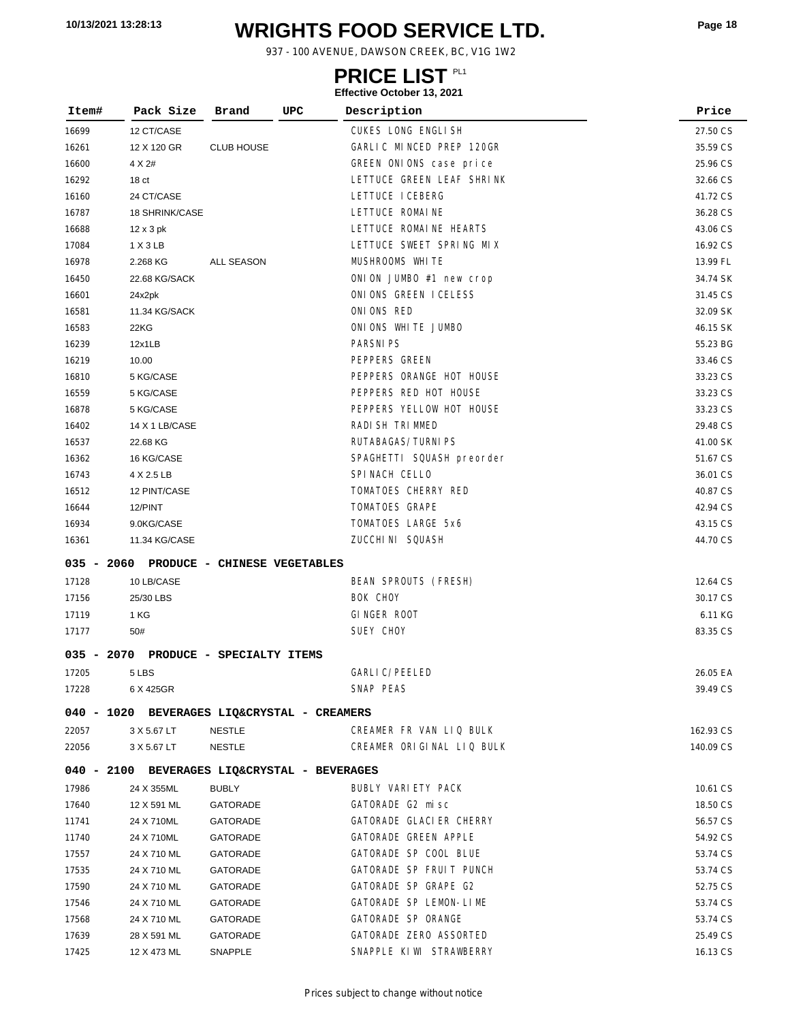# **WRIGHTS FOOD SERVICE LTD. 10/13/2021 13:28:13 Page <sup>18</sup>**

937 - 100 AVENUE, DAWSON CREEK, BC, V1G 1W2

### **PRICE LIST**

| Item#        | Pack Size                                    | Brand                        | UPC | Description               | Price     |
|--------------|----------------------------------------------|------------------------------|-----|---------------------------|-----------|
| 16699        | 12 CT/CASE                                   |                              |     | CUKES LONG ENGLISH        | 27.50 CS  |
| 16261        | 12 X 120 GR                                  | <b>CLUB HOUSE</b>            |     | GARLIC MINCED PREP 120GR  | 35.59 CS  |
| 16600        | 4 X 2#                                       |                              |     | GREEN ONIONS case price   | 25.96 CS  |
| 16292        | 18 <sub>ct</sub>                             |                              |     | LETTUCE GREEN LEAF SHRINK | 32.66 CS  |
| 16160        | 24 CT/CASE                                   |                              |     | LETTUCE I CEBERG          | 41.72 CS  |
| 16787        | 18 SHRINK/CASE                               |                              |     | LETTUCE ROMAINE           | 36.28 CS  |
| 16688        | $12 \times 3$ pk                             |                              |     | LETTUCE ROMAINE HEARTS    | 43.06 CS  |
| 17084        | 1 X 3 LB                                     |                              |     | LETTUCE SWEET SPRING MIX  | 16.92 CS  |
| 16978        | 2.268 KG                                     | ALL SEASON                   |     | MUSHROOMS WHITE           | 13.99 FL  |
| 16450        | 22.68 KG/SACK                                |                              |     | ONION JUMBO #1 new crop   | 34.74 SK  |
| 16601        | 24x2pk                                       |                              |     | ONIONS GREEN ICELESS      | 31.45 CS  |
| 16581        | 11.34 KG/SACK                                |                              |     | ONIONS RED                | 32.09 SK  |
| 16583        | 22KG                                         |                              |     | ONIONS WHITE JUMBO        | 46.15 SK  |
| 16239        | 12x1LB                                       |                              |     | <b>PARSNI PS</b>          | 55.23 BG  |
| 16219        | 10.00                                        |                              |     | PEPPERS GREEN             | 33.46 CS  |
| 16810        | 5 KG/CASE                                    |                              |     | PEPPERS ORANGE HOT HOUSE  | 33.23 CS  |
| 16559        | 5 KG/CASE                                    |                              |     | PEPPERS RED HOT HOUSE     | 33.23 CS  |
| 16878        | 5 KG/CASE                                    |                              |     | PEPPERS YELLOW HOT HOUSE  | 33.23 CS  |
| 16402        | 14 X 1 LB/CASE                               |                              |     | RADI SH TRI MMED          | 29.48 CS  |
| 16537        | 22.68 KG                                     |                              |     | RUTABAGAS/TURNIPS         | 41.00 SK  |
| 16362        | 16 KG/CASE                                   |                              |     | SPAGHETTI SQUASH preorder | 51.67 CS  |
| 16743        | 4 X 2.5 LB                                   |                              |     | SPINACH CELLO             | 36.01 CS  |
| 16512        | 12 PINT/CASE                                 |                              |     | TOMATOES CHERRY RED       | 40.87 CS  |
| 16644        | 12/PINT                                      |                              |     | TOMATOES GRAPE            | 42.94 CS  |
| 16934        | 9.0KG/CASE                                   |                              |     | TOMATOES LARGE 5x6        | 43.15 CS  |
| 16361        | 11.34 KG/CASE                                |                              |     | ZUCCHI NI SQUASH          | 44.70 CS  |
| $035 - 2060$ |                                              | PRODUCE - CHINESE VEGETABLES |     |                           |           |
| 17128        | 10 LB/CASE                                   |                              |     | BEAN SPROUTS (FRESH)      | 12.64 CS  |
| 17156        | 25/30 LBS                                    |                              |     | BOK CHOY                  | 30.17 CS  |
| 17119        | 1 KG                                         |                              |     | GINGER ROOT               | 6.11 KG   |
| 17177        | 50#                                          |                              |     | SUEY CHOY                 | 83.35 CS  |
| $035 - 2070$ |                                              | PRODUCE - SPECIALTY ITEMS    |     |                           |           |
| 17205        | 5 LBS                                        |                              |     | GARLI C/PEELED            | 26.05 EA  |
| 17228        | 6 X 425GR                                    |                              |     | SNAP PEAS                 | 39.49 CS  |
|              | 040 - 1020 BEVERAGES LIQ&CRYSTAL - CREAMERS  |                              |     |                           |           |
| 22057        | 3 X 5.67 LT                                  | NESTLE                       |     | CREAMER FR VAN LIQ BULK   | 162.93 CS |
| 22056        | 3 X 5.67 LT                                  | <b>NESTLE</b>                |     | CREAMER ORIGINAL LIQ BULK | 140.09 CS |
|              | 040 - 2100 BEVERAGES LIQ&CRYSTAL - BEVERAGES |                              |     |                           |           |
| 17986        | 24 X 355ML                                   | <b>BUBLY</b>                 |     | BUBLY VARIETY PACK        | 10.61 CS  |
| 17640        | 12 X 591 ML                                  | <b>GATORADE</b>              |     | GATORADE G2 misc          | 18.50 CS  |
| 11741        | 24 X 710ML                                   | <b>GATORADE</b>              |     | GATORADE GLACIER CHERRY   | 56.57 CS  |
| 11740        | 24 X 710ML                                   | <b>GATORADE</b>              |     | GATORADE GREEN APPLE      | 54.92 CS  |
| 17557        | 24 X 710 ML                                  | <b>GATORADE</b>              |     | GATORADE SP COOL BLUE     | 53.74 CS  |
| 17535        | 24 X 710 ML                                  | <b>GATORADE</b>              |     | GATORADE SP FRUIT PUNCH   | 53.74 CS  |
| 17590        | 24 X 710 ML                                  | <b>GATORADE</b>              |     | GATORADE SP GRAPE G2      | 52.75 CS  |
| 17546        | 24 X 710 ML                                  | <b>GATORADE</b>              |     | GATORADE SP LEMON-LIME    | 53.74 CS  |
| 17568        | 24 X 710 ML                                  | <b>GATORADE</b>              |     | GATORADE SP ORANGE        | 53.74 CS  |
| 17639        | 28 X 591 ML                                  | GATORADE                     |     | GATORADE ZERO ASSORTED    | 25.49 CS  |
| 17425        | 12 X 473 ML                                  | SNAPPLE                      |     | SNAPPLE KIWI STRAWBERRY   | 16.13 CS  |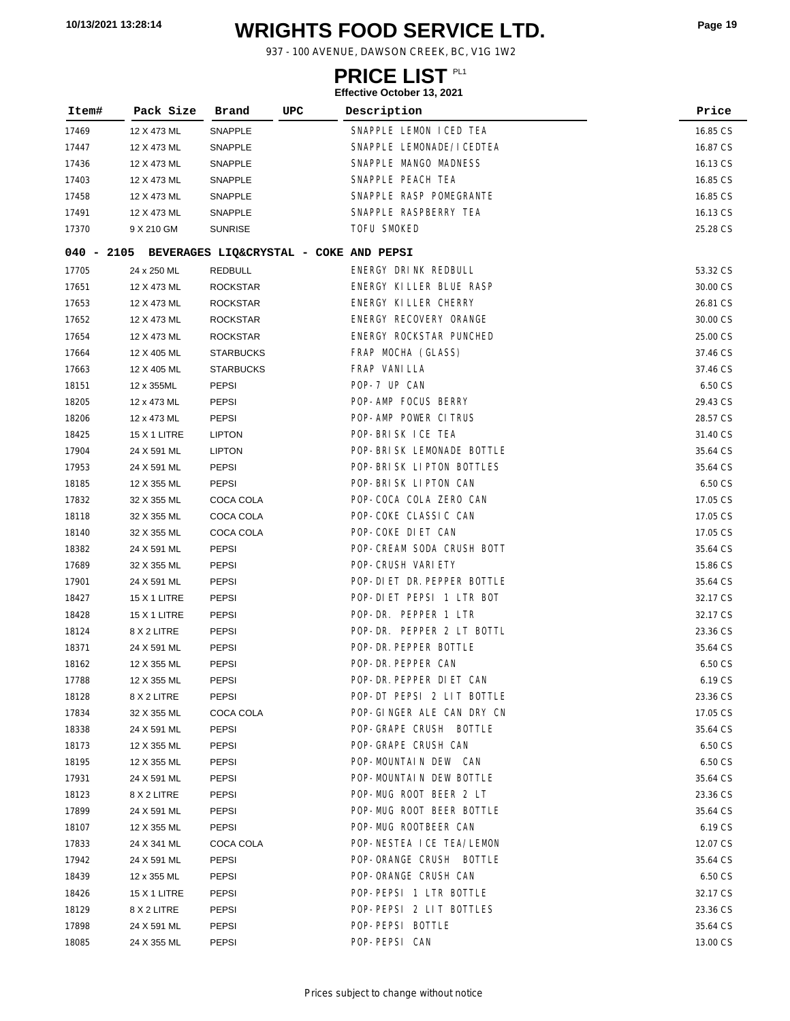# **WRIGHTS FOOD SERVICE LTD. 10/13/2021 13:28:14 Page <sup>19</sup>**

937 - 100 AVENUE, DAWSON CREEK, BC, V1G 1W2

### **PRICE LIST**

| Item# | Pack Size                                         | Brand            | UPC | Description                 | Price    |
|-------|---------------------------------------------------|------------------|-----|-----------------------------|----------|
| 17469 | 12 X 473 ML                                       | SNAPPLE          |     | SNAPPLE LEMON ICED TEA      | 16.85 CS |
| 17447 | 12 X 473 ML                                       | SNAPPLE          |     | SNAPPLE LEMONADE/ICEDTEA    | 16.87 CS |
| 17436 | 12 X 473 ML                                       | SNAPPLE          |     | SNAPPLE MANGO MADNESS       | 16.13 CS |
| 17403 | 12 X 473 ML                                       | SNAPPLE          |     | SNAPPLE PEACH TEA           | 16.85 CS |
| 17458 | 12 X 473 ML                                       | SNAPPLE          |     | SNAPPLE RASP POMEGRANTE     | 16.85 CS |
| 17491 | 12 X 473 ML                                       | SNAPPLE          |     | SNAPPLE RASPBERRY TEA       | 16.13 CS |
| 17370 | 9 X 210 GM                                        | <b>SUNRISE</b>   |     | <b>TOFU SMOKED</b>          | 25.28 CS |
|       | 040 - 2105 BEVERAGES LIQ&CRYSTAL - COKE AND PEPSI |                  |     |                             |          |
| 17705 | 24 x 250 ML                                       | <b>REDBULL</b>   |     | ENERGY DRINK REDBULL        | 53.32 CS |
| 17651 | 12 X 473 ML                                       | <b>ROCKSTAR</b>  |     | ENERGY KILLER BLUE RASP     | 30.00 CS |
| 17653 | 12 X 473 ML                                       | <b>ROCKSTAR</b>  |     | ENERGY KILLER CHERRY        | 26.81 CS |
| 17652 | 12 X 473 ML                                       | <b>ROCKSTAR</b>  |     | ENERGY RECOVERY ORANGE      | 30.00 CS |
| 17654 | 12 X 473 ML                                       | <b>ROCKSTAR</b>  |     | ENERGY ROCKSTAR PUNCHED     | 25.00 CS |
| 17664 | 12 X 405 ML                                       | <b>STARBUCKS</b> |     | FRAP MOCHA (GLASS)          | 37.46 CS |
| 17663 | 12 X 405 ML                                       | <b>STARBUCKS</b> |     | FRAP VANILLA                | 37.46 CS |
| 18151 | 12 x 355ML                                        | <b>PEPSI</b>     |     | POP-7 UP CAN                | 6.50 CS  |
| 18205 | 12 x 473 ML                                       | PEPSI            |     | POP-AMP FOCUS BERRY         | 29.43 CS |
| 18206 | 12 x 473 ML                                       | PEPSI            |     | POP-AMP POWER CITRUS        | 28.57 CS |
| 18425 | <b>15 X 1 LITRE</b>                               | <b>LIPTON</b>    |     | POP-BRISK ICE TEA           | 31.40 CS |
| 17904 | 24 X 591 ML                                       | <b>LIPTON</b>    |     | POP-BRISK LEMONADE BOTTLE   | 35.64 CS |
| 17953 | 24 X 591 ML                                       | <b>PEPSI</b>     |     | POP-BRISK LIPTON BOTTLES    | 35.64 CS |
| 18185 | 12 X 355 ML                                       | PEPSI            |     | POP-BRISK LIPTON CAN        | 6.50 CS  |
| 17832 | 32 X 355 ML                                       | COCA COLA        |     | POP-COCA COLA ZERO CAN      | 17.05 CS |
| 18118 | 32 X 355 ML                                       | COCA COLA        |     | POP-COKE CLASSIC CAN        | 17.05 CS |
| 18140 | 32 X 355 ML                                       | COCA COLA        |     | POP-COKE DIET CAN           | 17.05 CS |
| 18382 | 24 X 591 ML                                       | <b>PEPSI</b>     |     | POP-CREAM SODA CRUSH BOTT   | 35.64 CS |
| 17689 | 32 X 355 ML                                       | <b>PEPSI</b>     |     | POP-CRUSH VARIETY           | 15.86 CS |
| 17901 | 24 X 591 ML                                       | <b>PEPSI</b>     |     | POP-DI ET DR. PEPPER BOTTLE | 35.64 CS |
| 18427 | 15 X 1 LITRE                                      | <b>PEPSI</b>     |     | POP-DIET PEPSI 1 LTR BOT    | 32.17 CS |
| 18428 | 15 X 1 LITRE                                      | PEPSI            |     | POP-DR. PEPPER 1 LTR        | 32.17 CS |
| 18124 | 8 X 2 LITRE                                       | PEPSI            |     | POP-DR. PEPPER 2 LT BOTTL   | 23.36 CS |
| 18371 | 24 X 591 ML                                       | PEPSI            |     | POP-DR. PEPPER BOTTLE       | 35.64 CS |
| 18162 | 12 X 355 ML                                       | <b>PEPSI</b>     |     | POP-DR. PEPPER CAN          | 6.50 CS  |
| 17788 | 12 X 355 ML                                       | PEPSI            |     | POP-DR. PEPPER DI ET CAN    | 6.19 CS  |
| 18128 | 8 X 2 LITRE                                       | PEPSI            |     | POP-DT PEPSI 2 LIT BOTTLE   | 23.36 CS |
| 17834 | 32 X 355 ML                                       | COCA COLA        |     | POP-GINGER ALE CAN DRY CN   | 17.05 CS |
| 18338 | 24 X 591 ML                                       | <b>PEPSI</b>     |     | POP-GRAPE CRUSH BOTTLE      | 35.64 CS |
| 18173 | 12 X 355 ML                                       | <b>PEPSI</b>     |     | POP-GRAPE CRUSH CAN         | 6.50 CS  |
| 18195 | 12 X 355 ML                                       | PEPSI            |     | POP-MOUNTAIN DEW CAN        | 6.50 CS  |
| 17931 | 24 X 591 ML                                       | PEPSI            |     | POP-MOUNTAIN DEW BOTTLE     | 35.64 CS |
| 18123 | 8 X 2 LITRE                                       | PEPSI            |     | POP-MUG ROOT BEER 2 LT      | 23.36 CS |
| 17899 | 24 X 591 ML                                       | PEPSI            |     | POP-MUG ROOT BEER BOTTLE    | 35.64 CS |
| 18107 | 12 X 355 ML                                       | <b>PEPSI</b>     |     | POP-MUG ROOTBEER CAN        | 6.19 CS  |
| 17833 | 24 X 341 ML                                       | COCA COLA        |     | POP-NESTEA ICE TEA/LEMON    | 12.07 CS |
| 17942 | 24 X 591 ML                                       | PEPSI            |     | POP-ORANGE CRUSH BOTTLE     | 35.64 CS |
| 18439 | 12 x 355 ML                                       | <b>PEPSI</b>     |     | POP-ORANGE CRUSH CAN        | 6.50 CS  |
| 18426 | 15 X 1 LITRE                                      | PEPSI            |     | POP-PEPSI 1 LTR BOTTLE      | 32.17 CS |
| 18129 | 8 X 2 LITRE                                       | PEPSI            |     | POP-PEPSI 2 LIT BOTTLES     | 23.36 CS |
| 17898 | 24 X 591 ML                                       | <b>PEPSI</b>     |     | POP-PEPSI BOTTLE            | 35.64 CS |
| 18085 | 24 X 355 ML                                       | <b>PEPSI</b>     |     | POP-PEPSI CAN               | 13.00 CS |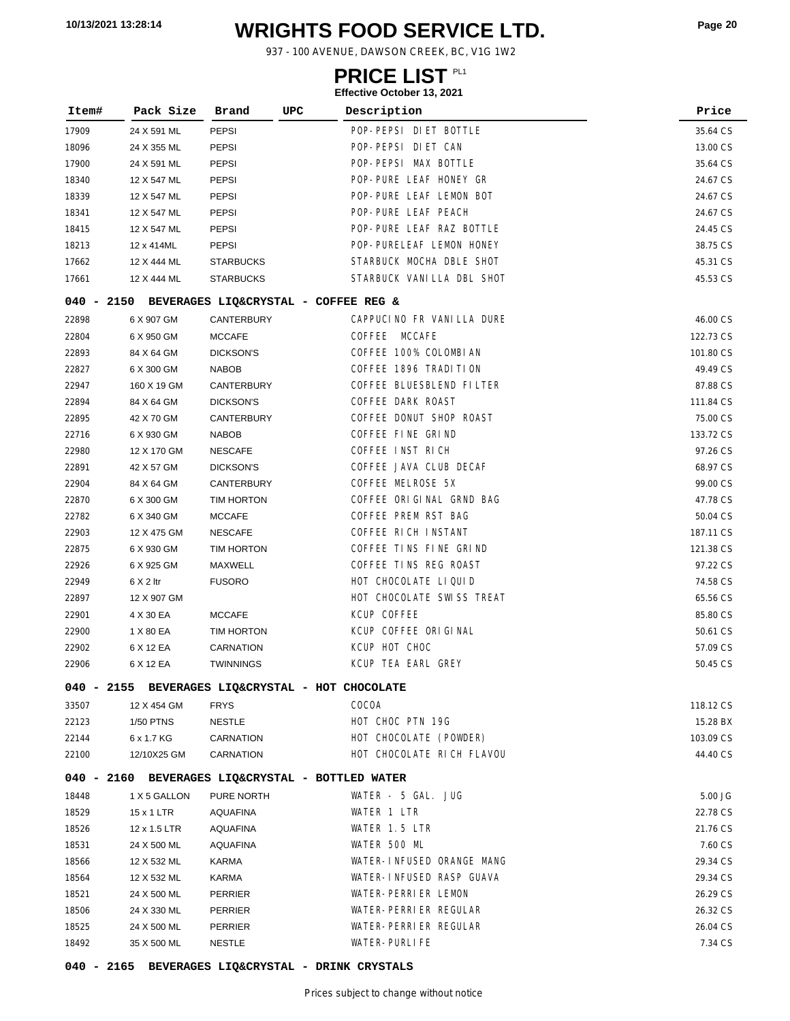# **WRIGHTS FOOD SERVICE LTD. 10/13/2021 13:28:14 Page <sup>20</sup>**

937 - 100 AVENUE, DAWSON CREEK, BC, V1G 1W2

### **PRICE LIST**

**Effective October 13, 2021**

| Item# | Pack Size        | Brand<br>UPC                                     | Description               | Price     |
|-------|------------------|--------------------------------------------------|---------------------------|-----------|
| 17909 | 24 X 591 ML      | <b>PEPSI</b>                                     | POP-PEPSI DIET BOTTLE     | 35.64 CS  |
| 18096 | 24 X 355 ML      | PEPSI                                            | POP-PEPSI DIET CAN        | 13.00 CS  |
| 17900 | 24 X 591 ML      | PEPSI                                            | POP-PEPSI MAX BOTTLE      | 35.64 CS  |
| 18340 | 12 X 547 ML      | <b>PEPSI</b>                                     | POP-PURE LEAF HONEY GR    | 24.67 CS  |
| 18339 | 12 X 547 ML      | <b>PEPSI</b>                                     | POP-PURE LEAF LEMON BOT   | 24.67 CS  |
| 18341 | 12 X 547 ML      | PEPSI                                            | POP-PURE LEAF PEACH       | 24.67 CS  |
| 18415 | 12 X 547 ML      | PEPSI                                            | POP-PURE LEAF RAZ BOTTLE  | 24.45 CS  |
| 18213 | 12 x 414ML       | PEPSI                                            | POP-PURELEAF LEMON HONEY  | 38.75 CS  |
| 17662 | 12 X 444 ML      | <b>STARBUCKS</b>                                 | STARBUCK MOCHA DBLE SHOT  | 45.31 CS  |
| 17661 | 12 X 444 ML      | <b>STARBUCKS</b>                                 | STARBUCK VANILLA DBL SHOT | 45.53 CS  |
|       |                  | 040 - 2150 BEVERAGES LIQ&CRYSTAL - COFFEE REG &  |                           |           |
| 22898 | 6 X 907 GM       | <b>CANTERBURY</b>                                | CAPPUCINO FR VANILLA DURE | 46.00 CS  |
| 22804 | 6 X 950 GM       | <b>MCCAFE</b>                                    | COFFEE MCCAFE             | 122.73 CS |
| 22893 | 84 X 64 GM       | <b>DICKSON'S</b>                                 | COFFEE 100% COLOMBIAN     | 101.80 CS |
| 22827 | 6 X 300 GM       | <b>NABOB</b>                                     | COFFEE 1896 TRADITION     | 49.49 CS  |
| 22947 | 160 X 19 GM      | CANTERBURY                                       | COFFEE BLUESBLEND FILTER  | 87.88 CS  |
| 22894 | 84 X 64 GM       | <b>DICKSON'S</b>                                 | COFFEE DARK ROAST         | 111.84 CS |
| 22895 | 42 X 70 GM       | CANTERBURY                                       | COFFEE DONUT SHOP ROAST   | 75.00 CS  |
| 22716 | 6 X 930 GM       | <b>NABOB</b>                                     | COFFEE FINE GRIND         | 133.72 CS |
| 22980 | 12 X 170 GM      | <b>NESCAFE</b>                                   | COFFEE INST RICH          | 97.26 CS  |
| 22891 | 42 X 57 GM       | <b>DICKSON'S</b>                                 | COFFEE JAVA CLUB DECAF    | 68.97 CS  |
| 22904 | 84 X 64 GM       | CANTERBURY                                       | COFFEE MELROSE 5X         | 99.00 CS  |
| 22870 | 6 X 300 GM       | TIM HORTON                                       | COFFEE ORIGINAL GRND BAG  | 47.78 CS  |
| 22782 | 6 X 340 GM       | <b>MCCAFE</b>                                    | COFFEE PREM RST BAG       | 50.04 CS  |
| 22903 | 12 X 475 GM      | <b>NESCAFE</b>                                   | COFFEE RICH INSTANT       | 187.11 CS |
| 22875 | 6 X 930 GM       | TIM HORTON                                       | COFFEE TINS FINE GRIND    | 121.38 CS |
| 22926 | 6 X 925 GM       | MAXWELL                                          | COFFEE TINS REG ROAST     | 97.22 CS  |
| 22949 | $6 \times 2$ ltr | <b>FUSORO</b>                                    | HOT CHOCOLATE LIQUID      | 74.58 CS  |
| 22897 | 12 X 907 GM      |                                                  | HOT CHOCOLATE SWISS TREAT | 65.56 CS  |
| 22901 | 4 X 30 EA        | <b>MCCAFE</b>                                    | KCUP COFFEE               | 85.80 CS  |
| 22900 | 1 X 80 EA        | TIM HORTON                                       | KCUP COFFEE ORIGINAL      | 50.61 CS  |
| 22902 | 6 X 12 EA        | <b>CARNATION</b>                                 | KCUP HOT CHOC             | 57.09 CS  |
| 22906 | 6 X 12 EA        | <b>TWINNINGS</b>                                 | KCUP TEA EARL GREY        | 50.45 CS  |
|       |                  | 040 - 2155 BEVERAGES LIQ&CRYSTAL - HOT CHOCOLATE |                           |           |
| 33507 | 12 X 454 GM      | <b>FRYS</b>                                      | COCOA                     | 118.12 CS |
| 22123 | 1/50 PTNS        | <b>NESTLE</b>                                    | HOT CHOC PTN 19G          | 15.28 BX  |
| 22144 | 6 x 1.7 KG       | CARNATION                                        | HOT CHOCOLATE (POWDER)    | 103.09 CS |
| 22100 | 12/10X25 GM      | CARNATION                                        | HOT CHOCOLATE RICH FLAVOU | 44.40 CS  |
|       |                  | 040 - 2160 BEVERAGES LIQ&CRYSTAL - BOTTLED WATER |                           |           |
| 18448 | 1 X 5 GALLON     | PURE NORTH                                       | WATER - 5 GAL. JUG        | 5.00 JG   |
| 18529 | 15 x 1 LTR       | <b>AQUAFINA</b>                                  | WATER 1 LTR               | 22.78 CS  |
| 18526 | 12 x 1.5 LTR     | <b>AQUAFINA</b>                                  | WATER 1.5 LTR             | 21.76 CS  |
| 18531 | 24 X 500 ML      | AQUAFINA                                         | WATER 500 ML              | 7.60 CS   |
| 18566 | 12 X 532 ML      | KARMA                                            | WATER-INFUSED ORANGE MANG | 29.34 CS  |
| 18564 | 12 X 532 ML      | KARMA                                            | WATER-INFUSED RASP GUAVA  | 29.34 CS  |
| 18521 | 24 X 500 ML      | PERRIER                                          | WATER-PERRIER LEMON       | 26.29 CS  |
| 18506 | 24 X 330 ML      | PERRIER                                          | WATER-PERRIER REGULAR     | 26.32 CS  |
| 18525 | 24 X 500 ML      | PERRIER                                          | WATER-PERRIER REGULAR     | 26.04 CS  |
| 18492 | 35 X 500 ML      | <b>NESTLE</b>                                    | WATER-PURLIFE             | 7.34 CS   |

**040 - 2165 BEVERAGES LIQ&CRYSTAL - DRINK CRYSTALS**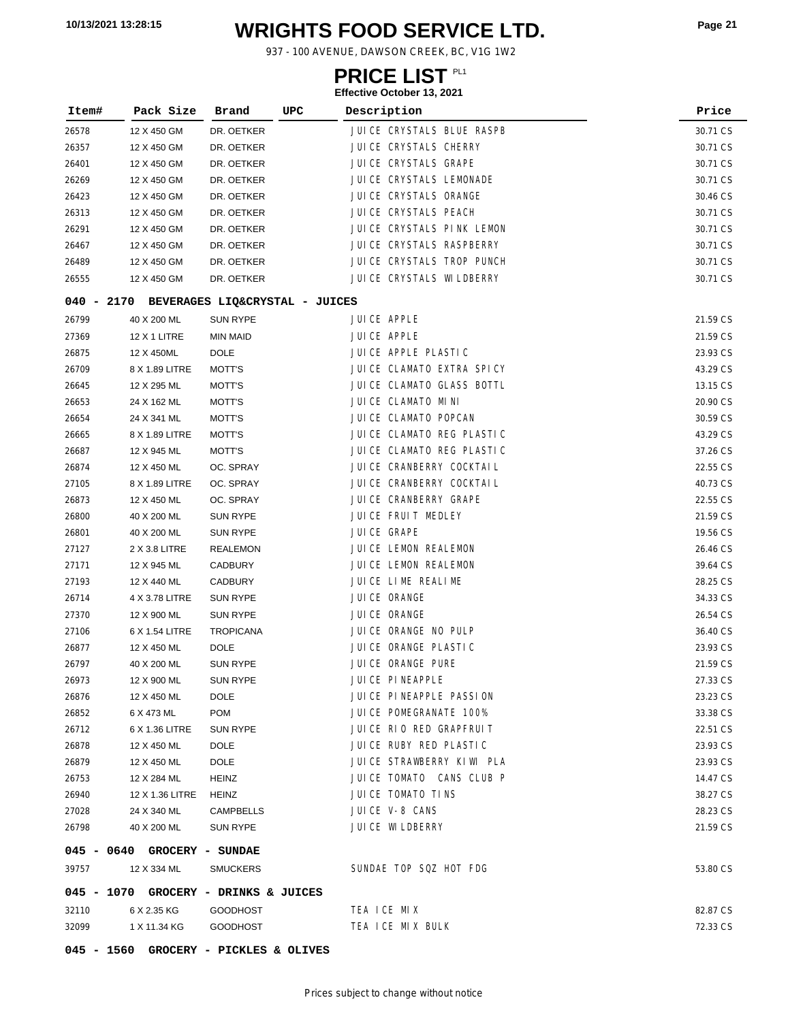# **WRIGHTS FOOD SERVICE LTD. 10/13/2021 13:28:15 Page <sup>21</sup>**

937 - 100 AVENUE, DAWSON CREEK, BC, V1G 1W2

### **PRICE LIST**

| Item#        | Pack Size                   | Brand                          | UPC | Description                | Price    |
|--------------|-----------------------------|--------------------------------|-----|----------------------------|----------|
| 26578        | 12 X 450 GM                 | DR. OETKER                     |     | JUICE CRYSTALS BLUE RASPB  | 30.71 CS |
| 26357        | 12 X 450 GM                 | DR. OETKER                     |     | JUICE CRYSTALS CHERRY      | 30.71 CS |
| 26401        | 12 X 450 GM                 | DR. OETKER                     |     | JUICE CRYSTALS GRAPE       | 30.71 CS |
| 26269        | 12 X 450 GM                 | DR. OETKER                     |     | JUICE CRYSTALS LEMONADE    | 30.71 CS |
| 26423        | 12 X 450 GM                 | DR. OETKER                     |     | JUICE CRYSTALS ORANGE      | 30.46 CS |
| 26313        | 12 X 450 GM                 | DR. OETKER                     |     | JUICE CRYSTALS PEACH       | 30.71 CS |
| 26291        | 12 X 450 GM                 | DR. OETKER                     |     | JUICE CRYSTALS PINK LEMON  | 30.71 CS |
| 26467        | 12 X 450 GM                 | DR. OETKER                     |     | JUICE CRYSTALS RASPBERRY   | 30.71 CS |
| 26489        | 12 X 450 GM                 | DR. OETKER                     |     | JUICE CRYSTALS TROP PUNCH  | 30.71 CS |
| 26555        | 12 X 450 GM                 | DR. OETKER                     |     | JUI CE CRYSTALS WI LDBERRY | 30.71 CS |
| 040 - 2170   |                             | BEVERAGES LIQ&CRYSTAL - JUICES |     |                            |          |
| 26799        | 40 X 200 ML                 | <b>SUN RYPE</b>                |     | JUICE APPLE                | 21.59 CS |
| 27369        | 12 X 1 LITRE                | <b>MIN MAID</b>                |     | JUICE APPLE                | 21.59 CS |
| 26875        | 12 X 450ML                  | <b>DOLE</b>                    |     | JUICE APPLE PLASTIC        | 23.93 CS |
| 26709        | 8 X 1.89 LITRE              | MOTT'S                         |     | JUICE CLAMATO EXTRA SPICY  | 43.29 CS |
| 26645        | 12 X 295 ML                 | MOTT'S                         |     | JUICE CLAMATO GLASS BOTTL  | 13.15 CS |
| 26653        | 24 X 162 ML                 | MOTT'S                         |     | JUICE CLAMATO MINI         | 20.90 CS |
| 26654        | 24 X 341 ML                 | MOTT'S                         |     | JUICE CLAMATO POPCAN       | 30.59 CS |
| 26665        | 8 X 1.89 LITRE              | MOTT'S                         |     | JUICE CLAMATO REG PLASTIC  | 43.29 CS |
| 26687        | 12 X 945 ML                 | MOTT'S                         |     | JUICE CLAMATO REG PLASTIC  | 37.26 CS |
| 26874        | 12 X 450 ML                 | OC. SPRAY                      |     | JUI CE CRANBERRY COCKTAIL  | 22.55 CS |
| 27105        | 8 X 1.89 LITRE              | OC. SPRAY                      |     | JUICE CRANBERRY COCKTAIL   | 40.73 CS |
| 26873        | 12 X 450 ML                 | OC. SPRAY                      |     | JUICE CRANBERRY GRAPE      | 22.55 CS |
| 26800        | 40 X 200 ML                 | <b>SUN RYPE</b>                |     | JUICE FRUIT MEDLEY         | 21.59 CS |
| 26801        | 40 X 200 ML                 | <b>SUN RYPE</b>                |     | JUICE GRAPE                | 19.56 CS |
| 27127        | 2 X 3.8 LITRE               | <b>REALEMON</b>                |     | JUICE LEMON REALEMON       | 26.46 CS |
| 27171        | 12 X 945 ML                 | <b>CADBURY</b>                 |     | JUICE LEMON REALEMON       | 39.64 CS |
| 27193        | 12 X 440 ML                 | <b>CADBURY</b>                 |     | JUICE LIME REALIME         | 28.25 CS |
| 26714        | 4 X 3.78 LITRE              | <b>SUN RYPE</b>                |     | JUICE ORANGE               | 34.33 CS |
| 27370        | 12 X 900 ML                 | <b>SUN RYPE</b>                |     | JUICE ORANGE               | 26.54 CS |
| 27106        | 6 X 1.54 LITRE              | <b>TROPICANA</b>               |     | JUICE ORANGE NO PULP       | 36.40 CS |
| 26877        | 12 X 450 ML                 | <b>DOLE</b>                    |     | JUICE ORANGE PLASTIC       | 23.93 CS |
| 26797        | 40 X 200 ML                 | <b>SUN RYPE</b>                |     | JUICE ORANGE PURE          | 21.59 CS |
| 26973        | 12 X 900 ML                 | SUN RYPE                       |     | JUICE PINEAPPLE            | 27.33 CS |
| 26876        | 12 X 450 ML                 | <b>DOLE</b>                    |     | JUICE PINEAPPLE PASSION    | 23.23 CS |
| 26852        | 6 X 473 ML                  | <b>POM</b>                     |     | JUICE POMEGRANATE 100%     | 33.38 CS |
| 26712        | 6 X 1.36 LITRE              | SUN RYPE                       |     | JUICE RIO RED GRAPFRUIT    | 22.51 CS |
| 26878        | 12 X 450 ML                 | <b>DOLE</b>                    |     | JUICE RUBY RED PLASTIC     | 23.93 CS |
| 26879        | 12 X 450 ML                 | <b>DOLE</b>                    |     | JUICE STRAWBERRY KIWI PLA  | 23.93 CS |
| 26753        | 12 X 284 ML                 | HEINZ                          |     | JUICE TOMATO CANS CLUB P   | 14.47 CS |
| 26940        | 12 X 1.36 LITRE             | <b>HEINZ</b>                   |     | JUICE TOMATO TINS          | 38.27 CS |
| 27028        | 24 X 340 ML                 | <b>CAMPBELLS</b>               |     | JUICE V-8 CANS             | 28.23 CS |
| 26798        | 40 X 200 ML                 | SUN RYPE                       |     | <b>JUICE WILDBERRY</b>     | 21.59 CS |
|              | 045 - 0640 GROCERY - SUNDAE |                                |     |                            |          |
| 39757        | 12 X 334 ML                 | <b>SMUCKERS</b>                |     | SUNDAE TOP SQZ HOT FDG     | 53.80 CS |
| 045 - 1070   |                             | GROCERY - DRINKS & JUICES      |     |                            |          |
| 32110        | 6 X 2.35 KG                 | <b>GOODHOST</b>                |     | TEA ICE MIX                | 82.87 CS |
| 32099        | 1 X 11.34 KG                | <b>GOODHOST</b>                |     | TEA ICE MIX BULK           | 72.33 CS |
| $045 - 1560$ |                             | GROCERY - PICKLES & OLIVES     |     |                            |          |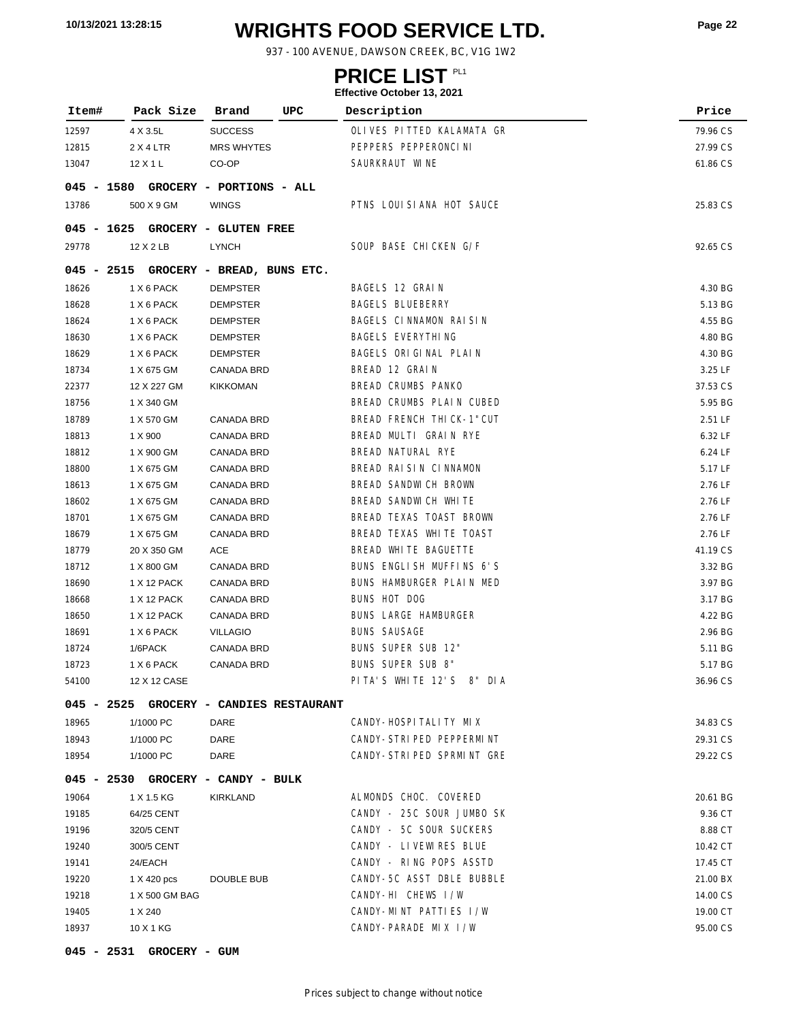# **WRIGHTS FOOD SERVICE LTD. 10/13/2021 13:28:15 Page <sup>22</sup>**

937 - 100 AVENUE, DAWSON CREEK, BC, V1G 1W2

### **PRICE LIST**

### **Effective October 13, 2021**

| Item#        | Pack Size                               | Brand                      | UPC | Description                 | Price    |
|--------------|-----------------------------------------|----------------------------|-----|-----------------------------|----------|
| 12597        | 4 X 3.5L                                | <b>SUCCESS</b>             |     | OLIVES PITTED KALAMATA GR   | 79.96 CS |
| 12815        | 2 X 4 LTR                               | <b>MRS WHYTES</b>          |     | PEPPERS PEPPERONCI NI       | 27.99 CS |
| 13047        | 12 X 1 L                                | CO-OP                      |     | SAURKRAUT WINE              | 61.86 CS |
| $045 - 1580$ |                                         | GROCERY - PORTIONS - ALL   |     |                             |          |
| 13786        | 500 X 9 GM                              | <b>WINGS</b>               |     | PTNS LOUISIANA HOT SAUCE    | 25.83 CS |
| $045 - 1625$ |                                         | GROCERY - GLUTEN FREE      |     |                             |          |
| 29778        | 12 X 2 LB                               | LYNCH                      |     | SOUP BASE CHICKEN G/F       | 92.65 CS |
| 045 - 2515   |                                         | GROCERY - BREAD, BUNS ETC. |     |                             |          |
| 18626        | 1 X 6 PACK                              | <b>DEMPSTER</b>            |     | BAGELS 12 GRAIN             | 4.30 BG  |
| 18628        | 1 X 6 PACK                              | <b>DEMPSTER</b>            |     | <b>BAGELS BLUEBERRY</b>     | 5.13 BG  |
| 18624        | 1 X 6 PACK                              | <b>DEMPSTER</b>            |     | BAGELS CINNAMON RAISIN      | 4.55 BG  |
| 18630        | 1 X 6 PACK                              | <b>DEMPSTER</b>            |     | <b>BAGELS EVERYTHING</b>    | 4.80 BG  |
| 18629        | 1 X 6 PACK                              | <b>DEMPSTER</b>            |     | BAGELS ORIGINAL PLAIN       | 4.30 BG  |
| 18734        | 1 X 675 GM                              | CANADA BRD                 |     | BREAD 12 GRAIN              | 3.25 LF  |
| 22377        | 12 X 227 GM                             | <b>KIKKOMAN</b>            |     | BREAD CRUMBS PANKO          | 37.53 CS |
| 18756        | 1 X 340 GM                              |                            |     | BREAD CRUMBS PLAIN CUBED    | 5.95 BG  |
| 18789        | 1 X 570 GM                              | CANADA BRD                 |     | BREAD FRENCH THICK-1"CUT    | 2.51 LF  |
| 18813        | 1 X 900                                 | CANADA BRD                 |     | BREAD MULTI GRAIN RYE       | 6.32 LF  |
| 18812        | 1 X 900 GM                              | <b>CANADA BRD</b>          |     | BREAD NATURAL RYE           | 6.24 LF  |
| 18800        | 1 X 675 GM                              | <b>CANADA BRD</b>          |     | BREAD RAISIN CINNAMON       | 5.17 LF  |
| 18613        | 1 X 675 GM                              | <b>CANADA BRD</b>          |     | BREAD SANDWICH BROWN        | 2.76 LF  |
| 18602        | 1 X 675 GM                              | <b>CANADA BRD</b>          |     | BREAD SANDWICH WHITE        | 2.76 LF  |
| 18701        | 1 X 675 GM                              | <b>CANADA BRD</b>          |     | BREAD TEXAS TOAST BROWN     | 2.76 LF  |
| 18679        | 1 X 675 GM                              | <b>CANADA BRD</b>          |     | BREAD TEXAS WHITE TOAST     | 2.76 LF  |
| 18779        | 20 X 350 GM                             | ACE                        |     | BREAD WHITE BAGUETTE        | 41.19 CS |
| 18712        | 1 X 800 GM                              | CANADA BRD                 |     | BUNS ENGLISH MUFFINS 6'S    | 3.32 BG  |
|              |                                         |                            |     | BUNS HAMBURGER PLAIN MED    |          |
| 18690        | 1 X 12 PACK                             | CANADA BRD                 |     | <b>BUNS HOT DOG</b>         | 3.97 BG  |
| 18668        | 1 X 12 PACK                             | <b>CANADA BRD</b>          |     |                             | 3.17 BG  |
| 18650        | 1 X 12 PACK                             | <b>CANADA BRD</b>          |     | <b>BUNS LARGE HAMBURGER</b> | 4.22 BG  |
| 18691        | 1 X 6 PACK                              | <b>VILLAGIO</b>            |     | <b>BUNS SAUSAGE</b>         | 2.96 BG  |
| 18724        | 1/6PACK                                 | <b>CANADA BRD</b>          |     | BUNS SUPER SUB 12"          | 5.11 BG  |
| 18723        | 1 X 6 PACK                              | CANADA BRD                 |     | BUNS SUPER SUB 8"           | 5.17 BG  |
| 54100        | 12 X 12 CASE                            |                            |     | PITA'S WHITE 12'S 8" DIA    | 36.96 CS |
|              | 045 - 2525 GROCERY - CANDIES RESTAURANT |                            |     |                             |          |
| 18965        | 1/1000 PC                               | DARE                       |     | CANDY-HOSPITALITY MIX       | 34.83 CS |
| 18943        | 1/1000 PC                               | DARE                       |     | CANDY-STRIPED PEPPERMINT    | 29.31 CS |
| 18954        | 1/1000 PC                               | DARE                       |     | CANDY-STRIPED SPRMINT GRE   | 29.22 CS |
|              | 045 - 2530 GROCERY - CANDY - BULK       |                            |     |                             |          |
| 19064        | 1 X 1.5 KG                              | KIRKLAND                   |     | ALMONDS CHOC. COVERED       | 20.61 BG |
| 19185        | 64/25 CENT                              |                            |     | CANDY - 25C SOUR JUMBO SK   | 9.36 CT  |
| 19196        | 320/5 CENT                              |                            |     | CANDY - 5C SOUR SUCKERS     | 8.88 CT  |
| 19240        | 300/5 CENT                              |                            |     | CANDY - LIVEWIRES BLUE      | 10.42 CT |
| 19141        | 24/EACH                                 |                            |     | CANDY - RING POPS ASSTD     | 17.45 CT |
| 19220        | 1 X 420 pcs                             | <b>DOUBLE BUB</b>          |     | CANDY-5C ASST DBLE BUBBLE   | 21.00 BX |
| 19218        | 1 X 500 GM BAG                          |                            |     | CANDY-HI CHEWS I/W          | 14.00 CS |
| 19405        | 1 X 240                                 |                            |     | CANDY-MINT PATTLES I/W      | 19.00 CT |
| 18937        | 10 X 1 KG                               |                            |     | CANDY-PARADE MIX I/W        | 95.00 CS |

**045 - 2531 GROCERY - GUM**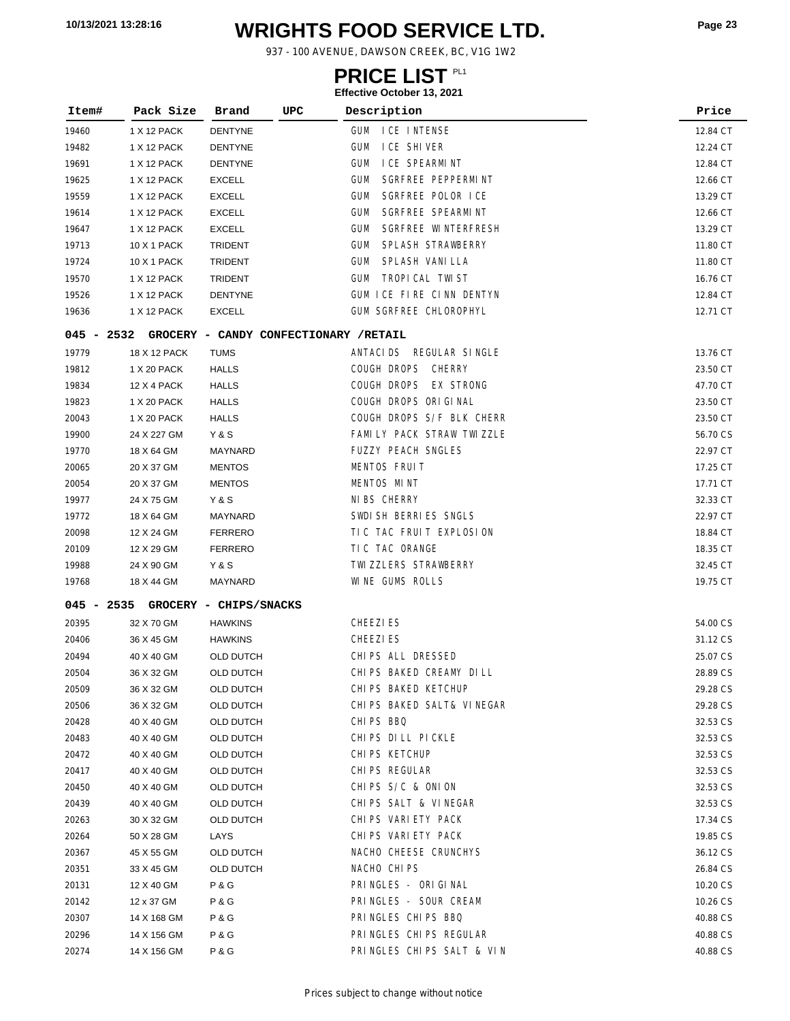# **WRIGHTS FOOD SERVICE LTD. 10/13/2021 13:28:16 Page <sup>23</sup>**

937 - 100 AVENUE, DAWSON CREEK, BC, V1G 1W2

### **PRICE LIST**

| Item#          | Pack Size                  | Brand                  | UPC<br>Description                          | Price                |
|----------------|----------------------------|------------------------|---------------------------------------------|----------------------|
| 19460          | 1 X 12 PACK                | DENTYNE                | gum<br>ICE INTENSE                          | 12.84 CT             |
| 19482          | 1 X 12 PACK                | DENTYNE                | I CE SHI VER<br><b>GUM</b>                  | 12.24 CT             |
| 19691          | 1 X 12 PACK                | <b>DENTYNE</b>         | <b>GUM</b><br>I CE SPEARMINT                | 12.84 CT             |
| 19625          | 1 X 12 PACK                | <b>EXCELL</b>          | SGRFREE PEPPERMINT<br><b>GUM</b>            | 12.66 CT             |
| 19559          | 1 X 12 PACK                | <b>EXCELL</b>          | SGRFREE POLOR ICE<br><b>GUM</b>             | 13.29 CT             |
| 19614          | 1 X 12 PACK                | <b>EXCELL</b>          | SGRFREE SPEARMINT<br>gum                    | 12.66 CT             |
| 19647          | 1 X 12 PACK                | <b>EXCELL</b>          | SGRFREE WINTERFRESH<br><b>GUM</b>           | 13.29 CT             |
| 19713          | <b>10 X 1 PACK</b>         | <b>TRIDENT</b>         | SPLASH STRAWBERRY<br><b>GUM</b>             | 11.80 CT             |
| 19724          | 10 X 1 PACK                | <b>TRIDENT</b>         | SPLASH VANI LLA<br><b>GUM</b>               | 11.80 CT             |
| 19570          | 1 X 12 PACK                | <b>TRIDENT</b>         | TROPI CAL TWI ST<br><b>GUM</b>              | 16.76 CT             |
| 19526          | 1 X 12 PACK                | <b>DENTYNE</b>         | GUM ICE FIRE CINN DENTYN                    | 12.84 CT             |
| 19636          | 1 X 12 PACK                | <b>EXCELL</b>          | GUM SGRFREE CHLOROPHYL                      | 12.71 CT             |
| $045 - 2532$   |                            |                        | GROCERY - CANDY CONFECTIONARY /RETAIL       |                      |
| 19779          | 18 X 12 PACK               | <b>TUMS</b>            | ANTACIDS REGULAR SINGLE                     | 13.76 CT             |
| 19812          | 1 X 20 PACK                | <b>HALLS</b>           | COUGH DROPS CHERRY                          | 23.50 CT             |
| 19834          | 12 X 4 PACK                | HALLS                  | COUGH DROPS EX STRONG                       | 47.70 CT             |
| 19823          | 1 X 20 PACK                | HALLS                  | COUGH DROPS ORIGINAL                        | 23.50 CT             |
| 20043          | 1 X 20 PACK                | HALLS                  | COUGH DROPS S/F BLK CHERR                   | 23.50 CT             |
| 19900          | 24 X 227 GM                | Y&S                    | FAMILY PACK STRAW TWIZZLE                   | 56.70 CS             |
| 19770          | 18 X 64 GM                 | MAYNARD                | FUZZY PEACH SNGLES                          | 22.97 CT             |
| 20065          | 20 X 37 GM                 | <b>MENTOS</b>          | MENTOS FRUIT                                | 17.25 CT             |
| 20054          | 20 X 37 GM                 | <b>MENTOS</b>          | MENTOS MINT                                 | 17.71 CT             |
| 19977          | 24 X 75 GM                 | Y & S                  | NI BS CHERRY                                | 32.33 CT             |
| 19772          | 18 X 64 GM                 | MAYNARD                | SWDI SH BERRIES SNGLS                       | 22.97 CT             |
| 20098          | 12 X 24 GM                 | <b>FERRERO</b>         | TIC TAC FRUIT EXPLOSION                     | 18.84 CT             |
| 20109          | 12 X 29 GM                 | <b>FERRERO</b>         | TIC TAC ORANGE                              | 18.35 CT             |
| 19988          | 24 X 90 GM                 | Y & S                  | TWI ZZLERS STRAWBERRY                       | 32.45 CT             |
| 19768          | 18 X 44 GM                 | MAYNARD                | WINE GUMS ROLLS                             | 19.75 CT             |
| $045 - 2535$   |                            | GROCERY - CHIPS/SNACKS |                                             |                      |
| 20395          | 32 X 70 GM                 | <b>HAWKINS</b>         | <b>CHEEZIES</b>                             | 54.00 CS             |
| 20406          | 36 X 45 GM                 | <b>HAWKINS</b>         | <b>CHEEZIES</b>                             | 31.12 CS             |
| 20494          | 40 X 40 GM                 | OLD DUTCH              | CHIPS ALL DRESSED                           | 25.07 CS             |
| 20504          | 36 X 32 GM                 | OLD DUTCH              | CHIPS BAKED CREAMY DILL                     | 28.89 CS             |
| 20509          | 36 X 32 GM                 | OLD DUTCH              | CHIPS BAKED KETCHUP                         | 29.28 CS             |
| 20506          | 36 X 32 GM                 | <b>OLD DUTCH</b>       | CHIPS BAKED SALT& VINEGAR                   | 29.28 CS             |
| 20428          | 40 X 40 GM                 | OLD DUTCH              | CHIPS BBQ                                   | 32.53 CS             |
| 20483          | 40 X 40 GM                 | OLD DUTCH              | CHIPS DILL PICKLE                           | 32.53 CS             |
| 20472          | 40 X 40 GM                 | OLD DUTCH              | CHIPS KETCHUP                               | 32.53 CS             |
| 20417          | 40 X 40 GM                 | OLD DUTCH              | CHIPS REGULAR                               | 32.53 CS             |
| 20450          | 40 X 40 GM                 | OLD DUTCH              | CHIPS S/C & ONION                           | 32.53 CS             |
| 20439          | 40 X 40 GM                 | OLD DUTCH              | CHIPS SALT & VINEGAR                        | 32.53 CS             |
| 20263          | 30 X 32 GM                 | OLD DUTCH              | CHI PS VARI ETY PACK                        | 17.34 CS             |
| 20264          | 50 X 28 GM                 | LAYS                   | CHI PS VARI ETY PACK                        | 19.85 CS             |
| 20367          | 45 X 55 GM                 | <b>OLD DUTCH</b>       | NACHO CHEESE CRUNCHYS                       | 36.12 CS             |
| 20351          | 33 X 45 GM                 | OLD DUTCH              | NACHO CHIPS                                 | 26.84 CS             |
| 20131          | 12 X 40 GM                 | P & G                  | PRINGLES - ORIGINAL                         | 10.20 CS             |
| 20142          | 12 x 37 GM                 | P & G                  | PRINGLES - SOUR CREAM<br>PRINGLES CHIPS BBQ | 10.26 CS             |
| 20307          | 14 X 168 GM                | P & G<br>P & G         | PRINGLES CHIPS REGULAR                      | 40.88 CS<br>40.88 CS |
| 20296<br>20274 | 14 X 156 GM<br>14 X 156 GM | P&G                    | PRINGLES CHIPS SALT & VIN                   | 40.88 CS             |
|                |                            |                        |                                             |                      |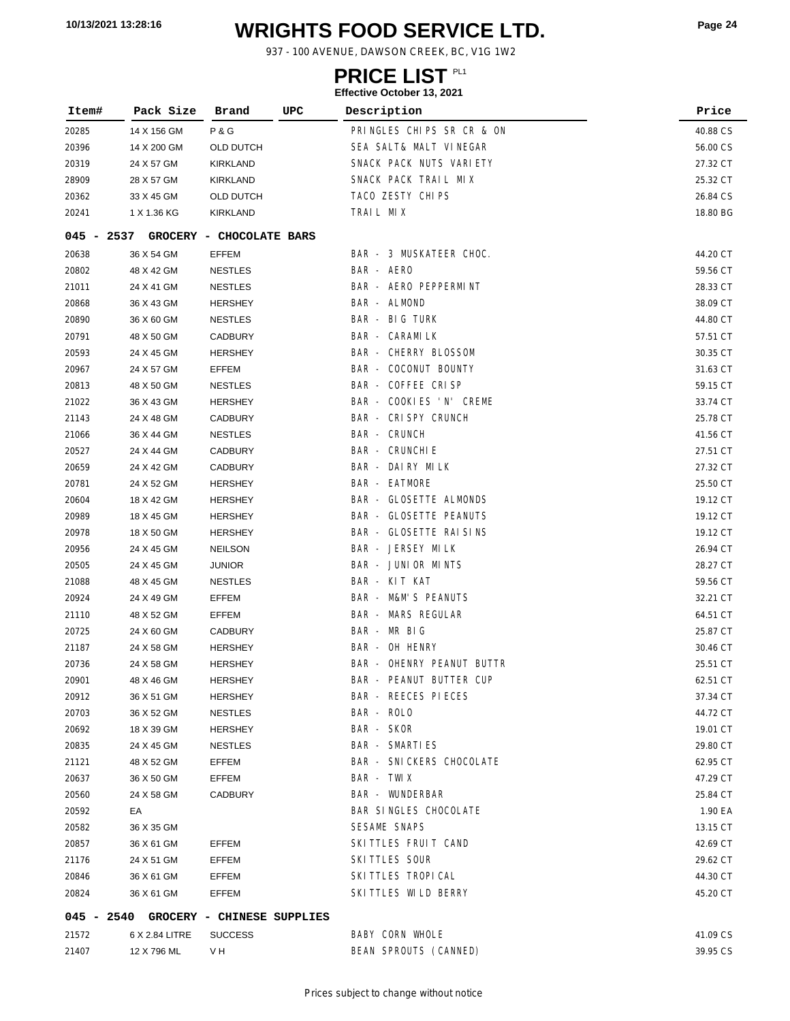# **WRIGHTS FOOD SERVICE LTD. 10/13/2021 13:28:16 Page <sup>24</sup>**

937 - 100 AVENUE, DAWSON CREEK, BC, V1G 1W2

### **PRICE LIST**

| Item#          | Pack Size                             | Brand                            | UPC | Description                      | Price                |
|----------------|---------------------------------------|----------------------------------|-----|----------------------------------|----------------------|
| 20285          | 14 X 156 GM                           | <b>P&amp;G</b>                   |     | PRINGLES CHIPS SR CR & ON        | 40.88 CS             |
| 20396          | 14 X 200 GM                           | OLD DUTCH                        |     | SEA SALT& MALT VINEGAR           | 56.00 CS             |
| 20319          | 24 X 57 GM                            | KIRKLAND                         |     | SNACK PACK NUTS VARIETY          | 27.32 CT             |
| 28909          | 28 X 57 GM                            | <b>KIRKLAND</b>                  |     | SNACK PACK TRAIL MIX             | 25.32 CT             |
| 20362          | 33 X 45 GM                            | <b>OLD DUTCH</b>                 |     | TACO ZESTY CHIPS                 | 26.84 CS             |
| 20241          | 1 X 1.36 KG                           | KIRKLAND                         |     | TRAIL MIX                        | 18.80 BG             |
| 045 - 2537     |                                       | GROCERY - CHOCOLATE BARS         |     |                                  |                      |
| 20638          | 36 X 54 GM                            | <b>EFFEM</b>                     |     | BAR - 3 MUSKATEER CHOC.          | 44.20 CT             |
| 20802          | 48 X 42 GM                            | <b>NESTLES</b>                   |     | BAR - AERO                       | 59.56 CT             |
|                | 24 X 41 GM                            |                                  |     | BAR - AERO PEPPERMINT            |                      |
| 21011          | 36 X 43 GM                            | <b>NESTLES</b><br><b>HERSHEY</b> |     | BAR - ALMOND                     | 28.33 CT             |
| 20868          |                                       |                                  |     | <b>BAR - BIG TURK</b>            | 38.09 CT             |
| 20890          | 36 X 60 GM                            | <b>NESTLES</b>                   |     | <b>BAR - CARAMILK</b>            | 44.80 CT             |
| 20791          | 48 X 50 GM<br>24 X 45 GM              | <b>CADBURY</b><br><b>HERSHEY</b> |     | <b>BAR - CHERRY BLOSSOM</b>      | 57.51 CT<br>30.35 CT |
| 20593<br>20967 | 24 X 57 GM                            | EFFEM                            |     | BAR - COCONUT BOUNTY             | 31.63 CT             |
|                | 48 X 50 GM                            | <b>NESTLES</b>                   |     | BAR - COFFEE CRISP               | 59.15 CT             |
| 20813          | 36 X 43 GM                            | <b>HERSHEY</b>                   |     | BAR - COOKIES 'N' CREME          | 33.74 CT             |
| 21022          | 24 X 48 GM                            | <b>CADBURY</b>                   |     | BAR - CRISPY CRUNCH              |                      |
| 21143          | 36 X 44 GM                            | <b>NESTLES</b>                   |     | <b>BAR - CRUNCH</b>              | 25.78 CT<br>41.56 CT |
| 21066          |                                       |                                  |     | <b>BAR - CRUNCHI E</b>           |                      |
| 20527          | 24 X 44 GM<br>24 X 42 GM              | CADBURY<br>CADBURY               |     | BAR - DAIRY MILK                 | 27.51 CT<br>27.32 CT |
| 20659          |                                       | <b>HERSHEY</b>                   |     | <b>BAR - EATMORE</b>             | 25.50 CT             |
| 20781<br>20604 | 24 X 52 GM<br>18 X 42 GM              | <b>HERSHEY</b>                   |     | BAR - GLOSETTE ALMONDS           | 19.12 CT             |
| 20989          | 18 X 45 GM                            | <b>HERSHEY</b>                   |     | <b>BAR - GLOSETTE PEANUTS</b>    | 19.12 CT             |
| 20978          | 18 X 50 GM                            | <b>HERSHEY</b>                   |     | BAR - GLOSETTE RAISINS           | 19.12 CT             |
|                | 24 X 45 GM                            | <b>NEILSON</b>                   |     | BAR - JERSEY MILK                | 26.94 CT             |
| 20956          | 24 X 45 GM                            | <b>JUNIOR</b>                    |     | BAR - JUNIOR MINTS               |                      |
| 20505          | 48 X 45 GM                            |                                  |     | BAR - KIT KAT                    | 28.27 CT             |
| 21088          | 24 X 49 GM                            | <b>NESTLES</b><br>EFFEM          |     | <b>BAR - M&amp;M'S PEANUTS</b>   | 59.56 CT<br>32.21 CT |
| 20924          | 48 X 52 GM                            | EFFEM                            |     | <b>BAR - MARS REGULAR</b>        | 64.51 CT             |
| 21110<br>20725 | 24 X 60 GM                            | CADBURY                          |     | BAR - MR BIG                     | 25.87 CT             |
| 21187          | 24 X 58 GM                            | <b>HERSHEY</b>                   |     | BAR - OH HENRY                   | 30.46 CT             |
| 20736          | 24 X 58 GM                            | <b>HERSHEY</b>                   |     | <b>BAR - OHENRY PEANUT BUTTR</b> | 25.51 CT             |
| 20901          | 48 X 46 GM                            | <b>HERSHEY</b>                   |     | BAR - PEANUT BUTTER CUP          | 62.51 CT             |
| 20912          | 36 X 51 GM                            | HERSHEY                          |     | BAR - REECES PIECES              | 37.34 CT             |
| 20703          | 36 X 52 GM                            | <b>NESTLES</b>                   |     | BAR - ROLO                       | 44.72 CT             |
| 20692          | 18 X 39 GM                            | <b>HERSHEY</b>                   |     | BAR - SKOR                       | 19.01 CT             |
| 20835          | 24 X 45 GM                            | <b>NESTLES</b>                   |     | BAR - SMARTIES                   | 29.80 CT             |
| 21121          | 48 X 52 GM                            | EFFEM                            |     | BAR - SNICKERS CHOCOLATE         | 62.95 CT             |
| 20637          | 36 X 50 GM                            | EFFEM                            |     | BAR - TWIX                       | 47.29 CT             |
| 20560          | 24 X 58 GM                            | <b>CADBURY</b>                   |     | <b>BAR - WUNDERBAR</b>           | 25.84 CT             |
| 20592          | EA                                    |                                  |     | BAR SINGLES CHOCOLATE            | 1.90 EA              |
| 20582          | 36 X 35 GM                            |                                  |     | SESAME SNAPS                     | 13.15 CT             |
| 20857          | 36 X 61 GM                            | EFFEM                            |     | SKITTLES FRUIT CAND              | 42.69 CT             |
| 21176          | 24 X 51 GM                            | EFFEM                            |     | SKITTLES SOUR                    | 29.62 CT             |
| 20846          | 36 X 61 GM                            | EFFEM                            |     | SKI TTLES TROPI CAL              | 44.30 CT             |
| 20824          | 36 X 61 GM                            | EFFEM                            |     | SKITTLES WILD BERRY              | 45.20 CT             |
|                |                                       |                                  |     |                                  |                      |
|                | 045 - 2540 GROCERY - CHINESE SUPPLIES |                                  |     |                                  |                      |
| 21572          | 6 X 2.84 LITRE                        | <b>SUCCESS</b>                   |     | BABY CORN WHOLE                  | 41.09 CS             |
| 21407          | 12 X 796 ML                           | V H                              |     | BEAN SPROUTS (CANNED)            | 39.95 CS             |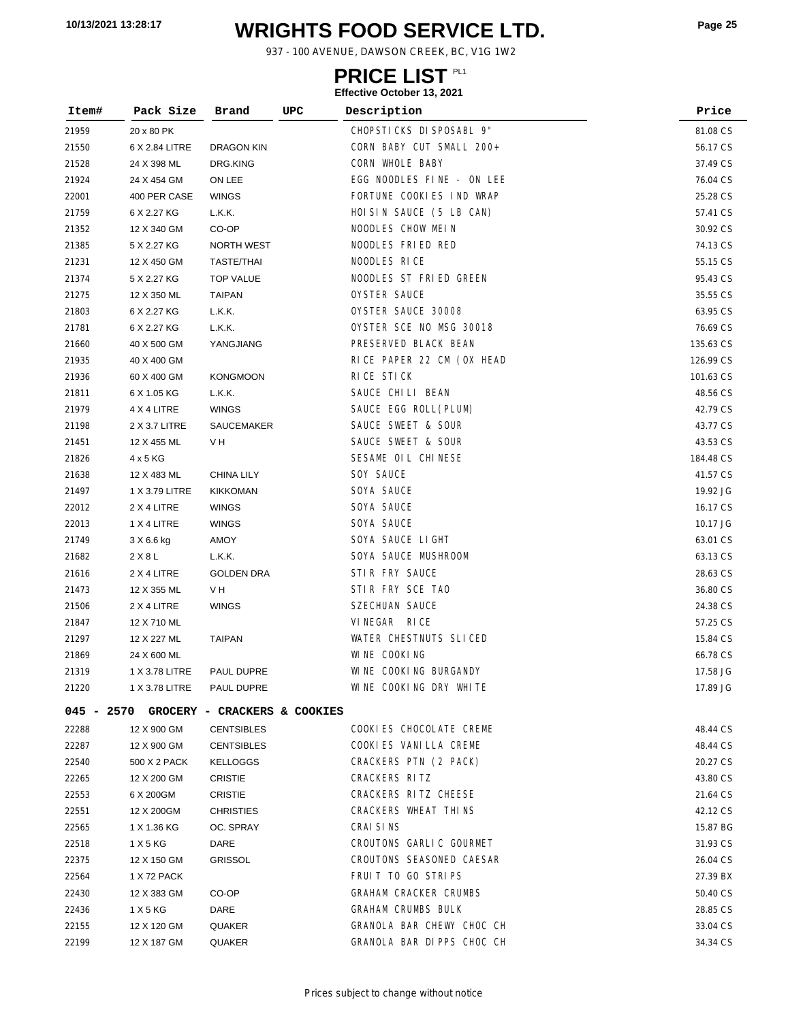# **WRIGHTS FOOD SERVICE LTD. 10/13/2021 13:28:17 Page <sup>25</sup>**

937 - 100 AVENUE, DAWSON CREEK, BC, V1G 1W2

# **PRICE LIST**

| Item#      | Pack Size      | Brand                        | UPC | Description                  | Price     |
|------------|----------------|------------------------------|-----|------------------------------|-----------|
| 21959      | 20 x 80 PK     |                              |     | CHOPSTICKS DISPOSABL 9"      | 81.08 CS  |
| 21550      | 6 X 2.84 LITRE | <b>DRAGON KIN</b>            |     | CORN BABY CUT SMALL 200+     | 56.17 CS  |
| 21528      | 24 X 398 ML    | DRG.KING                     |     | CORN WHOLE BABY              | 37.49 CS  |
| 21924      | 24 X 454 GM    | ON LEE                       |     | EGG NOODLES FINE - ON LEE    | 76.04 CS  |
| 22001      | 400 PER CASE   | <b>WINGS</b>                 |     | FORTUNE COOKIES IND WRAP     | 25.28 CS  |
| 21759      | 6 X 2.27 KG    | L.K.K.                       |     | HOISIN SAUCE (5 LB CAN)      | 57.41 CS  |
| 21352      | 12 X 340 GM    | CO-OP                        |     | NOODLES CHOW MEIN            | 30.92 CS  |
| 21385      | 5 X 2.27 KG    | <b>NORTH WEST</b>            |     | NOODLES FRIED RED            | 74.13 CS  |
| 21231      | 12 X 450 GM    | <b>TASTE/THAI</b>            |     | NOODLES RICE                 | 55.15 CS  |
| 21374      | 5 X 2.27 KG    | <b>TOP VALUE</b>             |     | NOODLES ST FRIED GREEN       | 95.43 CS  |
| 21275      | 12 X 350 ML    | <b>TAIPAN</b>                |     | OYSTER SAUCE                 | 35.55 CS  |
| 21803      | 6 X 2.27 KG    | L.K.K.                       |     | OYSTER SAUCE 30008           | 63.95 CS  |
| 21781      | 6 X 2.27 KG    | L.K.K.                       |     | OYSTER SCE NO MSG 30018      | 76.69 CS  |
| 21660      | 40 X 500 GM    | YANGJIANG                    |     | PRESERVED BLACK BEAN         | 135.63 CS |
| 21935      | 40 X 400 GM    |                              |     | RICE PAPER 22 CM (OX HEAD    | 126.99 CS |
| 21936      | 60 X 400 GM    | <b>KONGMOON</b>              |     | RICE STICK                   | 101.63 CS |
| 21811      | 6 X 1.05 KG    | L.K.K.                       |     | SAUCE CHILI BEAN             | 48.56 CS  |
| 21979      | 4 X 4 LITRE    | <b>WINGS</b>                 |     | SAUCE EGG ROLL(PLUM)         | 42.79 CS  |
| 21198      | 2 X 3.7 LITRE  | SAUCEMAKER                   |     | SAUCE SWEET & SOUR           | 43.77 CS  |
| 21451      | 12 X 455 ML    | V H                          |     | SAUCE SWEET & SOUR           | 43.53 CS  |
| 21826      | 4 x 5 KG       |                              |     | SESAME OIL CHINESE           | 184.48 CS |
| 21638      | 12 X 483 ML    | <b>CHINA LILY</b>            |     | SOY SAUCE                    | 41.57 CS  |
| 21497      | 1 X 3.79 LITRE | <b>KIKKOMAN</b>              |     | SOYA SAUCE                   | 19.92 JG  |
| 22012      | 2 X 4 LITRE    | <b>WINGS</b>                 |     | SOYA SAUCE                   | 16.17 CS  |
| 22013      | 1 X 4 LITRE    | <b>WINGS</b>                 |     | SOYA SAUCE                   | 10.17 JG  |
| 21749      | 3 X 6.6 kg     | AMOY                         |     | SOYA SAUCE LIGHT             | 63.01 CS  |
| 21682      | 2 X 8 L        | L.K.K.                       |     | SOYA SAUCE MUSHROOM          | 63.13 CS  |
| 21616      | 2 X 4 LITRE    | <b>GOLDEN DRA</b>            |     | STIR FRY SAUCE               | 28.63 CS  |
| 21473      | 12 X 355 ML    | V H                          |     | STIR FRY SCE TAO             | 36.80 CS  |
| 21506      | 2 X 4 LITRE    | <b>WINGS</b>                 |     | <b>SZECHUAN SAUCE</b>        | 24.38 CS  |
| 21847      | 12 X 710 ML    |                              |     | VINEGAR RICE                 | 57.25 CS  |
| 21297      | 12 X 227 ML    | <b>TAIPAN</b>                |     | WATER CHESTNUTS SLICED       | 15.84 CS  |
| 21869      | 24 X 600 ML    |                              |     | WINE COOKING                 | 66.78 CS  |
| 21319      | 1 X 3.78 LITRE | PAUL DUPRE                   |     | WINE COOKING BURGANDY        | 17.58 JG  |
| 21220      | 1 X 3.78 LITRE | PAUL DUPRE                   |     | WINE COOKING DRY WHITE       | 17.89 JG  |
| 045 - 2570 |                | GROCERY - CRACKERS & COOKIES |     |                              |           |
| 22288      | 12 X 900 GM    | <b>CENTSIBLES</b>            |     | COOKIES CHOCOLATE CREME      | 48.44 CS  |
| 22287      | 12 X 900 GM    | <b>CENTSIBLES</b>            |     | COOKIES VANILLA CREME        | 48.44 CS  |
| 22540      | 500 X 2 PACK   | <b>KELLOGGS</b>              |     | CRACKERS PTN (2 PACK)        | 20.27 CS  |
| 22265      | 12 X 200 GM    | CRISTIE                      |     | CRACKERS RITZ                | 43.80 CS  |
| 22553      | 6 X 200GM      | <b>CRISTIE</b>               |     | CRACKERS RITZ CHEESE         | 21.64 CS  |
| 22551      | 12 X 200GM     | <b>CHRISTIES</b>             |     | CRACKERS WHEAT THINS         | 42.12 CS  |
| 22565      | 1 X 1.36 KG    | OC. SPRAY                    |     | CRAI SI NS                   | 15.87 BG  |
| 22518      | 1 X 5 KG       | DARE                         |     | CROUTONS GARLIC GOURMET      | 31.93 CS  |
| 22375      | 12 X 150 GM    | <b>GRISSOL</b>               |     | CROUTONS SEASONED CAESAR     | 26.04 CS  |
| 22564      | 1 X 72 PACK    |                              |     | FRUIT TO GO STRIPS           | 27.39 BX  |
| 22430      | 12 X 383 GM    | CO-OP                        |     | <b>GRAHAM CRACKER CRUMBS</b> | 50.40 CS  |
| 22436      | 1 X 5 KG       | DARE                         |     | <b>GRAHAM CRUMBS BULK</b>    | 28.85 CS  |
| 22155      | 12 X 120 GM    | QUAKER                       |     | GRANOLA BAR CHEWY CHOC CH    | 33.04 CS  |
| 22199      | 12 X 187 GM    | QUAKER                       |     | GRANOLA BAR DI PPS CHOC CH   | 34.34 CS  |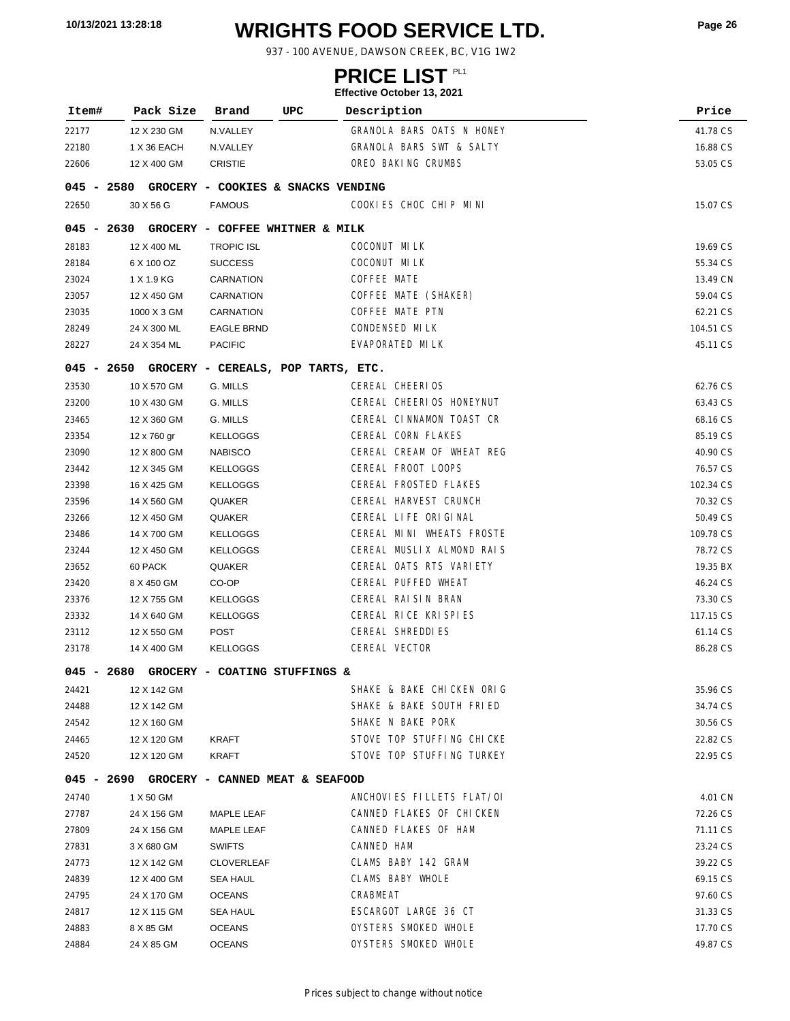# **WRIGHTS FOOD SERVICE LTD. 10/13/2021 13:28:18 Page <sup>26</sup>**

937 - 100 AVENUE, DAWSON CREEK, BC, V1G 1W2

### **PRICE LIST**

| Item#        | Pack Size   | Brand                              | UPC | Description                                  | Price                |
|--------------|-------------|------------------------------------|-----|----------------------------------------------|----------------------|
| 22177        | 12 X 230 GM | N.VALLEY                           |     | GRANOLA BARS OATS N HONEY                    | 41.78 CS             |
| 22180        | 1 X 36 EACH | N.VALLEY                           |     | GRANOLA BARS SWT & SALTY                     | 16.88 CS             |
| 22606        | 12 X 400 GM | <b>CRISTIE</b>                     |     | OREO BAKING CRUMBS                           | 53.05 CS             |
| $045 - 2580$ |             | GROCERY - COOKIES & SNACKS VENDING |     |                                              |                      |
| 22650        | 30 X 56 G   | <b>FAMOUS</b>                      |     | COOKIES CHOC CHIP MINI                       | 15.07 CS             |
| $045 - 2630$ |             | GROCERY - COFFEE WHITNER & MILK    |     |                                              |                      |
| 28183        | 12 X 400 ML | <b>TROPIC ISL</b>                  |     | COCONUT MILK                                 | 19.69 CS             |
| 28184        | 6 X 100 OZ  | <b>SUCCESS</b>                     |     | COCONUT MILK                                 | 55.34 CS             |
| 23024        | 1 X 1.9 KG  | CARNATION                          |     | COFFEE MATE                                  | 13.49 CN             |
| 23057        | 12 X 450 GM | CARNATION                          |     | COFFEE MATE (SHAKER)                         | 59.04 CS             |
| 23035        | 1000 X 3 GM | CARNATION                          |     | COFFEE MATE PTN                              | 62.21 CS             |
| 28249        | 24 X 300 ML | <b>EAGLE BRND</b>                  |     | <b>CONDENSED MILK</b>                        | 104.51 CS            |
| 28227        | 24 X 354 ML | <b>PACIFIC</b>                     |     | EVAPORATED MILK                              | 45.11 CS             |
| $045 - 2650$ |             | GROCERY - CEREALS, POP TARTS, ETC. |     |                                              |                      |
| 23530        | 10 X 570 GM | G. MILLS                           |     | CEREAL CHEERIOS                              | 62.76 CS             |
| 23200        | 10 X 430 GM | G. MILLS                           |     | CEREAL CHEERIOS HONEYNUT                     | 63.43 CS             |
| 23465        | 12 X 360 GM | G. MILLS                           |     | CEREAL CINNAMON TOAST CR                     | 68.16 CS             |
| 23354        | 12 x 760 gr | <b>KELLOGGS</b>                    |     | CEREAL CORN FLAKES                           | 85.19 CS             |
| 23090        | 12 X 800 GM | <b>NABISCO</b>                     |     | CEREAL CREAM OF WHEAT REG                    | 40.90 CS             |
| 23442        | 12 X 345 GM | <b>KELLOGGS</b>                    |     | CEREAL FROOT LOOPS                           | 76.57 CS             |
| 23398        | 16 X 425 GM | <b>KELLOGGS</b>                    |     | CEREAL FROSTED FLAKES                        | 102.34 CS            |
| 23596        | 14 X 560 GM | QUAKER                             |     | CEREAL HARVEST CRUNCH                        | 70.32 CS             |
| 23266        | 12 X 450 GM | QUAKER                             |     | CEREAL LIFE ORIGINAL                         | 50.49 CS             |
| 23486        | 14 X 700 GM | <b>KELLOGGS</b>                    |     | CEREAL MINI WHEATS FROSTE                    | 109.78 CS            |
| 23244        | 12 X 450 GM | <b>KELLOGGS</b>                    |     | CEREAL MUSLIX ALMOND RAIS                    | 78.72 CS             |
| 23652        | 60 PACK     | QUAKER                             |     | CEREAL OATS RTS VARIETY                      | 19.35 BX             |
| 23420        | 8 X 450 GM  | CO-OP                              |     | CEREAL PUFFED WHEAT                          | 46.24 CS             |
| 23376        | 12 X 755 GM | <b>KELLOGGS</b>                    |     | CEREAL RAISIN BRAN                           | 73.30 CS             |
| 23332        | 14 X 640 GM | <b>KELLOGGS</b>                    |     | CEREAL RICE KRISPIES                         | 117.15 CS            |
| 23112        | 12 X 550 GM | POST                               |     | CEREAL SHREDDI ES                            | 61.14 CS             |
| 23178        | 14 X 400 GM | <b>KELLOGGS</b>                    |     | CEREAL VECTOR                                | 86.28 CS             |
| $045 - 2680$ |             | GROCERY - COATING STUFFINGS &      |     |                                              |                      |
| 24421        | 12 X 142 GM |                                    |     | SHAKE & BAKE CHICKEN ORIG                    | 35.96 CS             |
| 24488        | 12 X 142 GM |                                    |     | SHAKE & BAKE SOUTH FRIED                     | 34.74 CS             |
| 24542        | 12 X 160 GM |                                    |     | SHAKE N BAKE PORK                            | 30.56 CS             |
| 24465        | 12 X 120 GM | KRAFT                              |     | STOVE TOP STUFFING CHICKE                    | 22.82 CS             |
| 24520        | 12 X 120 GM | KRAFT                              |     | STOVE TOP STUFFING TURKEY                    | 22.95 CS             |
| 045 - 2690   |             | GROCERY - CANNED MEAT & SEAFOOD    |     |                                              |                      |
| 24740        | 1 X 50 GM   |                                    |     | ANCHOVIES FILLETS FLAT/OI                    | 4.01 CN              |
| 27787        | 24 X 156 GM | MAPLE LEAF                         |     | CANNED FLAKES OF CHICKEN                     | 72.26 CS             |
| 27809        | 24 X 156 GM | <b>MAPLE LEAF</b>                  |     | CANNED FLAKES OF HAM                         | 71.11 CS             |
| 27831        | 3 X 680 GM  | <b>SWIFTS</b>                      |     | CANNED HAM                                   | 23.24 CS             |
| 24773        | 12 X 142 GM | <b>CLOVERLEAF</b>                  |     | CLAMS BABY 142 GRAM                          | 39.22 CS             |
| 24839        | 12 X 400 GM | SEA HAUL                           |     | <b>CLAMS BABY WHOLE</b>                      | 69.15 CS             |
| 24795        | 24 X 170 GM | <b>OCEANS</b>                      |     | CRABMEAT                                     | 97.60 CS             |
| 24817        | 12 X 115 GM | SEA HAUL                           |     | ESCARGOT LARGE 36 CT                         | 31.33 CS             |
| 24883        | 8 X 85 GM   | OCEANS                             |     | OYSTERS SMOKED WHOLE<br>OYSTERS SMOKED WHOLE | 17.70 CS<br>49.87 CS |
| 24884        | 24 X 85 GM  | <b>OCEANS</b>                      |     |                                              |                      |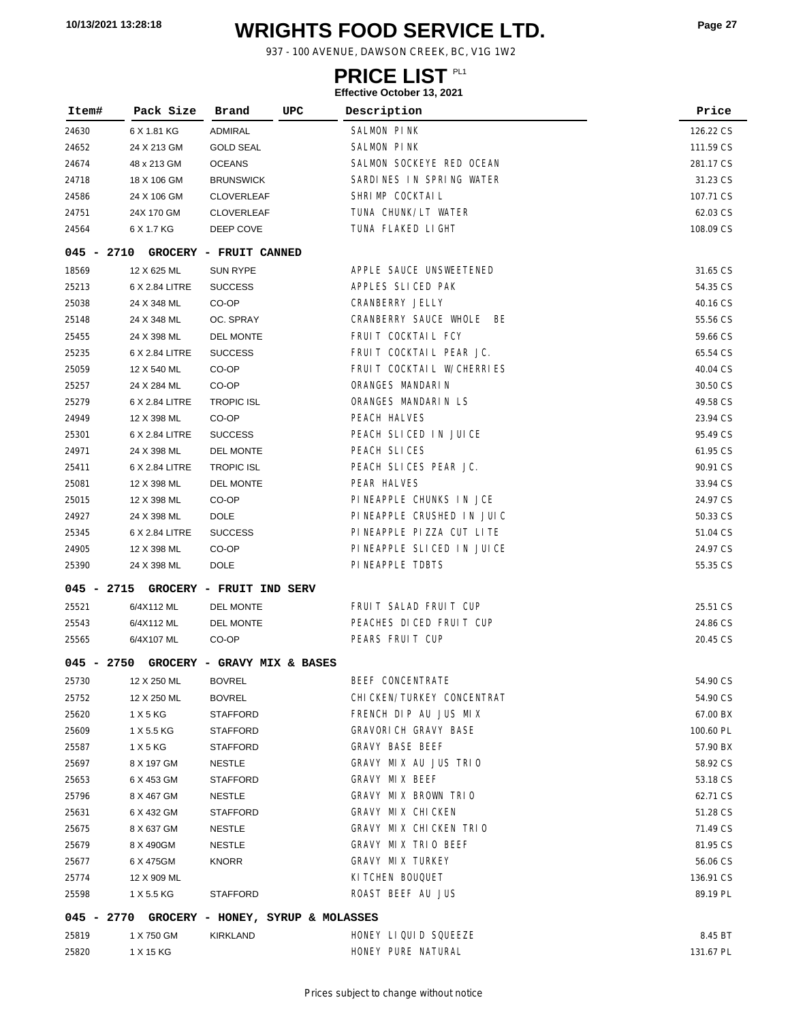# **WRIGHTS FOOD SERVICE LTD. 10/13/2021 13:28:18 Page <sup>27</sup>**

937 - 100 AVENUE, DAWSON CREEK, BC, V1G 1W2

### **PRICE LIST**

| 24630<br>ADMIRAL<br>SALMON PINK<br>126.22 CS<br>6 X 1.81 KG<br><b>SALMON PINK</b><br>24652<br>24 X 213 GM<br><b>GOLD SEAL</b><br>111.59 CS<br>SALMON SOCKEYE RED OCEAN<br><b>OCEANS</b><br>48 x 213 GM<br>281.17 CS<br>24674<br>SARDINES IN SPRING WATER<br>18 X 106 GM<br><b>BRUNSWICK</b><br>31.23 CS<br>24718<br>SHRIMP COCKTAIL<br>24 X 106 GM<br><b>CLOVERLEAF</b><br>107.71 CS<br>24586<br>TUNA CHUNK/LT WATER<br>62.03 CS<br>24751<br>24X 170 GM<br><b>CLOVERLEAF</b><br>TUNA FLAKED LIGHT<br>6 X 1.7 KG<br>DEEP COVE<br>108.09 CS<br>24564<br>$045 - 2710$<br>GROCERY - FRUIT CANNED<br>APPLE SAUCE UNSWEETENED<br><b>SUN RYPE</b><br>18569<br>12 X 625 ML<br>31.65 CS<br>APPLES SLICED PAK<br>25213<br>6 X 2.84 LITRE<br><b>SUCCESS</b><br>54.35 CS<br>CRANBERRY JELLY<br>24 X 348 ML<br>CO-OP<br>40.16 CS<br>25038<br>CRANBERRY SAUCE WHOLE BE<br>24 X 348 ML<br>OC. SPRAY<br>55.56 CS<br>25148<br>FRUIT COCKTAIL FCY<br><b>DEL MONTE</b><br>24 X 398 ML<br>59.66 CS<br>25455<br>FRUIT COCKTAIL PEAR JC.<br>25235<br>6 X 2.84 LITRE<br><b>SUCCESS</b><br>65.54 CS<br>FRUIT COCKTAIL W/CHERRIES<br>25059<br>12 X 540 ML<br>CO-OP<br>40.04 CS<br>ORANGES MANDARIN<br>CO-OP<br>30.50 CS<br>25257<br>24 X 284 ML<br>ORANGES MANDARIN LS<br><b>TROPIC ISL</b><br>25279<br>6 X 2.84 LITRE<br>49.58 CS<br>PEACH HALVES<br>24949<br>12 X 398 ML<br>CO-OP<br>23.94 CS<br>PEACH SLICED IN JUICE<br>25301<br>6 X 2.84 LITRE<br><b>SUCCESS</b><br>95.49 CS<br>PEACH SLICES<br>24971<br>24 X 398 ML<br><b>DEL MONTE</b><br>61.95 CS<br>PEACH SLICES PEAR JC.<br><b>TROPIC ISL</b><br>25411<br>6 X 2.84 LITRE<br>90.91 CS<br>PEAR HALVES<br>12 X 398 ML<br><b>DEL MONTE</b><br>33.94 CS<br>25081<br>PINEAPPLE CHUNKS IN JCE<br>12 X 398 ML<br>CO-OP<br>24.97 CS<br>25015<br>PINEAPPLE CRUSHED IN JUIC<br>24927<br>24 X 398 ML<br><b>DOLE</b><br>50.33 CS<br>PINEAPPLE PIZZA CUT LITE<br>25345<br>6 X 2.84 LITRE<br><b>SUCCESS</b><br>51.04 CS<br>PINEAPPLE SLICED IN JUICE<br>CO-OP<br>24905<br>12 X 398 ML<br>24.97 CS<br>PINEAPPLE TDBTS<br>24 X 398 ML<br><b>DOLE</b><br>55.35 CS<br>25390<br>$045 - 2715$<br>GROCERY - FRUIT IND SERV<br>FRUIT SALAD FRUIT CUP<br>25521<br>6/4X112 ML<br><b>DEL MONTE</b><br>25.51 CS<br>PEACHES DICED FRUIT CUP<br>25543<br>6/4X112 ML<br><b>DEL MONTE</b><br>24.86 CS<br>PEARS FRUIT CUP<br>6/4X107 ML<br>CO-OP<br>20.45 CS<br>25565<br>045 - 2750<br>GROCERY - GRAVY MIX & BASES<br>BEEF CONCENTRATE<br>25730<br>12 X 250 ML<br><b>BOVREL</b><br>54.90 CS<br>CHI CKEN/TURKEY CONCENTRAT<br>12 X 250 ML<br><b>BOVREL</b><br>54.90 CS<br>25752<br>FRENCH DIP AU JUS MIX<br>1 X 5 KG<br><b>STAFFORD</b><br>25620<br>67.00 BX<br><b>GRAVORICH GRAVY BASE</b><br>1 X 5.5 KG<br>STAFFORD<br>100.60 PL<br>25609<br><b>GRAVY BASE BEEF</b><br>1 X 5 KG<br><b>STAFFORD</b><br>57.90 BX<br>25587<br>GRAVY MIX AU JUS TRIO<br>8 X 197 GM<br><b>NESTLE</b><br>58.92 CS<br>25697<br>GRAVY MIX BEEF<br><b>STAFFORD</b><br>53.18 CS<br>25653<br>6 X 453 GM<br>GRAVY MIX BROWN TRIO<br>25796<br>8 X 467 GM<br><b>NESTLE</b><br>62.71 CS<br>GRAVY MIX CHICKEN<br><b>STAFFORD</b><br>51.28 CS<br>25631<br>6 X 432 GM<br>GRAVY MIX CHICKEN TRIO<br>8 X 637 GM<br><b>NESTLE</b><br>71.49 CS<br>25675<br>GRAVY MIX TRIO BEEF<br><b>NESTLE</b><br>25679<br>8 X 490GM<br>81.95 CS<br><b>GRAVY MIX TURKEY</b><br>25677<br>6 X 475GM<br><b>KNORR</b><br>56.06 CS<br>KI TCHEN BOUQUET<br>136.91 CS<br>25774<br>12 X 909 ML<br>ROAST BEEF AU JUS<br>1 X 5.5 KG<br><b>STAFFORD</b><br>89.19 PL<br>25598<br>$045 - 2770$<br>GROCERY - HONEY, SYRUP & MOLASSES<br>HONEY LIQUID SQUEEZE<br>1 X 750 GM<br>KIRKLAND<br>8.45 BT<br>25819<br>HONEY PURE NATURAL<br>25820<br>1 X 15 KG<br>131.67 PL | Item# | Pack Size | Brand<br>UPC | Description | Price |
|----------------------------------------------------------------------------------------------------------------------------------------------------------------------------------------------------------------------------------------------------------------------------------------------------------------------------------------------------------------------------------------------------------------------------------------------------------------------------------------------------------------------------------------------------------------------------------------------------------------------------------------------------------------------------------------------------------------------------------------------------------------------------------------------------------------------------------------------------------------------------------------------------------------------------------------------------------------------------------------------------------------------------------------------------------------------------------------------------------------------------------------------------------------------------------------------------------------------------------------------------------------------------------------------------------------------------------------------------------------------------------------------------------------------------------------------------------------------------------------------------------------------------------------------------------------------------------------------------------------------------------------------------------------------------------------------------------------------------------------------------------------------------------------------------------------------------------------------------------------------------------------------------------------------------------------------------------------------------------------------------------------------------------------------------------------------------------------------------------------------------------------------------------------------------------------------------------------------------------------------------------------------------------------------------------------------------------------------------------------------------------------------------------------------------------------------------------------------------------------------------------------------------------------------------------------------------------------------------------------------------------------------------------------------------------------------------------------------------------------------------------------------------------------------------------------------------------------------------------------------------------------------------------------------------------------------------------------------------------------------------------------------------------------------------------------------------------------------------------------------------------------------------------------------------------------------------------------------------------------------------------------------------------------------------------------------------------------------------------------------------------------------------------------------------------------------------------------------------------------------------------------------------------------------------------------------------------------------------------------------------------------------------------------------------------------------------|-------|-----------|--------------|-------------|-------|
|                                                                                                                                                                                                                                                                                                                                                                                                                                                                                                                                                                                                                                                                                                                                                                                                                                                                                                                                                                                                                                                                                                                                                                                                                                                                                                                                                                                                                                                                                                                                                                                                                                                                                                                                                                                                                                                                                                                                                                                                                                                                                                                                                                                                                                                                                                                                                                                                                                                                                                                                                                                                                                                                                                                                                                                                                                                                                                                                                                                                                                                                                                                                                                                                                                                                                                                                                                                                                                                                                                                                                                                                                                                                                                    |       |           |              |             |       |
|                                                                                                                                                                                                                                                                                                                                                                                                                                                                                                                                                                                                                                                                                                                                                                                                                                                                                                                                                                                                                                                                                                                                                                                                                                                                                                                                                                                                                                                                                                                                                                                                                                                                                                                                                                                                                                                                                                                                                                                                                                                                                                                                                                                                                                                                                                                                                                                                                                                                                                                                                                                                                                                                                                                                                                                                                                                                                                                                                                                                                                                                                                                                                                                                                                                                                                                                                                                                                                                                                                                                                                                                                                                                                                    |       |           |              |             |       |
|                                                                                                                                                                                                                                                                                                                                                                                                                                                                                                                                                                                                                                                                                                                                                                                                                                                                                                                                                                                                                                                                                                                                                                                                                                                                                                                                                                                                                                                                                                                                                                                                                                                                                                                                                                                                                                                                                                                                                                                                                                                                                                                                                                                                                                                                                                                                                                                                                                                                                                                                                                                                                                                                                                                                                                                                                                                                                                                                                                                                                                                                                                                                                                                                                                                                                                                                                                                                                                                                                                                                                                                                                                                                                                    |       |           |              |             |       |
|                                                                                                                                                                                                                                                                                                                                                                                                                                                                                                                                                                                                                                                                                                                                                                                                                                                                                                                                                                                                                                                                                                                                                                                                                                                                                                                                                                                                                                                                                                                                                                                                                                                                                                                                                                                                                                                                                                                                                                                                                                                                                                                                                                                                                                                                                                                                                                                                                                                                                                                                                                                                                                                                                                                                                                                                                                                                                                                                                                                                                                                                                                                                                                                                                                                                                                                                                                                                                                                                                                                                                                                                                                                                                                    |       |           |              |             |       |
|                                                                                                                                                                                                                                                                                                                                                                                                                                                                                                                                                                                                                                                                                                                                                                                                                                                                                                                                                                                                                                                                                                                                                                                                                                                                                                                                                                                                                                                                                                                                                                                                                                                                                                                                                                                                                                                                                                                                                                                                                                                                                                                                                                                                                                                                                                                                                                                                                                                                                                                                                                                                                                                                                                                                                                                                                                                                                                                                                                                                                                                                                                                                                                                                                                                                                                                                                                                                                                                                                                                                                                                                                                                                                                    |       |           |              |             |       |
|                                                                                                                                                                                                                                                                                                                                                                                                                                                                                                                                                                                                                                                                                                                                                                                                                                                                                                                                                                                                                                                                                                                                                                                                                                                                                                                                                                                                                                                                                                                                                                                                                                                                                                                                                                                                                                                                                                                                                                                                                                                                                                                                                                                                                                                                                                                                                                                                                                                                                                                                                                                                                                                                                                                                                                                                                                                                                                                                                                                                                                                                                                                                                                                                                                                                                                                                                                                                                                                                                                                                                                                                                                                                                                    |       |           |              |             |       |
|                                                                                                                                                                                                                                                                                                                                                                                                                                                                                                                                                                                                                                                                                                                                                                                                                                                                                                                                                                                                                                                                                                                                                                                                                                                                                                                                                                                                                                                                                                                                                                                                                                                                                                                                                                                                                                                                                                                                                                                                                                                                                                                                                                                                                                                                                                                                                                                                                                                                                                                                                                                                                                                                                                                                                                                                                                                                                                                                                                                                                                                                                                                                                                                                                                                                                                                                                                                                                                                                                                                                                                                                                                                                                                    |       |           |              |             |       |
|                                                                                                                                                                                                                                                                                                                                                                                                                                                                                                                                                                                                                                                                                                                                                                                                                                                                                                                                                                                                                                                                                                                                                                                                                                                                                                                                                                                                                                                                                                                                                                                                                                                                                                                                                                                                                                                                                                                                                                                                                                                                                                                                                                                                                                                                                                                                                                                                                                                                                                                                                                                                                                                                                                                                                                                                                                                                                                                                                                                                                                                                                                                                                                                                                                                                                                                                                                                                                                                                                                                                                                                                                                                                                                    |       |           |              |             |       |
|                                                                                                                                                                                                                                                                                                                                                                                                                                                                                                                                                                                                                                                                                                                                                                                                                                                                                                                                                                                                                                                                                                                                                                                                                                                                                                                                                                                                                                                                                                                                                                                                                                                                                                                                                                                                                                                                                                                                                                                                                                                                                                                                                                                                                                                                                                                                                                                                                                                                                                                                                                                                                                                                                                                                                                                                                                                                                                                                                                                                                                                                                                                                                                                                                                                                                                                                                                                                                                                                                                                                                                                                                                                                                                    |       |           |              |             |       |
|                                                                                                                                                                                                                                                                                                                                                                                                                                                                                                                                                                                                                                                                                                                                                                                                                                                                                                                                                                                                                                                                                                                                                                                                                                                                                                                                                                                                                                                                                                                                                                                                                                                                                                                                                                                                                                                                                                                                                                                                                                                                                                                                                                                                                                                                                                                                                                                                                                                                                                                                                                                                                                                                                                                                                                                                                                                                                                                                                                                                                                                                                                                                                                                                                                                                                                                                                                                                                                                                                                                                                                                                                                                                                                    |       |           |              |             |       |
|                                                                                                                                                                                                                                                                                                                                                                                                                                                                                                                                                                                                                                                                                                                                                                                                                                                                                                                                                                                                                                                                                                                                                                                                                                                                                                                                                                                                                                                                                                                                                                                                                                                                                                                                                                                                                                                                                                                                                                                                                                                                                                                                                                                                                                                                                                                                                                                                                                                                                                                                                                                                                                                                                                                                                                                                                                                                                                                                                                                                                                                                                                                                                                                                                                                                                                                                                                                                                                                                                                                                                                                                                                                                                                    |       |           |              |             |       |
|                                                                                                                                                                                                                                                                                                                                                                                                                                                                                                                                                                                                                                                                                                                                                                                                                                                                                                                                                                                                                                                                                                                                                                                                                                                                                                                                                                                                                                                                                                                                                                                                                                                                                                                                                                                                                                                                                                                                                                                                                                                                                                                                                                                                                                                                                                                                                                                                                                                                                                                                                                                                                                                                                                                                                                                                                                                                                                                                                                                                                                                                                                                                                                                                                                                                                                                                                                                                                                                                                                                                                                                                                                                                                                    |       |           |              |             |       |
|                                                                                                                                                                                                                                                                                                                                                                                                                                                                                                                                                                                                                                                                                                                                                                                                                                                                                                                                                                                                                                                                                                                                                                                                                                                                                                                                                                                                                                                                                                                                                                                                                                                                                                                                                                                                                                                                                                                                                                                                                                                                                                                                                                                                                                                                                                                                                                                                                                                                                                                                                                                                                                                                                                                                                                                                                                                                                                                                                                                                                                                                                                                                                                                                                                                                                                                                                                                                                                                                                                                                                                                                                                                                                                    |       |           |              |             |       |
|                                                                                                                                                                                                                                                                                                                                                                                                                                                                                                                                                                                                                                                                                                                                                                                                                                                                                                                                                                                                                                                                                                                                                                                                                                                                                                                                                                                                                                                                                                                                                                                                                                                                                                                                                                                                                                                                                                                                                                                                                                                                                                                                                                                                                                                                                                                                                                                                                                                                                                                                                                                                                                                                                                                                                                                                                                                                                                                                                                                                                                                                                                                                                                                                                                                                                                                                                                                                                                                                                                                                                                                                                                                                                                    |       |           |              |             |       |
|                                                                                                                                                                                                                                                                                                                                                                                                                                                                                                                                                                                                                                                                                                                                                                                                                                                                                                                                                                                                                                                                                                                                                                                                                                                                                                                                                                                                                                                                                                                                                                                                                                                                                                                                                                                                                                                                                                                                                                                                                                                                                                                                                                                                                                                                                                                                                                                                                                                                                                                                                                                                                                                                                                                                                                                                                                                                                                                                                                                                                                                                                                                                                                                                                                                                                                                                                                                                                                                                                                                                                                                                                                                                                                    |       |           |              |             |       |
|                                                                                                                                                                                                                                                                                                                                                                                                                                                                                                                                                                                                                                                                                                                                                                                                                                                                                                                                                                                                                                                                                                                                                                                                                                                                                                                                                                                                                                                                                                                                                                                                                                                                                                                                                                                                                                                                                                                                                                                                                                                                                                                                                                                                                                                                                                                                                                                                                                                                                                                                                                                                                                                                                                                                                                                                                                                                                                                                                                                                                                                                                                                                                                                                                                                                                                                                                                                                                                                                                                                                                                                                                                                                                                    |       |           |              |             |       |
|                                                                                                                                                                                                                                                                                                                                                                                                                                                                                                                                                                                                                                                                                                                                                                                                                                                                                                                                                                                                                                                                                                                                                                                                                                                                                                                                                                                                                                                                                                                                                                                                                                                                                                                                                                                                                                                                                                                                                                                                                                                                                                                                                                                                                                                                                                                                                                                                                                                                                                                                                                                                                                                                                                                                                                                                                                                                                                                                                                                                                                                                                                                                                                                                                                                                                                                                                                                                                                                                                                                                                                                                                                                                                                    |       |           |              |             |       |
|                                                                                                                                                                                                                                                                                                                                                                                                                                                                                                                                                                                                                                                                                                                                                                                                                                                                                                                                                                                                                                                                                                                                                                                                                                                                                                                                                                                                                                                                                                                                                                                                                                                                                                                                                                                                                                                                                                                                                                                                                                                                                                                                                                                                                                                                                                                                                                                                                                                                                                                                                                                                                                                                                                                                                                                                                                                                                                                                                                                                                                                                                                                                                                                                                                                                                                                                                                                                                                                                                                                                                                                                                                                                                                    |       |           |              |             |       |
|                                                                                                                                                                                                                                                                                                                                                                                                                                                                                                                                                                                                                                                                                                                                                                                                                                                                                                                                                                                                                                                                                                                                                                                                                                                                                                                                                                                                                                                                                                                                                                                                                                                                                                                                                                                                                                                                                                                                                                                                                                                                                                                                                                                                                                                                                                                                                                                                                                                                                                                                                                                                                                                                                                                                                                                                                                                                                                                                                                                                                                                                                                                                                                                                                                                                                                                                                                                                                                                                                                                                                                                                                                                                                                    |       |           |              |             |       |
|                                                                                                                                                                                                                                                                                                                                                                                                                                                                                                                                                                                                                                                                                                                                                                                                                                                                                                                                                                                                                                                                                                                                                                                                                                                                                                                                                                                                                                                                                                                                                                                                                                                                                                                                                                                                                                                                                                                                                                                                                                                                                                                                                                                                                                                                                                                                                                                                                                                                                                                                                                                                                                                                                                                                                                                                                                                                                                                                                                                                                                                                                                                                                                                                                                                                                                                                                                                                                                                                                                                                                                                                                                                                                                    |       |           |              |             |       |
|                                                                                                                                                                                                                                                                                                                                                                                                                                                                                                                                                                                                                                                                                                                                                                                                                                                                                                                                                                                                                                                                                                                                                                                                                                                                                                                                                                                                                                                                                                                                                                                                                                                                                                                                                                                                                                                                                                                                                                                                                                                                                                                                                                                                                                                                                                                                                                                                                                                                                                                                                                                                                                                                                                                                                                                                                                                                                                                                                                                                                                                                                                                                                                                                                                                                                                                                                                                                                                                                                                                                                                                                                                                                                                    |       |           |              |             |       |
|                                                                                                                                                                                                                                                                                                                                                                                                                                                                                                                                                                                                                                                                                                                                                                                                                                                                                                                                                                                                                                                                                                                                                                                                                                                                                                                                                                                                                                                                                                                                                                                                                                                                                                                                                                                                                                                                                                                                                                                                                                                                                                                                                                                                                                                                                                                                                                                                                                                                                                                                                                                                                                                                                                                                                                                                                                                                                                                                                                                                                                                                                                                                                                                                                                                                                                                                                                                                                                                                                                                                                                                                                                                                                                    |       |           |              |             |       |
|                                                                                                                                                                                                                                                                                                                                                                                                                                                                                                                                                                                                                                                                                                                                                                                                                                                                                                                                                                                                                                                                                                                                                                                                                                                                                                                                                                                                                                                                                                                                                                                                                                                                                                                                                                                                                                                                                                                                                                                                                                                                                                                                                                                                                                                                                                                                                                                                                                                                                                                                                                                                                                                                                                                                                                                                                                                                                                                                                                                                                                                                                                                                                                                                                                                                                                                                                                                                                                                                                                                                                                                                                                                                                                    |       |           |              |             |       |
|                                                                                                                                                                                                                                                                                                                                                                                                                                                                                                                                                                                                                                                                                                                                                                                                                                                                                                                                                                                                                                                                                                                                                                                                                                                                                                                                                                                                                                                                                                                                                                                                                                                                                                                                                                                                                                                                                                                                                                                                                                                                                                                                                                                                                                                                                                                                                                                                                                                                                                                                                                                                                                                                                                                                                                                                                                                                                                                                                                                                                                                                                                                                                                                                                                                                                                                                                                                                                                                                                                                                                                                                                                                                                                    |       |           |              |             |       |
|                                                                                                                                                                                                                                                                                                                                                                                                                                                                                                                                                                                                                                                                                                                                                                                                                                                                                                                                                                                                                                                                                                                                                                                                                                                                                                                                                                                                                                                                                                                                                                                                                                                                                                                                                                                                                                                                                                                                                                                                                                                                                                                                                                                                                                                                                                                                                                                                                                                                                                                                                                                                                                                                                                                                                                                                                                                                                                                                                                                                                                                                                                                                                                                                                                                                                                                                                                                                                                                                                                                                                                                                                                                                                                    |       |           |              |             |       |
|                                                                                                                                                                                                                                                                                                                                                                                                                                                                                                                                                                                                                                                                                                                                                                                                                                                                                                                                                                                                                                                                                                                                                                                                                                                                                                                                                                                                                                                                                                                                                                                                                                                                                                                                                                                                                                                                                                                                                                                                                                                                                                                                                                                                                                                                                                                                                                                                                                                                                                                                                                                                                                                                                                                                                                                                                                                                                                                                                                                                                                                                                                                                                                                                                                                                                                                                                                                                                                                                                                                                                                                                                                                                                                    |       |           |              |             |       |
|                                                                                                                                                                                                                                                                                                                                                                                                                                                                                                                                                                                                                                                                                                                                                                                                                                                                                                                                                                                                                                                                                                                                                                                                                                                                                                                                                                                                                                                                                                                                                                                                                                                                                                                                                                                                                                                                                                                                                                                                                                                                                                                                                                                                                                                                                                                                                                                                                                                                                                                                                                                                                                                                                                                                                                                                                                                                                                                                                                                                                                                                                                                                                                                                                                                                                                                                                                                                                                                                                                                                                                                                                                                                                                    |       |           |              |             |       |
|                                                                                                                                                                                                                                                                                                                                                                                                                                                                                                                                                                                                                                                                                                                                                                                                                                                                                                                                                                                                                                                                                                                                                                                                                                                                                                                                                                                                                                                                                                                                                                                                                                                                                                                                                                                                                                                                                                                                                                                                                                                                                                                                                                                                                                                                                                                                                                                                                                                                                                                                                                                                                                                                                                                                                                                                                                                                                                                                                                                                                                                                                                                                                                                                                                                                                                                                                                                                                                                                                                                                                                                                                                                                                                    |       |           |              |             |       |
|                                                                                                                                                                                                                                                                                                                                                                                                                                                                                                                                                                                                                                                                                                                                                                                                                                                                                                                                                                                                                                                                                                                                                                                                                                                                                                                                                                                                                                                                                                                                                                                                                                                                                                                                                                                                                                                                                                                                                                                                                                                                                                                                                                                                                                                                                                                                                                                                                                                                                                                                                                                                                                                                                                                                                                                                                                                                                                                                                                                                                                                                                                                                                                                                                                                                                                                                                                                                                                                                                                                                                                                                                                                                                                    |       |           |              |             |       |
|                                                                                                                                                                                                                                                                                                                                                                                                                                                                                                                                                                                                                                                                                                                                                                                                                                                                                                                                                                                                                                                                                                                                                                                                                                                                                                                                                                                                                                                                                                                                                                                                                                                                                                                                                                                                                                                                                                                                                                                                                                                                                                                                                                                                                                                                                                                                                                                                                                                                                                                                                                                                                                                                                                                                                                                                                                                                                                                                                                                                                                                                                                                                                                                                                                                                                                                                                                                                                                                                                                                                                                                                                                                                                                    |       |           |              |             |       |
|                                                                                                                                                                                                                                                                                                                                                                                                                                                                                                                                                                                                                                                                                                                                                                                                                                                                                                                                                                                                                                                                                                                                                                                                                                                                                                                                                                                                                                                                                                                                                                                                                                                                                                                                                                                                                                                                                                                                                                                                                                                                                                                                                                                                                                                                                                                                                                                                                                                                                                                                                                                                                                                                                                                                                                                                                                                                                                                                                                                                                                                                                                                                                                                                                                                                                                                                                                                                                                                                                                                                                                                                                                                                                                    |       |           |              |             |       |
|                                                                                                                                                                                                                                                                                                                                                                                                                                                                                                                                                                                                                                                                                                                                                                                                                                                                                                                                                                                                                                                                                                                                                                                                                                                                                                                                                                                                                                                                                                                                                                                                                                                                                                                                                                                                                                                                                                                                                                                                                                                                                                                                                                                                                                                                                                                                                                                                                                                                                                                                                                                                                                                                                                                                                                                                                                                                                                                                                                                                                                                                                                                                                                                                                                                                                                                                                                                                                                                                                                                                                                                                                                                                                                    |       |           |              |             |       |
|                                                                                                                                                                                                                                                                                                                                                                                                                                                                                                                                                                                                                                                                                                                                                                                                                                                                                                                                                                                                                                                                                                                                                                                                                                                                                                                                                                                                                                                                                                                                                                                                                                                                                                                                                                                                                                                                                                                                                                                                                                                                                                                                                                                                                                                                                                                                                                                                                                                                                                                                                                                                                                                                                                                                                                                                                                                                                                                                                                                                                                                                                                                                                                                                                                                                                                                                                                                                                                                                                                                                                                                                                                                                                                    |       |           |              |             |       |
|                                                                                                                                                                                                                                                                                                                                                                                                                                                                                                                                                                                                                                                                                                                                                                                                                                                                                                                                                                                                                                                                                                                                                                                                                                                                                                                                                                                                                                                                                                                                                                                                                                                                                                                                                                                                                                                                                                                                                                                                                                                                                                                                                                                                                                                                                                                                                                                                                                                                                                                                                                                                                                                                                                                                                                                                                                                                                                                                                                                                                                                                                                                                                                                                                                                                                                                                                                                                                                                                                                                                                                                                                                                                                                    |       |           |              |             |       |
|                                                                                                                                                                                                                                                                                                                                                                                                                                                                                                                                                                                                                                                                                                                                                                                                                                                                                                                                                                                                                                                                                                                                                                                                                                                                                                                                                                                                                                                                                                                                                                                                                                                                                                                                                                                                                                                                                                                                                                                                                                                                                                                                                                                                                                                                                                                                                                                                                                                                                                                                                                                                                                                                                                                                                                                                                                                                                                                                                                                                                                                                                                                                                                                                                                                                                                                                                                                                                                                                                                                                                                                                                                                                                                    |       |           |              |             |       |
|                                                                                                                                                                                                                                                                                                                                                                                                                                                                                                                                                                                                                                                                                                                                                                                                                                                                                                                                                                                                                                                                                                                                                                                                                                                                                                                                                                                                                                                                                                                                                                                                                                                                                                                                                                                                                                                                                                                                                                                                                                                                                                                                                                                                                                                                                                                                                                                                                                                                                                                                                                                                                                                                                                                                                                                                                                                                                                                                                                                                                                                                                                                                                                                                                                                                                                                                                                                                                                                                                                                                                                                                                                                                                                    |       |           |              |             |       |
|                                                                                                                                                                                                                                                                                                                                                                                                                                                                                                                                                                                                                                                                                                                                                                                                                                                                                                                                                                                                                                                                                                                                                                                                                                                                                                                                                                                                                                                                                                                                                                                                                                                                                                                                                                                                                                                                                                                                                                                                                                                                                                                                                                                                                                                                                                                                                                                                                                                                                                                                                                                                                                                                                                                                                                                                                                                                                                                                                                                                                                                                                                                                                                                                                                                                                                                                                                                                                                                                                                                                                                                                                                                                                                    |       |           |              |             |       |
|                                                                                                                                                                                                                                                                                                                                                                                                                                                                                                                                                                                                                                                                                                                                                                                                                                                                                                                                                                                                                                                                                                                                                                                                                                                                                                                                                                                                                                                                                                                                                                                                                                                                                                                                                                                                                                                                                                                                                                                                                                                                                                                                                                                                                                                                                                                                                                                                                                                                                                                                                                                                                                                                                                                                                                                                                                                                                                                                                                                                                                                                                                                                                                                                                                                                                                                                                                                                                                                                                                                                                                                                                                                                                                    |       |           |              |             |       |
|                                                                                                                                                                                                                                                                                                                                                                                                                                                                                                                                                                                                                                                                                                                                                                                                                                                                                                                                                                                                                                                                                                                                                                                                                                                                                                                                                                                                                                                                                                                                                                                                                                                                                                                                                                                                                                                                                                                                                                                                                                                                                                                                                                                                                                                                                                                                                                                                                                                                                                                                                                                                                                                                                                                                                                                                                                                                                                                                                                                                                                                                                                                                                                                                                                                                                                                                                                                                                                                                                                                                                                                                                                                                                                    |       |           |              |             |       |
|                                                                                                                                                                                                                                                                                                                                                                                                                                                                                                                                                                                                                                                                                                                                                                                                                                                                                                                                                                                                                                                                                                                                                                                                                                                                                                                                                                                                                                                                                                                                                                                                                                                                                                                                                                                                                                                                                                                                                                                                                                                                                                                                                                                                                                                                                                                                                                                                                                                                                                                                                                                                                                                                                                                                                                                                                                                                                                                                                                                                                                                                                                                                                                                                                                                                                                                                                                                                                                                                                                                                                                                                                                                                                                    |       |           |              |             |       |
|                                                                                                                                                                                                                                                                                                                                                                                                                                                                                                                                                                                                                                                                                                                                                                                                                                                                                                                                                                                                                                                                                                                                                                                                                                                                                                                                                                                                                                                                                                                                                                                                                                                                                                                                                                                                                                                                                                                                                                                                                                                                                                                                                                                                                                                                                                                                                                                                                                                                                                                                                                                                                                                                                                                                                                                                                                                                                                                                                                                                                                                                                                                                                                                                                                                                                                                                                                                                                                                                                                                                                                                                                                                                                                    |       |           |              |             |       |
|                                                                                                                                                                                                                                                                                                                                                                                                                                                                                                                                                                                                                                                                                                                                                                                                                                                                                                                                                                                                                                                                                                                                                                                                                                                                                                                                                                                                                                                                                                                                                                                                                                                                                                                                                                                                                                                                                                                                                                                                                                                                                                                                                                                                                                                                                                                                                                                                                                                                                                                                                                                                                                                                                                                                                                                                                                                                                                                                                                                                                                                                                                                                                                                                                                                                                                                                                                                                                                                                                                                                                                                                                                                                                                    |       |           |              |             |       |
|                                                                                                                                                                                                                                                                                                                                                                                                                                                                                                                                                                                                                                                                                                                                                                                                                                                                                                                                                                                                                                                                                                                                                                                                                                                                                                                                                                                                                                                                                                                                                                                                                                                                                                                                                                                                                                                                                                                                                                                                                                                                                                                                                                                                                                                                                                                                                                                                                                                                                                                                                                                                                                                                                                                                                                                                                                                                                                                                                                                                                                                                                                                                                                                                                                                                                                                                                                                                                                                                                                                                                                                                                                                                                                    |       |           |              |             |       |
|                                                                                                                                                                                                                                                                                                                                                                                                                                                                                                                                                                                                                                                                                                                                                                                                                                                                                                                                                                                                                                                                                                                                                                                                                                                                                                                                                                                                                                                                                                                                                                                                                                                                                                                                                                                                                                                                                                                                                                                                                                                                                                                                                                                                                                                                                                                                                                                                                                                                                                                                                                                                                                                                                                                                                                                                                                                                                                                                                                                                                                                                                                                                                                                                                                                                                                                                                                                                                                                                                                                                                                                                                                                                                                    |       |           |              |             |       |
|                                                                                                                                                                                                                                                                                                                                                                                                                                                                                                                                                                                                                                                                                                                                                                                                                                                                                                                                                                                                                                                                                                                                                                                                                                                                                                                                                                                                                                                                                                                                                                                                                                                                                                                                                                                                                                                                                                                                                                                                                                                                                                                                                                                                                                                                                                                                                                                                                                                                                                                                                                                                                                                                                                                                                                                                                                                                                                                                                                                                                                                                                                                                                                                                                                                                                                                                                                                                                                                                                                                                                                                                                                                                                                    |       |           |              |             |       |
|                                                                                                                                                                                                                                                                                                                                                                                                                                                                                                                                                                                                                                                                                                                                                                                                                                                                                                                                                                                                                                                                                                                                                                                                                                                                                                                                                                                                                                                                                                                                                                                                                                                                                                                                                                                                                                                                                                                                                                                                                                                                                                                                                                                                                                                                                                                                                                                                                                                                                                                                                                                                                                                                                                                                                                                                                                                                                                                                                                                                                                                                                                                                                                                                                                                                                                                                                                                                                                                                                                                                                                                                                                                                                                    |       |           |              |             |       |
|                                                                                                                                                                                                                                                                                                                                                                                                                                                                                                                                                                                                                                                                                                                                                                                                                                                                                                                                                                                                                                                                                                                                                                                                                                                                                                                                                                                                                                                                                                                                                                                                                                                                                                                                                                                                                                                                                                                                                                                                                                                                                                                                                                                                                                                                                                                                                                                                                                                                                                                                                                                                                                                                                                                                                                                                                                                                                                                                                                                                                                                                                                                                                                                                                                                                                                                                                                                                                                                                                                                                                                                                                                                                                                    |       |           |              |             |       |
|                                                                                                                                                                                                                                                                                                                                                                                                                                                                                                                                                                                                                                                                                                                                                                                                                                                                                                                                                                                                                                                                                                                                                                                                                                                                                                                                                                                                                                                                                                                                                                                                                                                                                                                                                                                                                                                                                                                                                                                                                                                                                                                                                                                                                                                                                                                                                                                                                                                                                                                                                                                                                                                                                                                                                                                                                                                                                                                                                                                                                                                                                                                                                                                                                                                                                                                                                                                                                                                                                                                                                                                                                                                                                                    |       |           |              |             |       |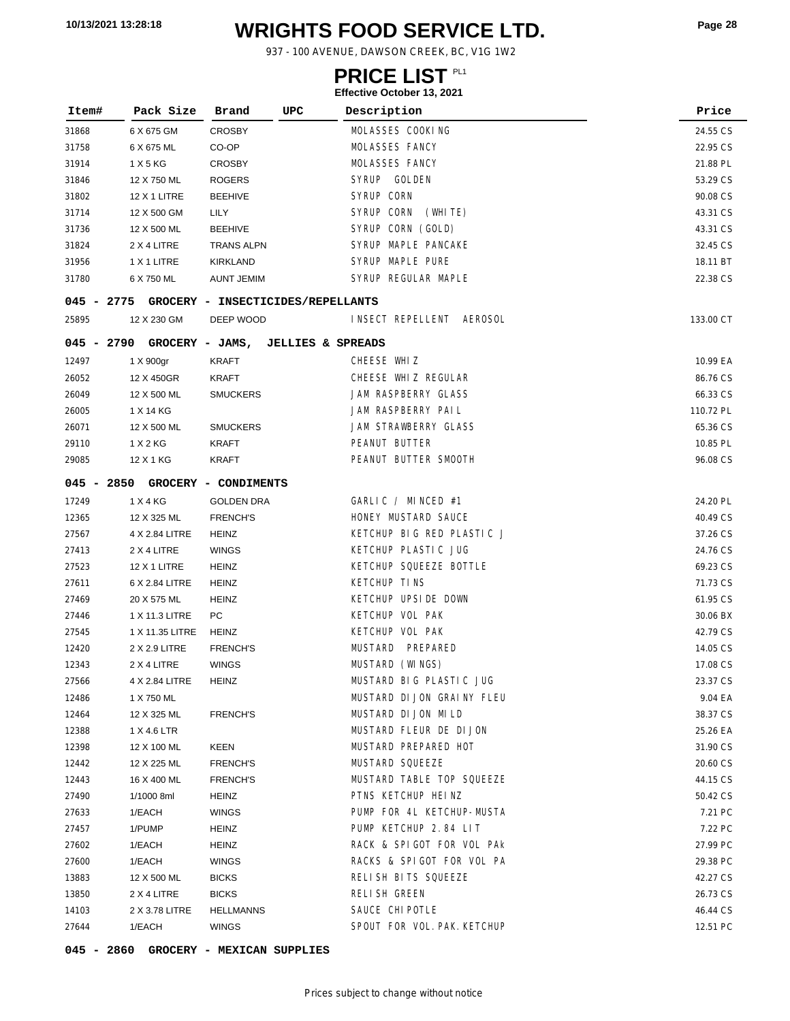# **WRIGHTS FOOD SERVICE LTD. 10/13/2021 13:28:18 Page <sup>28</sup>**

937 - 100 AVENUE, DAWSON CREEK, BC, V1G 1W2

### **PRICE LIST**

#### **Effective October 13, 2021**

| Item#        | Pack Size           | Brand                             | UPC                          | Description                 | Price     |
|--------------|---------------------|-----------------------------------|------------------------------|-----------------------------|-----------|
| 31868        | 6 X 675 GM          | <b>CROSBY</b>                     |                              | MOLASSES COOKING            | 24.55 CS  |
| 31758        | 6 X 675 ML          | CO-OP                             |                              | MOLASSES FANCY              | 22.95 CS  |
| 31914        | 1 X 5 KG            | <b>CROSBY</b>                     |                              | MOLASSES FANCY              | 21.88 PL  |
| 31846        | 12 X 750 ML         | <b>ROGERS</b>                     |                              | SYRUP GOLDEN                | 53.29 CS  |
| 31802        | <b>12 X 1 LITRE</b> | <b>BEEHIVE</b>                    |                              | SYRUP CORN                  | 90.08 CS  |
| 31714        | 12 X 500 GM         | LILY                              |                              | SYRUP CORN<br>(WHITE)       | 43.31 CS  |
| 31736        | 12 X 500 ML         | <b>BEEHIVE</b>                    |                              | SYRUP CORN (GOLD)           | 43.31 CS  |
| 31824        | 2 X 4 LITRE         | <b>TRANS ALPN</b>                 |                              | SYRUP MAPLE PANCAKE         | 32.45 CS  |
| 31956        | 1 X 1 LITRE         | KIRKLAND                          |                              | SYRUP MAPLE PURE            | 18.11 BT  |
| 31780        | 6 X 750 ML          | <b>AUNT JEMIM</b>                 |                              | SYRUP REGULAR MAPLE         | 22.38 CS  |
| 045 - 2775   |                     | GROCERY - INSECTICIDES/REPELLANTS |                              |                             |           |
| 25895        | 12 X 230 GM         | DEEP WOOD                         |                              | INSECT REPELLENT AEROSOL    | 133.00 CT |
| 045 - 2790   | GROCERY - JAMS,     |                                   | <b>JELLIES &amp; SPREADS</b> |                             |           |
| 12497        | 1 X 900gr           | KRAFT                             |                              | CHEESE WHIZ                 | 10.99 EA  |
| 26052        | 12 X 450GR          | KRAFT                             |                              | CHEESE WHIZ REGULAR         | 86.76 CS  |
| 26049        | 12 X 500 ML         | <b>SMUCKERS</b>                   |                              | JAM RASPBERRY GLASS         | 66.33 CS  |
| 26005        | 1 X 14 KG           |                                   |                              | JAM RASPBERRY PAIL          | 110.72 PL |
| 26071        | 12 X 500 ML         | <b>SMUCKERS</b>                   |                              | JAM STRAWBERRY GLASS        | 65.36 CS  |
| 29110        | 1 X 2 KG            | KRAFT                             |                              | PEANUT BUTTER               | 10.85 PL  |
| 29085        | 12 X 1 KG           | KRAFT                             |                              | PEANUT BUTTER SMOOTH        | 96.08 CS  |
| $045 - 2850$ |                     | GROCERY - CONDIMENTS              |                              |                             |           |
| 17249        | 1 X 4 KG            | <b>GOLDEN DRA</b>                 |                              | GARLIC / MINCED #1          | 24.20 PL  |
| 12365        | 12 X 325 ML         | <b>FRENCH'S</b>                   |                              | HONEY MUSTARD SAUCE         | 40.49 CS  |
| 27567        | 4 X 2.84 LITRE      | <b>HEINZ</b>                      |                              | KETCHUP BIG RED PLASTIC J   | 37.26 CS  |
| 27413        | 2 X 4 LITRE         | <b>WINGS</b>                      |                              | KETCHUP PLASTIC JUG         | 24.76 CS  |
| 27523        | 12 X 1 LITRE        | HEINZ                             |                              | KETCHUP SQUEEZE BOTTLE      | 69.23 CS  |
| 27611        | 6 X 2.84 LITRE      | <b>HEINZ</b>                      |                              | <b>KETCHUP TINS</b>         | 71.73 CS  |
| 27469        | 20 X 575 ML         | <b>HEINZ</b>                      |                              | KETCHUP UPSIDE DOWN         | 61.95 CS  |
| 27446        | 1 X 11.3 LITRE      | PC                                |                              | KETCHUP VOL PAK             | 30.06 BX  |
| 27545        | 1 X 11.35 LITRE     | HEINZ                             |                              | KETCHUP VOL PAK             | 42.79 CS  |
| 12420        | 2 X 2.9 LITRE       | <b>FRENCH'S</b>                   |                              | MUSTARD<br>PREPARED         | 14.05 CS  |
| 12343        | 2 X 4 LITRE         | <b>WINGS</b>                      |                              | MUSTARD (WINGS)             | 17.08 CS  |
| 27566        | 4 X 2.84 LITRE      | <b>HEINZ</b>                      |                              | MUSTARD BIG PLASTIC JUG     | 23.37 CS  |
| 12486        | 1 X 750 ML          |                                   |                              | MUSTARD DI JON GRAINY FLEU  | 9.04 EA   |
| 12464        | 12 X 325 ML         | <b>FRENCH'S</b>                   |                              | MUSTARD DI JON MI LD        | 38.37 CS  |
| 12388        | 1 X 4.6 LTR         |                                   |                              | MUSTARD FLEUR DE DIJON      | 25.26 EA  |
| 12398        | 12 X 100 ML         | KEEN                              |                              | MUSTARD PREPARED HOT        | 31.90 CS  |
| 12442        | 12 X 225 ML         | <b>FRENCH'S</b>                   |                              | MUSTARD SQUEEZE             | 20.60 CS  |
| 12443        | 16 X 400 ML         | <b>FRENCH'S</b>                   |                              | MUSTARD TABLE TOP SQUEEZE   | 44.15 CS  |
| 27490        | 1/1000 8ml          | HEINZ                             |                              | PTNS KETCHUP HEINZ          | 50.42 CS  |
| 27633        | 1/EACH              | <b>WINGS</b>                      |                              | PUMP FOR 4L KETCHUP-MUSTA   | 7.21 PC   |
| 27457        | 1/PUMP              | HEINZ                             |                              | PUMP KETCHUP 2.84 LIT       | 7.22 PC   |
| 27602        | 1/EACH              | HEINZ                             |                              | RACK & SPIGOT FOR VOL PAK   | 27.99 PC  |
| 27600        | 1/EACH              | <b>WINGS</b>                      |                              | RACKS & SPIGOT FOR VOL PA   | 29.38 PC  |
| 13883        | 12 X 500 ML         | <b>BICKS</b>                      |                              | RELISH BITS SQUEEZE         | 42.27 CS  |
| 13850        | 2 X 4 LITRE         | <b>BICKS</b>                      |                              | RELI SH GREEN               | 26.73 CS  |
| 14103        | 2 X 3.78 LITRE      | <b>HELLMANNS</b>                  |                              | SAUCE CHI POTLE             | 46.44 CS  |
| 27644        | 1/EACH              | <b>WINGS</b>                      |                              | SPOUT FOR VOL. PAK. KETCHUP | 12.51 PC  |

**045 - 2860 GROCERY - MEXICAN SUPPLIES**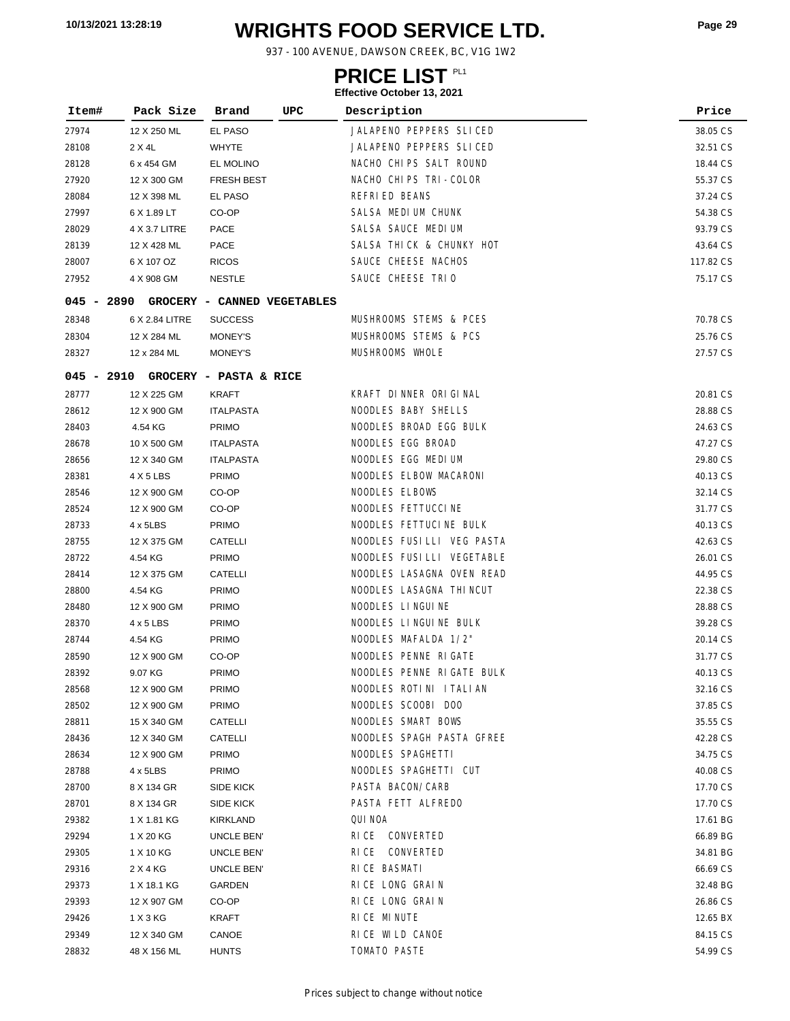# **WRIGHTS FOOD SERVICE LTD. 10/13/2021 13:28:19 Page <sup>29</sup>**

937 - 100 AVENUE, DAWSON CREEK, BC, V1G 1W2

### **PRICE LIST**

| Item#          | Pack Size                  | UPC<br>Brand                           | Description               | Price                |
|----------------|----------------------------|----------------------------------------|---------------------------|----------------------|
| 27974          | 12 X 250 ML                | EL PASO                                | JALAPENO PEPPERS SLICED   | 38.05 CS             |
| 28108          | 2 X 4L                     | <b>WHYTE</b>                           | JALAPENO PEPPERS SLICED   | 32.51 CS             |
|                |                            |                                        | NACHO CHIPS SALT ROUND    |                      |
| 28128          | 6 x 454 GM                 | EL MOLINO                              | NACHO CHIPS TRI-COLOR     | 18.44 CS             |
| 27920          | 12 X 300 GM                | <b>FRESH BEST</b>                      | <b>REFRIED BEANS</b>      | 55.37 CS             |
| 28084<br>27997 | 12 X 398 ML<br>6 X 1.89 LT | EL PASO<br>CO-OP                       | SALSA MEDIUM CHUNK        | 37.24 CS<br>54.38 CS |
|                |                            |                                        | SALSA SAUCE MEDIUM        |                      |
| 28029          | 4 X 3.7 LITRE              | PACE                                   |                           | 93.79 CS             |
| 28139          | 12 X 428 ML                | PACE                                   | SALSA THICK & CHUNKY HOT  | 43.64 CS             |
| 28007          | 6 X 107 OZ                 | <b>RICOS</b>                           | SAUCE CHEESE NACHOS       | 117.82 CS            |
| 27952          | 4 X 908 GM                 | <b>NESTLE</b>                          | SAUCE CHEESE TRIO         | 75.17 CS             |
|                |                            | 045 - 2890 GROCERY - CANNED VEGETABLES |                           |                      |
| 28348          | 6 X 2.84 LITRE             | <b>SUCCESS</b>                         | MUSHROOMS STEMS & PCES    | 70.78 CS             |
| 28304          | 12 X 284 ML                | MONEY'S                                | MUSHROOMS STEMS & PCS     | 25.76 CS             |
| 28327          | 12 x 284 ML                | MONEY'S                                | MUSHROOMS WHOLE           | 27.57 CS             |
|                |                            | 045 - 2910 GROCERY - PASTA & RICE      |                           |                      |
| 28777          | 12 X 225 GM                | KRAFT                                  | KRAFT DINNER ORIGINAL     | 20.81 CS             |
| 28612          | 12 X 900 GM                | <b>ITALPASTA</b>                       | NOODLES BABY SHELLS       | 28.88 CS             |
| 28403          | 4.54 KG                    | <b>PRIMO</b>                           | NOODLES BROAD EGG BULK    | 24.63 CS             |
| 28678          | 10 X 500 GM                | <b>ITALPASTA</b>                       | NOODLES EGG BROAD         | 47.27 CS             |
| 28656          | 12 X 340 GM                | <b>ITALPASTA</b>                       | NOODLES EGG MEDIUM        | 29.80 CS             |
| 28381          | 4 X 5 LBS                  | <b>PRIMO</b>                           | NOODLES ELBOW MACARONI    | 40.13 CS             |
| 28546          | 12 X 900 GM                | CO-OP                                  | NOODLES ELBOWS            | 32.14 CS             |
| 28524          | 12 X 900 GM                | CO-OP                                  | NOODLES FETTUCCINE        | 31.77 CS             |
| 28733          | 4 x 5LBS                   | <b>PRIMO</b>                           | NOODLES FETTUCINE BULK    | 40.13 CS             |
| 28755          | 12 X 375 GM                | CATELLI                                | NOODLES FUSILLI VEG PASTA | 42.63 CS             |
| 28722          | 4.54 KG                    | <b>PRIMO</b>                           | NOODLES FUSILLI VEGETABLE | 26.01 CS             |
| 28414          | 12 X 375 GM                | CATELLI                                | NOODLES LASAGNA OVEN READ | 44.95 CS             |
| 28800          | 4.54 KG                    | <b>PRIMO</b>                           | NOODLES LASAGNA THINCUT   | 22.38 CS             |
| 28480          | 12 X 900 GM                | <b>PRIMO</b>                           | NOODLES LINGUINE          | 28.88 CS             |
| 28370          | $4 \times 5$ LBS           | <b>PRIMO</b>                           | NOODLES LINGUINE BULK     | 39.28 CS             |
| 28744          | 4.54 KG                    | <b>PRIMO</b>                           | NOODLES MAFALDA 1/2"      | 20.14 CS             |
| 28590          | 12 X 900 GM                | CO-OP                                  | NOODLES PENNE RIGATE      | 31.77 CS             |
| 28392          | 9.07 KG                    | PRIMO                                  | NOODLES PENNE RIGATE BULK | 40.13 CS             |
| 28568          | 12 X 900 GM                | <b>PRIMO</b>                           | NOODLES ROTINI ITALIAN    | 32.16 CS             |
| 28502          | 12 X 900 GM                | <b>PRIMO</b>                           | NOODLES SCOOBI DOO        | 37.85 CS             |
| 28811          | 15 X 340 GM                | CATELLI                                | NOODLES SMART BOWS        | 35.55 CS             |
| 28436          | 12 X 340 GM                | CATELLI                                | NOODLES SPAGH PASTA GFREE | 42.28 CS             |
| 28634          | 12 X 900 GM                | <b>PRIMO</b>                           | NOODLES SPAGHETTI         | 34.75 CS             |
| 28788          | 4 x 5LBS                   | <b>PRIMO</b>                           | NOODLES SPAGHETTI CUT     | 40.08 CS             |
| 28700          | 8 X 134 GR                 | SIDE KICK                              | PASTA BACON/CARB          | 17.70 CS             |
| 28701          | 8 X 134 GR                 | <b>SIDE KICK</b>                       | PASTA FETT ALFREDO        | 17.70 CS             |
| 29382          | 1 X 1.81 KG                | KIRKLAND                               | QUI NOA                   | 17.61 BG             |
| 29294          | 1 X 20 KG                  | UNCLE BEN'                             | RICE CONVERTED            | 66.89 BG             |
| 29305          | 1 X 10 KG                  | UNCLE BEN'                             | RICE CONVERTED            | 34.81 BG             |
| 29316          | 2 X 4 KG                   | UNCLE BEN'                             | RICE BASMATI              | 66.69 CS             |
| 29373          | 1 X 18.1 KG                | GARDEN                                 | RICE LONG GRAIN           | 32.48 BG             |
| 29393          | 12 X 907 GM                | CO-OP                                  | RICE LONG GRAIN           | 26.86 CS             |
| 29426          | 1 X 3 KG                   | KRAFT                                  | RICE MINUTE               | 12.65 BX             |
| 29349          | 12 X 340 GM                | CANOE                                  | RICE WILD CANOE           | 84.15 CS             |
| 28832          | 48 X 156 ML                | <b>HUNTS</b>                           | TOMATO PASTE              | 54.99 CS             |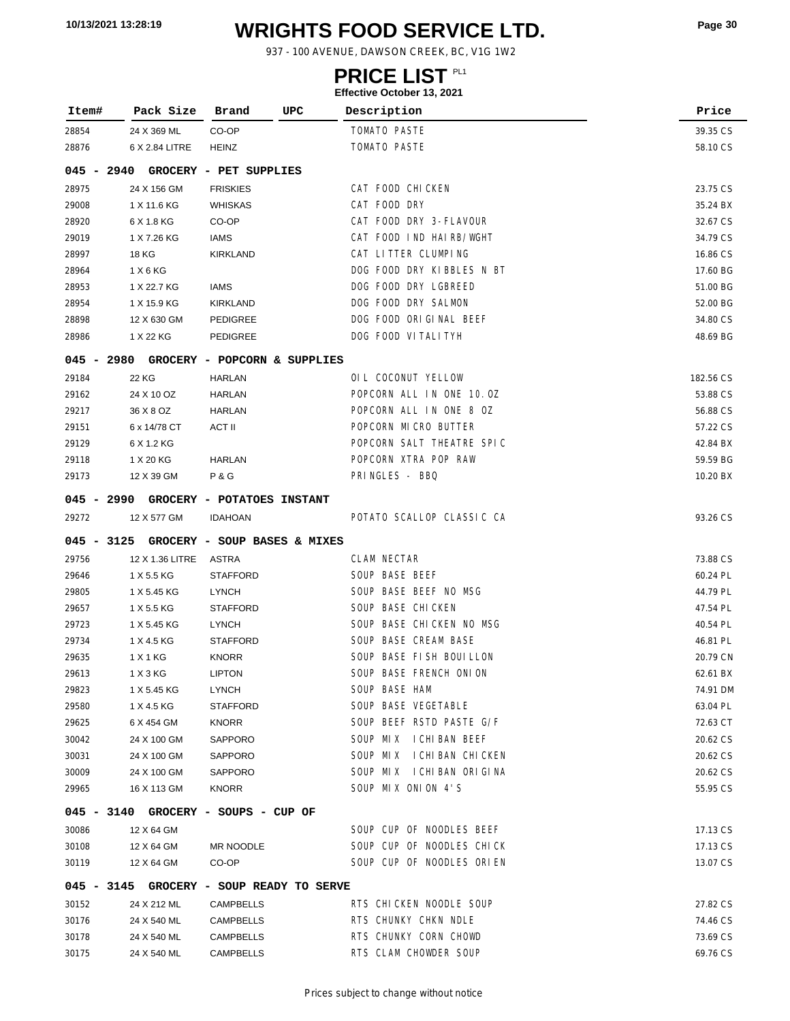# **WRIGHTS FOOD SERVICE LTD. 10/13/2021 13:28:19 Page <sup>30</sup>**

937 - 100 AVENUE, DAWSON CREEK, BC, V1G 1W2

### **PRICE LIST**

| Item#        | Pack Size       | UPC<br>Brand                             | Description               | Price     |
|--------------|-----------------|------------------------------------------|---------------------------|-----------|
| 28854        | 24 X 369 ML     | CO-OP                                    | TOMATO PASTE              | 39.35 CS  |
| 28876        | 6 X 2.84 LITRE  | <b>HEINZ</b>                             | TOMATO PASTE              | 58.10 CS  |
| $045 - 2940$ |                 | GROCERY - PET SUPPLIES                   |                           |           |
| 28975        | 24 X 156 GM     | <b>FRISKIES</b>                          | CAT FOOD CHICKEN          | 23.75 CS  |
| 29008        | 1 X 11.6 KG     | <b>WHISKAS</b>                           | CAT FOOD DRY              | 35.24 BX  |
| 28920        | 6 X 1.8 KG      | CO-OP                                    | CAT FOOD DRY 3-FLAVOUR    | 32.67 CS  |
| 29019        | 1 X 7.26 KG     | IAMS                                     | CAT FOOD IND HAIRB/WGHT   | 34.79 CS  |
| 28997        | 18 KG           | <b>KIRKLAND</b>                          | CAT LITTER CLUMPING       | 16.86 CS  |
| 28964        | 1 X 6 KG        |                                          | DOG FOOD DRY KIBBLES N BT | 17.60 BG  |
| 28953        | 1 X 22.7 KG     | <b>IAMS</b>                              | DOG FOOD DRY LGBREED      | 51.00 BG  |
| 28954        | 1 X 15.9 KG     | <b>KIRKLAND</b>                          | DOG FOOD DRY SALMON       | 52.00 BG  |
| 28898        | 12 X 630 GM     | <b>PEDIGREE</b>                          | DOG FOOD ORIGINAL BEEF    | 34.80 CS  |
| 28986        | 1 X 22 KG       | <b>PEDIGREE</b>                          | DOG FOOD VITALITYH        | 48.69 BG  |
| $045 - 2980$ |                 | GROCERY - POPCORN & SUPPLIES             |                           |           |
| 29184        | 22 KG           | <b>HARLAN</b>                            | OIL COCONUT YELLOW        | 182.56 CS |
| 29162        | 24 X 10 OZ      | <b>HARLAN</b>                            | POPCORN ALL IN ONE 10.0Z  | 53.88 CS  |
| 29217        | 36 X 8 OZ       | HARLAN                                   | POPCORN ALL IN ONE 8 OZ   | 56.88 CS  |
| 29151        | 6 x 14/78 CT    | ACT II                                   | POPCORN MICRO BUTTER      | 57.22 CS  |
| 29129        | 6 X 1.2 KG      |                                          | POPCORN SALT THEATRE SPIC | 42.84 BX  |
| 29118        | 1 X 20 KG       | <b>HARLAN</b>                            | POPCORN XTRA POP RAW      | 59.59 BG  |
| 29173        | 12 X 39 GM      | <b>P&amp;G</b>                           | PRINGLES - BBQ            | 10.20 BX  |
| 045 - 2990   |                 | <b>GROCERY - POTATOES INSTANT</b>        |                           |           |
| 29272        | 12 X 577 GM     | <b>IDAHOAN</b>                           | POTATO SCALLOP CLASSIC CA | 93.26 CS  |
| $045 - 3125$ |                 | GROCERY - SOUP BASES & MIXES             |                           |           |
| 29756        | 12 X 1.36 LITRE | ASTRA                                    | <b>CLAM NECTAR</b>        | 73.88 CS  |
| 29646        | 1 X 5.5 KG      | <b>STAFFORD</b>                          | SOUP BASE BEEF            | 60.24 PL  |
| 29805        | 1 X 5.45 KG     | <b>LYNCH</b>                             | SOUP BASE BEEF NO MSG     | 44.79 PL  |
| 29657        | 1 X 5.5 KG      | <b>STAFFORD</b>                          | SOUP BASE CHICKEN         | 47.54 PL  |
| 29723        | 1 X 5.45 KG     | <b>LYNCH</b>                             | SOUP BASE CHICKEN NO MSG  | 40.54 PL  |
| 29734        | 1 X 4.5 KG      | <b>STAFFORD</b>                          | SOUP BASE CREAM BASE      | 46.81 PL  |
| 29635        | 1 X 1 KG        | <b>KNORR</b>                             | SOUP BASE FISH BOUILLON   | 20.79 CN  |
| 29613        | 1 X 3 KG        | <b>LIPTON</b>                            | SOUP BASE FRENCH ONION    | 62.61 BX  |
| 29823        | 1 X 5.45 KG     | <b>LYNCH</b>                             | SOUP BASE HAM             | 74.91 DM  |
| 29580        | 1 X 4.5 KG      | <b>STAFFORD</b>                          | SOUP BASE VEGETABLE       | 63.04 PL  |
| 29625        | 6 X 454 GM      | <b>KNORR</b>                             | SOUP BEEF RSTD PASTE G/F  | 72.63 CT  |
| 30042        | 24 X 100 GM     | SAPPORO                                  | SOUP MIX ICHIBAN BEEF     | 20.62 CS  |
| 30031        | 24 X 100 GM     | SAPPORO                                  | SOUP MIX ICHIBAN CHICKEN  | 20.62 CS  |
| 30009        | 24 X 100 GM     | SAPPORO                                  | SOUP MIX ICHIBAN ORIGINA  | 20.62 CS  |
| 29965        | 16 X 113 GM     | <b>KNORR</b>                             | SOUP MIX ONION 4'S        | 55.95 CS  |
|              |                 | 045 - 3140 GROCERY - SOUPS - CUP OF      |                           |           |
| 30086        | 12 X 64 GM      |                                          | SOUP CUP OF NOODLES BEEF  | 17.13 CS  |
| 30108        | 12 X 64 GM      | MR NOODLE                                | SOUP CUP OF NOODLES CHICK | 17.13 CS  |
| 30119        | 12 X 64 GM      | CO-OP                                    | SOUP CUP OF NOODLES ORIEN | 13.07 CS  |
|              |                 | 045 - 3145 GROCERY - SOUP READY TO SERVE |                           |           |
| 30152        | 24 X 212 ML     | <b>CAMPBELLS</b>                         | RTS CHICKEN NOODLE SOUP   | 27.82 CS  |
| 30176        | 24 X 540 ML     | <b>CAMPBELLS</b>                         | RTS CHUNKY CHKN NDLE      | 74.46 CS  |
| 30178        | 24 X 540 ML     | CAMPBELLS                                | RTS CHUNKY CORN CHOWD     | 73.69 CS  |
| 30175        | 24 X 540 ML     | CAMPBELLS                                | RTS CLAM CHOWDER SOUP     | 69.76 CS  |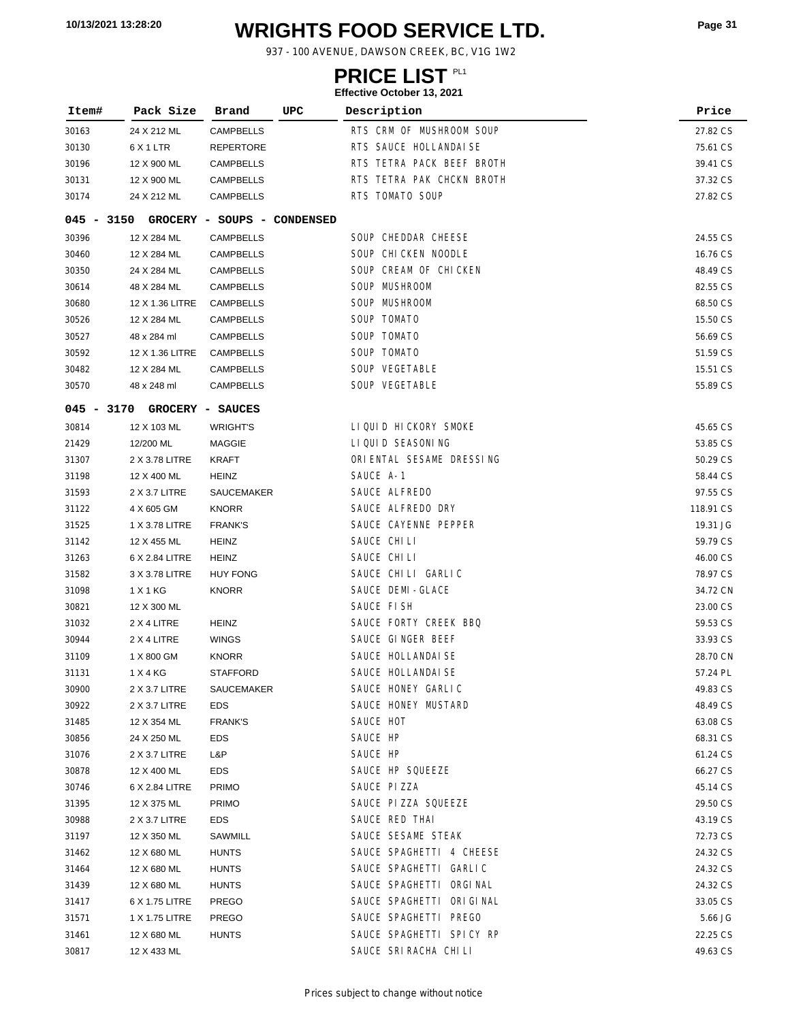# **WRIGHTS FOOD SERVICE LTD. 10/13/2021 13:28:20 Page <sup>31</sup>**

937 - 100 AVENUE, DAWSON CREEK, BC, V1G 1W2

### **PRICE LIST**

| Item#        | Pack Size       | Brand                                           | UPC | Description                                  | Price     |
|--------------|-----------------|-------------------------------------------------|-----|----------------------------------------------|-----------|
| 30163        | 24 X 212 ML     | <b>CAMPBELLS</b>                                |     | RTS CRM OF MUSHROOM SOUP                     | 27.82 CS  |
| 30130        | 6 X 1 LTR       | <b>REPERTORE</b>                                |     | RTS SAUCE HOLLANDAISE                        | 75.61 CS  |
| 30196        | 12 X 900 ML     | <b>CAMPBELLS</b>                                |     | RTS TETRA PACK BEEF BROTH                    | 39.41 CS  |
| 30131        | 12 X 900 ML     | <b>CAMPBELLS</b>                                |     | RTS TETRA PAK CHCKN BROTH                    | 37.32 CS  |
| 30174        | 24 X 212 ML     | <b>CAMPBELLS</b>                                |     | RTS TOMATO SOUP                              | 27.82 CS  |
|              |                 |                                                 |     |                                              |           |
| $045 - 3150$ |                 | GROCERY - SOUPS - CONDENSED<br><b>CAMPBELLS</b> |     | SOUP CHEDDAR CHEESE                          | 24.55 CS  |
| 30396        | 12 X 284 ML     | <b>CAMPBELLS</b>                                |     |                                              |           |
| 30460        | 12 X 284 ML     |                                                 |     | SOUP CHICKEN NOODLE<br>SOUP CREAM OF CHICKEN | 16.76 CS  |
| 30350        | 24 X 284 ML     | <b>CAMPBELLS</b>                                |     |                                              | 48.49 CS  |
| 30614        | 48 X 284 ML     | <b>CAMPBELLS</b>                                |     | SOUP MUSHROOM                                | 82.55 CS  |
| 30680        | 12 X 1.36 LITRE | <b>CAMPBELLS</b>                                |     | SOUP MUSHROOM                                | 68.50 CS  |
| 30526        | 12 X 284 ML     | <b>CAMPBELLS</b>                                |     | SOUP TOMATO                                  | 15.50 CS  |
| 30527        | 48 x 284 ml     | <b>CAMPBELLS</b>                                |     | SOUP TOMATO                                  | 56.69 CS  |
| 30592        | 12 X 1.36 LITRE | <b>CAMPBELLS</b>                                |     | SOUP TOMATO                                  | 51.59 CS  |
| 30482        | 12 X 284 ML     | <b>CAMPBELLS</b>                                |     | SOUP VEGETABLE                               | 15.51 CS  |
| 30570        | 48 x 248 ml     | <b>CAMPBELLS</b>                                |     | SOUP VEGETABLE                               | 55.89 CS  |
| $045 - 3170$ |                 | GROCERY - SAUCES                                |     |                                              |           |
| 30814        | 12 X 103 ML     | <b>WRIGHT'S</b>                                 |     | LIQUID HICKORY SMOKE                         | 45.65 CS  |
| 21429        | 12/200 ML       | MAGGIE                                          |     | LIQUID SEASONING                             | 53.85 CS  |
| 31307        | 2 X 3.78 LITRE  | KRAFT                                           |     | ORIENTAL SESAME DRESSING                     | 50.29 CS  |
| 31198        | 12 X 400 ML     | HEINZ                                           |     | SAUCE A-1                                    | 58.44 CS  |
| 31593        | 2 X 3.7 LITRE   | SAUCEMAKER                                      |     | SAUCE ALFREDO                                | 97.55 CS  |
| 31122        | 4 X 605 GM      | <b>KNORR</b>                                    |     | SAUCE ALFREDO DRY                            | 118.91 CS |
| 31525        | 1 X 3.78 LITRE  | <b>FRANK'S</b>                                  |     | SAUCE CAYENNE PEPPER                         | 19.31 JG  |
| 31142        | 12 X 455 ML     | <b>HEINZ</b>                                    |     | SAUCE CHILI                                  | 59.79 CS  |
| 31263        | 6 X 2.84 LITRE  | <b>HEINZ</b>                                    |     | SAUCE CHILI                                  | 46.00 CS  |
| 31582        | 3 X 3.78 LITRE  | <b>HUY FONG</b>                                 |     | SAUCE CHILI GARLIC                           | 78.97 CS  |
| 31098        | 1 X 1 KG        | <b>KNORR</b>                                    |     | SAUCE DEMI-GLACE                             | 34.72 CN  |
| 30821        | 12 X 300 ML     |                                                 |     | SAUCE FISH                                   | 23.00 CS  |
| 31032        | 2 X 4 LITRE     | <b>HEINZ</b>                                    |     | SAUCE FORTY CREEK BBQ                        | 59.53 CS  |
| 30944        | 2 X 4 LITRE     | WINGS                                           |     | SAUCE GINGER BEEF                            | 33.93 CS  |
| 31109        | 1 X 800 GM      | <b>KNORR</b>                                    |     | SAUCE HOLLANDAI SE                           | 28.70 CN  |
| 31131        | 1 X 4 KG        | <b>STAFFORD</b>                                 |     | SAUCE HOLLANDAI SE                           | 57.24 PL  |
| 30900        | 2 X 3.7 LITRE   | SAUCEMAKER                                      |     | SAUCE HONEY GARLIC                           | 49.83 CS  |
| 30922        | 2 X 3.7 LITRE   | <b>EDS</b>                                      |     | SAUCE HONEY MUSTARD                          | 48.49 CS  |
| 31485        | 12 X 354 ML     | <b>FRANK'S</b>                                  |     | SAUCE HOT                                    | 63.08 CS  |
| 30856        | 24 X 250 ML     | <b>EDS</b>                                      |     | SAUCE HP                                     | 68.31 CS  |
| 31076        | 2 X 3.7 LITRE   | L&P                                             |     | SAUCE HP                                     | 61.24 CS  |
| 30878        | 12 X 400 ML     | <b>EDS</b>                                      |     | SAUCE HP SQUEEZE                             | 66.27 CS  |
| 30746        | 6 X 2.84 LITRE  | <b>PRIMO</b>                                    |     | SAUCE PIZZA                                  | 45.14 CS  |
| 31395        | 12 X 375 ML     | <b>PRIMO</b>                                    |     | SAUCE PIZZA SQUEEZE                          | 29.50 CS  |
| 30988        | 2 X 3.7 LITRE   | EDS                                             |     | SAUCE RED THAI                               | 43.19 CS  |
| 31197        | 12 X 350 ML     | SAWMILL                                         |     | SAUCE SESAME STEAK                           | 72.73 CS  |
| 31462        | 12 X 680 ML     | <b>HUNTS</b>                                    |     | SAUCE SPAGHETTI 4 CHEESE                     | 24.32 CS  |
| 31464        | 12 X 680 ML     | <b>HUNTS</b>                                    |     | SAUCE SPAGHETTI GARLIC                       | 24.32 CS  |
| 31439        | 12 X 680 ML     | <b>HUNTS</b>                                    |     | SAUCE SPAGHETTI ORGINAL                      | 24.32 CS  |
| 31417        | 6 X 1.75 LITRE  | PREGO                                           |     | SAUCE SPAGHETTI ORIGINAL                     | 33.05 CS  |
| 31571        | 1 X 1.75 LITRE  | PREGO                                           |     | SAUCE SPAGHETTI PREGO                        | 5.66 JG   |
| 31461        | 12 X 680 ML     | <b>HUNTS</b>                                    |     | SAUCE SPAGHETTI SPICY RP                     | 22.25 CS  |
| 30817        | 12 X 433 ML     |                                                 |     | SAUCE SRI RACHA CHI LI                       | 49.63 CS  |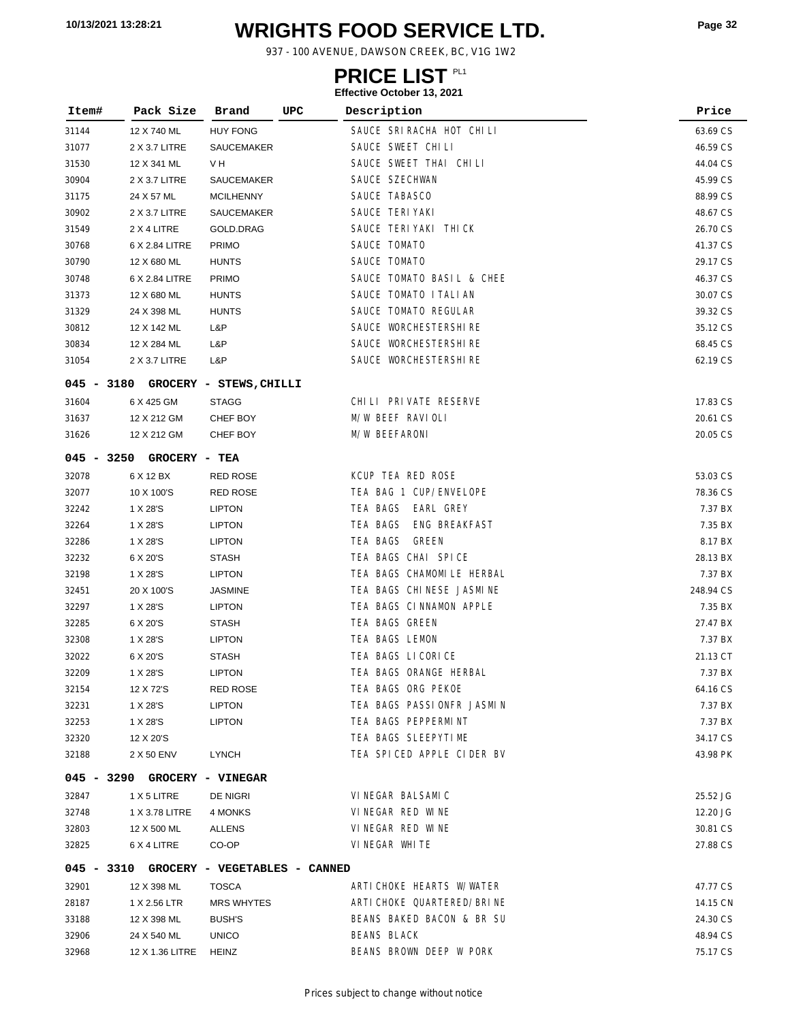# **WRIGHTS FOOD SERVICE LTD. 10/13/2021 13:28:21 Page <sup>32</sup>**

937 - 100 AVENUE, DAWSON CREEK, BC, V1G 1W2

### **PRICE LIST**

| Item# | Pack Size                                | Brand             | UPC | Description                | Price     |
|-------|------------------------------------------|-------------------|-----|----------------------------|-----------|
| 31144 | 12 X 740 ML                              | <b>HUY FONG</b>   |     | SAUCE SRIRACHA HOT CHILI   | 63.69 CS  |
| 31077 | 2 X 3.7 LITRE                            | SAUCEMAKER        |     | SAUCE SWEET CHILI          | 46.59 CS  |
| 31530 | 12 X 341 ML                              | V H               |     | SAUCE SWEET THAI CHILI     | 44.04 CS  |
| 30904 | 2 X 3.7 LITRE                            | SAUCEMAKER        |     | SAUCE SZECHWAN             | 45.99 CS  |
| 31175 | 24 X 57 ML                               | <b>MCILHENNY</b>  |     | SAUCE TABASCO              | 88.99 CS  |
| 30902 | 2 X 3.7 LITRE                            | SAUCEMAKER        |     | SAUCE TERI YAKI            | 48.67 CS  |
| 31549 | 2 X 4 LITRE                              | GOLD.DRAG         |     | SAUCE TERIYAKI THICK       | 26.70 CS  |
| 30768 | 6 X 2.84 LITRE                           | <b>PRIMO</b>      |     | SAUCE TOMATO               | 41.37 CS  |
| 30790 | 12 X 680 ML                              | <b>HUNTS</b>      |     | SAUCE TOMATO               | 29.17 CS  |
| 30748 | 6 X 2.84 LITRE                           | <b>PRIMO</b>      |     | SAUCE TOMATO BASIL & CHEE  | 46.37 CS  |
| 31373 | 12 X 680 ML                              | <b>HUNTS</b>      |     | SAUCE TOMATO I TALI AN     | 30.07 CS  |
| 31329 | 24 X 398 ML                              | <b>HUNTS</b>      |     | SAUCE TOMATO REGULAR       | 39.32 CS  |
| 30812 | 12 X 142 ML                              | L&P               |     | SAUCE WORCHESTERSHIRE      | 35.12 CS  |
| 30834 | 12 X 284 ML                              | L&P               |     | SAUCE WORCHESTERSHIRE      | 68.45 CS  |
| 31054 | 2 X 3.7 LITRE                            | L&P               |     | SAUCE WORCHESTERSHIRE      | 62.19 CS  |
|       | 045 - 3180 GROCERY - STEWS, CHILLI       |                   |     |                            |           |
| 31604 | 6 X 425 GM                               | <b>STAGG</b>      |     | CHILI PRIVATE RESERVE      | 17.83 CS  |
| 31637 | 12 X 212 GM                              | CHEF BOY          |     | M/W BEEF RAVIOLI           | 20.61 CS  |
| 31626 | 12 X 212 GM                              | CHEF BOY          |     | M/W BEEFARONI              | 20.05 CS  |
|       | 045 - 3250 GROCERY - TEA                 |                   |     |                            |           |
| 32078 | 6 X 12 BX                                | RED ROSE          |     | KCUP TEA RED ROSE          | 53.03 CS  |
| 32077 | 10 X 100'S                               | <b>RED ROSE</b>   |     | TEA BAG 1 CUP/ENVELOPE     | 78.36 CS  |
| 32242 | 1 X 28'S                                 | <b>LIPTON</b>     |     | TEA BAGS<br>EARL GREY      | 7.37 BX   |
| 32264 | 1 X 28'S                                 | <b>LIPTON</b>     |     | TEA BAGS<br>ENG BREAKFAST  | 7.35 BX   |
| 32286 | 1 X 28'S                                 | <b>LIPTON</b>     |     | TEA BAGS<br>GREEN          | 8.17 BX   |
| 32232 | 6 X 20'S                                 | <b>STASH</b>      |     | TEA BAGS CHAI SPICE        | 28.13 BX  |
| 32198 | 1 X 28'S                                 | <b>LIPTON</b>     |     | TEA BAGS CHAMOMILE HERBAL  | 7.37 BX   |
| 32451 | 20 X 100'S                               | <b>JASMINE</b>    |     | TEA BAGS CHINESE JASMINE   | 248.94 CS |
| 32297 | 1 X 28'S                                 | <b>LIPTON</b>     |     | TEA BAGS CINNAMON APPLE    | 7.35 BX   |
| 32285 | 6 X 20'S                                 | <b>STASH</b>      |     | TEA BAGS GREEN             | 27.47 BX  |
| 32308 | 1 X 28'S                                 | <b>LIPTON</b>     |     | TEA BAGS LEMON             | 7.37 BX   |
| 32022 | 6 X 20'S                                 | <b>STASH</b>      |     | TEA BAGS LICORICE          | 21.13 CT  |
| 32209 | 1 X 28'S                                 | <b>LIPTON</b>     |     | TEA BAGS ORANGE HERBAL     | 7.37 BX   |
| 32154 | 12 X 72'S                                | <b>RED ROSE</b>   |     | TEA BAGS ORG PEKOE         | 64.16 CS  |
| 32231 | 1 X 28'S                                 | <b>LIPTON</b>     |     | TEA BAGS PASSIONFR JASMIN  | 7.37 BX   |
| 32253 | 1 X 28'S                                 | <b>LIPTON</b>     |     | TEA BAGS PEPPERMINT        | 7.37 BX   |
| 32320 | 12 X 20'S                                |                   |     | TEA BAGS SLEEPYTIME        | 34.17 CS  |
| 32188 | 2 X 50 ENV                               | LYNCH             |     | TEA SPICED APPLE CIDER BV  | 43.98 PK  |
|       | 045 - 3290 GROCERY - VINEGAR             |                   |     |                            |           |
| 32847 | 1 X 5 LITRE                              | DE NIGRI          |     | VINEGAR BALSAMIC           | 25.52 JG  |
| 32748 | 1 X 3.78 LITRE                           | 4 MONKS           |     | VINEGAR RED WINE           | 12.20 JG  |
| 32803 | 12 X 500 ML                              | ALLENS            |     | VINEGAR RED WINE           | 30.81 CS  |
| 32825 | 6 X 4 LITRE                              | CO-OP             |     | VINEGAR WHITE              | 27.88 CS  |
|       | 045 - 3310 GROCERY - VEGETABLES - CANNED |                   |     |                            |           |
| 32901 | 12 X 398 ML                              | <b>TOSCA</b>      |     | ARTICHOKE HEARTS W/WATER   | 47.77 CS  |
| 28187 | 1 X 2.56 LTR                             | <b>MRS WHYTES</b> |     | ARTI CHOKE QUARTERED/BRINE | 14.15 CN  |
| 33188 | 12 X 398 ML                              | <b>BUSH'S</b>     |     | BEANS BAKED BACON & BR SU  | 24.30 CS  |
| 32906 | 24 X 540 ML                              | <b>UNICO</b>      |     | <b>BEANS BLACK</b>         | 48.94 CS  |
| 32968 | 12 X 1.36 LITRE HEINZ                    |                   |     | BEANS BROWN DEEP W PORK    | 75.17 CS  |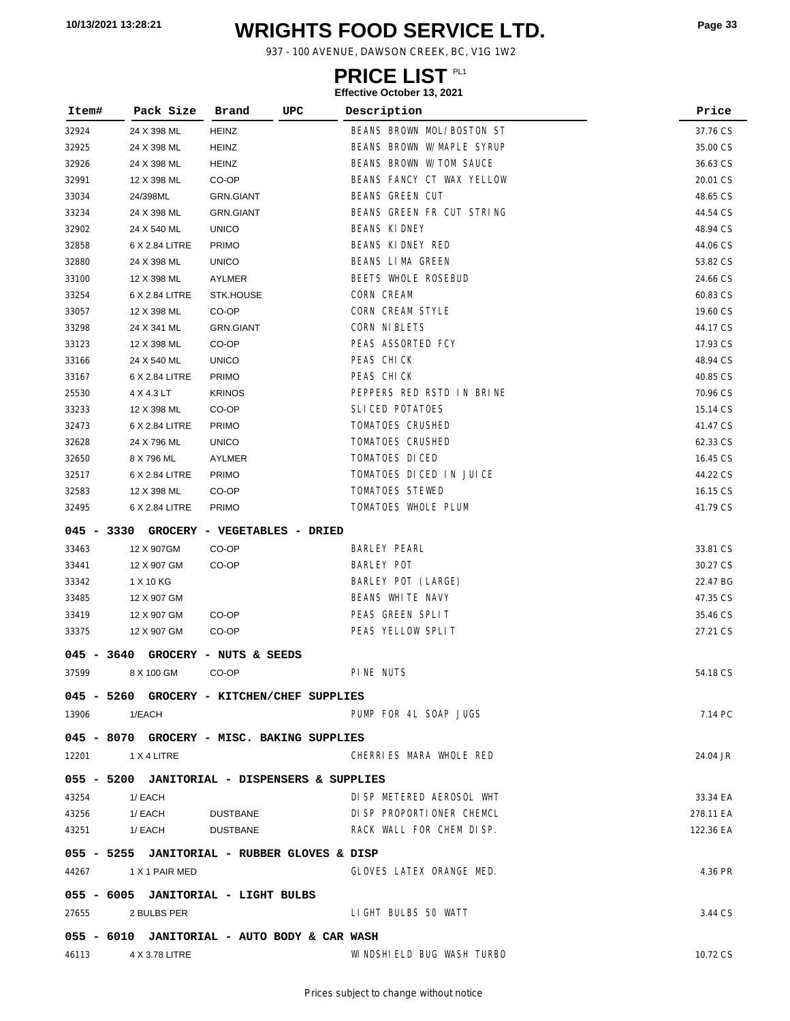# **WRIGHTS FOOD SERVICE LTD. 10/13/2021 13:28:21 Page <sup>33</sup>**

937 - 100 AVENUE, DAWSON CREEK, BC, V1G 1W2

### **PRICE LIST**

| Item#        | Pack Size                                     | Brand                        | <b>UPC</b> | Description               | Price     |
|--------------|-----------------------------------------------|------------------------------|------------|---------------------------|-----------|
| 32924        | 24 X 398 ML                                   | <b>HEINZ</b>                 |            | BEANS BROWN MOL/BOSTON ST | 37.76 CS  |
| 32925        | 24 X 398 ML                                   | <b>HEINZ</b>                 |            | BEANS BROWN W/MAPLE SYRUP | 35.00 CS  |
| 32926        | 24 X 398 ML                                   | <b>HEINZ</b>                 |            | BEANS BROWN W/TOM SAUCE   | 36.63 CS  |
| 32991        | 12 X 398 ML                                   | CO-OP                        |            | BEANS FANCY CT WAX YELLOW | 20.01 CS  |
| 33034        | 24/398ML                                      | <b>GRN.GIANT</b>             |            | <b>BEANS GREEN CUT</b>    | 48.65 CS  |
| 33234        | 24 X 398 ML                                   | <b>GRN.GIANT</b>             |            | BEANS GREEN FR CUT STRING | 44.54 CS  |
| 32902        | 24 X 540 ML                                   | <b>UNICO</b>                 |            | <b>BEANS KIDNEY</b>       | 48.94 CS  |
| 32858        | 6 X 2.84 LITRE                                | <b>PRIMO</b>                 |            | BEANS KIDNEY RED          | 44.06 CS  |
| 32880        | 24 X 398 ML                                   | <b>UNICO</b>                 |            | BEANS LIMA GREEN          | 53.82 CS  |
| 33100        | 12 X 398 ML                                   | AYLMER                       |            | BEETS WHOLE ROSEBUD       | 24.66 CS  |
| 33254        | 6 X 2.84 LITRE                                | STK.HOUSE                    |            | CORN CREAM                | 60.83 CS  |
| 33057        | 12 X 398 ML                                   | CO-OP                        |            | CORN CREAM STYLE          | 19.60 CS  |
| 33298        | 24 X 341 ML                                   | <b>GRN.GIANT</b>             |            | CORN NI BLETS             | 44.17 CS  |
| 33123        | 12 X 398 ML                                   | CO-OP                        |            | PEAS ASSORTED FCY         | 17.93 CS  |
| 33166        | 24 X 540 ML                                   | <b>UNICO</b>                 |            | PEAS CHICK                | 48.94 CS  |
| 33167        | 6 X 2.84 LITRE                                | <b>PRIMO</b>                 |            | PEAS CHICK                | 40.85 CS  |
| 25530        | 4 X 4.3 LT                                    | <b>KRINOS</b>                |            | PEPPERS RED RSTD IN BRINE | 70.96 CS  |
| 33233        | 12 X 398 ML                                   | CO-OP                        |            | SLICED POTATOES           | 15.14 CS  |
| 32473        | 6 X 2.84 LITRE                                | <b>PRIMO</b>                 |            | TOMATOES CRUSHED          | 41.47 CS  |
| 32628        | 24 X 796 ML                                   | <b>UNICO</b>                 |            | TOMATOES CRUSHED          | 62.33 CS  |
| 32650        | 8 X 796 ML                                    | AYLMER                       |            | TOMATOES DICED            | 16.45 CS  |
| 32517        | 6 X 2.84 LITRE                                | <b>PRIMO</b>                 |            | TOMATOES DICED IN JUICE   | 44.22 CS  |
| 32583        | 12 X 398 ML                                   | CO-OP                        |            | TOMATOES STEWED           | 16.15 CS  |
| 32495        | 6 X 2.84 LITRE                                | <b>PRIMO</b>                 |            | TOMATOES WHOLE PLUM       | 41.79 CS  |
| 045 - 3330   |                                               | GROCERY - VEGETABLES - DRIED |            |                           |           |
| 33463        | 12 X 907GM                                    | CO-OP                        |            | BARLEY PEARL              | 33.81 CS  |
| 33441        | 12 X 907 GM                                   | CO-OP                        |            | <b>BARLEY POT</b>         | 30.27 CS  |
| 33342        | 1 X 10 KG                                     |                              |            | BARLEY POT (LARGE)        | 22.47 BG  |
| 33485        | 12 X 907 GM                                   |                              |            | BEANS WHITE NAVY          | 47.35 CS  |
| 33419        | 12 X 907 GM                                   | CO-OP                        |            | PEAS GREEN SPLIT          | 35.46 CS  |
| 33375        | 12 X 907 GM                                   | CO-OP                        |            | PEAS YELLOW SPLIT         | 27.21 CS  |
| $045 - 3640$ |                                               | GROCERY - NUTS & SEEDS       |            |                           |           |
| 37599        | 8 X 100 GM                                    | CO-OP                        |            | PINE NUTS                 | 54.18 CS  |
|              | 045 - 5260 GROCERY - KITCHEN/CHEF SUPPLIES    |                              |            |                           |           |
| 13906        | 1/EACH                                        |                              |            | PUMP FOR 4L SOAP JUGS     | 7.14 PC   |
|              | 045 - 8070 GROCERY - MISC. BAKING SUPPLIES    |                              |            |                           |           |
|              | 12201 1 X 4 LITRE                             |                              |            | CHERRIES MARA WHOLE RED   | 24.04 JR  |
|              | 055 - 5200 JANITORIAL - DISPENSERS & SUPPLIES |                              |            |                           |           |
| 43254        | 1/ EACH                                       |                              |            | DI SP METERED AEROSOL WHT | 33.34 EA  |
| 43256        | 1/ EACH                                       | DUSTBANE                     |            | DI SP PROPORTIONER CHEMCL | 278.11 EA |
| 43251        | 1/ EACH                                       | DUSTBANE                     |            | RACK WALL FOR CHEM DISP.  | 122.36 EA |
|              |                                               |                              |            |                           |           |
|              | 055 - 5255 JANITORIAL - RUBBER GLOVES & DISP  |                              |            |                           |           |
|              | 44267 1 X 1 PAIR MED                          |                              |            | GLOVES LATEX ORANGE MED.  | 4.36 PR   |
|              | 055 - 6005 JANITORIAL - LIGHT BULBS           |                              |            |                           |           |
| 27655        | 2 BULBS PER                                   |                              |            | LIGHT BULBS 50 WATT       | 3.44 CS   |
|              | 055 - 6010 JANITORIAL - AUTO BODY & CAR WASH  |                              |            |                           |           |
| 46113        | 4 X 3.78 LITRE                                |                              |            | WINDSHIELD BUG WASH TURBO | 10.72 CS  |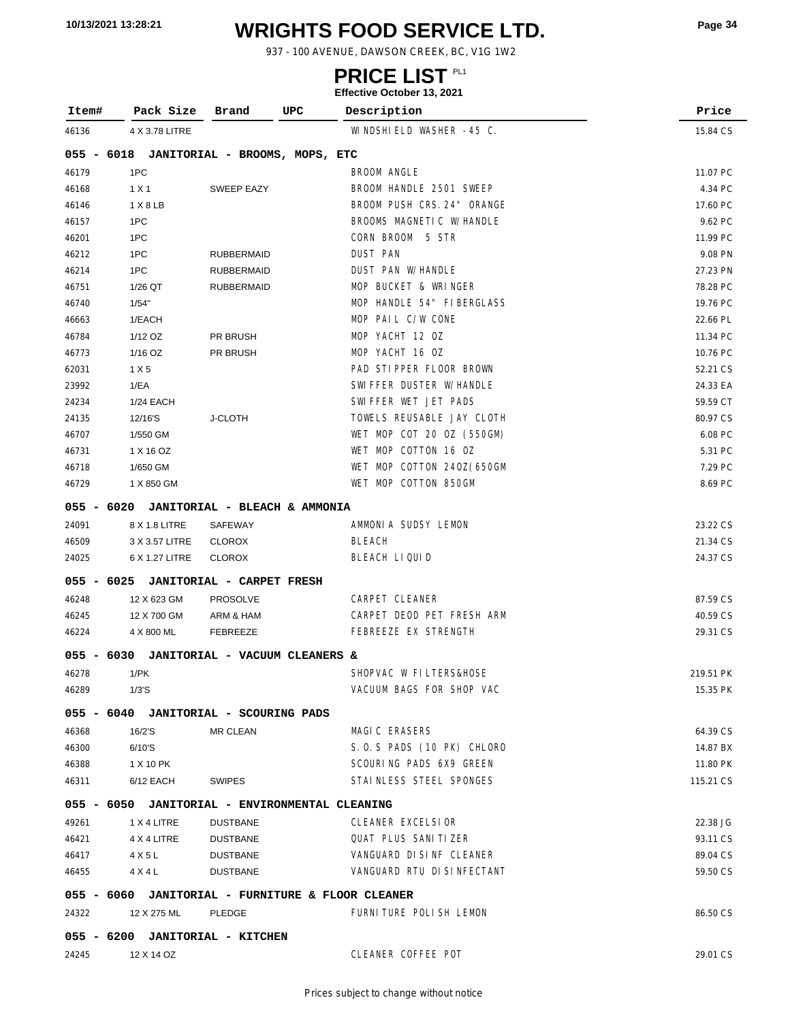# **WRIGHTS FOOD SERVICE LTD. 10/13/2021 13:28:21 Page <sup>34</sup>**

937 - 100 AVENUE, DAWSON CREEK, BC, V1G 1W2

### **PRICE LIST**

| Item#      | Pack Size                                 | Brand                            | UPC<br>Description                                | Price     |
|------------|-------------------------------------------|----------------------------------|---------------------------------------------------|-----------|
| 46136      | 4 X 3.78 LITRE                            |                                  | WINDSHIELD WASHER -45 C.                          | 15.84 CS  |
|            | 055 - 6018 JANITORIAL - BROOMS, MOPS, ETC |                                  |                                                   |           |
| 46179      | 1PC                                       |                                  | BROOM ANGLE                                       | 11.07 PC  |
| 46168      | 1 X 1                                     | <b>SWEEP EAZY</b>                | BROOM HANDLE 2501 SWEEP                           | 4.34 PC   |
| 46146      | 1 X 8 LB                                  |                                  | BROOM PUSH CRS. 24" ORANGE                        | 17.60 PC  |
| 46157      | 1PC                                       |                                  | BROOMS MAGNETIC W/HANDLE                          | 9.62 PC   |
| 46201      | 1PC                                       |                                  | CORN BROOM 5 STR                                  | 11.99 PC  |
| 46212      | 1PC                                       | <b>RUBBERMAID</b>                | <b>DUST PAN</b>                                   | 9.08 PN   |
| 46214      | 1PC                                       | <b>RUBBERMAID</b>                | DUST PAN W/HANDLE                                 | 27.23 PN  |
| 46751      | 1/26 QT                                   | <b>RUBBERMAID</b>                | MOP BUCKET & WRINGER                              | 78.28 PC  |
| 46740      | 1/54"                                     |                                  | MOP HANDLE 54" FIBERGLASS                         | 19.76 PC  |
| 46663      | 1/EACH                                    |                                  | MOP PAIL C/W CONE                                 | 22.66 PL  |
| 46784      | 1/12 OZ                                   | PR BRUSH                         | MOP YACHT 12 OZ                                   | 11.34 PC  |
| 46773      | 1/16 OZ                                   | PR BRUSH                         | MOP YACHT 16 OZ                                   | 10.76 PC  |
| 62031      | 1 X 5                                     |                                  | PAD STIPPER FLOOR BROWN                           | 52.21 CS  |
| 23992      | 1/EA                                      |                                  | SWIFFER DUSTER W/HANDLE                           | 24.33 EA  |
| 24234      | 1/24 EACH                                 |                                  | SWIFFER WET JET PADS                              | 59.59 CT  |
| 24135      | 12/16'S                                   | <b>J-CLOTH</b>                   | TOWELS REUSABLE JAY CLOTH                         | 80.97 CS  |
| 46707      | 1/550 GM                                  |                                  | WET MOP COT 20 OZ (550GM)                         | 6.08 PC   |
| 46731      | 1 X 16 OZ                                 |                                  | WET MOP COTTON 16 OZ                              | 5.31 PC   |
| 46718      | 1/650 GM                                  |                                  | WET MOP COTTON 240Z(650GM                         | 7.29 PC   |
| 46729      | 1 X 850 GM                                |                                  | WET MOP COTTON 850GM                              | 8.69 PC   |
| 055 - 6020 |                                           | JANITORIAL - BLEACH & AMMONIA    |                                                   |           |
| 24091      | 8 X 1.8 LITRE                             | SAFEWAY                          | AMMONIA SUDSY LEMON                               | 23.22 CS  |
| 46509      | 3 X 3.57 LITRE                            | <b>CLOROX</b>                    | BLEACH                                            | 21.34 CS  |
| 24025      | 6 X 1.27 LITRE                            | <b>CLOROX</b>                    | BLEACH LIQUID                                     | 24.37 CS  |
| 055 - 6025 |                                           | <b>JANITORIAL - CARPET FRESH</b> |                                                   |           |
| 46248      | 12 X 623 GM                               | <b>PROSOLVE</b>                  | CARPET CLEANER                                    | 87.59 CS  |
| 46245      | 12 X 700 GM                               | ARM & HAM                        | CARPET DEOD PET FRESH ARM                         | 40.59 CS  |
| 46224      | 4 X 800 ML                                | FEBREEZE                         | FEBREEZE EX STRENGTH                              | 29.31 CS  |
| 055 - 6030 |                                           | JANITORIAL - VACUUM CLEANERS &   |                                                   |           |
| 46278      | 1/PK                                      |                                  | SHOPVAC W FILTERS&HOSE                            | 219.51 PK |
| 46289      | 1/3'S                                     |                                  | VACUUM BAGS FOR SHOP VAC                          | 15.35 PK  |
|            | 055 - 6040 JANITORIAL - SCOURING PADS     |                                  |                                                   |           |
| 46368      | 16/2'S                                    | <b>MR CLEAN</b>                  | MAGIC ERASERS                                     | 64.39 CS  |
| 46300      | 6/10'S                                    |                                  | S.O.S PADS (10 PK) CHLORO                         | 14.87 BX  |
| 46388      | 1 X 10 PK                                 |                                  | SCOURING PADS 6X9 GREEN                           | 11.80 PK  |
| 46311      | 6/12 EACH                                 | SWIPES                           | STAINLESS STEEL SPONGES                           | 115.21 CS |
|            |                                           |                                  | 055 - 6050 JANITORIAL - ENVIRONMENTAL CLEANING    |           |
| 49261      | 1 X 4 LITRE                               | <b>DUSTBANE</b>                  | CLEANER EXCELSIOR                                 | 22.38 JG  |
| 46421      | 4 X 4 LITRE                               | DUSTBANE                         | <b>QUAT PLUS SANITIZER</b>                        | 93.11 CS  |
| 46417      | 4 X 5 L                                   | DUSTBANE                         | VANGUARD DISINF CLEANER                           | 89.04 CS  |
| 46455      | 4 X 4 L                                   | DUSTBANE                         | VANGUARD RTU DI SINFECTANT                        | 59.50 CS  |
|            |                                           |                                  | 055 - 6060 JANITORIAL - FURNITURE & FLOOR CLEANER |           |
| 24322      | 12 X 275 ML                               | PLEDGE                           | FURNITURE POLISH LEMON                            | 86.50 CS  |
|            | 055 - 6200 JANITORIAL - KITCHEN           |                                  |                                                   |           |
| 24245      | 12 X 14 OZ                                |                                  | CLEANER COFFEE POT                                | 29.01 CS  |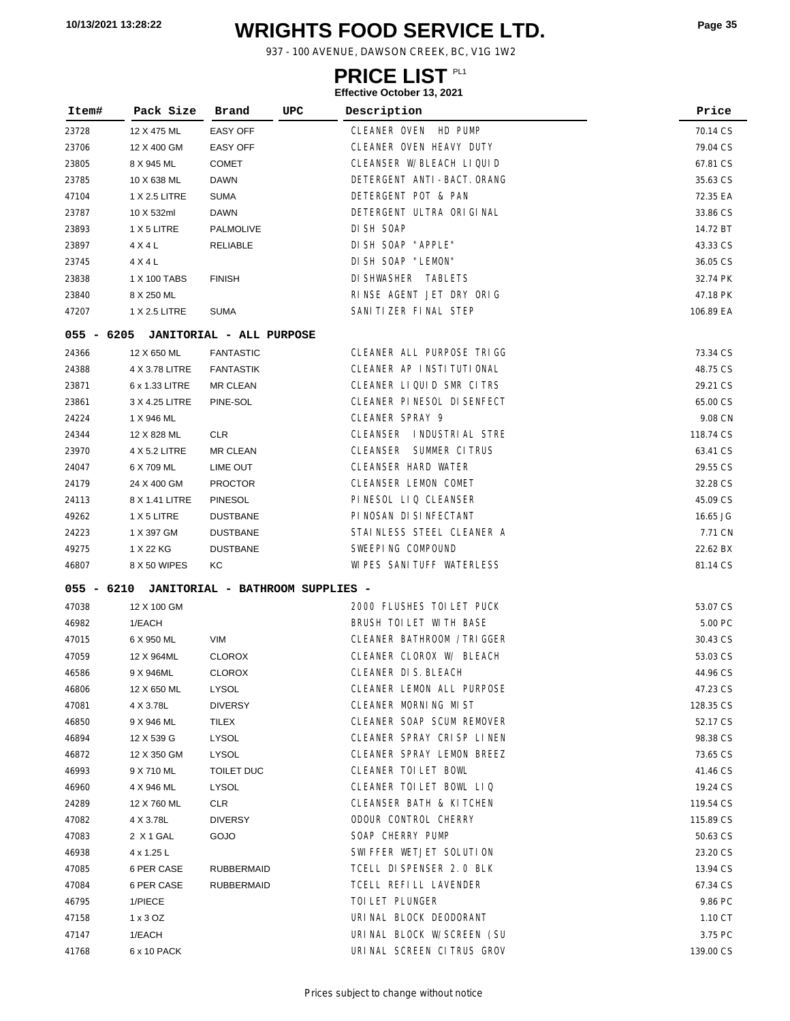# **WRIGHTS FOOD SERVICE LTD. 10/13/2021 13:28:22 Page <sup>35</sup>**

937 - 100 AVENUE, DAWSON CREEK, BC, V1G 1W2

### **PRICE LIST**

| Item#      | Pack Size      | Brand                            | UPC | Description                   | Price     |
|------------|----------------|----------------------------------|-----|-------------------------------|-----------|
| 23728      | 12 X 475 ML    | <b>EASY OFF</b>                  |     | HD PUMP<br>CLEANER OVEN       | 70.14 CS  |
| 23706      | 12 X 400 GM    | <b>EASY OFF</b>                  |     | CLEANER OVEN HEAVY DUTY       | 79.04 CS  |
| 23805      | 8 X 945 ML     | <b>COMET</b>                     |     | CLEANSER W/BLEACH LIQUID      | 67.81 CS  |
| 23785      | 10 X 638 ML    | DAWN                             |     | DETERGENT ANTI-BACT. ORANG    | 35.63 CS  |
| 47104      | 1 X 2.5 LITRE  | <b>SUMA</b>                      |     | DETERGENT POT & PAN           | 72.35 EA  |
| 23787      | 10 X 532ml     | DAWN                             |     | DETERGENT ULTRA ORIGINAL      | 33.86 CS  |
| 23893      | 1 X 5 LITRE    | PALMOLIVE                        |     | DI SH SOAP                    | 14.72 BT  |
| 23897      | 4 X 4 L        | <b>RELIABLE</b>                  |     | DI SH SOAP "APPLE"            | 43.33 CS  |
| 23745      | 4 X 4 L        |                                  |     | DI SH SOAP "LEMON"            | 36.05 CS  |
| 23838      | 1 X 100 TABS   | <b>FINISH</b>                    |     | DI SHWASHER TABLETS           | 32.74 PK  |
| 23840      | 8 X 250 ML     |                                  |     | RINSE AGENT JET DRY ORIG      | 47.18 PK  |
| 47207      | 1 X 2.5 LITRE  | <b>SUMA</b>                      |     | SANI TI ZER FINAL STEP        | 106.89 EA |
| 055 - 6205 |                | <b>JANITORIAL - ALL PURPOSE</b>  |     |                               |           |
| 24366      | 12 X 650 ML    | <b>FANTASTIC</b>                 |     | CLEANER ALL PURPOSE TRIGG     | 73.34 CS  |
| 24388      | 4 X 3.78 LITRE | <b>FANTASTIK</b>                 |     | CLEANER AP INSTITUTIONAL      | 48.75 CS  |
| 23871      | 6 x 1.33 LITRE | MR CLEAN                         |     | CLEANER LIQUID SMR CITRS      | 29.21 CS  |
| 23861      | 3 X 4.25 LITRE | PINE-SOL                         |     | CLEANER PINESOL DI SENFECT    | 65.00 CS  |
| 24224      | 1 X 946 ML     |                                  |     | CLEANER SPRAY 9               | 9.08 CN   |
| 24344      | 12 X 828 ML    | <b>CLR</b>                       |     | CLEANSER INDUSTRIAL STRE      | 118.74 CS |
| 23970      | 4 X 5.2 LITRE  | MR CLEAN                         |     | <b>CLEANSER SUMMER CITRUS</b> | 63.41 CS  |
| 24047      | 6 X 709 ML     | LIME OUT                         |     | <b>CLEANSER HARD WATER</b>    | 29.55 CS  |
| 24179      | 24 X 400 GM    | <b>PROCTOR</b>                   |     | <b>CLEANSER LEMON COMET</b>   | 32.28 CS  |
| 24113      | 8 X 1.41 LITRE | <b>PINESOL</b>                   |     | PINESOL LIQ CLEANSER          | 45.09 CS  |
| 49262      | 1 X 5 LITRE    | <b>DUSTBANE</b>                  |     | PINOSAN DI SINFECTANT         | 16.65 JG  |
| 24223      | 1 X 397 GM     | <b>DUSTBANE</b>                  |     | STAINLESS STEEL CLEANER A     | 7.71 CN   |
| 49275      | 1 X 22 KG      | <b>DUSTBANE</b>                  |     | SWEEPING COMPOUND             | 22.62 BX  |
| 46807      | 8 X 50 WIPES   | КC                               |     | WI PES SANI TUFF WATERLESS    | 81.14 CS  |
| 055 - 6210 |                | JANITORIAL - BATHROOM SUPPLIES - |     |                               |           |
| 47038      | 12 X 100 GM    |                                  |     | 2000 FLUSHES TOI LET PUCK     | 53.07 CS  |
| 46982      | 1/EACH         |                                  |     | BRUSH TOILET WITH BASE        | 5.00 PC   |
| 47015      | 6 X 950 ML     | VIM                              |     | CLEANER BATHROOM / TRIGGER    | 30.43 CS  |
| 47059      | 12 X 964ML     | <b>CLOROX</b>                    |     | CLEANER CLOROX W/ BLEACH      | 53.03 CS  |
| 46586      | 9 X 946ML      | <b>CLOROX</b>                    |     | CLEANER DIS. BLEACH           | 44.96 CS  |
| 46806      | 12 X 650 ML    | LYSOL                            |     | CLEANER LEMON ALL PURPOSE     | 47.23 CS  |
| 47081      | 4 X 3.78L      | <b>DIVERSY</b>                   |     | CLEANER MORNING MIST          | 128.35 CS |
| 46850      | 9 X 946 ML     | TILEX                            |     | CLEANER SOAP SCUM REMOVER     | 52.17 CS  |
| 46894      | 12 X 539 G     | LYSOL                            |     | CLEANER SPRAY CRISP LINEN     | 98.38 CS  |
| 46872      | 12 X 350 GM    | LYSOL                            |     | CLEANER SPRAY LEMON BREEZ     | 73.65 CS  |
| 46993      | 9 X 710 ML     | TOILET DUC                       |     | CLEANER TOILET BOWL           | 41.46 CS  |
| 46960      | 4 X 946 ML     | LYSOL                            |     | CLEANER TOILET BOWL LIQ       | 19.24 CS  |
| 24289      | 12 X 760 ML    | CLR                              |     | CLEANSER BATH & KITCHEN       | 119.54 CS |
| 47082      | 4 X 3.78L      | <b>DIVERSY</b>                   |     | ODOUR CONTROL CHERRY          | 115.89 CS |
| 47083      | 2 X 1 GAL      | GOJO                             |     | SOAP CHERRY PUMP              | 50.63 CS  |
| 46938      | 4 x 1.25 L     |                                  |     | SWIFFER WETJET SOLUTION       | 23.20 CS  |
| 47085      | 6 PER CASE     | <b>RUBBERMAID</b>                |     | TCELL DI SPENSER 2.0 BLK      | 13.94 CS  |
| 47084      | 6 PER CASE     | <b>RUBBERMAID</b>                |     | TCELL REFILL LAVENDER         | 67.34 CS  |
| 46795      | 1/PIECE        |                                  |     | TOI LET PLUNGER               | 9.86 PC   |
| 47158      | 1 x 3 OZ       |                                  |     | URINAL BLOCK DEODORANT        | 1.10 CT   |
| 47147      | 1/EACH         |                                  |     | URINAL BLOCK W/SCREEN (SU     | 3.75 PC   |
| 41768      | 6 x 10 PACK    |                                  |     | URINAL SCREEN CITRUS GROV     | 139.00 CS |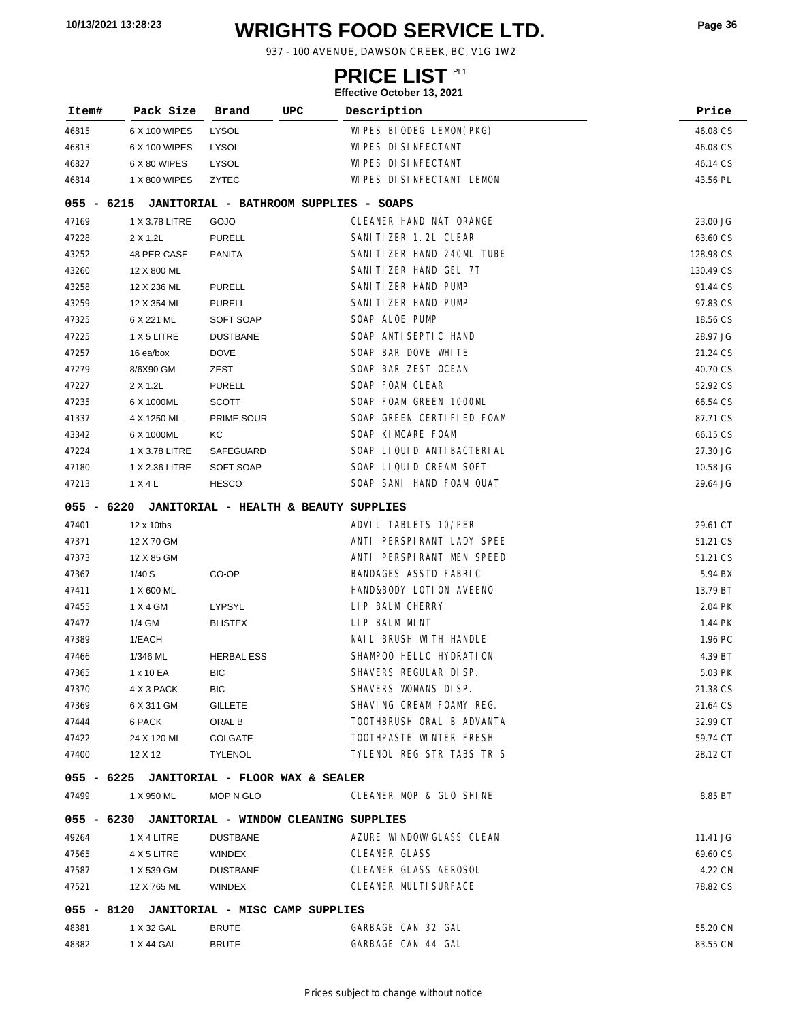# **WRIGHTS FOOD SERVICE LTD. 10/13/2021 13:28:23 Page <sup>36</sup>**

937 - 100 AVENUE, DAWSON CREEK, BC, V1G 1W2

### **PRICE LIST**

| Item#        | Pack Size      | Brand<br>UPC                                     | Description                            | Price     |
|--------------|----------------|--------------------------------------------------|----------------------------------------|-----------|
| 46815        | 6 X 100 WIPES  | LYSOL                                            | WI PES BIODEG LEMON (PKG)              | 46.08 CS  |
| 46813        | 6 X 100 WIPES  | LYSOL                                            | WI PES DI SI NFECTANT                  | 46.08 CS  |
| 46827        | 6 X 80 WIPES   | LYSOL                                            | WI PES DI SI NFECTANT                  | 46.14 CS  |
| 46814        | 1 X 800 WIPES  | ZYTEC                                            | WIPES DISINFECTANT LEMON               | 43.56 PL  |
| $055 - 6215$ |                |                                                  | JANITORIAL - BATHROOM SUPPLIES - SOAPS |           |
| 47169        | 1 X 3.78 LITRE | GOJO                                             | CLEANER HAND NAT ORANGE                | 23.00 JG  |
| 47228        | 2 X 1.2L       | <b>PURELL</b>                                    | SANI TI ZER 1.2L CLEAR                 | 63.60 CS  |
| 43252        | 48 PER CASE    | <b>PANITA</b>                                    | SANITIZER HAND 240ML TUBE              | 128.98 CS |
| 43260        | 12 X 800 ML    |                                                  | SANI TI ZER HAND GEL 7T                | 130.49 CS |
| 43258        | 12 X 236 ML    | <b>PURELL</b>                                    | SANI TI ZER HAND PUMP                  | 91.44 CS  |
| 43259        | 12 X 354 ML    | <b>PURELL</b>                                    | SANI TI ZER HAND PUMP                  | 97.83 CS  |
| 47325        | 6 X 221 ML     | SOFT SOAP                                        | SOAP ALOE PUMP                         | 18.56 CS  |
| 47225        | 1 X 5 LITRE    | <b>DUSTBANE</b>                                  | SOAP ANTI SEPTI C HAND                 | 28.97 JG  |
| 47257        | 16 ea/box      | <b>DOVE</b>                                      | SOAP BAR DOVE WHITE                    | 21.24 CS  |
| 47279        | 8/6X90 GM      | ZEST                                             | SOAP BAR ZEST OCEAN                    | 40.70 CS  |
| 47227        | 2 X 1.2L       | <b>PURELL</b>                                    | SOAP FOAM CLEAR                        | 52.92 CS  |
| 47235        | 6 X 1000ML     | <b>SCOTT</b>                                     | SOAP FOAM GREEN 1000ML                 | 66.54 CS  |
| 41337        | 4 X 1250 ML    | PRIME SOUR                                       | SOAP GREEN CERTIFIED FOAM              | 87.71 CS  |
| 43342        | 6 X 1000ML     | КC                                               | SOAP KIMCARE FOAM                      | 66.15 CS  |
| 47224        | 1 X 3.78 LITRE | SAFEGUARD                                        | SOAP LIQUID ANTIBACTERIAL              | 27.30 JG  |
| 47180        | 1 X 2.36 LITRE | SOFT SOAP                                        | SOAP LIQUID CREAM SOFT                 | 10.58 JG  |
| 47213        | 1 X 4 L        | <b>HESCO</b>                                     | SOAP SANI HAND FOAM QUAT               | 29.64 JG  |
| 055 - 6220   |                | JANITORIAL - HEALTH & BEAUTY SUPPLIES            |                                        |           |
| 47401        | 12 x 10tbs     |                                                  | ADVIL TABLETS 10/PER                   | 29.61 CT  |
| 47371        | 12 X 70 GM     |                                                  | ANTI PERSPIRANT LADY SPEE              | 51.21 CS  |
| 47373        | 12 X 85 GM     |                                                  | ANTI PERSPIRANT MEN SPEED              | 51.21 CS  |
| 47367        | 1/40'S         | CO-OP                                            | BANDAGES ASSTD FABRIC                  | 5.94 BX   |
| 47411        | 1 X 600 ML     |                                                  | HAND&BODY LOTION AVEENO                | 13.79 BT  |
| 47455        | 1 X 4 GM       | LYPSYL                                           | LIP BALM CHERRY                        | 2.04 PK   |
| 47477        | 1/4 GM         | <b>BLISTEX</b>                                   | LIP BALM MINT                          | 1.44 PK   |
| 47389        | 1/EACH         |                                                  | NAIL BRUSH WITH HANDLE                 | 1.96 PC   |
| 47466        | 1/346 ML       | <b>HERBAL ESS</b>                                | SHAMPOO HELLO HYDRATION                | 4.39 BT   |
| 47365        | 1 x 10 EA      | BIC                                              | SHAVERS REGULAR DI SP.                 | 5.03 PK   |
| 47370        | 4 X 3 PACK     | BIC.                                             | SHAVERS WOMANS DISP.                   | 21.38 CS  |
| 47369        | 6 X 311 GM     | GILLETE                                          | SHAVING CREAM FOAMY REG.               | 21.64 CS  |
| 47444        | 6 PACK         | ORAL B                                           | TOOTHBRUSH ORAL B ADVANTA              | 32.99 CT  |
| 47422        | 24 X 120 ML    | COLGATE                                          | TOOTHPASTE WINTER FRESH                | 59.74 CT  |
| 47400        | 12 X 12        | <b>TYLENOL</b>                                   | TYLENOL REG STR TABS TR S              | 28.12 CT  |
|              |                | 055 - 6225 JANITORIAL - FLOOR WAX & SEALER       |                                        |           |
| 47499        | 1 X 950 ML     | MOP N GLO                                        | CLEANER MOP & GLO SHINE                | 8.85 BT   |
|              |                | 055 - 6230 JANITORIAL - WINDOW CLEANING SUPPLIES |                                        |           |
| 49264        | 1 X 4 LITRE    | DUSTBANE                                         | AZURE WINDOW/GLASS CLEAN               | 11.41 JG  |
| 47565        | 4 X 5 LITRE    | WINDEX                                           | <b>CLEANER GLASS</b>                   | 69.60 CS  |
| 47587        | 1 X 539 GM     | <b>DUSTBANE</b>                                  | CLEANER GLASS AEROSOL                  | 4.22 CN   |
| 47521        | 12 X 765 ML    | WINDEX                                           | CLEANER MULTI SURFACE                  | 78.82 CS  |
|              |                | 055 - 8120 JANITORIAL - MISC CAMP SUPPLIES       |                                        |           |
| 48381        | 1 X 32 GAL     | <b>BRUTE</b>                                     | GARBAGE CAN 32 GAL                     | 55.20 CN  |
|              |                |                                                  | GARBAGE CAN 44 GAL                     |           |
| 48382        | 1 X 44 GAL     | <b>BRUTE</b>                                     |                                        | 83.55 CN  |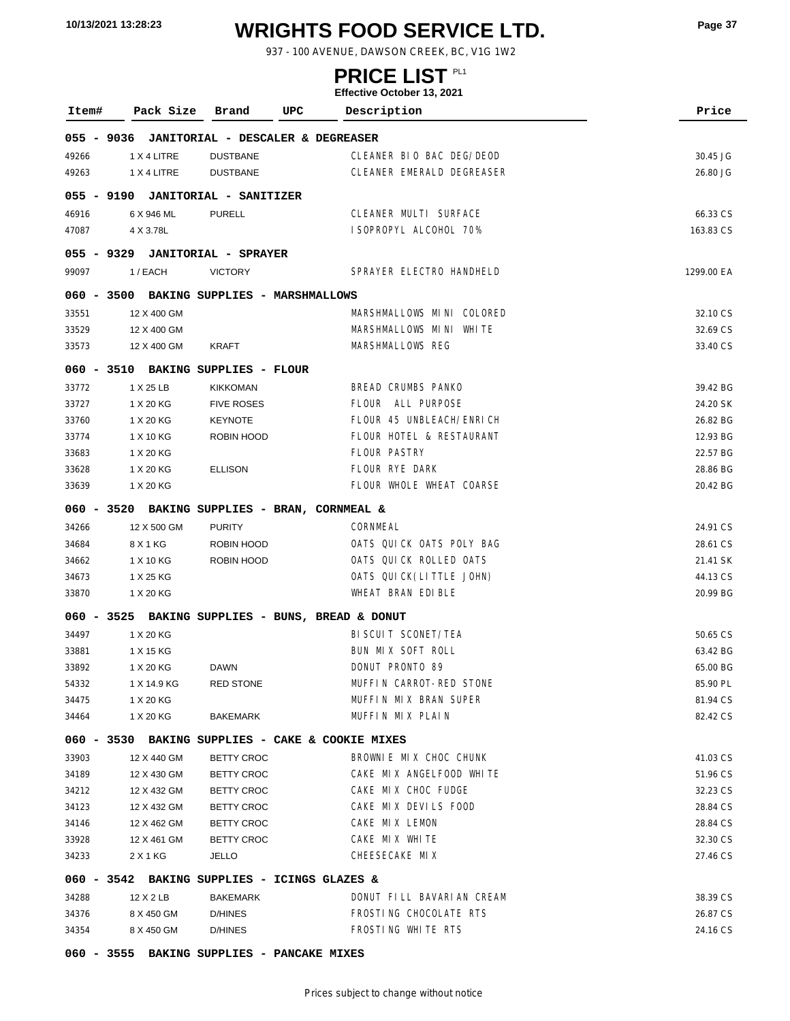# **WRIGHTS FOOD SERVICE LTD. 10/13/2021 13:28:23 Page <sup>37</sup>**

937 - 100 AVENUE, DAWSON CREEK, BC, V1G 1W2

### **PRICE LIST**

| Item#      | Pack Size                                        | Brand                       | UPC                                | Description               | Price      |
|------------|--------------------------------------------------|-----------------------------|------------------------------------|---------------------------|------------|
| 055 - 9036 |                                                  |                             | JANITORIAL - DESCALER & DEGREASER  |                           |            |
| 49266      | 1 X 4 LITRE                                      | <b>DUSTBANE</b>             |                                    | CLEANER BIO BAC DEG/DEOD  | 30.45 JG   |
| 49263      | 1 X 4 LITRE                                      | <b>DUSTBANE</b>             |                                    | CLEANER EMERALD DEGREASER | 26.80 JG   |
| 055 - 9190 |                                                  | JANITORIAL - SANITIZER      |                                    |                           |            |
| 46916      | 6 X 946 ML                                       | <b>PURELL</b>               |                                    | CLEANER MULTI SURFACE     | 66.33 CS   |
| 47087      | 4 X 3.78L                                        |                             |                                    | I SOPROPYL ALCOHOL 70%    | 163.83 CS  |
| 055 - 9329 |                                                  | <b>JANITORIAL - SPRAYER</b> |                                    |                           |            |
| 99097      | 1 / EACH                                         | <b>VICTORY</b>              |                                    | SPRAYER ELECTRO HANDHELD  | 1299.00 EA |
| 060 - 3500 |                                                  |                             | BAKING SUPPLIES - MARSHMALLOWS     |                           |            |
| 33551      | 12 X 400 GM                                      |                             |                                    | MARSHMALLOWS MINI COLORED | 32.10 CS   |
| 33529      | 12 X 400 GM                                      |                             |                                    | MARSHMALLOWS MINI WHITE   | 32.69 CS   |
| 33573      | 12 X 400 GM                                      | KRAFT                       |                                    | MARSHMALLOWS REG          | 33.40 CS   |
|            | 060 - 3510 BAKING SUPPLIES - FLOUR               |                             |                                    |                           |            |
| 33772      | 1 X 25 LB                                        | <b>KIKKOMAN</b>             |                                    | BREAD CRUMBS PANKO        | 39.42 BG   |
| 33727      | 1 X 20 KG                                        | <b>FIVE ROSES</b>           |                                    | FLOUR ALL PURPOSE         | 24.20 SK   |
| 33760      | 1 X 20 KG                                        | <b>KEYNOTE</b>              |                                    | FLOUR 45 UNBLEACH/ENRICH  | 26.82 BG   |
| 33774      | 1 X 10 KG                                        | ROBIN HOOD                  |                                    | FLOUR HOTEL & RESTAURANT  | 12.93 BG   |
| 33683      | 1 X 20 KG                                        |                             |                                    | <b>FLOUR PASTRY</b>       | 22.57 BG   |
| 33628      | 1 X 20 KG                                        | <b>ELLISON</b>              |                                    | FLOUR RYE DARK            | 28.86 BG   |
| 33639      | 1 X 20 KG                                        |                             |                                    | FLOUR WHOLE WHEAT COARSE  | 20.42 BG   |
| 060 - 3520 |                                                  |                             | BAKING SUPPLIES - BRAN, CORNMEAL & |                           |            |
| 34266      | 12 X 500 GM                                      | <b>PURITY</b>               |                                    | CORNMEAL                  | 24.91 CS   |
| 34684      | 8 X 1 KG                                         | ROBIN HOOD                  |                                    | OATS QUICK OATS POLY BAG  | 28.61 CS   |
| 34662      | 1 X 10 KG                                        | ROBIN HOOD                  |                                    | OATS QUICK ROLLED OATS    | 21.41 SK   |
| 34673      | 1 X 25 KG                                        |                             |                                    | OATS QUICK (LITTLE JOHN)  | 44.13 CS   |
| 33870      | 1 X 20 KG                                        |                             |                                    | WHEAT BRAN EDIBLE         | 20.99 BG   |
|            | 060 - 3525 BAKING SUPPLIES - BUNS, BREAD & DONUT |                             |                                    |                           |            |
| 34497      | 1 X 20 KG                                        |                             |                                    | BI SCUI T SCONET/TEA      | 50.65 CS   |
| 33881      | 1 X 15 KG                                        |                             |                                    | BUN MIX SOFT ROLL         | 63.42 BG   |
| 33892      | 1 X 20 KG                                        | <b>DAWN</b>                 |                                    | DONUT PRONTO 89           | 65.00 BG   |
| 54332      | 1 X 14.9 KG                                      | <b>RED STONE</b>            |                                    | MUFFIN CARROT-RED STONE   | 85.90 PL   |
| 34475      | 1 X 20 KG                                        |                             |                                    | MUFFIN MIX BRAN SUPER     | 81.94 CS   |
| 34464      | 1 X 20 KG                                        | <b>BAKEMARK</b>             |                                    | MUFFIN MIX PLAIN          | 82.42 CS   |
|            | 060 - 3530 BAKING SUPPLIES - CAKE & COOKIE MIXES |                             |                                    |                           |            |
| 33903      | 12 X 440 GM                                      | <b>BETTY CROC</b>           |                                    | BROWNLE MIX CHOC CHUNK    | 41.03 CS   |
| 34189      | 12 X 430 GM                                      | <b>BETTY CROC</b>           |                                    | CAKE MIX ANGELFOOD WHITE  | 51.96 CS   |
| 34212      | 12 X 432 GM                                      | <b>BETTY CROC</b>           |                                    | CAKE MIX CHOC FUDGE       | 32.23 CS   |
| 34123      | 12 X 432 GM                                      | <b>BETTY CROC</b>           |                                    | CAKE MIX DEVILS FOOD      | 28.84 CS   |
| 34146      | 12 X 462 GM                                      | <b>BETTY CROC</b>           |                                    | CAKE MIX LEMON            | 28.84 CS   |
| 33928      | 12 X 461 GM                                      | <b>BETTY CROC</b>           |                                    | CAKE MIX WHITE            | 32.30 CS   |
| 34233      | 2 X 1 KG                                         | JELLO                       |                                    | CHEESECAKE MIX            | 27.46 CS   |
|            | 060 - 3542 BAKING SUPPLIES - ICINGS GLAZES &     |                             |                                    |                           |            |
| 34288      | 12 X 2 LB                                        | <b>BAKEMARK</b>             |                                    | DONUT FILL BAVARIAN CREAM | 38.39 CS   |
| 34376      | 8 X 450 GM                                       | D/HINES                     |                                    | FROSTING CHOCOLATE RTS    | 26.87 CS   |
| 34354      | 8 X 450 GM                                       | D/HINES                     |                                    | FROSTING WHITE RTS        | 24.16 CS   |
| 060 - 3555 |                                                  |                             | BAKING SUPPLIES - PANCAKE MIXES    |                           |            |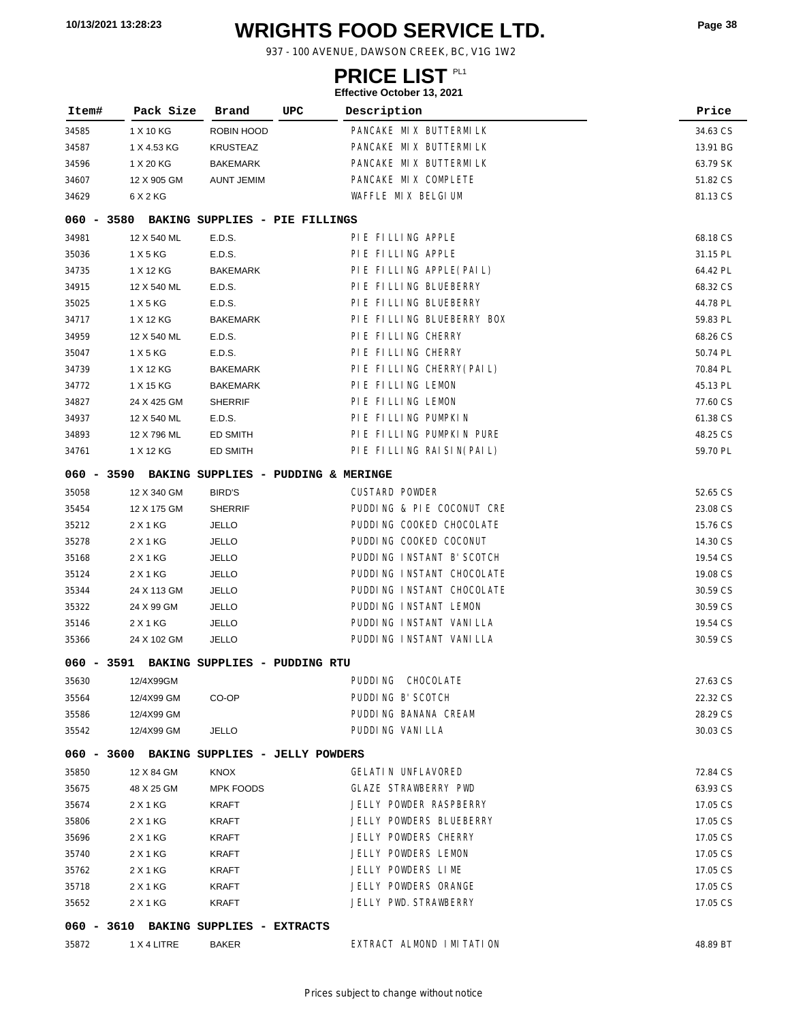# **WRIGHTS FOOD SERVICE LTD. 10/13/2021 13:28:23 Page <sup>38</sup>**

937 - 100 AVENUE, DAWSON CREEK, BC, V1G 1W2

### **PRICE LIST**

|            |                                                |                            |                               | <b>LIIGUIIVE OULUNGI 19, ZUZ I</b> |          |
|------------|------------------------------------------------|----------------------------|-------------------------------|------------------------------------|----------|
| Item#      | Pack Size                                      | Brand                      | UPC                           | Description                        | Price    |
| 34585      | 1 X 10 KG                                      | ROBIN HOOD                 |                               | PANCAKE MIX BUTTERMILK             | 34.63 CS |
| 34587      | 1 X 4.53 KG                                    | <b>KRUSTEAZ</b>            |                               | PANCAKE MIX BUTTERMILK             | 13.91 BG |
| 34596      | 1 X 20 KG                                      | <b>BAKEMARK</b>            |                               | PANCAKE MIX BUTTERMILK             | 63.79 SK |
| 34607      | 12 X 905 GM                                    | <b>AUNT JEMIM</b>          |                               | PANCAKE MIX COMPLETE               | 51.82 CS |
| 34629      | 6 X 2 KG                                       |                            |                               | WAFFLE MIX BELGIUM                 | 81.13 CS |
|            | 060 - 3580 BAKING SUPPLIES - PIE FILLINGS      |                            |                               |                                    |          |
| 34981      | 12 X 540 ML                                    | E.D.S.                     |                               | PIE FILLING APPLE                  | 68.18 CS |
| 35036      | 1 X 5 KG                                       | E.D.S.                     |                               | PIE FILLING APPLE                  | 31.15 PL |
| 34735      | 1 X 12 KG                                      | <b>BAKEMARK</b>            |                               | PIE FILLING APPLE(PAIL)            | 64.42 PL |
| 34915      | 12 X 540 ML                                    | E.D.S.                     |                               | PIE FILLING BLUEBERRY              | 68.32 CS |
| 35025      | 1 X 5 KG                                       | E.D.S.                     |                               | PIE FILLING BLUEBERRY              | 44.78 PL |
| 34717      | 1 X 12 KG                                      | <b>BAKEMARK</b>            |                               | PIE FILLING BLUEBERRY BOX          | 59.83 PL |
| 34959      | 12 X 540 ML                                    | E.D.S.                     |                               | PIE FILLING CHERRY                 | 68.26 CS |
| 35047      | 1 X 5 KG                                       | E.D.S.                     |                               | PIE FILLING CHERRY                 | 50.74 PL |
| 34739      | 1 X 12 KG                                      | <b>BAKEMARK</b>            |                               | PIE FILLING CHERRY (PAIL)          | 70.84 PL |
| 34772      | 1 X 15 KG                                      | <b>BAKEMARK</b>            |                               | PIE FILLING LEMON                  | 45.13 PL |
| 34827      | 24 X 425 GM                                    | <b>SHERRIF</b>             |                               | PIE FILLING LEMON                  | 77.60 CS |
| 34937      | 12 X 540 ML                                    | E.D.S.                     |                               | PIE FILLING PUMPKIN                | 61.38 CS |
| 34893      | 12 X 796 ML                                    | ED SMITH                   |                               | PIE FILLING PUMPKIN PURE           | 48.25 CS |
| 34761      | 1 X 12 KG                                      | ED SMITH                   |                               | PIE FILLING RAISIN(PAIL)           | 59.70 PL |
|            | 060 - 3590 BAKING SUPPLIES - PUDDING & MERINGE |                            |                               |                                    |          |
| 35058      | 12 X 340 GM                                    | <b>BIRD'S</b>              |                               | <b>CUSTARD POWDER</b>              | 52.65 CS |
| 35454      | 12 X 175 GM                                    | <b>SHERRIF</b>             |                               | PUDDING & PIE COCONUT CRE          | 23.08 CS |
| 35212      | 2 X 1 KG                                       | <b>JELLO</b>               |                               | PUDDING COOKED CHOCOLATE           | 15.76 CS |
| 35278      | 2 X 1 KG                                       | <b>JELLO</b>               |                               | PUDDING COOKED COCONUT             | 14.30 CS |
| 35168      | 2 X 1 KG                                       | <b>JELLO</b>               |                               | PUDDING INSTANT B' SCOTCH          | 19.54 CS |
| 35124      | 2 X 1 KG                                       | <b>JELLO</b>               |                               | PUDDING INSTANT CHOCOLATE          | 19.08 CS |
| 35344      | 24 X 113 GM                                    | <b>JELLO</b>               |                               | PUDDING INSTANT CHOCOLATE          | 30.59 CS |
| 35322      | 24 X 99 GM                                     | <b>JELLO</b>               |                               | PUDDING INSTANT LEMON              | 30.59 CS |
| 35146      | 2 X 1 KG                                       | <b>JELLO</b>               |                               | PUDDING INSTANT VANILLA            | 19.54 CS |
| 35366      | 24 X 102 GM                                    | <b>JELLO</b>               |                               | PUDDING INSTANT VANILLA            | 30.59 CS |
| 060 - 3591 |                                                |                            | BAKING SUPPLIES - PUDDING RTU |                                    |          |
| 35630      | 12/4X99GM                                      |                            |                               | PUDDING CHOCOLATE                  | 27.63 CS |
| 35564      | 12/4X99 GM                                     | CO-OP                      |                               | PUDDING B' SCOTCH                  | 22.32 CS |
| 35586      | 12/4X99 GM                                     |                            |                               | PUDDING BANANA CREAM               | 28.29 CS |
| 35542      | 12/4X99 GM                                     | <b>JELLO</b>               |                               | PUDDING VANILLA                    | 30.03 CS |
|            | 060 - 3600 BAKING SUPPLIES - JELLY POWDERS     |                            |                               |                                    |          |
| 35850      | 12 X 84 GM                                     | KNOX                       |                               | <b>GELATI N UNFLAVORED</b>         | 72.84 CS |
| 35675      | 48 X 25 GM                                     | <b>MPK FOODS</b>           |                               | <b>GLAZE STRAWBERRY PWD</b>        | 63.93 CS |
| 35674      | 2 X 1 KG                                       | KRAFT                      |                               | JELLY POWDER RASPBERRY             | 17.05 CS |
| 35806      | 2 X 1 KG                                       | <b>KRAFT</b>               |                               | JELLY POWDERS BLUEBERRY            | 17.05 CS |
| 35696      | 2 X 1 KG                                       | <b>KRAFT</b>               |                               | JELLY POWDERS CHERRY               | 17.05 CS |
| 35740      | 2 X 1 KG                                       | <b>KRAFT</b>               |                               | JELLY POWDERS LEMON                | 17.05 CS |
| 35762      | 2 X 1 KG                                       | KRAFT                      |                               | JELLY POWDERS LIME                 | 17.05 CS |
| 35718      | 2 X 1 KG                                       | <b>KRAFT</b>               |                               | JELLY POWDERS ORANGE               | 17.05 CS |
| 35652      | 2 X 1 KG                                       | <b>KRAFT</b>               |                               | JELLY PWD. STRAWBERRY              | 17.05 CS |
| 060 - 3610 |                                                | BAKING SUPPLIES - EXTRACTS |                               |                                    |          |
| 35872      | 1 X 4 LITRE                                    | <b>BAKER</b>               |                               | EXTRACT ALMOND IMITATION           | 48.89 BT |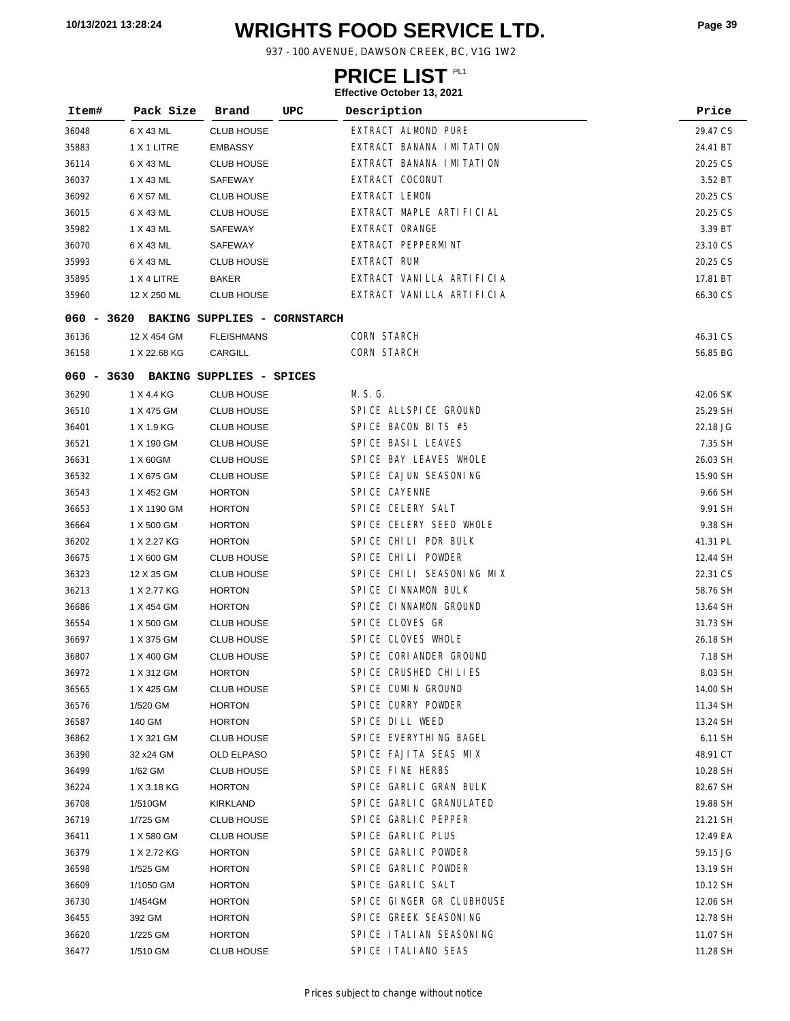# **WRIGHTS FOOD SERVICE LTD. 10/13/2021 13:28:24 Page <sup>39</sup>**

937 - 100 AVENUE, DAWSON CREEK, BC, V1G 1W2

### **PRICE LIST**

| Item# | Pack Size                               | Brand             | UPC | Description                 | Price    |
|-------|-----------------------------------------|-------------------|-----|-----------------------------|----------|
| 36048 | 6 X 43 ML                               | <b>CLUB HOUSE</b> |     | EXTRACT ALMOND PURE         | 29.47 CS |
| 35883 | 1 X 1 LITRE                             | <b>EMBASSY</b>    |     | EXTRACT BANANA I MI TATI ON | 24.41 BT |
| 36114 | 6 X 43 ML                               | <b>CLUB HOUSE</b> |     | EXTRACT BANANA I MITATION   | 20.25 CS |
| 36037 | 1 X 43 ML                               | SAFEWAY           |     | EXTRACT COCONUT             | 3.52 BT  |
| 36092 | 6 X 57 ML                               | <b>CLUB HOUSE</b> |     | <b>EXTRACT LEMON</b>        | 20.25 CS |
| 36015 | 6 X 43 ML                               | <b>CLUB HOUSE</b> |     | EXTRACT MAPLE ARTIFICIAL    | 20.25 CS |
| 35982 | 1 X 43 ML                               | SAFEWAY           |     | EXTRACT ORANGE              | 3.39 BT  |
| 36070 | 6 X 43 ML                               | SAFEWAY           |     | EXTRACT PEPPERMINT          | 23.10 CS |
| 35993 | 6 X 43 ML                               | <b>CLUB HOUSE</b> |     | EXTRACT RUM                 | 20.25 CS |
| 35895 | 1 X 4 LITRE                             | <b>BAKER</b>      |     | EXTRACT VANILLA ARTIFICIA   | 17.81 BT |
| 35960 | 12 X 250 ML                             | <b>CLUB HOUSE</b> |     | EXTRACT VANILLA ARTIFICIA   | 66.30 CS |
|       | 060 - 3620 BAKING SUPPLIES - CORNSTARCH |                   |     |                             |          |
| 36136 | 12 X 454 GM                             | <b>FLEISHMANS</b> |     | CORN STARCH                 | 46.31 CS |
| 36158 | 1 X 22.68 KG                            | CARGILL           |     | <b>CORN STARCH</b>          | 56.85 BG |
|       | 060 - 3630 BAKING SUPPLIES - SPICES     |                   |     |                             |          |
| 36290 | 1 X 4.4 KG                              | <b>CLUB HOUSE</b> |     | M. S. G.                    | 42.06 SK |
| 36510 | 1 X 475 GM                              | <b>CLUB HOUSE</b> |     | SPICE ALLSPICE GROUND       | 25.29 SH |
| 36401 | 1 X 1.9 KG                              | <b>CLUB HOUSE</b> |     | SPICE BACON BITS #5         | 22.18 JG |
| 36521 | 1 X 190 GM                              | <b>CLUB HOUSE</b> |     | SPICE BASIL LEAVES          | 7.35 SH  |
| 36631 | 1 X 60GM                                | <b>CLUB HOUSE</b> |     | SPICE BAY LEAVES WHOLE      | 26.03 SH |
| 36532 | 1 X 675 GM                              | <b>CLUB HOUSE</b> |     | SPICE CAJUN SEASONING       | 15.90 SH |
| 36543 | 1 X 452 GM                              | <b>HORTON</b>     |     | SPICE CAYENNE               | 9.66 SH  |
| 36653 | 1 X 1190 GM                             | <b>HORTON</b>     |     | SPICE CELERY SALT           | 9.91 SH  |
| 36664 | 1 X 500 GM                              | <b>HORTON</b>     |     | SPICE CELERY SEED WHOLE     | 9.38 SH  |
| 36202 | 1 X 2.27 KG                             | <b>HORTON</b>     |     | SPICE CHILI PDR BULK        | 41.31 PL |
| 36675 | 1 X 600 GM                              | <b>CLUB HOUSE</b> |     | SPICE CHILI POWDER          | 12.44 SH |
| 36323 | 12 X 35 GM                              | <b>CLUB HOUSE</b> |     | SPICE CHILI SEASONING MIX   | 22.31 CS |
| 36213 | 1 X 2.77 KG                             | <b>HORTON</b>     |     | SPICE CINNAMON BULK         | 58.76 SH |
| 36686 | 1 X 454 GM                              | <b>HORTON</b>     |     | SPICE CINNAMON GROUND       | 13.64 SH |
| 36554 | 1 X 500 GM                              | <b>CLUB HOUSE</b> |     | SPICE CLOVES GR             | 31.73 SH |
| 36697 | 1 X 375 GM                              | <b>CLUB HOUSE</b> |     | SPICE CLOVES WHOLE          | 26.18 SH |
| 36807 | 1 X 400 GM                              | <b>CLUB HOUSE</b> |     | SPICE CORIANDER GROUND      | 7.18 SH  |
| 36972 | 1 X 312 GM                              | HORTON            |     | SPICE CRUSHED CHILIES       | 8.03 SH  |
| 36565 | 1 X 425 GM                              | <b>CLUB HOUSE</b> |     | SPICE CUMIN GROUND          | 14.00 SH |
| 36576 | 1/520 GM                                | <b>HORTON</b>     |     | SPICE CURRY POWDER          | 11.34 SH |
| 36587 | 140 GM                                  | <b>HORTON</b>     |     | SPICE DILL WEED             | 13.24 SH |
| 36862 | 1 X 321 GM                              | <b>CLUB HOUSE</b> |     | SPICE EVERYTHING BAGEL      | 6.11 SH  |
| 36390 | 32 x24 GM                               | OLD ELPASO        |     | SPICE FAJITA SEAS MIX       | 48.91 CT |
| 36499 | 1/62 GM                                 | <b>CLUB HOUSE</b> |     | SPICE FINE HERBS            | 10.28 SH |
| 36224 | 1 X 3.18 KG                             | <b>HORTON</b>     |     | SPICE GARLIC GRAN BULK      | 82.67 SH |
| 36708 | 1/510GM                                 | <b>KIRKLAND</b>   |     | SPICE GARLIC GRANULATED     | 19.88 SH |
| 36719 | 1/725 GM                                | <b>CLUB HOUSE</b> |     | SPICE GARLIC PEPPER         | 21.21 SH |
| 36411 | 1 X 580 GM                              | <b>CLUB HOUSE</b> |     | SPICE GARLIC PLUS           | 12.49 EA |
| 36379 | 1 X 2.72 KG                             | <b>HORTON</b>     |     | SPICE GARLIC POWDER         | 59.15 JG |
| 36598 | 1/525 GM                                | <b>HORTON</b>     |     | SPICE GARLIC POWDER         | 13.19 SH |
| 36609 | 1/1050 GM                               | <b>HORTON</b>     |     | SPICE GARLIC SALT           | 10.12 SH |
| 36730 | 1/454GM                                 | <b>HORTON</b>     |     | SPICE GINGER GR CLUBHOUSE   | 12.06 SH |
| 36455 | 392 GM                                  | <b>HORTON</b>     |     | SPICE GREEK SEASONING       | 12.78 SH |
| 36620 | 1/225 GM                                | <b>HORTON</b>     |     | SPICE ITALIAN SEASONING     | 11.07 SH |
| 36477 | 1/510 GM                                | <b>CLUB HOUSE</b> |     | SPICE ITALIANO SEAS         | 11.28 SH |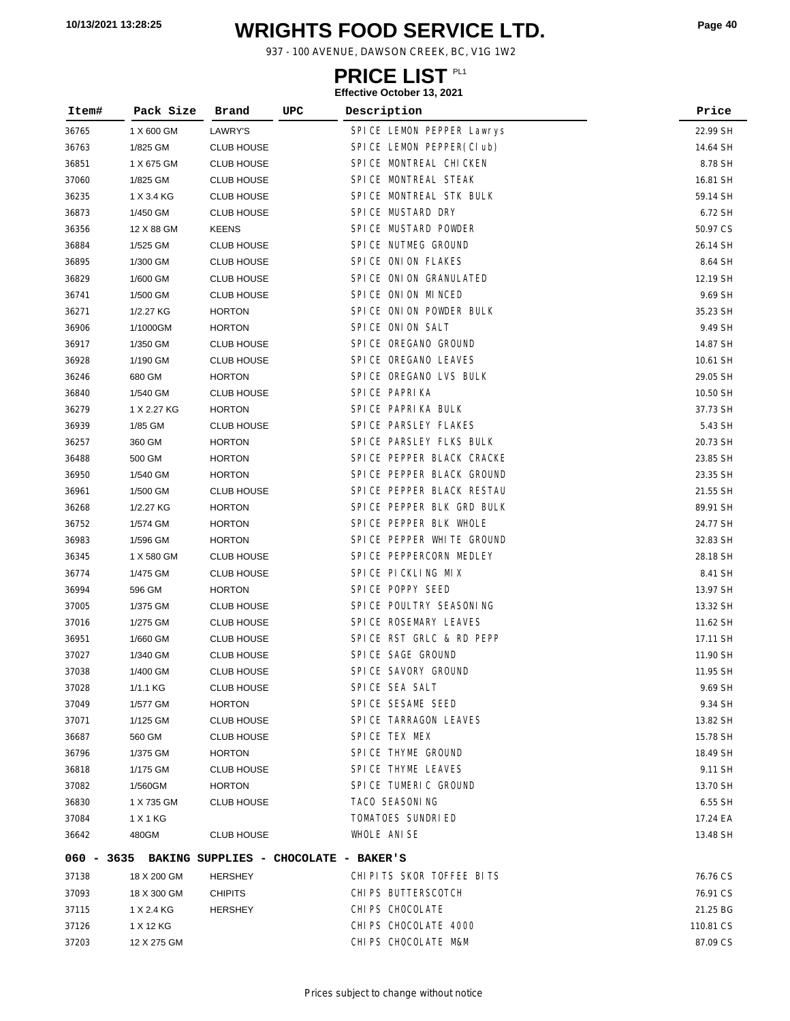# **WRIGHTS FOOD SERVICE LTD. 10/13/2021 13:28:25 Page <sup>40</sup>**

937 - 100 AVENUE, DAWSON CREEK, BC, V1G 1W2

### **PRICE LIST**

| Item# | Pack Size   | UPC<br>Brand                                     | Description               | Price     |
|-------|-------------|--------------------------------------------------|---------------------------|-----------|
| 36765 | 1 X 600 GM  | LAWRY'S                                          | SPICE LEMON PEPPER Lawrys | 22.99 SH  |
| 36763 | 1/825 GM    | <b>CLUB HOUSE</b>                                | SPICE LEMON PEPPER(CIub)  | 14.64 SH  |
| 36851 | 1 X 675 GM  | <b>CLUB HOUSE</b>                                | SPICE MONTREAL CHICKEN    | 8.78 SH   |
| 37060 | 1/825 GM    | <b>CLUB HOUSE</b>                                | SPICE MONTREAL STEAK      | 16.81 SH  |
| 36235 | 1 X 3.4 KG  | <b>CLUB HOUSE</b>                                | SPICE MONTREAL STK BULK   | 59.14 SH  |
| 36873 | 1/450 GM    | <b>CLUB HOUSE</b>                                | SPICE MUSTARD DRY         | 6.72 SH   |
| 36356 | 12 X 88 GM  | <b>KEENS</b>                                     | SPICE MUSTARD POWDER      | 50.97 CS  |
| 36884 | 1/525 GM    | <b>CLUB HOUSE</b>                                | SPICE NUTMEG GROUND       | 26.14 SH  |
| 36895 | 1/300 GM    | <b>CLUB HOUSE</b>                                | SPICE ONION FLAKES        | 8.64 SH   |
| 36829 | 1/600 GM    | <b>CLUB HOUSE</b>                                | SPICE ONION GRANULATED    | 12.19 SH  |
| 36741 | 1/500 GM    | CLUB HOUSE                                       | SPICE ONION MINCED        | 9.69 SH   |
| 36271 | 1/2.27 KG   | <b>HORTON</b>                                    | SPICE ONION POWDER BULK   | 35.23 SH  |
| 36906 | 1/1000GM    | <b>HORTON</b>                                    | SPICE ONION SALT          | 9.49 SH   |
| 36917 | 1/350 GM    | <b>CLUB HOUSE</b>                                | SPICE OREGANO GROUND      | 14.87 SH  |
| 36928 | 1/190 GM    | <b>CLUB HOUSE</b>                                | SPICE OREGANO LEAVES      | 10.61 SH  |
| 36246 | 680 GM      | <b>HORTON</b>                                    | SPICE OREGANO LVS BULK    | 29.05 SH  |
| 36840 | 1/540 GM    | <b>CLUB HOUSE</b>                                | SPICE PAPRIKA             | 10.50 SH  |
| 36279 | 1 X 2.27 KG | <b>HORTON</b>                                    | SPICE PAPRIKA BULK        | 37.73 SH  |
| 36939 | 1/85 GM     | <b>CLUB HOUSE</b>                                | SPICE PARSLEY FLAKES      | 5.43 SH   |
| 36257 | 360 GM      | <b>HORTON</b>                                    | SPICE PARSLEY FLKS BULK   | 20.73 SH  |
| 36488 | 500 GM      | <b>HORTON</b>                                    | SPICE PEPPER BLACK CRACKE | 23.85 SH  |
| 36950 | 1/540 GM    | <b>HORTON</b>                                    | SPICE PEPPER BLACK GROUND | 23.35 SH  |
| 36961 | 1/500 GM    | <b>CLUB HOUSE</b>                                | SPICE PEPPER BLACK RESTAU | 21.55 SH  |
| 36268 | 1/2.27 KG   | <b>HORTON</b>                                    | SPICE PEPPER BLK GRD BULK | 89.91 SH  |
| 36752 | 1/574 GM    | <b>HORTON</b>                                    | SPICE PEPPER BLK WHOLE    | 24.77 SH  |
| 36983 | 1/596 GM    | <b>HORTON</b>                                    | SPICE PEPPER WHITE GROUND | 32.83 SH  |
| 36345 | 1 X 580 GM  | <b>CLUB HOUSE</b>                                | SPICE PEPPERCORN MEDLEY   | 28.18 SH  |
| 36774 | 1/475 GM    | <b>CLUB HOUSE</b>                                | SPICE PICKLING MIX        | 8.41 SH   |
| 36994 | 596 GM      | <b>HORTON</b>                                    | SPICE POPPY SEED          | 13.97 SH  |
| 37005 | 1/375 GM    | <b>CLUB HOUSE</b>                                | SPICE POULTRY SEASONING   | 13.32 SH  |
| 37016 | 1/275 GM    | <b>CLUB HOUSE</b>                                | SPICE ROSEMARY LEAVES     | 11.62 SH  |
| 36951 | 1/660 GM    | <b>CLUB HOUSE</b>                                | SPICE RST GRLC & RD PEPP  | 17.11 SH  |
| 37027 | 1/340 GM    | <b>CLUB HOUSE</b>                                | SPICE SAGE GROUND         | 11.90 SH  |
| 37038 | 1/400 GM    | <b>CLUB HOUSE</b>                                | SPICE SAVORY GROUND       | 11.95 SH  |
| 37028 | 1/1.1 KG    | <b>CLUB HOUSE</b>                                | SPICE SEA SALT            | 9.69 SH   |
| 37049 | 1/577 GM    | <b>HORTON</b>                                    | SPICE SESAME SEED         | 9.34 SH   |
| 37071 | 1/125 GM    | <b>CLUB HOUSE</b>                                | SPICE TARRAGON LEAVES     | 13.82 SH  |
| 36687 | 560 GM      | <b>CLUB HOUSE</b>                                | SPICE TEX MEX             | 15.78 SH  |
| 36796 | 1/375 GM    | <b>HORTON</b>                                    | SPICE THYME GROUND        | 18.49 SH  |
| 36818 | 1/175 GM    | <b>CLUB HOUSE</b>                                | SPICE THYME LEAVES        | 9.11 SH   |
| 37082 | 1/560GM     | <b>HORTON</b>                                    | SPICE TUMERIC GROUND      | 13.70 SH  |
| 36830 | 1 X 735 GM  | <b>CLUB HOUSE</b>                                | TACO SEASONING            | 6.55 SH   |
| 37084 | 1 X 1 KG    |                                                  | TOMATOES SUNDRIED         | 17.24 EA  |
| 36642 | 480GM       | <b>CLUB HOUSE</b>                                | WHOLE ANISE               | 13.48 SH  |
|       |             | 060 - 3635 BAKING SUPPLIES - CHOCOLATE - BAKER'S |                           |           |
| 37138 | 18 X 200 GM | HERSHEY                                          | CHIPITS SKOR TOFFEE BITS  | 76.76 CS  |
| 37093 | 18 X 300 GM | <b>CHIPITS</b>                                   | CHIPS BUTTERSCOTCH        | 76.91 CS  |
| 37115 | 1 X 2.4 KG  | <b>HERSHEY</b>                                   | CHI PS CHOCOLATE          | 21.25 BG  |
| 37126 | 1 X 12 KG   |                                                  | CHI PS CHOCOLATE 4000     | 110.81 CS |
| 37203 | 12 X 275 GM |                                                  | CHIPS CHOCOLATE M&M       | 87.09 CS  |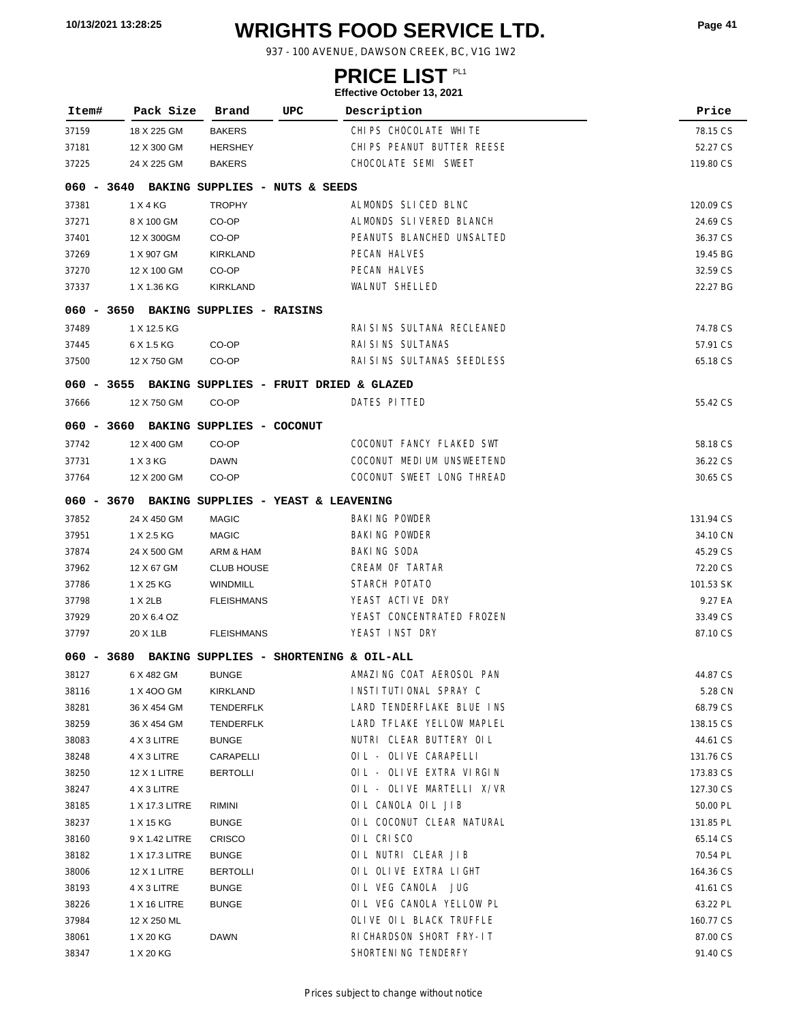# **WRIGHTS FOOD SERVICE LTD. 10/13/2021 13:28:25 Page <sup>41</sup>**

937 - 100 AVENUE, DAWSON CREEK, BC, V1G 1W2

### **PRICE LIST**

|              |                                                   |                           |                                | Litective October 19, 2021 |           |
|--------------|---------------------------------------------------|---------------------------|--------------------------------|----------------------------|-----------|
| Item#        | Pack Size                                         | Brand                     | UPC                            | Description                | Price     |
| 37159        | 18 X 225 GM                                       | <b>BAKERS</b>             |                                | CHIPS CHOCOLATE WHITE      | 78.15 CS  |
| 37181        | 12 X 300 GM                                       | <b>HERSHEY</b>            |                                | CHIPS PEANUT BUTTER REESE  | 52.27 CS  |
| 37225        | 24 X 225 GM                                       | <b>BAKERS</b>             |                                | CHOCOLATE SEMI SWEET       | 119.80 CS |
| $060 - 3640$ |                                                   |                           | BAKING SUPPLIES - NUTS & SEEDS |                            |           |
| 37381        | 1 X 4 KG                                          | <b>TROPHY</b>             |                                | ALMONDS SLICED BLNC        | 120.09 CS |
| 37271        | 8 X 100 GM                                        | CO-OP                     |                                | ALMONDS SLIVERED BLANCH    | 24.69 CS  |
| 37401        | 12 X 300GM                                        | CO-OP                     |                                | PEANUTS BLANCHED UNSALTED  | 36.37 CS  |
| 37269        | 1 X 907 GM                                        | <b>KIRKLAND</b>           |                                | <b>PECAN HALVES</b>        | 19.45 BG  |
| 37270        | 12 X 100 GM                                       | CO-OP                     |                                | PECAN HALVES               | 32.59 CS  |
| 37337        | 1 X 1.36 KG                                       | KIRKLAND                  |                                | <b>WALNUT SHELLED</b>      | 22.27 BG  |
|              | 060 - 3650 BAKING SUPPLIES - RAISINS              |                           |                                |                            |           |
| 37489        | 1 X 12.5 KG                                       |                           |                                | RAI SINS SULTANA RECLEANED | 74.78 CS  |
| 37445        | 6 X 1.5 KG                                        | CO-OP                     |                                | RAI SI NS SULTANAS         | 57.91 CS  |
| 37500        | 12 X 750 GM                                       | CO-OP                     |                                | RAI SINS SULTANAS SEEDLESS | 65.18 CS  |
|              | 060 - 3655 BAKING SUPPLIES - FRUIT DRIED & GLAZED |                           |                                |                            |           |
| 37666        | 12 X 750 GM                                       | CO-OP                     |                                | DATES PITTED               | 55.42 CS  |
| 060 - 3660   |                                                   | BAKING SUPPLIES - COCONUT |                                |                            |           |
| 37742        | 12 X 400 GM                                       | CO-OP                     |                                | COCONUT FANCY FLAKED SWT   | 58.18 CS  |
| 37731        | 1 X 3 KG                                          | <b>DAWN</b>               |                                | COCONUT MEDIUM UNSWEETEND  | 36.22 CS  |
| 37764        | 12 X 200 GM                                       | CO-OP                     |                                | COCONUT SWEET LONG THREAD  | 30.65 CS  |
|              | 060 - 3670 BAKING SUPPLIES - YEAST & LEAVENING    |                           |                                |                            |           |
| 37852        | 24 X 450 GM                                       | <b>MAGIC</b>              |                                | <b>BAKING POWDER</b>       | 131.94 CS |
| 37951        | 1 X 2.5 KG                                        | <b>MAGIC</b>              |                                | <b>BAKING POWDER</b>       | 34.10 CN  |
| 37874        | 24 X 500 GM                                       | ARM & HAM                 |                                | <b>BAKING SODA</b>         | 45.29 CS  |
| 37962        | 12 X 67 GM                                        | <b>CLUB HOUSE</b>         |                                | CREAM OF TARTAR            | 72.20 CS  |
| 37786        | 1 X 25 KG                                         | <b>WINDMILL</b>           |                                | STARCH POTATO              | 101.53 SK |
| 37798        | $1 \times 2LB$                                    | <b>FLEISHMANS</b>         |                                | YEAST ACTIVE DRY           | 9.27 EA   |
| 37929        | 20 X 6.4 OZ                                       |                           |                                | YEAST CONCENTRATED FROZEN  | 33.49 CS  |
| 37797        | 20 X 1LB                                          | <b>FLEISHMANS</b>         |                                | YEAST INST DRY             | 87.10 CS  |
|              | 060 - 3680 BAKING SUPPLIES - SHORTENING & OIL-ALL |                           |                                |                            |           |
| 38127        | 6 X 482 GM                                        | BUNGE                     |                                | AMAZING COAT AEROSOL PAN   | 44.87 CS  |
| 38116        | 1 X 400 GM                                        | KIRKLAND                  |                                | INSTITUTIONAL SPRAY C      | 5.28 CN   |
| 38281        | 36 X 454 GM                                       | TENDERFLK                 |                                | LARD TENDERFLAKE BLUE INS  | 68.79 CS  |
| 38259        | 36 X 454 GM                                       | <b>TENDERFLK</b>          |                                | LARD TFLAKE YELLOW MAPLEL  | 138.15 CS |
| 38083        | 4 X 3 LITRE                                       | <b>BUNGE</b>              |                                | NUTRI CLEAR BUTTERY OIL    | 44.61 CS  |
| 38248        | 4 X 3 LITRE                                       | CARAPELLI                 |                                | OIL - OLIVE CARAPELLI      | 131.76 CS |
| 38250        | <b>12 X 1 LITRE</b>                               | <b>BERTOLLI</b>           |                                | OIL - OLIVE EXTRA VIRGIN   | 173.83 CS |
| 38247        | 4 X 3 LITRE                                       |                           |                                | OIL - OLIVE MARTELLI X/VR  | 127.30 CS |
| 38185        | 1 X 17.3 LITRE                                    | RIMINI                    |                                | OIL CANOLA OIL JIB         | 50.00 PL  |
| 38237        | 1 X 15 KG                                         | <b>BUNGE</b>              |                                | OIL COCONUT CLEAR NATURAL  | 131.85 PL |
| 38160        | 9 X 1.42 LITRE                                    | <b>CRISCO</b>             |                                | OIL CRISCO                 | 65.14 CS  |
| 38182        | 1 X 17.3 LITRE                                    | <b>BUNGE</b>              |                                | OIL NUTRI CLEAR JIB        | 70.54 PL  |
| 38006        | 12 X 1 LITRE                                      | <b>BERTOLLI</b>           |                                | OIL OLIVE EXTRA LIGHT      | 164.36 CS |
| 38193        | 4 X 3 LITRE                                       | <b>BUNGE</b>              |                                | OIL VEG CANOLA JUG         | 41.61 CS  |
| 38226        | 1 X 16 LITRE                                      | <b>BUNGE</b>              |                                | OIL VEG CANOLA YELLOW PL   | 63.22 PL  |
| 37984        | 12 X 250 ML                                       |                           |                                | OLIVE OIL BLACK TRUFFLE    | 160.77 CS |
| 38061        | 1 X 20 KG                                         | DAWN                      |                                | RICHARDSON SHORT FRY-IT    | 87.00 CS  |
| 38347        | 1 X 20 KG                                         |                           |                                | SHORTENING TENDERFY        | 91.40 CS  |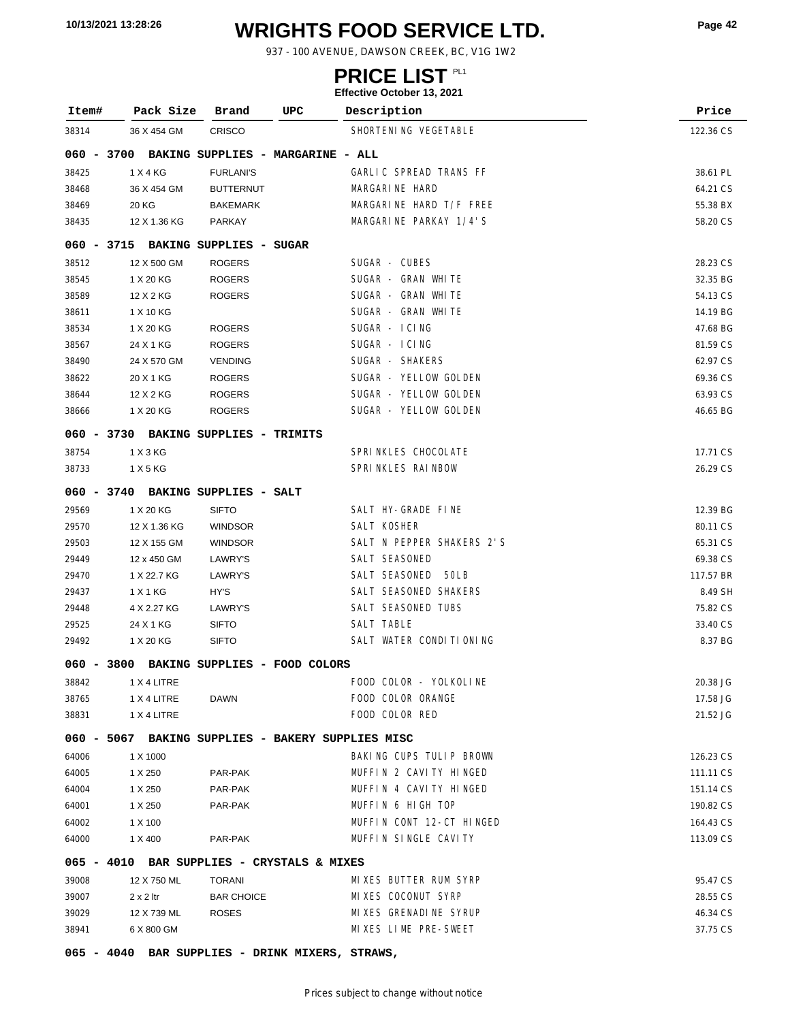# **WRIGHTS FOOD SERVICE LTD. 10/13/2021 13:28:26 Page <sup>42</sup>**

937 - 100 AVENUE, DAWSON CREEK, BC, V1G 1W2

### **PRICE LIST**

| Item#        | Pack Size        | Brand                                           | UPC | Description                                       | Price     |
|--------------|------------------|-------------------------------------------------|-----|---------------------------------------------------|-----------|
| 38314        | 36 X 454 GM      | <b>CRISCO</b>                                   |     | SHORTENING VEGETABLE                              | 122.36 CS |
| 060 - 3700   |                  | BAKING SUPPLIES - MARGARINE - ALL               |     |                                                   |           |
| 38425        | 1 X 4 KG         | <b>FURLANI'S</b>                                |     | GARLIC SPREAD TRANS FF                            | 38.61 PL  |
| 38468        | 36 X 454 GM      | <b>BUTTERNUT</b>                                |     | MARGARINE HARD                                    | 64.21 CS  |
| 38469        | 20 KG            | <b>BAKEMARK</b>                                 |     | MARGARINE HARD T/F FREE                           | 55.38 BX  |
| 38435        | 12 X 1.36 KG     | PARKAY                                          |     | MARGARINE PARKAY 1/4'S                            | 58.20 CS  |
|              |                  | 060 - 3715 BAKING SUPPLIES - SUGAR              |     |                                                   |           |
| 38512        | 12 X 500 GM      | <b>ROGERS</b>                                   |     | SUGAR - CUBES                                     | 28.23 CS  |
| 38545        | 1 X 20 KG        | <b>ROGERS</b>                                   |     | SUGAR - GRAN WHITE                                | 32.35 BG  |
| 38589        | 12 X 2 KG        | <b>ROGERS</b>                                   |     | SUGAR - GRAN WHITE                                | 54.13 CS  |
| 38611        | 1 X 10 KG        |                                                 |     | SUGAR - GRAN WHITE                                | 14.19 BG  |
| 38534        | 1 X 20 KG        | <b>ROGERS</b>                                   |     | SUGAR - ICING                                     | 47.68 BG  |
| 38567        | 24 X 1 KG        | <b>ROGERS</b>                                   |     | SUGAR - ICING                                     | 81.59 CS  |
| 38490        | 24 X 570 GM      | <b>VENDING</b>                                  |     | SUGAR - SHAKERS                                   | 62.97 CS  |
| 38622        | 20 X 1 KG        | <b>ROGERS</b>                                   |     | SUGAR - YELLOW GOLDEN                             | 69.36 CS  |
| 38644        | 12 X 2 KG        | <b>ROGERS</b>                                   |     | SUGAR - YELLOW GOLDEN                             | 63.93 CS  |
| 38666        | 1 X 20 KG        | <b>ROGERS</b>                                   |     | SUGAR - YELLOW GOLDEN                             | 46.65 BG  |
|              |                  | 060 - 3730 BAKING SUPPLIES - TRIMITS            |     |                                                   |           |
| 38754        | 1 X 3 KG         |                                                 |     | SPRINKLES CHOCOLATE                               | 17.71 CS  |
| 38733        | 1 X 5 KG         |                                                 |     | SPRINKLES RAINBOW                                 | 26.29 CS  |
| 060 - 3740   |                  | BAKING SUPPLIES - SALT                          |     |                                                   |           |
| 29569        | 1 X 20 KG        | <b>SIFTO</b>                                    |     | SALT HY-GRADE FINE                                | 12.39 BG  |
| 29570        | 12 X 1.36 KG     | <b>WINDSOR</b>                                  |     | SALT KOSHER                                       | 80.11 CS  |
| 29503        | 12 X 155 GM      | <b>WINDSOR</b>                                  |     | SALT N PEPPER SHAKERS 2'S                         | 65.31 CS  |
| 29449        | 12 x 450 GM      | LAWRY'S                                         |     | SALT SEASONED                                     | 69.38 CS  |
| 29470        | 1 X 22.7 KG      | LAWRY'S                                         |     | SALT SEASONED<br>50LB                             | 117.57 BR |
| 29437        | 1 X 1 KG         | HY'S                                            |     | SALT SEASONED SHAKERS                             | 8.49 SH   |
| 29448        | 4 X 2.27 KG      | LAWRY'S                                         |     | SALT SEASONED TUBS                                | 75.82 CS  |
| 29525        | 24 X 1 KG        | <b>SIFTO</b>                                    |     | SALT TABLE                                        | 33.40 CS  |
| 29492        | 1 X 20 KG        | <b>SIFTO</b>                                    |     | SALT WATER CONDITIONING                           | 8.37 BG   |
| $060 - 3800$ |                  | BAKING SUPPLIES - FOOD COLORS                   |     |                                                   |           |
| 38842        | 1 X 4 LITRE      |                                                 |     | FOOD COLOR - YOLKOLINE                            | 20.38 JG  |
| 38765        | 1 X 4 LITRE      | <b>DAWN</b>                                     |     | FOOD COLOR ORANGE                                 | 17.58 JG  |
| 38831        | 1 X 4 LITRE      |                                                 |     | FOOD COLOR RED                                    | 21.52 JG  |
|              |                  |                                                 |     |                                                   |           |
|              |                  |                                                 |     | 060 - 5067 BAKING SUPPLIES - BAKERY SUPPLIES MISC |           |
| 64006        | 1 X 1000         |                                                 |     | BAKING CUPS TULIP BROWN                           | 126.23 CS |
| 64005        | 1 X 250          | PAR-PAK                                         |     | MUFFIN 2 CAVITY HINGED                            | 111.11 CS |
| 64004        | 1 X 250          | PAR-PAK                                         |     | MUFFIN 4 CAVITY HINGED                            | 151.14 CS |
| 64001        | 1 X 250          | PAR-PAK                                         |     | MUFFIN 6 HIGH TOP                                 | 190.82 CS |
| 64002        | 1 X 100          |                                                 |     | MUFFIN CONT 12-CT HINGED                          | 164.43 CS |
| 64000        | 1 X 400          | PAR-PAK                                         |     | MUFFIN SINGLE CAVITY                              | 113.09 CS |
|              |                  | 065 - 4010 BAR SUPPLIES - CRYSTALS & MIXES      |     |                                                   |           |
| 39008        | 12 X 750 ML      | <b>TORANI</b>                                   |     | MIXES BUTTER RUM SYRP                             | 95.47 CS  |
| 39007        | $2 \times 2$ ltr | <b>BAR CHOICE</b>                               |     | MIXES COCONUT SYRP                                | 28.55 CS  |
| 39029        | 12 X 739 ML      | <b>ROSES</b>                                    |     | MIXES GRENADINE SYRUP                             | 46.34 CS  |
| 38941        | 6 X 800 GM       |                                                 |     | MIXES LIME PRE-SWEET                              | 37.75 CS  |
|              |                  | 065 - 4040 BAR SUPPLIES - DRINK MIXERS, STRAWS, |     |                                                   |           |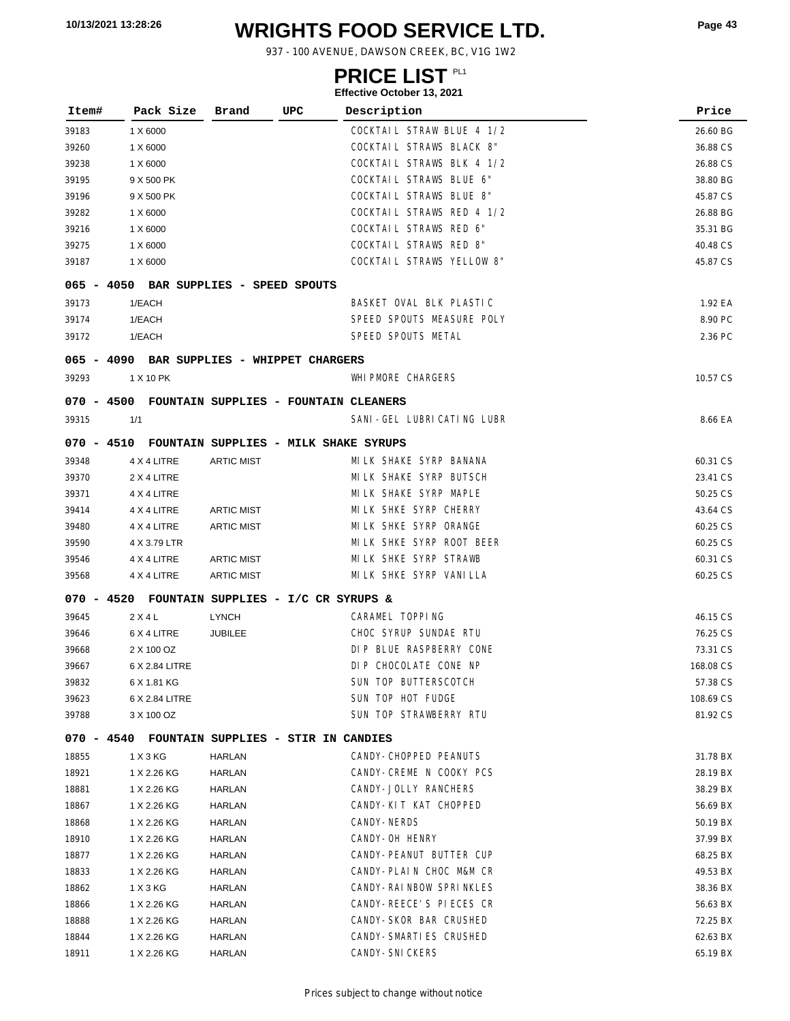# **WRIGHTS FOOD SERVICE LTD. 10/13/2021 13:28:26 Page <sup>43</sup>**

937 - 100 AVENUE, DAWSON CREEK, BC, V1G 1W2

### **PRICE LIST**

| Item# | Pack Size                                        | Brand             | UPC | Description                      | Price     |
|-------|--------------------------------------------------|-------------------|-----|----------------------------------|-----------|
| 39183 | 1 X 6000                                         |                   |     | COCKTAIL STRAW BLUE 4 1/2        | 26.60 BG  |
| 39260 | 1 X 6000                                         |                   |     | COCKTAIL STRAWS BLACK 8"         | 36.88 CS  |
| 39238 | 1 X 6000                                         |                   |     | COCKTAIL STRAWS BLK 4 1/2        | 26.88 CS  |
| 39195 | 9 X 500 PK                                       |                   |     | COCKTAIL STRAWS BLUE 6"          | 38.80 BG  |
| 39196 | 9 X 500 PK                                       |                   |     | COCKTAIL STRAWS BLUE 8"          | 45.87 CS  |
| 39282 | 1 X 6000                                         |                   |     | COCKTAIL STRAWS RED 4 1/2        | 26.88 BG  |
| 39216 | 1 X 6000                                         |                   |     | <b>COCKTAIL STRAWS RED 6"</b>    | 35.31 BG  |
| 39275 | 1 X 6000                                         |                   |     | COCKTAIL STRAWS RED 8"           | 40.48 CS  |
| 39187 | 1 X 6000                                         |                   |     | <b>COCKTAIL STRAWS YELLOW 8"</b> | 45.87 CS  |
|       | 065 - 4050 BAR SUPPLIES - SPEED SPOUTS           |                   |     |                                  |           |
| 39173 | 1/EACH                                           |                   |     | BASKET OVAL BLK PLASTIC          | 1.92 EA   |
| 39174 | 1/EACH                                           |                   |     | SPEED SPOUTS MEASURE POLY        | 8.90 PC   |
| 39172 | 1/EACH                                           |                   |     | SPEED SPOUTS METAL               | 2.36 PC   |
|       | 065 - 4090 BAR SUPPLIES - WHIPPET CHARGERS       |                   |     |                                  |           |
| 39293 | 1 X 10 PK                                        |                   |     | <b>WHI PMORE CHARGERS</b>        | 10.57 CS  |
|       | 070 - 4500 FOUNTAIN SUPPLIES - FOUNTAIN CLEANERS |                   |     |                                  |           |
| 39315 | 1/1                                              |                   |     | SANI-GEL LUBRICATING LUBR        | 8.66 EA   |
|       | 070 - 4510 FOUNTAIN SUPPLIES - MILK SHAKE SYRUPS |                   |     |                                  |           |
| 39348 | 4 X 4 LITRE                                      | <b>ARTIC MIST</b> |     | MILK SHAKE SYRP BANANA           | 60.31 CS  |
| 39370 | 2 X 4 LITRE                                      |                   |     | MILK SHAKE SYRP BUTSCH           | 23.41 CS  |
| 39371 | 4 X 4 LITRE                                      |                   |     | MILK SHAKE SYRP MAPLE            | 50.25 CS  |
| 39414 | 4 X 4 LITRE                                      | <b>ARTIC MIST</b> |     | MI LK SHKE SYRP CHERRY           | 43.64 CS  |
| 39480 | 4 X 4 LITRE                                      | <b>ARTIC MIST</b> |     | MILK SHKE SYRP ORANGE            | 60.25 CS  |
| 39590 | 4 X 3.79 LTR                                     |                   |     | MILK SHKE SYRP ROOT BEER         | 60.25 CS  |
| 39546 | 4 X 4 LITRE                                      | <b>ARTIC MIST</b> |     | MILK SHKE SYRP STRAWB            | 60.31 CS  |
| 39568 | 4 X 4 LITRE                                      | <b>ARTIC MIST</b> |     | MILK SHKE SYRP VANILLA           | 60.25 CS  |
|       | 070 - 4520 FOUNTAIN SUPPLIES - I/C CR SYRUPS &   |                   |     |                                  |           |
| 39645 | $2$ X 4 L                                        | LYNCH             |     | CARAMEL TOPPING                  | 46.15 CS  |
| 39646 | 6 X 4 LITRE                                      | <b>JUBILEE</b>    |     | CHOC SYRUP SUNDAE RTU            | 76.25 CS  |
| 39668 | 2 X 100 OZ                                       |                   |     | DIP BLUE RASPBERRY CONE          | 73.31 CS  |
| 39667 | 6 X 2.84 LITRE                                   |                   |     | DIP CHOCOLATE CONE NP            | 168.08 CS |
| 39832 | 6 X 1.81 KG                                      |                   |     | SUN TOP BUTTERSCOTCH             | 57.38 CS  |
| 39623 | 6 X 2.84 LITRE                                   |                   |     | SUN TOP HOT FUDGE                | 108.69 CS |
| 39788 | 3 X 100 OZ                                       |                   |     | SUN TOP STRAWBERRY RTU           | 81.92 CS  |
|       | 070 - 4540 FOUNTAIN SUPPLIES - STIR IN CANDIES   |                   |     |                                  |           |
| 18855 | 1 X 3 KG                                         | HARLAN            |     | CANDY-CHOPPED PEANUTS            | 31.78 BX  |
| 18921 | 1 X 2.26 KG                                      | HARLAN            |     | CANDY-CREME N COOKY PCS          | 28.19 BX  |
| 18881 | 1 X 2.26 KG                                      | HARLAN            |     | CANDY-JOLLY RANCHERS             | 38.29 BX  |
| 18867 | 1 X 2.26 KG                                      | HARLAN            |     | CANDY-KIT KAT CHOPPED            | 56.69 BX  |
| 18868 | 1 X 2.26 KG                                      | HARLAN            |     | CANDY-NERDS                      | 50.19 BX  |
| 18910 | 1 X 2.26 KG                                      | <b>HARLAN</b>     |     | CANDY-OH HENRY                   | 37.99 BX  |
| 18877 | 1 X 2.26 KG                                      | HARLAN            |     | CANDY-PEANUT BUTTER CUP          | 68.25 BX  |
| 18833 | 1 X 2.26 KG                                      | <b>HARLAN</b>     |     | CANDY-PLAIN CHOC M&M CR          | 49.53 BX  |
| 18862 | 1 X 3 KG                                         | HARLAN            |     | CANDY-RAINBOW SPRINKLES          | 38.36 BX  |
| 18866 | 1 X 2.26 KG                                      | HARLAN            |     | CANDY-REECE'S PIECES CR          | 56.63 BX  |
| 18888 | 1 X 2.26 KG                                      | HARLAN            |     | CANDY-SKOR BAR CRUSHED           | 72.25 BX  |
| 18844 | 1 X 2.26 KG                                      | <b>HARLAN</b>     |     | CANDY-SMARTIES CRUSHED           | 62.63 BX  |
| 18911 | 1 X 2.26 KG                                      | HARLAN            |     | <b>CANDY-SNI CKERS</b>           | 65.19 BX  |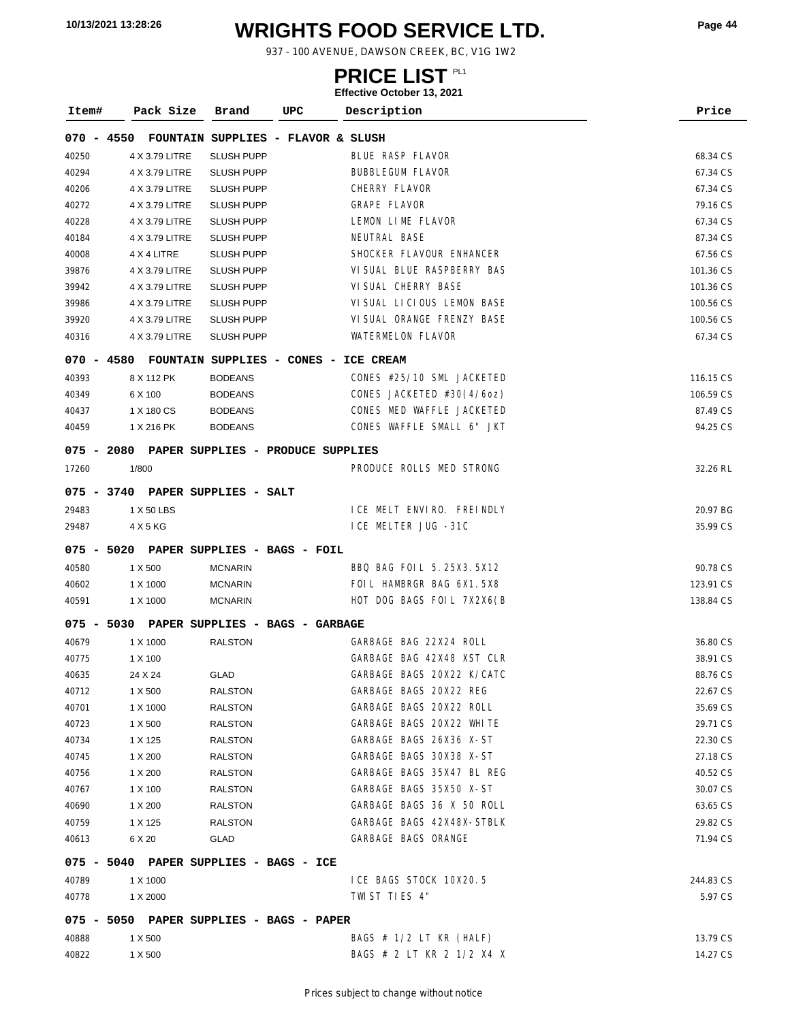# **WRIGHTS FOOD SERVICE LTD. 10/13/2021 13:28:26 Page <sup>44</sup>**

937 - 100 AVENUE, DAWSON CREEK, BC, V1G 1W2

### **PRICE LIST**

| Item#      | Pack Size      | UPC<br>Brand                                     | Description                | Price     |
|------------|----------------|--------------------------------------------------|----------------------------|-----------|
| 070 - 4550 |                | FOUNTAIN SUPPLIES - FLAVOR & SLUSH               |                            |           |
| 40250      | 4 X 3.79 LITRE | <b>SLUSH PUPP</b>                                | BLUE RASP FLAVOR           | 68.34 CS  |
| 40294      | 4 X 3.79 LITRE | <b>SLUSH PUPP</b>                                | <b>BUBBLEGUM FLAVOR</b>    | 67.34 CS  |
| 40206      | 4 X 3.79 LITRE | <b>SLUSH PUPP</b>                                | CHERRY FLAVOR              | 67.34 CS  |
| 40272      | 4 X 3.79 LITRE | <b>SLUSH PUPP</b>                                | <b>GRAPE FLAVOR</b>        | 79.16 CS  |
| 40228      | 4 X 3.79 LITRE | SLUSH PUPP                                       | LEMON LIME FLAVOR          | 67.34 CS  |
| 40184      | 4 X 3.79 LITRE | <b>SLUSH PUPP</b>                                | NEUTRAL BASE               | 87.34 CS  |
| 40008      | 4 X 4 LITRE    | <b>SLUSH PUPP</b>                                | SHOCKER FLAVOUR ENHANCER   | 67.56 CS  |
| 39876      | 4 X 3.79 LITRE | <b>SLUSH PUPP</b>                                | VI SUAL BLUE RASPBERRY BAS | 101.36 CS |
| 39942      | 4 X 3.79 LITRE | <b>SLUSH PUPP</b>                                | VI SUAL CHERRY BASE        | 101.36 CS |
| 39986      | 4 X 3.79 LITRE | <b>SLUSH PUPP</b>                                | VISUAL LICIOUS LEMON BASE  | 100.56 CS |
| 39920      | 4 X 3.79 LITRE | <b>SLUSH PUPP</b>                                | VI SUAL ORANGE FRENZY BASE | 100.56 CS |
| 40316      | 4 X 3.79 LITRE | <b>SLUSH PUPP</b>                                | WATERMELON FLAVOR          | 67.34 CS  |
|            |                | 070 - 4580 FOUNTAIN SUPPLIES - CONES - ICE CREAM |                            |           |
| 40393      | 8 X 112 PK     | <b>BODEANS</b>                                   | CONES #25/10 SML JACKETED  | 116.15 CS |
| 40349      | 6 X 100        | <b>BODEANS</b>                                   | CONES JACKETED #30(4/6oz)  | 106.59 CS |
| 40437      | 1 X 180 CS     | <b>BODEANS</b>                                   | CONES MED WAFFLE JACKETED  | 87.49 CS  |
| 40459      | 1 X 216 PK     | <b>BODEANS</b>                                   | CONES WAFFLE SMALL 6" JKT  | 94.25 CS  |
|            |                | 075 - 2080 PAPER SUPPLIES - PRODUCE SUPPLIES     |                            |           |
| 17260      | 1/800          |                                                  | PRODUCE ROLLS MED STRONG   | 32.26 RL  |
|            |                | 075 - 3740 PAPER SUPPLIES - SALT                 |                            |           |
| 29483      | 1 X 50 LBS     |                                                  | I CE MELT ENVIRO. FREINDLY | 20.97 BG  |
| 29487      | 4 X 5 KG       |                                                  | ICE MELTER JUG -31C        | 35.99 CS  |
|            |                | 075 - 5020 PAPER SUPPLIES - BAGS - FOIL          |                            |           |
| 40580      | 1 X 500        | <b>MCNARIN</b>                                   | BBQ BAG FOLL 5.25X3.5X12   | 90.78 CS  |
| 40602      | 1 X 1000       | <b>MCNARIN</b>                                   | FOIL HAMBRGR BAG 6X1.5X8   | 123.91 CS |
| 40591      | 1 X 1000       | <b>MCNARIN</b>                                   | HOT DOG BAGS FOIL 7X2X6(B  | 138.84 CS |
|            |                | 075 - 5030 PAPER SUPPLIES - BAGS - GARBAGE       |                            |           |
| 40679      | 1 X 1000       | <b>RALSTON</b>                                   | GARBAGE BAG 22X24 ROLL     | 36.80 CS  |
| 40775      | 1 X 100        |                                                  | GARBAGE BAG 42X48 XST CLR  | 38.91 CS  |
| 40635      | 24 X 24        | GLAD                                             | GARBAGE BAGS 20X22 K/CATC  | 88.76 CS  |
| 40712      | 1 X 500        | RALSTON                                          | GARBAGE BAGS 20X22 REG     | 22.67 CS  |
| 40701      | 1 X 1000       | <b>RALSTON</b>                                   | GARBAGE BAGS 20X22 ROLL    | 35.69 CS  |
| 40723      | 1 X 500        | <b>RALSTON</b>                                   | GARBAGE BAGS 20X22 WHITE   | 29.71 CS  |
| 40734      | 1 X 125        | <b>RALSTON</b>                                   | GARBAGE BAGS 26X36 X-ST    | 22.30 CS  |
| 40745      | 1 X 200        | <b>RALSTON</b>                                   | GARBAGE BAGS 30X38 X-ST    | 27.18 CS  |
| 40756      | 1 X 200        | <b>RALSTON</b>                                   | GARBAGE BAGS 35X47 BL REG  | 40.52 CS  |
| 40767      | 1 X 100        | <b>RALSTON</b>                                   | GARBAGE BAGS 35X50 X-ST    | 30.07 CS  |
| 40690      | 1 X 200        | <b>RALSTON</b>                                   | GARBAGE BAGS 36 X 50 ROLL  | 63.65 CS  |
| 40759      | 1 X 125        | <b>RALSTON</b>                                   | GARBAGE BAGS 42X48X-STBLK  | 29.82 CS  |
| 40613      | 6 X 20         | GLAD                                             | GARBAGE BAGS ORANGE        | 71.94 CS  |
|            |                | 075 - 5040 PAPER SUPPLIES - BAGS - ICE           |                            |           |
| 40789      | 1 X 1000       |                                                  | ICE BAGS STOCK 10X20.5     | 244.83 CS |
| 40778      | 1 X 2000       |                                                  | TWIST TIES 4"              | 5.97 CS   |
|            |                | 075 - 5050 PAPER SUPPLIES - BAGS - PAPER         |                            |           |
| 40888      | 1 X 500        |                                                  | BAGS $# 1/2$ LT KR (HALF)  | 13.79 CS  |
| 40822      | 1 X 500        |                                                  | BAGS # 2 LT KR 2 1/2 X4 X  | 14.27 CS  |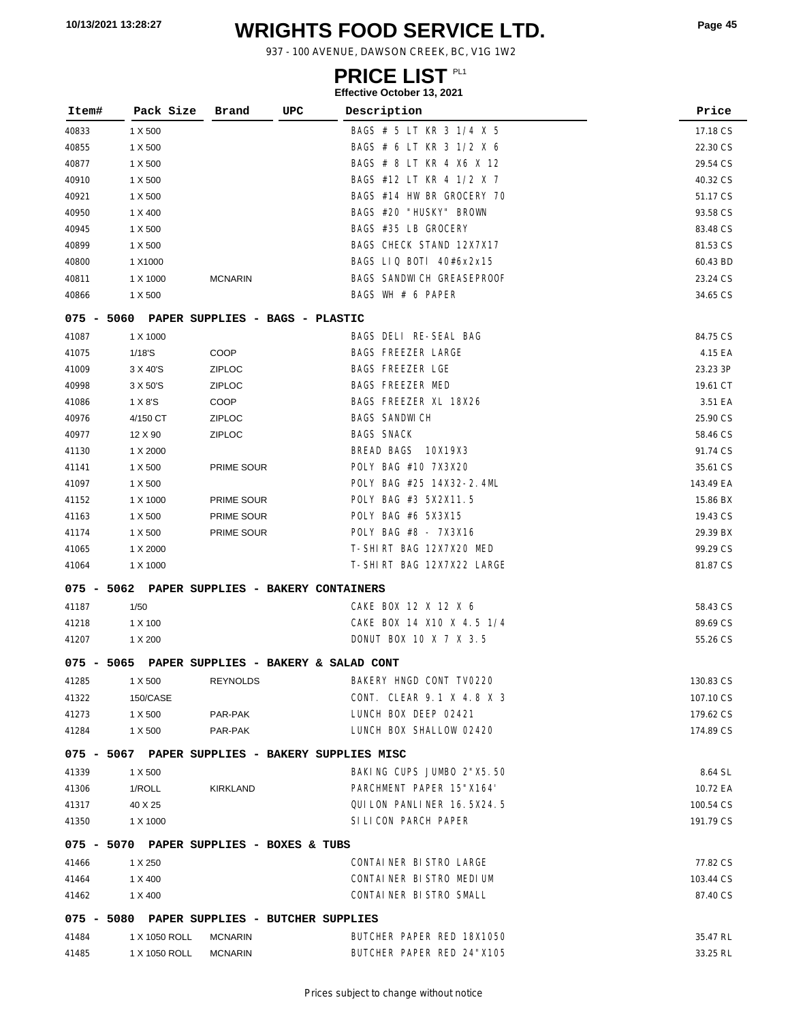# **WRIGHTS FOOD SERVICE LTD. 10/13/2021 13:28:27 Page <sup>45</sup>**

937 - 100 AVENUE, DAWSON CREEK, BC, V1G 1W2

### **PRICE LIST**

| Item#      | Pack Size     | Brand                                      | UPC<br>Description                               | Price     |
|------------|---------------|--------------------------------------------|--------------------------------------------------|-----------|
| 40833      | 1 X 500       |                                            | BAGS # 5 LT KR 3 1/4 X 5                         | 17.18 CS  |
| 40855      | 1 X 500       |                                            | BAGS # 6 LT KR 3 1/2 X 6                         | 22.30 CS  |
| 40877      | 1 X 500       |                                            | BAGS # 8 LT KR 4 X6 X 12                         | 29.54 CS  |
| 40910      | 1 X 500       |                                            | BAGS #12 LT KR 4 1/2 X 7                         | 40.32 CS  |
| 40921      | 1 X 500       |                                            | BAGS #14 HW BR GROCERY 70                        | 51.17 CS  |
| 40950      | 1 X 400       |                                            | BAGS #20 "HUSKY" BROWN                           | 93.58 CS  |
| 40945      | 1 X 500       |                                            | BAGS #35 LB GROCERY                              | 83.48 CS  |
| 40899      | 1 X 500       |                                            | BAGS CHECK STAND 12X7X17                         | 81.53 CS  |
| 40800      | 1 X1000       |                                            | BAGS LIQ BOTI 40#6x2x15                          | 60.43 BD  |
| 40811      | 1 X 1000      | <b>MCNARIN</b>                             | BAGS SANDWICH GREASEPROOF                        | 23.24 CS  |
| 40866      | 1 X 500       |                                            | BAGS WH $# 6$ PAPER                              | 34.65 CS  |
|            |               | 075 - 5060 PAPER SUPPLIES - BAGS - PLASTIC |                                                  |           |
| 41087      | 1 X 1000      |                                            | BAGS DELI RE-SEAL BAG                            | 84.75 CS  |
| 41075      | 1/18'S        | COOP                                       | <b>BAGS FREEZER LARGE</b>                        | 4.15 EA   |
| 41009      | 3 X 40'S      | <b>ZIPLOC</b>                              | <b>BAGS FREEZER LGE</b>                          | 23.23 3P  |
| 40998      | 3 X 50'S      | <b>ZIPLOC</b>                              | BAGS FREEZER MED                                 | 19.61 CT  |
| 41086      | 1 X 8'S       | COOP                                       | BAGS FREEZER XL 18X26                            | 3.51 EA   |
| 40976      | 4/150 CT      | <b>ZIPLOC</b>                              | <b>BAGS SANDWICH</b>                             | 25.90 CS  |
| 40977      | 12 X 90       | <b>ZIPLOC</b>                              | <b>BAGS SNACK</b>                                | 58.46 CS  |
| 41130      | 1 X 2000      |                                            | BREAD BAGS 10X19X3                               | 91.74 CS  |
| 41141      | 1 X 500       | PRIME SOUR                                 | POLY BAG #10 7X3X20                              | 35.61 CS  |
| 41097      | 1 X 500       |                                            | POLY BAG #25 14X32-2.4ML                         | 143.49 EA |
| 41152      | 1 X 1000      | PRIME SOUR                                 | POLY BAG #3 5X2X11.5                             | 15.86 BX  |
| 41163      | 1 X 500       | PRIME SOUR                                 | POLY BAG #6 5X3X15                               | 19.43 CS  |
| 41174      | 1 X 500       | PRIME SOUR                                 | POLY BAG #8 - 7X3X16                             | 29.39 BX  |
| 41065      | 1 X 2000      |                                            | T-SHIRT BAG 12X7X20 MED                          | 99.29 CS  |
| 41064      | 1 X 1000      |                                            | T-SHIRT BAG 12X7X22 LARGE                        | 81.87 CS  |
| 075 - 5062 |               |                                            | PAPER SUPPLIES - BAKERY CONTAINERS               |           |
| 41187      | 1/50          |                                            | CAKE BOX 12 X 12 X 6                             | 58.43 CS  |
| 41218      | 1 X 100       |                                            | CAKE BOX 14 X10 X 4.5 1/4                        | 89.69 CS  |
| 41207      | 1 X 200       |                                            | DONUT BOX 10 X 7 X 3.5                           | 55.26 CS  |
|            |               |                                            | 075 - 5065 PAPER SUPPLIES - BAKERY & SALAD CONT  |           |
| 41285      | 1 X 500       | <b>REYNOLDS</b>                            | BAKERY HNGD CONT TVO220                          | 130.83 CS |
| 41322      | 150/CASE      |                                            | CONT. CLEAR 9.1 X 4.8 X 3                        | 107.10 CS |
| 41273      | 1 X 500       | PAR-PAK                                    | LUNCH BOX DEEP 02421                             | 179.62 CS |
| 41284      | 1 X 500       | PAR-PAK                                    | LUNCH BOX SHALLOW 02420                          | 174.89 CS |
|            |               |                                            | 075 - 5067 PAPER SUPPLIES - BAKERY SUPPLIES MISC |           |
| 41339      | 1 X 500       |                                            | BAKING CUPS JUMBO 2"X5.50                        | 8.64 SL   |
| 41306      | 1/ROLL        | <b>KIRKLAND</b>                            | PARCHMENT PAPER 15"X164"                         | 10.72 EA  |
| 41317      | 40 X 25       |                                            | QUI LON PANLINER 16.5X24.5                       | 100.54 CS |
| 41350      | 1 X 1000      |                                            | SILICON PARCH PAPER                              | 191.79 CS |
|            |               | 075 - 5070 PAPER SUPPLIES - BOXES & TUBS   |                                                  |           |
| 41466      | 1 X 250       |                                            | CONTAINER BISTRO LARGE                           | 77.82 CS  |
| 41464      | 1 X 400       |                                            | CONTAINER BISTRO MEDIUM                          | 103.44 CS |
| 41462      | 1 X 400       |                                            | CONTAINER BISTRO SMALL                           | 87.40 CS  |
|            |               |                                            | 075 - 5080 PAPER SUPPLIES - BUTCHER SUPPLIES     |           |
| 41484      | 1 X 1050 ROLL | <b>MCNARIN</b>                             | BUTCHER PAPER RED 18X1050                        | 35.47 RL  |
| 41485      | 1 X 1050 ROLL | <b>MCNARIN</b>                             | BUTCHER PAPER RED 24"X105                        | 33.25 RL  |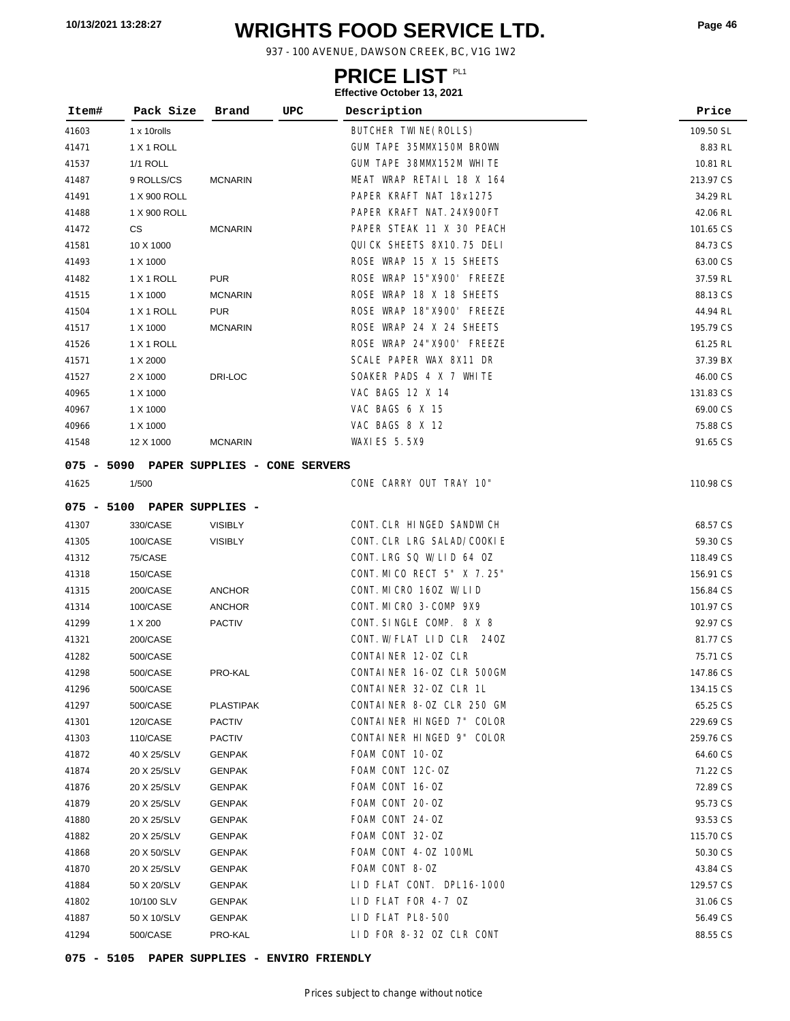# **WRIGHTS FOOD SERVICE LTD. 10/13/2021 13:28:27 Page <sup>46</sup>**

937 - 100 AVENUE, DAWSON CREEK, BC, V1G 1W2

### **PRICE LIST**

#### **Effective October 13, 2021**

| Item# | Pack Size                   | UPC<br>Brand                             | Description                 | Price     |
|-------|-----------------------------|------------------------------------------|-----------------------------|-----------|
| 41603 | 1 x 10rolls                 |                                          | BUTCHER TWINE (ROLLS)       | 109.50 SL |
| 41471 | 1 X 1 ROLL                  |                                          | GUM TAPE 35MMX150M BROWN    | 8.83 RL   |
| 41537 | <b>1/1 ROLL</b>             |                                          | GUM TAPE 38MMX152M WHITE    | 10.81 RL  |
| 41487 | 9 ROLLS/CS                  | <b>MCNARIN</b>                           | MEAT WRAP RETAIL 18 X 164   | 213.97 CS |
| 41491 | 1 X 900 ROLL                |                                          | PAPER KRAFT NAT 18x1275     | 34.29 RL  |
| 41488 | 1 X 900 ROLL                |                                          | PAPER KRAFT NAT. 24X900FT   | 42.06 RL  |
| 41472 | CS                          | <b>MCNARIN</b>                           | PAPER STEAK 11 X 30 PEACH   | 101.65 CS |
| 41581 | 10 X 1000                   |                                          | QUICK SHEETS 8X10.75 DELI   | 84.73 CS  |
| 41493 | 1 X 1000                    |                                          | ROSE WRAP 15 X 15 SHEETS    | 63.00 CS  |
| 41482 | 1 X 1 ROLL                  | <b>PUR</b>                               | ROSE WRAP 15"X900' FREEZE   | 37.59 RL  |
| 41515 | 1 X 1000                    | <b>MCNARIN</b>                           | ROSE WRAP 18 X 18 SHEETS    | 88.13 CS  |
| 41504 | 1 X 1 ROLL                  | <b>PUR</b>                               | ROSE WRAP 18"X900' FREEZE   | 44.94 RL  |
| 41517 | 1 X 1000                    | <b>MCNARIN</b>                           | ROSE WRAP 24 X 24 SHEETS    | 195.79 CS |
| 41526 | 1 X 1 ROLL                  |                                          | ROSE WRAP 24"X900' FREEZE   | 61.25 RL  |
| 41571 | 1 X 2000                    |                                          | SCALE PAPER WAX 8X11 DR     | 37.39 BX  |
| 41527 | 2 X 1000                    | DRI-LOC                                  | SOAKER PADS 4 X 7 WHITE     | 46.00 CS  |
| 40965 | 1 X 1000                    |                                          | VAC BAGS 12 X 14            | 131.83 CS |
| 40967 | 1 X 1000                    |                                          | VAC BAGS 6 X 15             | 69.00 CS  |
| 40966 | 1 X 1000                    |                                          | VAC BAGS 8 X 12             | 75.88 CS  |
| 41548 | 12 X 1000                   | <b>MCNARIN</b>                           | <b>WAXI ES 5.5X9</b>        | 91.65 CS  |
|       |                             | 075 - 5090 PAPER SUPPLIES - CONE SERVERS |                             |           |
| 41625 | 1/500                       |                                          | CONE CARRY OUT TRAY 10"     | 110.98 CS |
|       | 075 - 5100 PAPER SUPPLIES - |                                          |                             |           |
| 41307 | 330/CASE                    | <b>VISIBLY</b>                           | CONT. CLR HINGED SANDWICH   | 68.57 CS  |
| 41305 | 100/CASE                    | <b>VISIBLY</b>                           | CONT. CLR LRG SALAD/COOKIE  | 59.30 CS  |
| 41312 | 75/CASE                     |                                          | CONT. LRG SQ W/LID 64 OZ    | 118.49 CS |
| 41318 | 150/CASE                    |                                          | CONT. MI CO RECT 5" X 7.25" | 156.91 CS |
| 41315 | 200/CASE                    | <b>ANCHOR</b>                            | CONT. MICRO 160Z W/LID      | 156.84 CS |
| 41314 | 100/CASE                    | <b>ANCHOR</b>                            | CONT. MICRO 3-COMP 9X9      | 101.97 CS |
| 41299 | 1 X 200                     | <b>PACTIV</b>                            | CONT. SINGLE COMP. 8 X 8    | 92.97 CS  |
| 41321 | 200/CASE                    |                                          | CONT. W/FLAT LID CLR 240Z   | 81.77 CS  |
| 41282 | 500/CASE                    |                                          | CONTAINER 12-0Z CLR         | 75.71 CS  |
| 41298 | 500/CASE                    | PRO-KAL                                  | CONTAINER 16-0Z CLR 500GM   | 147.86 CS |
| 41296 | 500/CASE                    |                                          | CONTAINER 32-0Z CLR 1L      | 134.15 CS |
| 41297 | 500/CASE                    | <b>PLASTIPAK</b>                         | CONTAINER 8-0Z CLR 250 GM   | 65.25 CS  |
| 41301 | 120/CASE                    | <b>PACTIV</b>                            | CONTAINER HINGED 7" COLOR   | 229.69 CS |
| 41303 | 110/CASE                    | <b>PACTIV</b>                            | CONTAINER HINGED 9" COLOR   | 259.76 CS |
| 41872 | 40 X 25/SLV                 | <b>GENPAK</b>                            | FOAM CONT 10-0Z             | 64.60 CS  |
| 41874 | 20 X 25/SLV                 | <b>GENPAK</b>                            | FOAM CONT 12C-OZ            | 71.22 CS  |
| 41876 | 20 X 25/SLV                 | GENPAK                                   | FOAM CONT 16-0Z             | 72.89 CS  |
| 41879 | 20 X 25/SLV                 | <b>GENPAK</b>                            | FOAM CONT 20-0Z             | 95.73 CS  |
| 41880 | 20 X 25/SLV                 | <b>GENPAK</b>                            | FOAM CONT 24-OZ             | 93.53 CS  |
| 41882 | 20 X 25/SLV                 | <b>GENPAK</b>                            | FOAM CONT 32-OZ             | 115.70 CS |
| 41868 | 20 X 50/SLV                 | <b>GENPAK</b>                            | FOAM CONT 4-0Z 100ML        | 50.30 CS  |
| 41870 | 20 X 25/SLV                 | <b>GENPAK</b>                            | FOAM CONT 8-0Z              | 43.84 CS  |
| 41884 | 50 X 20/SLV                 | <b>GENPAK</b>                            | LID FLAT CONT. DPL16-1000   | 129.57 CS |
| 41802 | 10/100 SLV                  | <b>GENPAK</b>                            | LID FLAT FOR 4-7 OZ         | 31.06 CS  |
| 41887 | 50 X 10/SLV                 | <b>GENPAK</b>                            | LID FLAT PL8-500            | 56.49 CS  |
| 41294 | 500/CASE                    | PRO-KAL                                  | LID FOR 8-32 OZ CLR CONT    | 88.55 CS  |

**075 - 5105 PAPER SUPPLIES - ENVIRO FRIENDLY**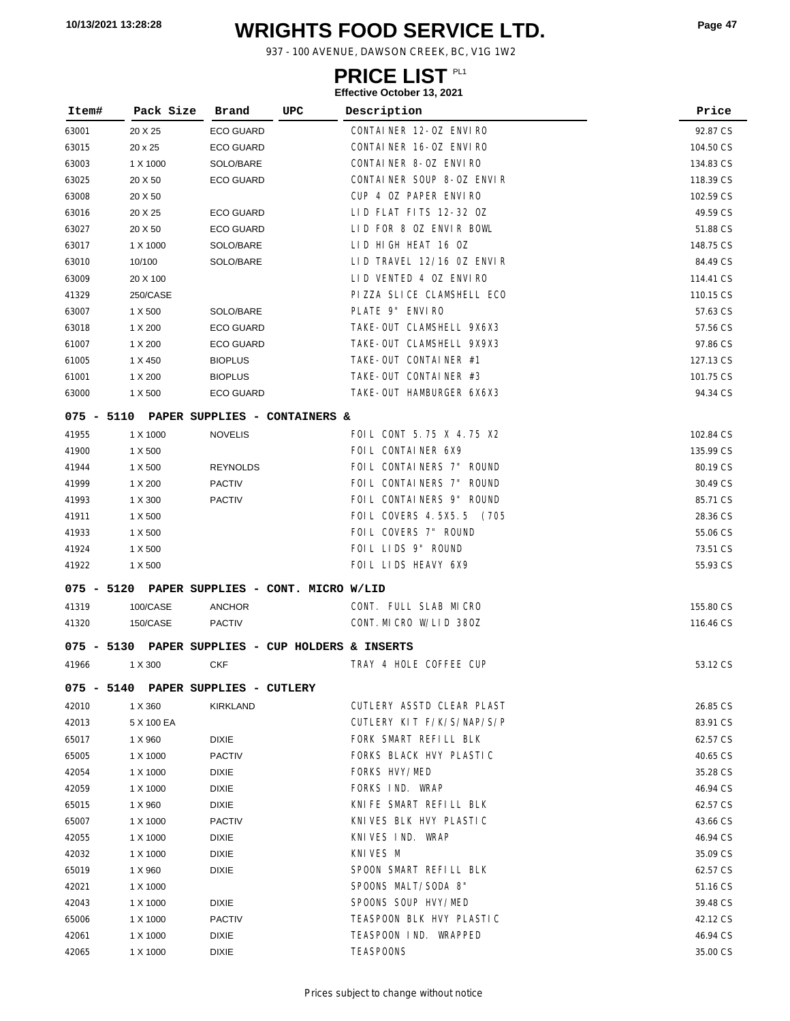# **WRIGHTS FOOD SERVICE LTD. 10/13/2021 13:28:28 Page <sup>47</sup>**

937 - 100 AVENUE, DAWSON CREEK, BC, V1G 1W2

### **PRICE LIST**

| Item#        | Pack Size  | Brand                                         | UPC | Description               | Price     |
|--------------|------------|-----------------------------------------------|-----|---------------------------|-----------|
| 63001        | 20 X 25    | <b>ECO GUARD</b>                              |     | CONTAINER 12-0Z ENVIRO    | 92.87 CS  |
| 63015        | 20 x 25    | <b>ECO GUARD</b>                              |     | CONTAINER 16-0Z ENVIRO    | 104.50 CS |
| 63003        | 1 X 1000   | SOLO/BARE                                     |     | CONTAINER 8-0Z ENVIRO     | 134.83 CS |
| 63025        | 20 X 50    | <b>ECO GUARD</b>                              |     | CONTAINER SOUP 8-0Z ENVIR | 118.39 CS |
| 63008        | 20 X 50    |                                               |     | CUP 4 OZ PAPER ENVIRO     | 102.59 CS |
| 63016        | 20 X 25    | <b>ECO GUARD</b>                              |     | LID FLAT FITS 12-32 OZ    | 49.59 CS  |
| 63027        | 20 X 50    | <b>ECO GUARD</b>                              |     | LID FOR 8 OZ ENVIR BOWL   | 51.88 CS  |
| 63017        | 1 X 1000   | SOLO/BARE                                     |     | LID HIGH HEAT 16 OZ       | 148.75 CS |
| 63010        | 10/100     | SOLO/BARE                                     |     | LID TRAVEL 12/16 OZ ENVIR | 84.49 CS  |
| 63009        | 20 X 100   |                                               |     | LID VENTED 4 OZ ENVIRO    | 114.41 CS |
| 41329        | 250/CASE   |                                               |     | PIZZA SLICE CLAMSHELL ECO | 110.15 CS |
| 63007        | 1 X 500    | SOLO/BARE                                     |     | PLATE 9" ENVIRO           | 57.63 CS  |
| 63018        | 1 X 200    | <b>ECO GUARD</b>                              |     | TAKE-OUT CLAMSHELL 9X6X3  | 57.56 CS  |
| 61007        | 1 X 200    | <b>ECO GUARD</b>                              |     | TAKE-OUT CLAMSHELL 9X9X3  | 97.86 CS  |
| 61005        | 1 X 450    | <b>BIOPLUS</b>                                |     | TAKE-OUT CONTAINER #1     | 127.13 CS |
| 61001        | 1 X 200    | <b>BIOPLUS</b>                                |     | TAKE-OUT CONTAINER #3     | 101.75 CS |
| 63000        | 1 X 500    | <b>ECO GUARD</b>                              |     | TAKE-OUT HAMBURGER 6X6X3  | 94.34 CS  |
|              |            | 075 - 5110 PAPER SUPPLIES - CONTAINERS &      |     |                           |           |
| 41955        | 1 X 1000   | <b>NOVELIS</b>                                |     | FOIL CONT 5.75 X 4.75 X2  | 102.84 CS |
| 41900        | 1 X 500    |                                               |     | FOIL CONTAINER 6X9        | 135.99 CS |
| 41944        | 1 X 500    | <b>REYNOLDS</b>                               |     | FOIL CONTAINERS 7" ROUND  | 80.19 CS  |
| 41999        | 1 X 200    | <b>PACTIV</b>                                 |     | FOIL CONTAINERS 7" ROUND  | 30.49 CS  |
| 41993        | 1 X 300    | <b>PACTIV</b>                                 |     | FOIL CONTAINERS 9" ROUND  | 85.71 CS  |
| 41911        | 1 X 500    |                                               |     | FOIL COVERS 4.5X5.5 (705  | 28.36 CS  |
| 41933        | 1 X 500    |                                               |     | FOIL COVERS 7" ROUND      | 55.06 CS  |
| 41924        | 1 X 500    |                                               |     | FOIL LIDS 9" ROUND        | 73.51 CS  |
| 41922        | 1 X 500    |                                               |     | FOIL LIDS HEAVY 6X9       | 55.93 CS  |
|              |            | 075 - 5120 PAPER SUPPLIES - CONT. MICRO W/LID |     |                           |           |
| 41319        | 100/CASE   | <b>ANCHOR</b>                                 |     | CONT. FULL SLAB MICRO     | 155.80 CS |
| 41320        | 150/CASE   | <b>PACTIV</b>                                 |     | CONT. MICRO W/LID 380Z    | 116.46 CS |
| $075 - 5130$ |            | PAPER SUPPLIES - CUP HOLDERS & INSERTS        |     |                           |           |
| 41966        | 1 X 300    | <b>CKF</b>                                    |     | TRAY 4 HOLE COFFEE CUP    | 53.12 CS  |
|              |            | 075 - 5140 PAPER SUPPLIES - CUTLERY           |     |                           |           |
| 42010        | 1 X 360    | KIRKLAND                                      |     | CUTLERY ASSTD CLEAR PLAST | 26.85 CS  |
| 42013        | 5 X 100 EA |                                               |     | CUTLERY KIT F/K/S/NAP/S/P | 83.91 CS  |
| 65017        | 1 X 960    | <b>DIXIE</b>                                  |     | FORK SMART REFILL BLK     | 62.57 CS  |
| 65005        | 1 X 1000   | <b>PACTIV</b>                                 |     | FORKS BLACK HVY PLASTIC   | 40.65 CS  |
| 42054        | 1 X 1000   | <b>DIXIE</b>                                  |     | FORKS HVY/MED             | 35.28 CS  |
| 42059        | 1 X 1000   | <b>DIXIE</b>                                  |     | FORKS IND. WRAP           | 46.94 CS  |
| 65015        | 1 X 960    | <b>DIXIE</b>                                  |     | KNIFE SMART REFILL BLK    | 62.57 CS  |
| 65007        | 1 X 1000   | <b>PACTIV</b>                                 |     | KNIVES BLK HVY PLASTIC    | 43.66 CS  |
| 42055        | 1 X 1000   | <b>DIXIE</b>                                  |     | KNIVES IND. WRAP          | 46.94 CS  |
| 42032        | 1 X 1000   | <b>DIXIE</b>                                  |     | KNIVES M                  | 35.09 CS  |
| 65019        | 1 X 960    | <b>DIXIE</b>                                  |     | SPOON SMART REFILL BLK    | 62.57 CS  |
| 42021        | 1 X 1000   |                                               |     | SPOONS MALT/SODA 8"       | 51.16 CS  |
| 42043        | 1 X 1000   | <b>DIXIE</b>                                  |     | SPOONS SOUP HVY/MED       | 39.48 CS  |
| 65006        | 1 X 1000   | <b>PACTIV</b>                                 |     | TEASPOON BLK HVY PLASTIC  | 42.12 CS  |
| 42061        | 1 X 1000   | <b>DIXIE</b>                                  |     | TEASPOON IND. WRAPPED     | 46.94 CS  |
| 42065        | 1 X 1000   | <b>DIXIE</b>                                  |     | <b>TEASPOONS</b>          | 35.00 CS  |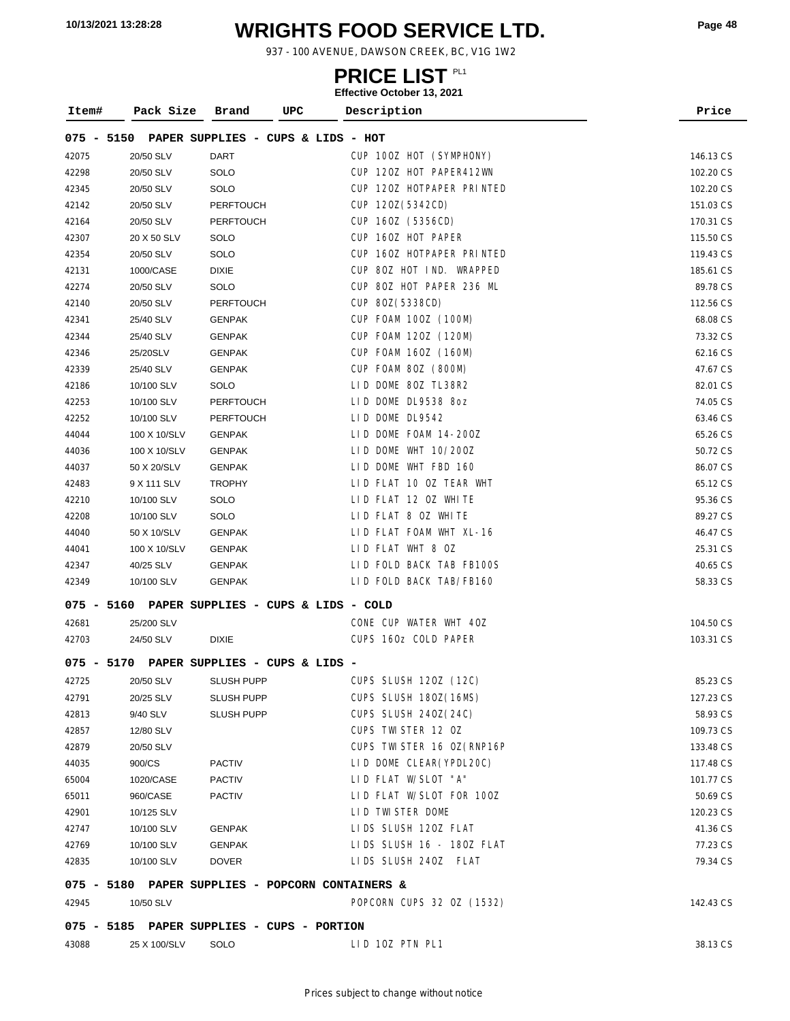# **WRIGHTS FOOD SERVICE LTD. 10/13/2021 13:28:28 Page <sup>48</sup>**

937 - 100 AVENUE, DAWSON CREEK, BC, V1G 1W2

| Item# | Pack Size    | <b>UPC</b><br>Brand                            | Description               | Price     |
|-------|--------------|------------------------------------------------|---------------------------|-----------|
|       |              | 075 - 5150 PAPER SUPPLIES - CUPS & LIDS - HOT  |                           |           |
| 42075 | 20/50 SLV    | <b>DART</b>                                    | CUP 100Z HOT (SYMPHONY)   | 146.13 CS |
| 42298 | 20/50 SLV    | SOLO                                           | CUP 120Z HOT PAPER412WN   | 102.20 CS |
| 42345 | 20/50 SLV    | SOLO                                           | CUP 120Z HOTPAPER PRINTED | 102.20 CS |
| 42142 | 20/50 SLV    | <b>PERFTOUCH</b>                               | CUP 120Z (5342CD)         | 151.03 CS |
| 42164 | 20/50 SLV    | <b>PERFTOUCH</b>                               | CUP 160Z (5356CD)         | 170.31 CS |
| 42307 | 20 X 50 SLV  | SOLO                                           | CUP 160Z HOT PAPER        | 115.50 CS |
| 42354 | 20/50 SLV    | SOLO                                           | CUP 160Z HOTPAPER PRINTED | 119.43 CS |
| 42131 | 1000/CASE    | <b>DIXIE</b>                                   | CUP 80Z HOT IND. WRAPPED  | 185.61 CS |
| 42274 | 20/50 SLV    | SOLO                                           | CUP 80Z HOT PAPER 236 ML  | 89.78 CS  |
| 42140 | 20/50 SLV    | <b>PERFTOUCH</b>                               | CUP 80Z (5338CD)          | 112.56 CS |
| 42341 | 25/40 SLV    | <b>GENPAK</b>                                  | CUP FOAM 100Z (100M)      | 68.08 CS  |
| 42344 | 25/40 SLV    | <b>GENPAK</b>                                  | CUP FOAM 120Z (120M)      | 73.32 CS  |
| 42346 | 25/20SLV     | <b>GENPAK</b>                                  | CUP FOAM 160Z (160M)      | 62.16 CS  |
| 42339 | 25/40 SLV    | <b>GENPAK</b>                                  | CUP FOAM 80Z (800M)       | 47.67 CS  |
| 42186 | 10/100 SLV   | SOLO                                           | LID DOME 80Z TL38R2       | 82.01 CS  |
| 42253 | 10/100 SLV   | <b>PERFTOUCH</b>                               | LID DOME DL9538 8oz       | 74.05 CS  |
| 42252 | 10/100 SLV   | <b>PERFTOUCH</b>                               | LID DOME DL9542           | 63.46 CS  |
| 44044 | 100 X 10/SLV | <b>GENPAK</b>                                  | LID DOME FOAM 14-200Z     | 65.26 CS  |
| 44036 | 100 X 10/SLV | <b>GENPAK</b>                                  | LID DOME WHT 10/200Z      | 50.72 CS  |
| 44037 | 50 X 20/SLV  | <b>GENPAK</b>                                  | LID DOME WHT FBD 160      | 86.07 CS  |
| 42483 | 9 X 111 SLV  | <b>TROPHY</b>                                  | LID FLAT 10 OZ TEAR WHT   | 65.12 CS  |
| 42210 | 10/100 SLV   | SOLO                                           | LID FLAT 12 OZ WHITE      | 95.36 CS  |
| 42208 | 10/100 SLV   | SOLO                                           | LID FLAT 8 OZ WHITE       | 89.27 CS  |
| 44040 | 50 X 10/SLV  | <b>GENPAK</b>                                  | LID FLAT FOAM WHT XL-16   | 46.47 CS  |
| 44041 | 100 X 10/SLV | <b>GENPAK</b>                                  | LID FLAT WHT 8 OZ         | 25.31 CS  |
| 42347 | 40/25 SLV    | <b>GENPAK</b>                                  | LID FOLD BACK TAB FB100S  | 40.65 CS  |
| 42349 | 10/100 SLV   | <b>GENPAK</b>                                  | LID FOLD BACK TAB/FB160   | 58.33 CS  |
|       |              | 075 - 5160 PAPER SUPPLIES - CUPS & LIDS - COLD |                           |           |
| 42681 | 25/200 SLV   |                                                | CONE CUP WATER WHT 40Z    | 104.50 CS |
| 42703 | 24/50 SLV    | <b>DIXIE</b>                                   | CUPS 160z COLD PAPER      | 103.31 CS |
|       |              | 075 - 5170 PAPER SUPPLIES - CUPS & LIDS -      |                           |           |
| 42725 | 20/50 SLV    | <b>SLUSH PUPP</b>                              | CUPS SLUSH 120Z (12C)     | 85.23 CS  |
| 42791 | 20/25 SLV    | <b>SLUSH PUPP</b>                              | CUPS SLUSH 180Z (16MS)    | 127.23 CS |

|         |              | 075 - 5170 PAPER SUPPLIES - CUPS & LIDS - |                             |           |
|---------|--------------|-------------------------------------------|-----------------------------|-----------|
| 42725   | 20/50 SLV    | <b>SLUSH PUPP</b>                         | CUPS SLUSH 120Z (12C)       | 85.23 CS  |
| 42791   | 20/25 SLV    | <b>SLUSH PUPP</b>                         | CUPS SLUSH 180Z(16MS)       | 127.23 CS |
| 42813   | 9/40 SLV     | <b>SLUSH PUPP</b>                         | CUPS SLUSH 240Z(24C)        | 58.93 CS  |
| 42857   | 12/80 SLV    |                                           | CUPS TWISTER 12 OZ          | 109.73 CS |
| 42879   | 20/50 SLV    |                                           | CUPS TWI STER 16 0Z (RNP16P | 133.48 CS |
| 44035   | 900/CS       | <b>PACTIV</b>                             | LID DOME CLEAR (YPDL20C)    | 117.48 CS |
| 65004   | 1020/CASE    | <b>PACTIV</b>                             | LID FLAT W/SLOT "A"         | 101.77 CS |
| 65011   | 960/CASE     | <b>PACTIV</b>                             | LID FLAT W/SLOT FOR 100Z    | 50.69 CS  |
| 42901   | 10/125 SLV   |                                           | LID TWISTER DOME            | 120.23 CS |
| 42747   | 10/100 SLV   | <b>GENPAK</b>                             | LIDS SLUSH 120Z FLAT        | 41.36 CS  |
| 42769   | 10/100 SLV   | <b>GENPAK</b>                             | LIDS SLUSH 16 - 180Z FLAT   | 77.23 CS  |
| 42835   | 10/100 SLV   | <b>DOVER</b>                              | LIDS SLUSH 240Z FLAT        | 79.34 CS  |
|         | $075 - 5180$ | PAPER SUPPLIES - POPCORN CONTAINERS &     |                             |           |
| 42945   | 10/50 SLV    |                                           | POPCORN CUPS 32 0Z (1532)   | 142.43 CS |
| $075 -$ | 5185         | PAPER SUPPLIES - CUPS - PORTION           |                             |           |
| 43088   | 25 X 100/SLV | SOLO                                      | LID 10Z PTN PL1             | 38.13 CS  |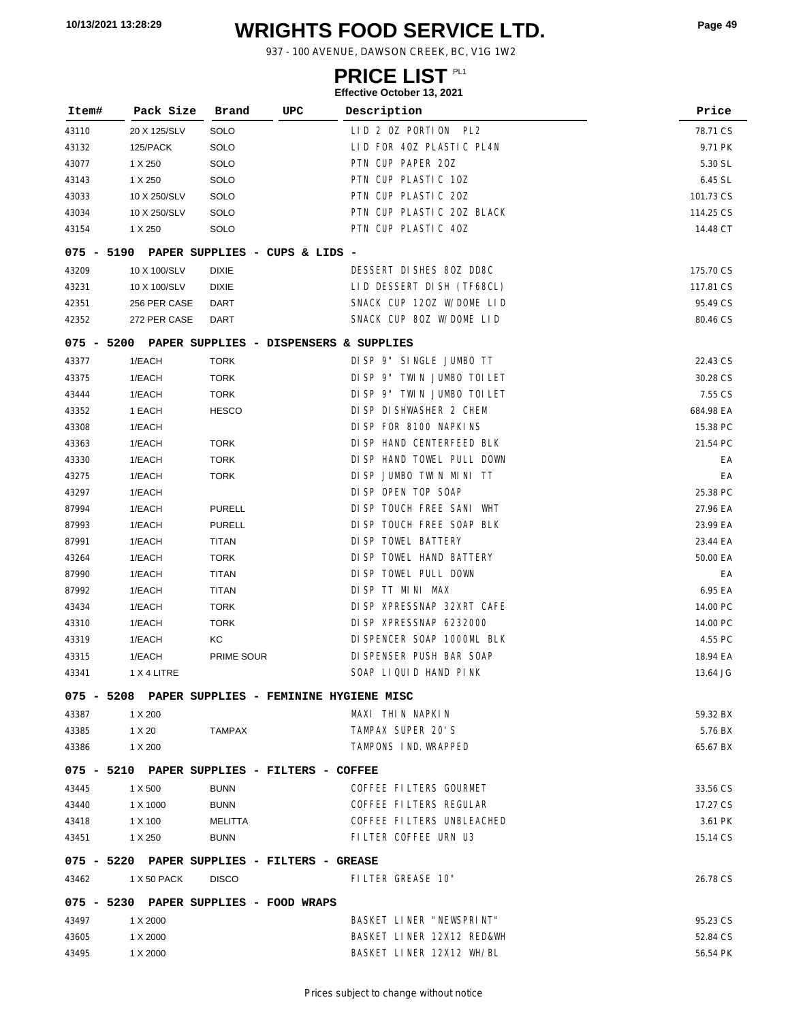# **WRIGHTS FOOD SERVICE LTD. 10/13/2021 13:28:29 Page <sup>49</sup>**

937 - 100 AVENUE, DAWSON CREEK, BC, V1G 1W2

### **PRICE LIST**

| Item# | Pack Size               | UPC<br>Brand                                      | LIIGUUVG OULUDUI 19, ZUZ I<br>Description        | Price                 |
|-------|-------------------------|---------------------------------------------------|--------------------------------------------------|-----------------------|
|       |                         |                                                   |                                                  |                       |
| 43110 | 20 X 125/SLV            | SOLO                                              | LID 2 OZ PORTION PL2<br>LID FOR 40Z PLASTIC PL4N | 78.71 CS              |
| 43132 | 125/PACK                | SOLO                                              | PTN CUP PAPER 20Z                                | 9.71 PK               |
| 43077 | 1 X 250                 | SOLO                                              | PTN CUP PLASTIC 10Z                              | 5.30 SL               |
| 43143 | 1 X 250                 | SOLO                                              | PTN CUP PLASTIC 20Z                              | 6.45 SL               |
| 43033 | 10 X 250/SLV            | SOLO<br>SOLO                                      | PTN CUP PLASTIC 20Z BLACK                        | 101.73 CS             |
| 43034 | 10 X 250/SLV<br>1 X 250 | SOLO                                              | PTN CUP PLASTIC 40Z                              | 114.25 CS<br>14.48 CT |
| 43154 |                         |                                                   |                                                  |                       |
|       |                         | 075 - 5190 PAPER SUPPLIES - CUPS & LIDS -         |                                                  |                       |
| 43209 | 10 X 100/SLV            | <b>DIXIE</b>                                      | DESSERT DISHES 80Z DD8C                          | 175.70 CS             |
| 43231 | 10 X 100/SLV            | <b>DIXIE</b>                                      | LID DESSERT DISH (TF68CL)                        | 117.81 CS             |
| 42351 | 256 PER CASE            | DART                                              | SNACK CUP 120Z W/DOME LID                        | 95.49 CS              |
| 42352 | 272 PER CASE            | <b>DART</b>                                       | SNACK CUP 80Z W/DOME LID                         | 80.46 CS              |
|       |                         | 075 - 5200 PAPER SUPPLIES - DISPENSERS & SUPPLIES |                                                  |                       |
| 43377 | 1/EACH                  | <b>TORK</b>                                       | DISP 9" SINGLE JUMBO TT                          | 22.43 CS              |
| 43375 | 1/EACH                  | <b>TORK</b>                                       | DISP 9" TWIN JUMBO TOILET                        | 30.28 CS              |
| 43444 | 1/EACH                  | <b>TORK</b>                                       | DISP 9" TWIN JUMBO TOILET                        | 7.55 CS               |
| 43352 | 1 EACH                  | <b>HESCO</b>                                      | DI SP DI SHWASHER 2 CHEM                         | 684.98 EA             |
| 43308 | 1/EACH                  |                                                   | DISP FOR 8100 NAPKINS                            | 15.38 PC              |
| 43363 | 1/EACH                  | <b>TORK</b>                                       | DI SP HAND CENTERFEED BLK                        | 21.54 PC              |
| 43330 | 1/EACH                  | <b>TORK</b>                                       | DI SP HAND TOWEL PULL DOWN                       | EA                    |
| 43275 | 1/EACH                  | <b>TORK</b>                                       | DISP JUMBO TWIN MINI TT                          | EA                    |
| 43297 | 1/EACH                  |                                                   | DI SP OPEN TOP SOAP                              | 25.38 PC              |
| 87994 | 1/EACH                  | <b>PURELL</b>                                     | DI SP TOUCH FREE SANI WHT                        | 27.96 EA              |
| 87993 | 1/EACH                  | <b>PURELL</b>                                     | DI SP TOUCH FREE SOAP BLK                        | 23.99 EA              |
| 87991 | 1/EACH                  | TITAN                                             | DI SP TOWEL BATTERY                              | 23.44 EA              |
| 43264 | 1/EACH                  | <b>TORK</b>                                       | DI SP TOWEL HAND BATTERY                         | 50.00 EA              |
| 87990 | 1/EACH                  | <b>TITAN</b>                                      | DI SP TOWEL PULL DOWN                            | EA                    |
| 87992 | 1/EACH                  | <b>TITAN</b>                                      | DISP TT MINI MAX                                 | 6.95 EA               |
| 43434 | 1/EACH                  | <b>TORK</b>                                       | DI SP XPRESSNAP 32XRT CAFE                       | 14.00 PC              |
| 43310 | 1/EACH                  | <b>TORK</b>                                       | DI SP XPRESSNAP 6232000                          | 14.00 PC              |
| 43319 | 1/EACH                  | КC                                                | DI SPENCER SOAP 1000ML BLK                       | 4.55 PC               |
| 43315 | 1/EACH                  | PRIME SOUR                                        | DI SPENSER PUSH BAR SOAP                         | 18.94 EA              |
| 43341 | 1 X 4 LITRE             |                                                   | SOAP LIQUID HAND PINK                            | 13.64 JG              |
|       |                         | 075 - 5208 PAPER SUPPLIES - FEMININE HYGIENE MISC |                                                  |                       |
| 43387 | 1 X 200                 |                                                   | MAXI THIN NAPKIN                                 | 59.32 BX              |
| 43385 | 1 X 20                  | TAMPAX                                            | TAMPAX SUPER 20'S                                | 5.76 BX               |
| 43386 | 1 X 200                 |                                                   | TAMPONS IND. WRAPPED                             | 65.67 BX              |
|       |                         |                                                   |                                                  |                       |
|       |                         | 075 - 5210 PAPER SUPPLIES - FILTERS - COFFEE      |                                                  |                       |
| 43445 | 1 X 500                 | <b>BUNN</b>                                       | COFFEE FILTERS GOURMET                           | 33.56 CS              |
| 43440 | 1 X 1000                | <b>BUNN</b>                                       | COFFEE FILTERS REGULAR                           | 17.27 CS              |
| 43418 | 1 X 100                 | MELITTA                                           | COFFEE FILTERS UNBLEACHED                        | 3.61 PK               |
| 43451 | 1 X 250                 | <b>BUNN</b>                                       | FILTER COFFEE URN U3                             | 15.14 CS              |
|       |                         | 075 - 5220 PAPER SUPPLIES - FILTERS - GREASE      |                                                  |                       |
| 43462 | 1 X 50 PACK             | <b>DISCO</b>                                      | FILTER GREASE 10"                                | 26.78 CS              |
|       |                         | 075 - 5230 PAPER SUPPLIES - FOOD WRAPS            |                                                  |                       |
| 43497 | 1 X 2000                |                                                   | BASKET LINER "NEWSPRINT"                         | 95.23 CS              |
| 43605 | 1 X 2000                |                                                   | BASKET LINER 12X12 RED&WH                        | 52.84 CS              |
| 43495 | 1 X 2000                |                                                   | BASKET LINER 12X12 WH/BL                         | 56.54 PK              |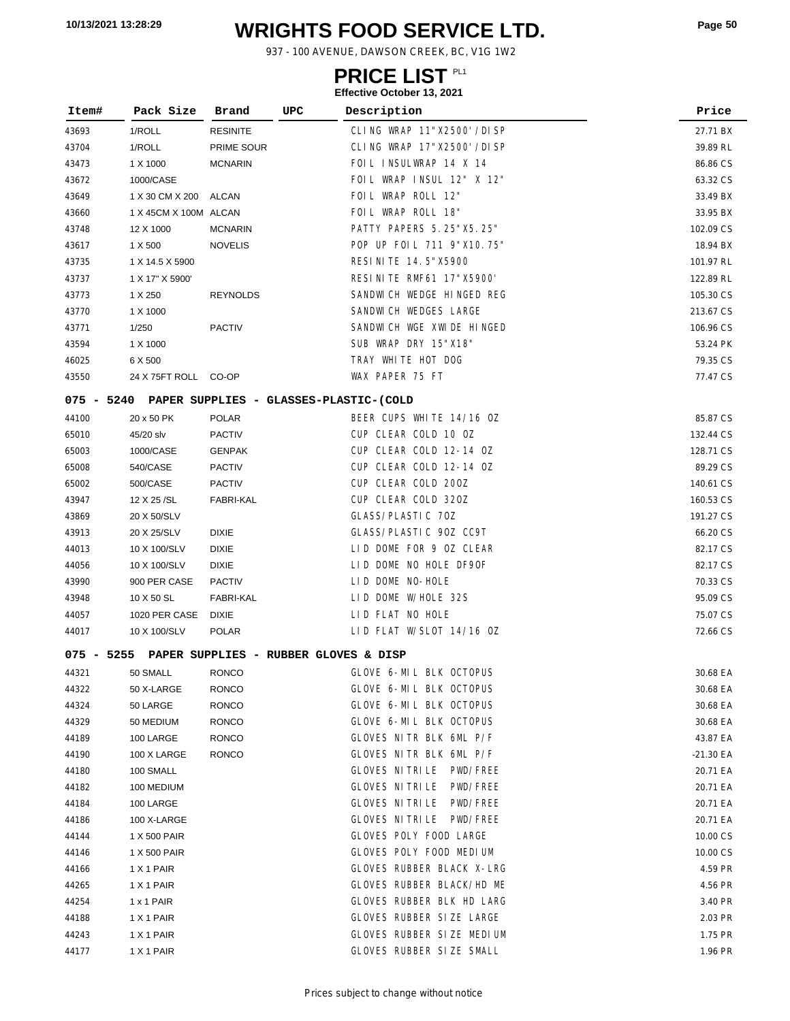# **WRIGHTS FOOD SERVICE LTD. 10/13/2021 13:28:29 Page <sup>50</sup>**

937 - 100 AVENUE, DAWSON CREEK, BC, V1G 1W2

### **PRICE LIST**

| Item#        | Pack Size                                         | Brand            | UPC | Description                           | Price     |
|--------------|---------------------------------------------------|------------------|-----|---------------------------------------|-----------|
| 43693        | 1/ROLL                                            | <b>RESINITE</b>  |     | CLING WRAP 11"X2500' /DI SP           | 27.71 BX  |
| 43704        | 1/ROLL                                            | PRIME SOUR       |     | CLING WRAP 17"X2500' /DISP            | 39.89 RL  |
| 43473        | 1 X 1000                                          | <b>MCNARIN</b>   |     | FOIL INSULWRAP 14 X 14                | 86.86 CS  |
| 43672        | 1000/CASE                                         |                  |     | FOIL WRAP INSUL 12" X 12"             | 63.32 CS  |
| 43649        | 1 X 30 CM X 200                                   | ALCAN            |     | FOIL WRAP ROLL 12"                    | 33.49 BX  |
| 43660        | 1 X 45CM X 100M ALCAN                             |                  |     | FOIL WRAP ROLL 18"                    | 33.95 BX  |
| 43748        | 12 X 1000                                         | <b>MCNARIN</b>   |     | PATTY PAPERS 5.25"X5.25"              | 102.09 CS |
| 43617        | 1 X 500                                           | <b>NOVELIS</b>   |     | POP UP FOIL 711 9"X10.75"             | 18.94 BX  |
| 43735        | 1 X 14.5 X 5900                                   |                  |     | RESI NI TE 14.5"X5900                 | 101.97 RL |
| 43737        | 1 X 17" X 5900'                                   |                  |     | RESINITE RMF61 17"X5900'              | 122.89 RL |
| 43773        | 1 X 250                                           | <b>REYNOLDS</b>  |     | SANDWICH WEDGE HINGED REG             | 105.30 CS |
| 43770        | 1 X 1000                                          |                  |     | SANDWICH WEDGES LARGE                 | 213.67 CS |
| 43771        | 1/250                                             | <b>PACTIV</b>    |     | SANDWICH WGE XWIDE HINGED             | 106.96 CS |
| 43594        | 1 X 1000                                          |                  |     | SUB WRAP DRY 15"X18"                  | 53.24 PK  |
| 46025        | 6 X 500                                           |                  |     | TRAY WHITE HOT DOG                    | 79.35 CS  |
| 43550        | 24 X 75FT ROLL CO-OP                              |                  |     | WAX PAPER 75 FT                       | 77.47 CS  |
|              | 075 - 5240 PAPER SUPPLIES - GLASSES-PLASTIC-(COLD |                  |     |                                       |           |
| 44100        | 20 x 50 PK                                        | <b>POLAR</b>     |     | BEER CUPS WHITE 14/16 OZ              | 85.87 CS  |
| 65010        | 45/20 slv                                         | <b>PACTIV</b>    |     | CUP CLEAR COLD 10 OZ                  | 132.44 CS |
| 65003        | 1000/CASE                                         | <b>GENPAK</b>    |     | CUP CLEAR COLD 12-14 OZ               | 128.71 CS |
| 65008        | 540/CASE                                          | <b>PACTIV</b>    |     | CUP CLEAR COLD 12-14 OZ               | 89.29 CS  |
| 65002        | 500/CASE                                          | <b>PACTIV</b>    |     | CUP CLEAR COLD 200Z                   | 140.61 CS |
| 43947        | 12 X 25 / SL                                      | <b>FABRI-KAL</b> |     | CUP CLEAR COLD 320Z                   | 160.53 CS |
| 43869        | 20 X 50/SLV                                       |                  |     | GLASS/PLASTIC 70Z                     | 191.27 CS |
| 43913        | 20 X 25/SLV                                       | <b>DIXIE</b>     |     | GLASS/PLASTIC 90Z CC9T                | 66.20 CS  |
| 44013        | 10 X 100/SLV                                      | <b>DIXIE</b>     |     | LID DOME FOR 9 OZ CLEAR               | 82.17 CS  |
| 44056        | 10 X 100/SLV                                      | <b>DIXIE</b>     |     | LID DOME NO HOLE DF9OF                | 82.17 CS  |
| 43990        | 900 PER CASE                                      | <b>PACTIV</b>    |     | LID DOME NO-HOLE                      | 70.33 CS  |
| 43948        | 10 X 50 SL                                        | <b>FABRI-KAL</b> |     | LID DOME W/HOLE 32S                   | 95.09 CS  |
| 44057        | 1020 PER CASE                                     | <b>DIXIE</b>     |     | LID FLAT NO HOLE                      | 75.07 CS  |
| 44017        | 10 X 100/SLV                                      | <b>POLAR</b>     |     | LID FLAT W/SLOT 14/16 OZ              | 72.66 CS  |
| $075 - 5255$ |                                                   |                  |     | PAPER SUPPLIES - RUBBER GLOVES & DISP |           |
| 44321        | 50 SMALL                                          | <b>RONCO</b>     |     | GLOVE 6-MIL BLK OCTOPUS               | 30.68 EA  |
| 44322        | 50 X-LARGE                                        | <b>RONCO</b>     |     | GLOVE 6-MIL BLK OCTOPUS               | 30.68 EA  |
| 44324        | 50 LARGE                                          | <b>RONCO</b>     |     | GLOVE 6-MIL BLK OCTOPUS               | 30.68 EA  |
| 44329        | 50 MEDIUM                                         | <b>RONCO</b>     |     | GLOVE 6-MIL BLK OCTOPUS               | 30.68 EA  |
| 44189        | 100 LARGE                                         | <b>RONCO</b>     |     | GLOVES NITR BLK 6ML P/F               | 43.87 EA  |
| 44190        | 100 X LARGE                                       | <b>RONCO</b>     |     | GLOVES NITR BLK 6ML P/F               | -21.30 EA |
| 44180        | 100 SMALL                                         |                  |     | GLOVES NITRILE PWD/FREE               | 20.71 EA  |
| 44182        | 100 MEDIUM                                        |                  |     | GLOVES NITRILE<br>PWD/FREE            | 20.71 EA  |
| 44184        | 100 LARGE                                         |                  |     | GLOVES NITRILE<br>PWD/FREE            | 20.71 EA  |
| 44186        | 100 X-LARGE                                       |                  |     | GLOVES NI TRI LE PWD/FREE             | 20.71 EA  |
| 44144        | 1 X 500 PAIR                                      |                  |     | GLOVES POLY FOOD LARGE                | 10.00 CS  |
| 44146        | 1 X 500 PAIR                                      |                  |     | GLOVES POLY FOOD MEDIUM               | 10.00 CS  |
| 44166        | 1 X 1 PAIR                                        |                  |     | GLOVES RUBBER BLACK X-LRG             | 4.59 PR   |
| 44265        | 1 X 1 PAIR                                        |                  |     | GLOVES RUBBER BLACK/HD ME             | 4.56 PR   |
| 44254        | 1 x 1 PAIR                                        |                  |     | GLOVES RUBBER BLK HD LARG             | 3.40 PR   |
| 44188        | 1 X 1 PAIR                                        |                  |     | GLOVES RUBBER SIZE LARGE              | 2.03 PR   |
| 44243        | 1 X 1 PAIR                                        |                  |     | GLOVES RUBBER SIZE MEDIUM             | 1.75 PR   |
| 44177        | 1 X 1 PAIR                                        |                  |     | GLOVES RUBBER SIZE SMALL              | 1.96 PR   |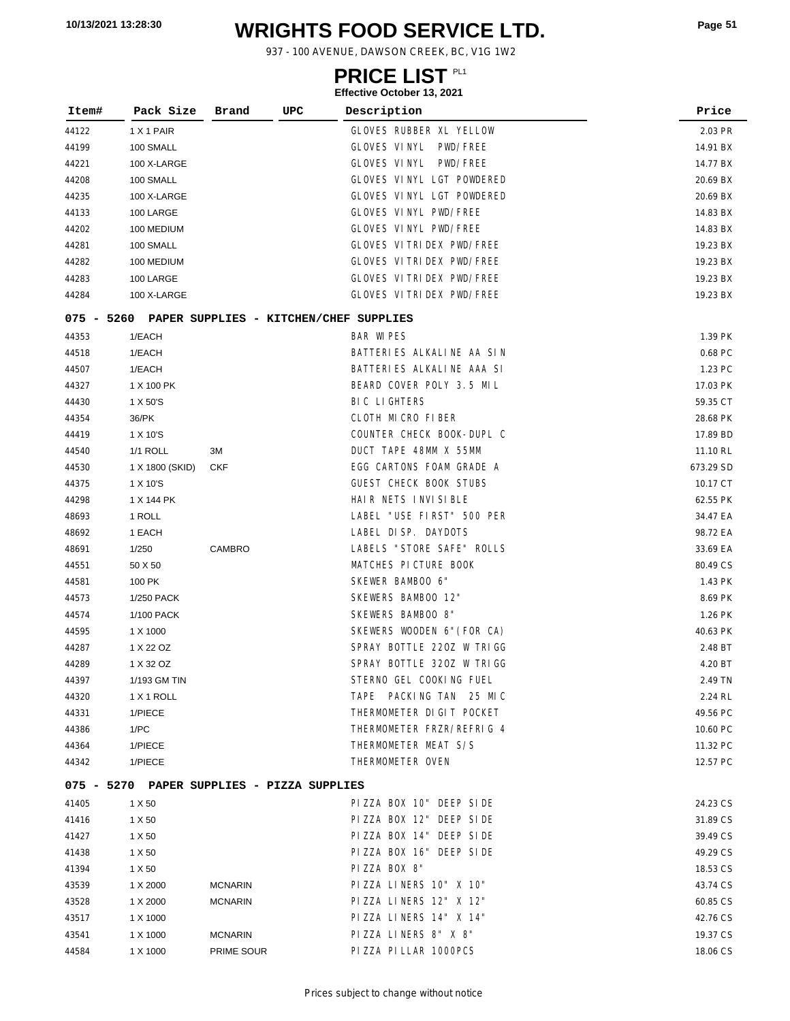# **WRIGHTS FOOD SERVICE LTD. 10/13/2021 13:28:30 Page <sup>51</sup>**

937 - 100 AVENUE, DAWSON CREEK, BC, V1G 1W2

### **PRICE LIST**

| Item# | Pack Size                                  | Brand          | UPC | Description                                       | Price     |
|-------|--------------------------------------------|----------------|-----|---------------------------------------------------|-----------|
| 44122 | 1 X 1 PAIR                                 |                |     | GLOVES RUBBER XL YELLOW                           | 2.03 PR   |
| 44199 | 100 SMALL                                  |                |     | GLOVES VINYL<br>PWD/FREE                          | 14.91 BX  |
| 44221 | 100 X-LARGE                                |                |     | GLOVES VINYL<br>PWD/FREE                          | 14.77 BX  |
| 44208 | 100 SMALL                                  |                |     | GLOVES VINYL LGT POWDERED                         | 20.69 BX  |
| 44235 | 100 X-LARGE                                |                |     | GLOVES VINYL LGT POWDERED                         | 20.69 BX  |
| 44133 | 100 LARGE                                  |                |     | GLOVES VINYL PWD/FREE                             | 14.83 BX  |
| 44202 | 100 MEDIUM                                 |                |     | GLOVES VINYL PWD/FREE                             | 14.83 BX  |
| 44281 | 100 SMALL                                  |                |     | GLOVES VITRIDEX PWD/FREE                          | 19.23 BX  |
| 44282 | 100 MEDIUM                                 |                |     | GLOVES VITRIDEX PWD/FREE                          | 19.23 BX  |
| 44283 | 100 LARGE                                  |                |     | GLOVES VITRIDEX PWD/FREE                          | 19.23 BX  |
| 44284 | 100 X-LARGE                                |                |     | GLOVES VITRIDEX PWD/FREE                          | 19.23 BX  |
|       |                                            |                |     | 075 - 5260 PAPER SUPPLIES - KITCHEN/CHEF SUPPLIES |           |
| 44353 | 1/EACH                                     |                |     | <b>BAR WIPES</b>                                  | 1.39 PK   |
| 44518 | 1/EACH                                     |                |     | BATTERIES ALKALINE AA SIN                         | 0.68 PC   |
| 44507 | 1/EACH                                     |                |     | BATTERIES ALKALINE AAA SI                         | 1.23 PC   |
| 44327 | 1 X 100 PK                                 |                |     | BEARD COVER POLY 3.5 MIL                          | 17.03 PK  |
| 44430 | 1 X 50'S                                   |                |     | <b>BIC LIGHTERS</b>                               | 59.35 CT  |
| 44354 | 36/PK                                      |                |     | CLOTH MICRO FIBER                                 | 28.68 PK  |
| 44419 | 1 X 10'S                                   |                |     | COUNTER CHECK BOOK-DUPL C                         | 17.89 BD  |
| 44540 | <b>1/1 ROLL</b>                            | ЗM             |     | DUCT TAPE 48MM X 55MM                             | 11.10 RL  |
| 44530 | 1 X 1800 (SKID)                            | <b>CKF</b>     |     | EGG CARTONS FOAM GRADE A                          | 673.29 SD |
| 44375 | 1 X 10'S                                   |                |     | <b>GUEST CHECK BOOK STUBS</b>                     | 10.17 CT  |
| 44298 | 1 X 144 PK                                 |                |     | HAIR NETS INVISIBLE                               | 62.55 PK  |
| 48693 | 1 ROLL                                     |                |     | LABEL "USE FIRST" 500 PER                         | 34.47 EA  |
| 48692 | 1 EACH                                     |                |     | LABEL DISP. DAYDOTS                               | 98.72 EA  |
| 48691 | 1/250                                      | CAMBRO         |     | LABELS "STORE SAFE" ROLLS                         | 33.69 EA  |
| 44551 | 50 X 50                                    |                |     | MATCHES PICTURE BOOK                              | 80.49 CS  |
| 44581 | 100 PK                                     |                |     | SKEWER BAMBOO 6"                                  | 1.43 PK   |
| 44573 | 1/250 PACK                                 |                |     | SKEWERS BAMBOO 12"                                | 8.69 PK   |
| 44574 | 1/100 PACK                                 |                |     | SKEWERS BAMBOO 8"                                 | 1.26 PK   |
| 44595 | 1 X 1000                                   |                |     | SKEWERS WOODEN 6" (FOR CA)                        | 40.63 PK  |
| 44287 | 1 X 22 OZ                                  |                |     | SPRAY BOTTLE 220Z W TRIGG                         | 2.48 BT   |
| 44289 | 1 X 32 OZ                                  |                |     | SPRAY BOTTLE 320Z W TRIGG                         | 4.20 BT   |
| 44397 | 1/193 GM TIN                               |                |     | STERNO GEL COOKING FUEL                           | 2.49 TN   |
| 44320 | 1 X 1 ROLL                                 |                |     | TAPE PACKING TAN 25 MIC                           | 2.24 RL   |
| 44331 | 1/PIECE                                    |                |     | THERMOMETER DIGIT POCKET                          | 49.56 PC  |
| 44386 | 1/PC                                       |                |     | THERMOMETER FRZR/REFRIG 4                         | 10.60 PC  |
| 44364 | 1/PIECE                                    |                |     | THERMOMETER MEAT S/S                              | 11.32 PC  |
| 44342 | 1/PIECE                                    |                |     | THERMOMETER OVEN                                  | 12.57 PC  |
|       | 075 - 5270 PAPER SUPPLIES - PIZZA SUPPLIES |                |     |                                                   |           |
| 41405 | 1 X 50                                     |                |     | PIZZA BOX 10" DEEP SIDE                           | 24.23 CS  |
| 41416 | 1 X 50                                     |                |     | PIZZA BOX 12" DEEP SIDE                           | 31.89 CS  |
| 41427 | 1 X 50                                     |                |     | PIZZA BOX 14" DEEP SIDE                           | 39.49 CS  |
| 41438 | 1 X 50                                     |                |     | PIZZA BOX 16" DEEP SIDE                           | 49.29 CS  |
| 41394 | 1 X 50                                     |                |     | PIZZA BOX 8"                                      | 18.53 CS  |
| 43539 | 1 X 2000                                   | <b>MCNARIN</b> |     | PIZZA LINERS 10" X 10"                            | 43.74 CS  |
| 43528 | 1 X 2000                                   | <b>MCNARIN</b> |     | PIZZA LINERS 12" X 12"                            | 60.85 CS  |
| 43517 | 1 X 1000                                   |                |     | PIZZA LINERS 14" X 14"                            | 42.76 CS  |
| 43541 | 1 X 1000                                   | <b>MCNARIN</b> |     | PIZZA LINERS 8" X 8"                              | 19.37 CS  |
| 44584 | 1 X 1000                                   | PRIME SOUR     |     | PIZZA PILLAR 1000PCS                              | 18.06 CS  |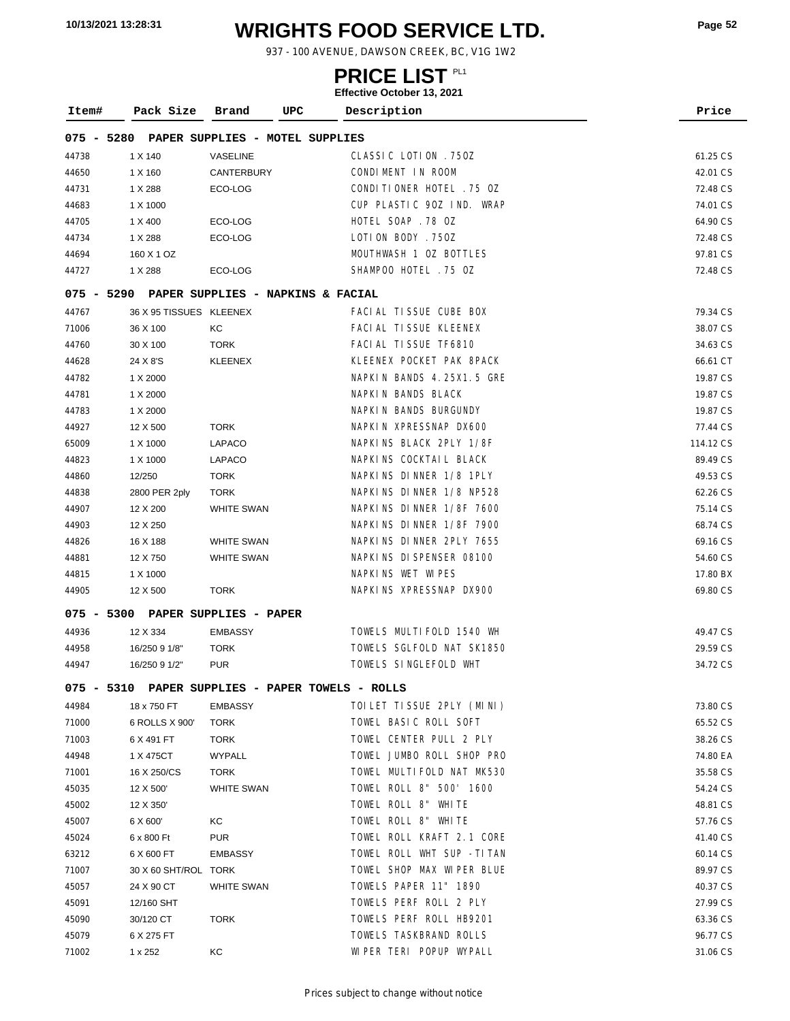# **WRIGHTS FOOD SERVICE LTD. 10/13/2021 13:28:31 Page <sup>52</sup>**

937 - 100 AVENUE, DAWSON CREEK, BC, V1G 1W2

### **PRICE LIST**

| Item#        | Pack Size               | UPC<br>Brand                                     | Description               | Price     |
|--------------|-------------------------|--------------------------------------------------|---------------------------|-----------|
| 075 - 5280   |                         | PAPER SUPPLIES - MOTEL SUPPLIES                  |                           |           |
| 44738        | 1 X 140                 | VASELINE                                         | CLASSIC LOTION . 750Z     | 61.25 CS  |
| 44650        | 1 X 160                 | CANTERBURY                                       | CONDIMENT IN ROOM         | 42.01 CS  |
| 44731        | 1 X 288                 | ECO-LOG                                          | CONDITIONER HOTEL . 75 OZ | 72.48 CS  |
| 44683        | 1 X 1000                |                                                  | CUP PLASTIC 90Z IND. WRAP | 74.01 CS  |
| 44705        | 1 X 400                 | ECO-LOG                                          | HOTEL SOAP .78 OZ         | 64.90 CS  |
| 44734        | 1 X 288                 | ECO-LOG                                          | LOTION BODY . 750Z        | 72.48 CS  |
| 44694        | 160 X 1 OZ              |                                                  | MOUTHWASH 1 OZ BOTTLES    | 97.81 CS  |
| 44727        | 1 X 288                 | ECO-LOG                                          | SHAMPOO HOTEL . 75 OZ     | 72.48 CS  |
| 075 - 5290   |                         | PAPER SUPPLIES - NAPKINS & FACIAL                |                           |           |
| 44767        | 36 X 95 TISSUES KLEENEX |                                                  | FACIAL TISSUE CUBE BOX    | 79.34 CS  |
| 71006        | 36 X 100                | КC                                               | FACI AL TI SSUE KLEENEX   | 38.07 CS  |
| 44760        | 30 X 100                | <b>TORK</b>                                      | FACI AL TI SSUE TF6810    | 34.63 CS  |
| 44628        | 24 X 8'S                | <b>KLEENEX</b>                                   | KLEENEX POCKET PAK 8PACK  | 66.61 CT  |
| 44782        | 1 X 2000                |                                                  | NAPKIN BANDS 4.25X1.5 GRE | 19.87 CS  |
| 44781        | 1 X 2000                |                                                  | NAPKIN BANDS BLACK        | 19.87 CS  |
| 44783        | 1 X 2000                |                                                  | NAPKIN BANDS BURGUNDY     | 19.87 CS  |
| 44927        | 12 X 500                | <b>TORK</b>                                      | NAPKIN XPRESSNAP DX600    | 77.44 CS  |
| 65009        | 1 X 1000                | LAPACO                                           | NAPKINS BLACK 2PLY 1/8F   | 114.12 CS |
| 44823        | 1 X 1000                | LAPACO                                           | NAPKINS COCKTAIL BLACK    | 89.49 CS  |
| 44860        | 12/250                  | <b>TORK</b>                                      | NAPKINS DINNER 1/8 1PLY   | 49.53 CS  |
| 44838        | 2800 PER 2ply           | <b>TORK</b>                                      | NAPKINS DINNER 1/8 NP528  | 62.26 CS  |
| 44907        | 12 X 200                | <b>WHITE SWAN</b>                                | NAPKINS DINNER 1/8F 7600  | 75.14 CS  |
| 44903        | 12 X 250                |                                                  | NAPKINS DINNER 1/8F 7900  | 68.74 CS  |
| 44826        | 16 X 188                | <b>WHITE SWAN</b>                                | NAPKINS DINNER 2PLY 7655  | 69.16 CS  |
| 44881        | 12 X 750                | WHITE SWAN                                       | NAPKINS DISPENSER 08100   | 54.60 CS  |
| 44815        | 1 X 1000                |                                                  | NAPKINS WET WIPES         | 17.80 BX  |
| 44905        | 12 X 500                | <b>TORK</b>                                      | NAPKINS XPRESSNAP DX900   | 69.80 CS  |
| $075 - 5300$ |                         | PAPER SUPPLIES - PAPER                           |                           |           |
| 44936        | 12 X 334                | <b>EMBASSY</b>                                   | TOWELS MULTIFOLD 1540 WH  | 49.47 CS  |
| 44958        | 16/250 9 1/8"           | <b>TORK</b>                                      | TOWELS SGLFOLD NAT SK1850 | 29.59 CS  |
| 44947        | 16/250 9 1/2"           | <b>PUR</b>                                       | TOWELS SINGLEFOLD WHT     | 34.72 CS  |
|              |                         | 075 - 5310 PAPER SUPPLIES - PAPER TOWELS - ROLLS |                           |           |
| 44984        | 18 x 750 FT             | <b>EMBASSY</b>                                   | TOILET TISSUE 2PLY (MINI) | 73.80 CS  |
| 71000        | 6 ROLLS X 900'          | <b>TORK</b>                                      | TOWEL BASIC ROLL SOFT     | 65.52 CS  |
| 71003        | 6 X 491 FT              | TORK                                             | TOWEL CENTER PULL 2 PLY   | 38.26 CS  |
| 44948        | 1 X 475CT               | WYPALL                                           | TOWEL JUMBO ROLL SHOP PRO | 74.80 EA  |
| 71001        | 16 X 250/CS             | TORK                                             | TOWEL MULTIFOLD NAT MK530 | 35.58 CS  |
| 45035        | 12 X 500                | <b>WHITE SWAN</b>                                | TOWEL ROLL 8" 500' 1600   | 54.24 CS  |
| 45002        | 12 X 350'               |                                                  | TOWEL ROLL 8" WHITE       | 48.81 CS  |
| 45007        | 6 X 600'                | КC                                               | TOWEL ROLL 8" WHITE       | 57.76 CS  |
| 45024        | 6 x 800 Ft              | <b>PUR</b>                                       | TOWEL ROLL KRAFT 2.1 CORE | 41.40 CS  |
| 63212        | 6 X 600 FT              | <b>EMBASSY</b>                                   | TOWEL ROLL WHT SUP -TITAN | 60.14 CS  |
| 71007        | 30 X 60 SHT/ROL TORK    |                                                  | TOWEL SHOP MAX WIPER BLUE | 89.97 CS  |
| 45057        | 24 X 90 CT              | <b>WHITE SWAN</b>                                | TOWELS PAPER 11" 1890     | 40.37 CS  |
| 45091        | 12/160 SHT              |                                                  | TOWELS PERF ROLL 2 PLY    | 27.99 CS  |
| 45090        | 30/120 CT               | <b>TORK</b>                                      | TOWELS PERF ROLL HB9201   | 63.36 CS  |
| 45079        | 6 X 275 FT              |                                                  | TOWELS TASKBRAND ROLLS    | 96.77 CS  |
| 71002        | 1 x 252                 | KC                                               | WIPER TERI POPUP WYPALL   | 31.06 CS  |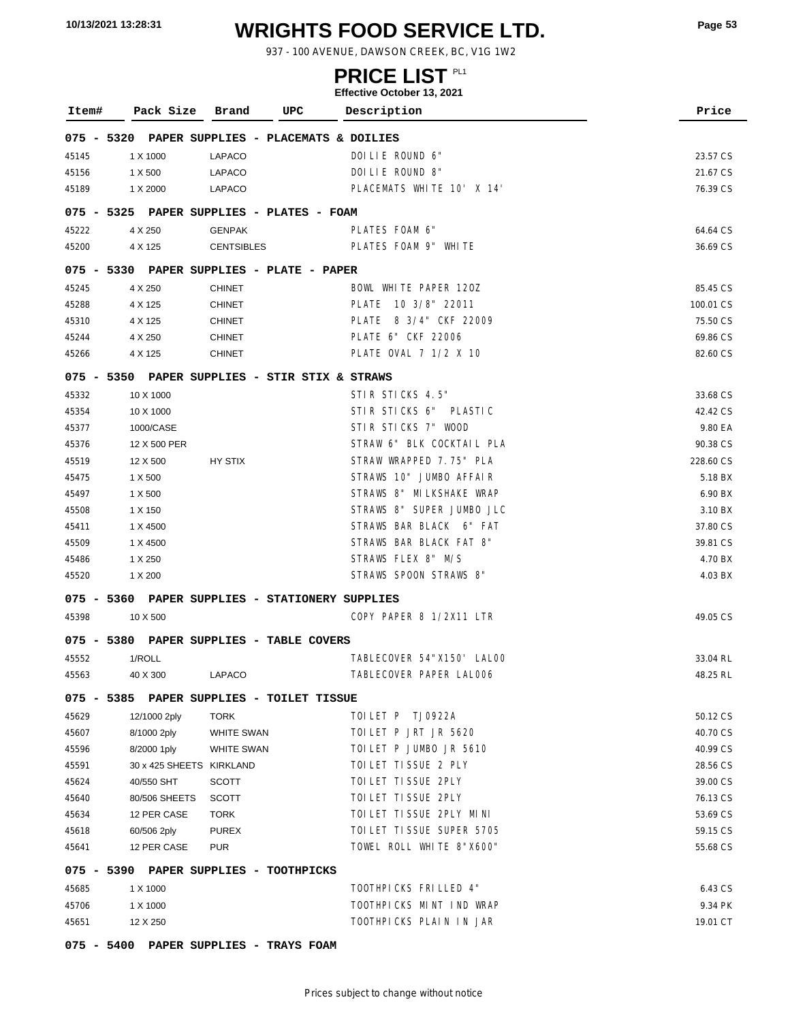# **WRIGHTS FOOD SERVICE LTD. 10/13/2021 13:28:31 Page <sup>53</sup>**

937 - 100 AVENUE, DAWSON CREEK, BC, V1G 1W2

### **PRICE LIST**

| Item#        | Pack Size                | UPC<br>Brand                              | Description                          | Price     |
|--------------|--------------------------|-------------------------------------------|--------------------------------------|-----------|
| $075 - 5320$ |                          |                                           | PAPER SUPPLIES - PLACEMATS & DOILIES |           |
| 45145        | 1 X 1000                 | <b>LAPACO</b>                             | DOILIE ROUND 6"                      | 23.57 CS  |
| 45156        | 1 X 500                  | LAPACO                                    | DOILIE ROUND 8"                      | 21.67 CS  |
| 45189        | 1 X 2000                 | LAPACO                                    | PLACEMATS WHITE 10' X 14'            | 76.39 CS  |
|              |                          | 075 - 5325 PAPER SUPPLIES - PLATES - FOAM |                                      |           |
| 45222        | 4 X 250                  | <b>GENPAK</b>                             | PLATES FOAM 6"                       | 64.64 CS  |
| 45200        | 4 X 125                  | <b>CENTSIBLES</b>                         | PLATES FOAM 9" WHITE                 | 36.69 CS  |
| $075 - 5330$ |                          | PAPER SUPPLIES - PLATE - PAPER            |                                      |           |
| 45245        | 4 X 250                  | <b>CHINET</b>                             | BOWL WHITE PAPER 120Z                | 85.45 CS  |
| 45288        | 4 X 125                  | <b>CHINET</b>                             | PLATE 10 3/8" 22011                  | 100.01 CS |
| 45310        | 4 X 125                  | <b>CHINET</b>                             | PLATE 8 3/4" CKF 22009               | 75.50 CS  |
| 45244        | 4 X 250                  | <b>CHINET</b>                             | PLATE 6" CKF 22006                   | 69.86 CS  |
| 45266        | 4 X 125                  | <b>CHINET</b>                             | PLATE OVAL 7 1/2 X 10                | 82.60 CS  |
| $075 - 5350$ |                          | PAPER SUPPLIES - STIR STIX & STRAWS       |                                      |           |
| 45332        | 10 X 1000                |                                           | STIR STICKS 4.5"                     | 33.68 CS  |
| 45354        | 10 X 1000                |                                           | STIR STICKS 6" PLASTIC               | 42.42 CS  |
| 45377        | 1000/CASE                |                                           | STIR STICKS 7" WOOD                  | 9.80 EA   |
| 45376        | 12 X 500 PER             |                                           | STRAW 6" BLK COCKTAIL PLA            | 90.38 CS  |
| 45519        | 12 X 500                 | HY STIX                                   | STRAW WRAPPED 7.75" PLA              | 228.60 CS |
| 45475        | 1 X 500                  |                                           | STRAWS 10" JUMBO AFFAIR              | 5.18 BX   |
| 45497        | 1 X 500                  |                                           | STRAWS 8" MILKSHAKE WRAP             | 6.90 BX   |
| 45508        | 1 X 150                  |                                           | STRAWS 8" SUPER JUMBO JLC            | 3.10 BX   |
| 45411        | 1 X 4500                 |                                           | STRAWS BAR BLACK 6" FAT              | 37.80 CS  |
| 45509        | 1 X 4500                 |                                           | STRAWS BAR BLACK FAT 8"              | 39.81 CS  |
| 45486        | 1 X 250                  |                                           | STRAWS FLEX 8" M/S                   | 4.70 BX   |
| 45520        | 1 X 200                  |                                           | STRAWS SPOON STRAWS 8"               | 4.03 BX   |
| $075 - 5360$ |                          |                                           | PAPER SUPPLIES - STATIONERY SUPPLIES |           |
| 45398        | 10 X 500                 |                                           | COPY PAPER 8 1/2X11 LTR              | 49.05 CS  |
| $075 - 5380$ |                          | PAPER SUPPLIES - TABLE COVERS             |                                      |           |
| 45552        | 1/ROLL                   |                                           | TABLECOVER 54"X150' LALOO            | 33.04 RL  |
| 45563        | 40 X 300                 | <b>LAPACO</b>                             | TABLECOVER PAPER LALOO6              | 48.25 RL  |
|              |                          | 075 - 5385 PAPER SUPPLIES - TOILET TISSUE |                                      |           |
| 45629        | 12/1000 2ply             | <b>TORK</b>                               | TOILET P TJ0922A                     | 50.12 CS  |
| 45607        | 8/1000 2ply              | <b>WHITE SWAN</b>                         | TOILET P JRT JR 5620                 | 40.70 CS  |
| 45596        | 8/2000 1ply              | <b>WHITE SWAN</b>                         | TOILET P JUMBO JR 5610               | 40.99 CS  |
| 45591        | 30 x 425 SHEETS KIRKLAND |                                           | TOI LET TI SSUE 2 PLY                | 28.56 CS  |
| 45624        | 40/550 SHT               | SCOTT                                     | TOI LET TI SSUE 2PLY                 | 39.00 CS  |
| 45640        | 80/506 SHEETS            | <b>SCOTT</b>                              | TOI LET TI SSUE 2PLY                 | 76.13 CS  |
| 45634        | 12 PER CASE              | TORK                                      | TOI LET TI SSUE 2PLY MINI            | 53.69 CS  |
| 45618        | 60/506 2ply              | <b>PUREX</b>                              | TOI LET TI SSUE SUPER 5705           | 59.15 CS  |
| 45641        | 12 PER CASE              | <b>PUR</b>                                | TOWEL ROLL WHITE 8"X600"             | 55.68 CS  |
|              |                          | 075 - 5390 PAPER SUPPLIES - TOOTHPICKS    |                                      |           |
| 45685        | 1 X 1000                 |                                           | TOOTHPICKS FRILLED 4"                | 6.43 CS   |
| 45706        | 1 X 1000                 |                                           | TOOTHPICKS MINT IND WRAP             | 9.34 PK   |
| 45651        | 12 X 250                 |                                           | TOOTHPICKS PLAIN IN JAR              | 19.01 CT  |
|              |                          | 075 - 5400 PAPER SUPPLIES - TRAYS FOAM    |                                      |           |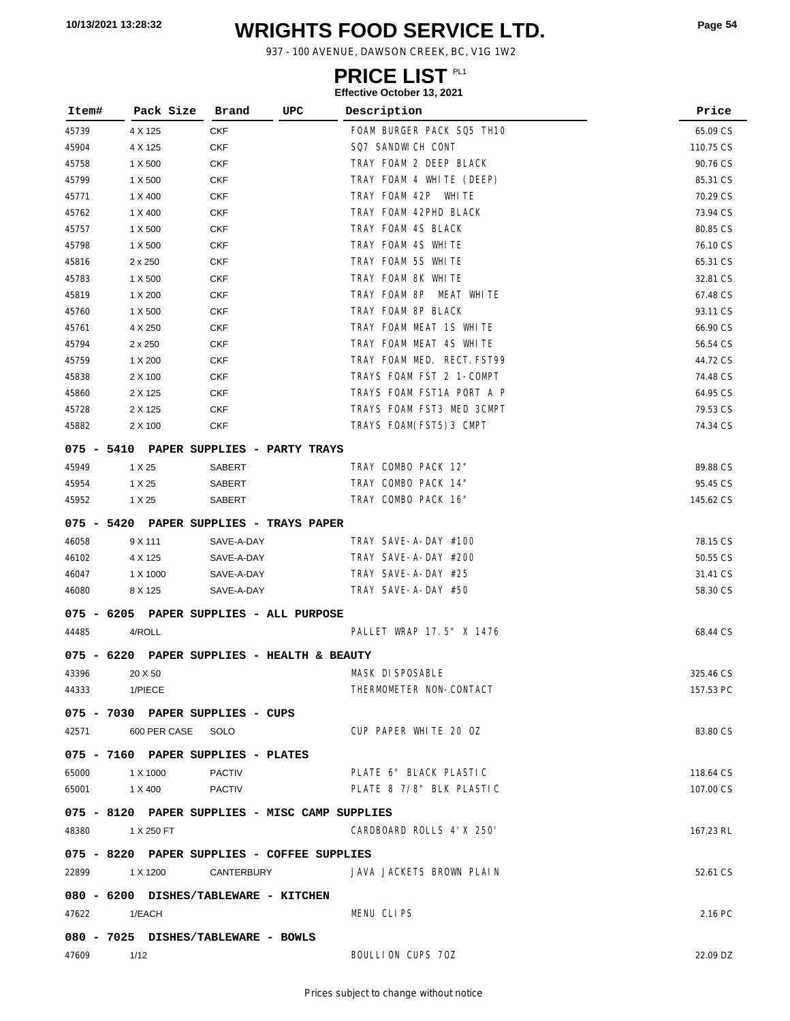# **WRIGHTS FOOD SERVICE LTD. 10/13/2021 13:28:32 Page <sup>54</sup>**

937 - 100 AVENUE, DAWSON CREEK, BC, V1G 1W2

### **PRICE LIST**

| Item#        | Pack Size               | Brand                                          | UPC | Description                | Price     |
|--------------|-------------------------|------------------------------------------------|-----|----------------------------|-----------|
| 45739        | 4 X 125                 | <b>CKF</b>                                     |     | FOAM BURGER PACK SQ5 TH10  | 65.09 CS  |
| 45904        | 4 X 125                 | <b>CKF</b>                                     |     | SQ7 SANDWICH CONT          | 110.75 CS |
| 45758        | 1 X 500                 | <b>CKF</b>                                     |     | TRAY FOAM 2 DEEP BLACK     | 90.76 CS  |
| 45799        | 1 X 500                 | <b>CKF</b>                                     |     | TRAY FOAM 4 WHITE (DEEP)   | 85.31 CS  |
| 45771        | 1 X 400                 | <b>CKF</b>                                     |     | TRAY FOAM 42P WHITE        | 70.29 CS  |
| 45762        | 1 X 400                 | <b>CKF</b>                                     |     | TRAY FOAM 42PHD BLACK      | 73.94 CS  |
| 45757        | 1 X 500                 | <b>CKF</b>                                     |     | TRAY FOAM 4S BLACK         | 80.85 CS  |
| 45798        | 1 X 500                 | <b>CKF</b>                                     |     | TRAY FOAM 4S WHITE         | 76.10 CS  |
| 45816        | $2 \times 250$          | <b>CKF</b>                                     |     | TRAY FOAM 5S WHITE         | 65.31 CS  |
| 45783        | 1 X 500                 | <b>CKF</b>                                     |     | TRAY FOAM 8K WHITE         | 32.81 CS  |
| 45819        | 1 X 200                 | <b>CKF</b>                                     |     | TRAY FOAM 8P MEAT WHITE    | 67.48 CS  |
| 45760        | 1 X 500                 | <b>CKF</b>                                     |     | TRAY FOAM 8P BLACK         | 93.11 CS  |
| 45761        | 4 X 250                 | <b>CKF</b>                                     |     | TRAY FOAM MEAT 1S WHITE    | 66.90 CS  |
| 45794        | $2 \times 250$          | <b>CKF</b>                                     |     | TRAY FOAM MEAT 4S WHITE    | 56.54 CS  |
| 45759        | 1 X 200                 | <b>CKF</b>                                     |     | TRAY FOAM MED. RECT. FST99 | 44.72 CS  |
| 45838        | 2 X 100                 | <b>CKF</b>                                     |     | TRAYS FOAM FST 2 1-COMPT   | 74.48 CS  |
| 45860        | 2 X 125                 | <b>CKF</b>                                     |     | TRAYS FOAM FST1A PORT A P  | 64.95 CS  |
| 45728        | 2 X 125                 | <b>CKF</b>                                     |     | TRAYS FOAM FST3 MED 3CMPT  | 79.53 CS  |
| 45882        | 2 X 100                 | <b>CKF</b>                                     |     | TRAYS FOAM(FST5)3 CMPT     | 74.34 CS  |
|              |                         | 075 - 5410 PAPER SUPPLIES - PARTY TRAYS        |     |                            |           |
| 45949        | 1 X 25                  | <b>SABERT</b>                                  |     | TRAY COMBO PACK 12"        | 89.88 CS  |
| 45954        | 1 X 25                  | SABERT                                         |     | TRAY COMBO PACK 14"        | 95.45 CS  |
| 45952        | 1 X 25                  | <b>SABERT</b>                                  |     | TRAY COMBO PACK 16"        | 145.62 CS |
|              |                         | 075 - 5420 PAPER SUPPLIES - TRAYS PAPER        |     |                            |           |
| 46058        | 9 X 111                 | SAVE-A-DAY                                     |     | TRAY SAVE-A-DAY #100       | 78.15 CS  |
| 46102        | 4 X 125                 | SAVE-A-DAY                                     |     | TRAY SAVE-A-DAY #200       | 50.55 CS  |
| 46047        | 1 X 1000                | SAVE-A-DAY                                     |     | TRAY SAVE-A-DAY #25        | 31.41 CS  |
| 46080        | 8 X 125                 | SAVE-A-DAY                                     |     | TRAY SAVE-A-DAY #50        | 58.30 CS  |
|              |                         | 075 - 6205 PAPER SUPPLIES - ALL PURPOSE        |     |                            |           |
| 44485        | 4/ROLL                  |                                                |     | PALLET WRAP 17.5" X 1476   | 68.44 CS  |
| $075 - 6220$ |                         | PAPER SUPPLIES - HEALTH & BEAUTY               |     |                            |           |
| 43396        | 20 X 50                 |                                                |     | MASK DI SPOSABLE           | 325.46 CS |
| 44333        | 1/PIECE                 |                                                |     | THERMOMETER NON-CONTACT    | 157.53 PC |
|              |                         | 075 - 7030 PAPER SUPPLIES - CUPS               |     |                            |           |
|              | 42571 600 PER CASE SOLO |                                                |     | CUP PAPER WHITE 20 OZ      | 83.80 CS  |
|              |                         | 075 - 7160 PAPER SUPPLIES - PLATES             |     |                            |           |
| 65000        | 1 X 1000                | <b>PACTIV</b>                                  |     | PLATE 6" BLACK PLASTIC     | 118.64 CS |
| 65001        | 1 X 400                 | <b>PACTIV</b>                                  |     | PLATE 8 7/8" BLK PLASTIC   | 107.00 CS |
|              |                         |                                                |     |                            |           |
|              |                         | 075 - 8120 PAPER SUPPLIES - MISC CAMP SUPPLIES |     |                            |           |
| 48380        | 1 X 250 FT              |                                                |     | CARDBOARD ROLLS 4'X 250'   | 167.23 RL |
|              |                         | 075 - 8220 PAPER SUPPLIES - COFFEE SUPPLIES    |     |                            |           |
| 22899        | 1 X 1200                | CANTERBURY                                     |     | JAVA JACKETS BROWN PLAIN   | 52.61 CS  |
|              |                         | 080 - 6200 DISHES/TABLEWARE - KITCHEN          |     |                            |           |
| 47622        | 1/EACH                  |                                                |     | MENU CLIPS                 | 2.16 PC   |
|              |                         | 080 - 7025 DISHES/TABLEWARE - BOWLS            |     |                            |           |
| 47609        | 1/12                    |                                                |     | BOULLION CUPS 70Z          | 22.09 DZ  |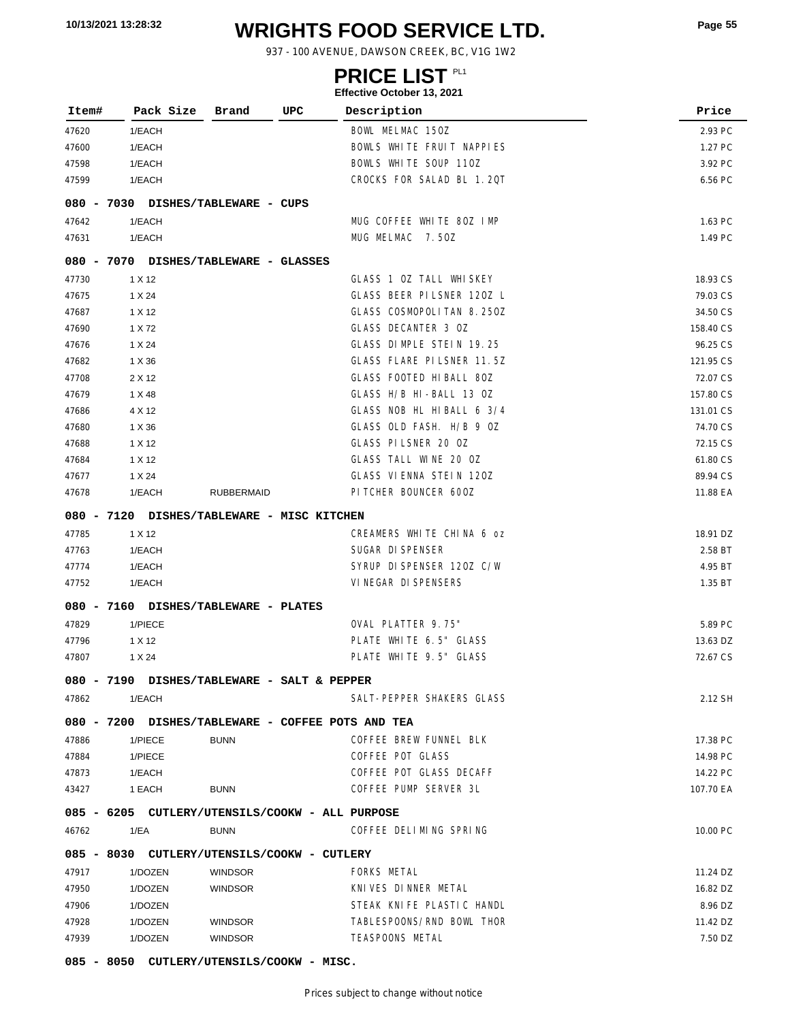# **WRIGHTS FOOD SERVICE LTD. 10/13/2021 13:28:32 Page <sup>55</sup>**

937 - 100 AVENUE, DAWSON CREEK, BC, V1G 1W2

### **PRICE LIST**

#### **Effective October 13, 2021**

| Item# | Pack Size        | UPC<br>Brand                                      | Description               | Price     |
|-------|------------------|---------------------------------------------------|---------------------------|-----------|
|       |                  |                                                   | BOWL MELMAC 150Z          | 2.93 PC   |
| 47620 | 1/EACH<br>1/EACH |                                                   | BOWLS WHITE FRUIT NAPPIES | 1.27 PC   |
| 47600 |                  |                                                   | BOWLS WHITE SOUP 110Z     |           |
| 47598 | 1/EACH           |                                                   | CROCKS FOR SALAD BL 1.20T | 3.92 PC   |
| 47599 | 1/EACH           |                                                   |                           | 6.56 PC   |
|       |                  | 080 - 7030 DISHES/TABLEWARE - CUPS                |                           |           |
| 47642 | 1/EACH           |                                                   | MUG COFFEE WHITE 80Z IMP  | 1.63 PC   |
| 47631 | 1/EACH           |                                                   | MUG MELMAC 7.50Z          | 1.49 PC   |
|       |                  | 080 - 7070 DISHES/TABLEWARE - GLASSES             |                           |           |
| 47730 | 1 X 12           |                                                   | GLASS 1 OZ TALL WHISKEY   | 18.93 CS  |
| 47675 | 1 X 24           |                                                   | GLASS BEER PILSNER 120Z L | 79.03 CS  |
| 47687 | 1 X 12           |                                                   | GLASS COSMOPOLITAN 8.250Z | 34.50 CS  |
| 47690 | 1 X 72           |                                                   | GLASS DECANTER 3 OZ       | 158.40 CS |
| 47676 | 1 X 24           |                                                   | GLASS DIMPLE STEIN 19.25  | 96.25 CS  |
| 47682 | 1 X 36           |                                                   | GLASS FLARE PILSNER 11.5Z | 121.95 CS |
| 47708 | 2 X 12           |                                                   | GLASS FOOTED HIBALL 80Z   | 72.07 CS  |
| 47679 | 1 X 48           |                                                   | GLASS H/B HI-BALL 13 OZ   | 157.80 CS |
| 47686 | 4 X 12           |                                                   | GLASS NOB HL HIBALL 6 3/4 | 131.01 CS |
| 47680 | 1 X 36           |                                                   | GLASS OLD FASH. H/B 9 OZ  | 74.70 CS  |
| 47688 | 1 X 12           |                                                   | GLASS PILSNER 20 0Z       | 72.15 CS  |
| 47684 | 1 X 12           |                                                   | GLASS TALL WINE 20 OZ     | 61.80 CS  |
| 47677 | 1 X 24           |                                                   | GLASS VIENNA STEIN 120Z   | 89.94 CS  |
| 47678 | 1/EACH           | <b>RUBBERMAID</b>                                 | PI TCHER BOUNCER 600Z     | 11.88 EA  |
|       |                  | 080 - 7120 DISHES/TABLEWARE - MISC KITCHEN        |                           |           |
| 47785 | 1 X 12           |                                                   | CREAMERS WHITE CHINA 6 oz | 18.91 DZ  |
| 47763 | 1/EACH           |                                                   | SUGAR DI SPENSER          | 2.58 BT   |
| 47774 | 1/EACH           |                                                   | SYRUP DI SPENSER 120Z C/W | 4.95 BT   |
| 47752 | 1/EACH           |                                                   | VI NEGAR DI SPENSERS      | 1.35 BT   |
|       |                  | 080 - 7160 DISHES/TABLEWARE - PLATES              |                           |           |
| 47829 | 1/PIECE          |                                                   | OVAL PLATTER 9.75"        | 5.89 PC   |
| 47796 | 1 X 12           |                                                   | PLATE WHITE 6.5" GLASS    | 13.63 DZ  |
| 47807 | 1 X 24           |                                                   | PLATE WHITE 9.5" GLASS    | 72.67 CS  |
|       |                  | 080 - 7190 DISHES/TABLEWARE - SALT & PEPPER       |                           |           |
| 47862 | 1/EACH           |                                                   | SALT-PEPPER SHAKERS GLASS | 2.12 SH   |
|       |                  | 080 - 7200 DISHES/TABLEWARE - COFFEE POTS AND TEA |                           |           |
| 47886 | 1/PIECE          | <b>BUNN</b>                                       | COFFEE BREW FUNNEL BLK    | 17.38 PC  |
| 47884 | 1/PIECE          |                                                   | COFFEE POT GLASS          | 14.98 PC  |
| 47873 | 1/EACH           |                                                   | COFFEE POT GLASS DECAFF   | 14.22 PC  |
| 43427 | 1 EACH           | <b>BUNN</b>                                       | COFFEE PUMP SERVER 3L     | 107.70 EA |
|       |                  | 085 - 6205 CUTLERY/UTENSILS/COOKW - ALL PURPOSE   |                           |           |
|       |                  |                                                   |                           |           |
| 46762 | 1/EA             | <b>BUNN</b>                                       | COFFEE DELIMING SPRING    | 10.00 PC  |
|       |                  | 085 - 8030 CUTLERY/UTENSILS/COOKW - CUTLERY       |                           |           |
| 47917 | 1/DOZEN          | <b>WINDSOR</b>                                    | FORKS METAL               | 11.24 DZ  |
| 47950 | 1/DOZEN          | <b>WINDSOR</b>                                    | KNIVES DINNER METAL       | 16.82 DZ  |
| 47906 | 1/DOZEN          |                                                   | STEAK KNIFE PLASTIC HANDL | 8.96 DZ   |
| 47928 | 1/DOZEN          | <b>WINDSOR</b>                                    | TABLESPOONS/RND BOWL THOR | 11.42 DZ  |
| 47939 | 1/DOZEN          | <b>WINDSOR</b>                                    | <b>TEASPOONS METAL</b>    | 7.50 DZ   |

**085 - 8050 CUTLERY/UTENSILS/COOKW - MISC.**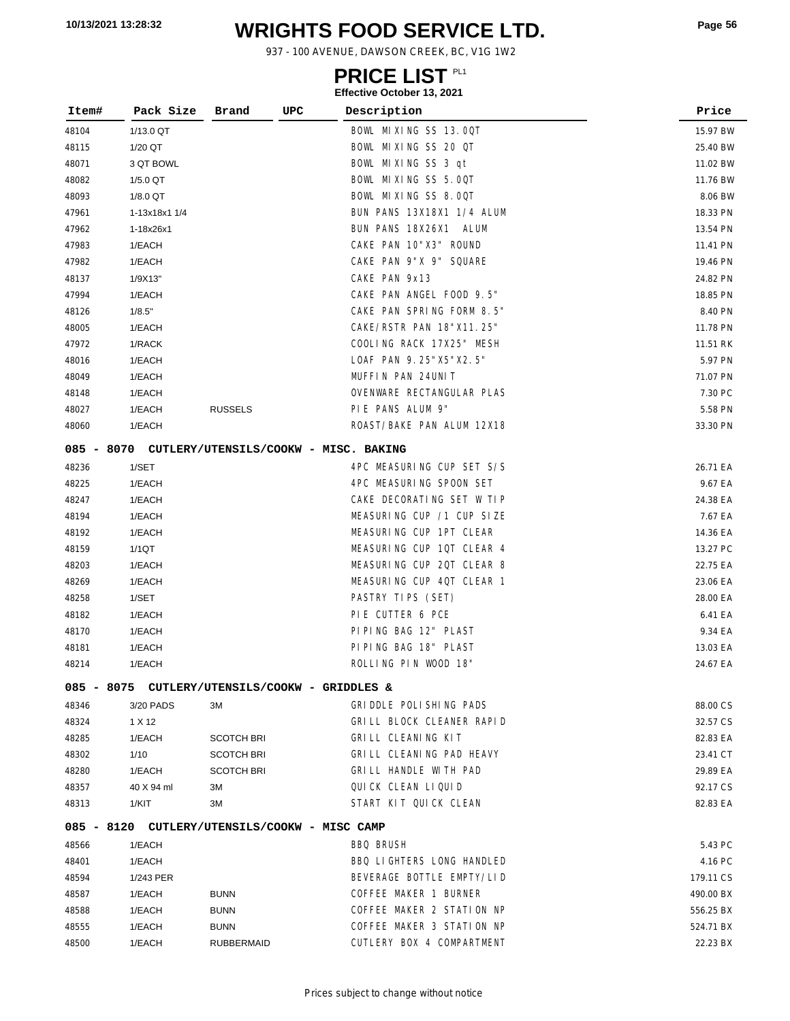# **WRIGHTS FOOD SERVICE LTD. 10/13/2021 13:28:32 Page <sup>56</sup>**

937 - 100 AVENUE, DAWSON CREEK, BC, V1G 1W2

### **PRICE LIST**

| Item# | Pack Size                                        | Brand             | UPC | Description               | Price     |          |
|-------|--------------------------------------------------|-------------------|-----|---------------------------|-----------|----------|
| 48104 | 1/13.0 QT                                        |                   |     | BOWL MIXING SS 13.00T     | 15.97 BW  |          |
| 48115 | 1/20 QT                                          |                   |     | BOWL MIXING SS 20 QT      |           | 25.40 BW |
| 48071 | 3 QT BOWL                                        |                   |     | BOWL MIXING SS 3 qt       |           | 11.02 BW |
| 48082 | 1/5.0 QT                                         |                   |     | BOWL MIXING SS 5.00T      |           | 11.76 BW |
| 48093 | 1/8.0 QT                                         |                   |     | BOWL MIXING SS 8.00T      |           | 8.06 BW  |
| 47961 | 1-13x18x1 1/4                                    |                   |     | BUN PANS 13X18X1 1/4 ALUM | 18.33 PN  |          |
| 47962 | 1-18x26x1                                        |                   |     | BUN PANS 18X26X1<br>ALUM  | 13.54 PN  |          |
| 47983 | 1/EACH                                           |                   |     | CAKE PAN 10"X3" ROUND     | 11.41 PN  |          |
| 47982 | 1/EACH                                           |                   |     | CAKE PAN 9"X 9" SQUARE    | 19.46 PN  |          |
| 48137 | 1/9X13"                                          |                   |     | CAKE PAN 9x13             | 24.82 PN  |          |
| 47994 | 1/EACH                                           |                   |     | CAKE PAN ANGEL FOOD 9.5"  | 18.85 PN  |          |
| 48126 | 1/8.5"                                           |                   |     | CAKE PAN SPRING FORM 8.5" |           | 8.40 PN  |
| 48005 | 1/EACH                                           |                   |     | CAKE/RSTR PAN 18"X11.25"  | 11.78 PN  |          |
| 47972 | 1/RACK                                           |                   |     | COOLING RACK 17X25" MESH  | 11.51 RK  |          |
| 48016 | 1/EACH                                           |                   |     | LOAF PAN 9.25"X5"X2.5"    |           | 5.97 PN  |
| 48049 | 1/EACH                                           |                   |     | MUFFIN PAN 24UNIT         | 71.07 PN  |          |
| 48148 | 1/EACH                                           |                   |     | OVENWARE RECTANGULAR PLAS |           | 7.30 PC  |
| 48027 | 1/EACH                                           | <b>RUSSELS</b>    |     | PIE PANS ALUM 9"          |           | 5.58 PN  |
| 48060 | 1/EACH                                           |                   |     | ROAST/BAKE PAN ALUM 12X18 | 33.30 PN  |          |
|       | 085 - 8070 CUTLERY/UTENSILS/COOKW - MISC. BAKING |                   |     |                           |           |          |
| 48236 | 1/SET                                            |                   |     | 4PC MEASURING CUP SET S/S | 26.71 EA  |          |
| 48225 | 1/EACH                                           |                   |     | 4PC MEASURING SPOON SET   |           | 9.67 EA  |
| 48247 | 1/EACH                                           |                   |     | CAKE DECORATING SET W TIP | 24.38 EA  |          |
| 48194 | 1/EACH                                           |                   |     | MEASURING CUP /1 CUP SIZE |           | 7.67 EA  |
| 48192 | 1/EACH                                           |                   |     | MEASURING CUP 1PT CLEAR   | 14.36 EA  |          |
| 48159 | 1/1QT                                            |                   |     | MEASURING CUP 1QT CLEAR 4 | 13.27 PC  |          |
| 48203 | 1/EACH                                           |                   |     | MEASURING CUP 20T CLEAR 8 | 22.75 EA  |          |
| 48269 | 1/EACH                                           |                   |     | MEASURING CUP 4QT CLEAR 1 | 23.06 EA  |          |
| 48258 | 1/SET                                            |                   |     | PASTRY TIPS (SET)         | 28.00 EA  |          |
| 48182 | 1/EACH                                           |                   |     | PIE CUTTER 6 PCE          |           | 6.41 EA  |
| 48170 | 1/EACH                                           |                   |     | PIPING BAG 12" PLAST      |           | 9.34 EA  |
| 48181 | 1/EACH                                           |                   |     | PIPING BAG 18" PLAST      | 13.03 EA  |          |
| 48214 | 1/EACH                                           |                   |     | ROLLING PIN WOOD 18"      | 24.67 EA  |          |
|       | 085 - 8075 CUTLERY/UTENSILS/COOKW - GRIDDLES &   |                   |     |                           |           |          |
| 48346 | 3/20 PADS                                        | зм                |     | GRIDDLE POLISHING PADS    | 88.00 CS  |          |
| 48324 | 1 X 12                                           |                   |     | GRILL BLOCK CLEANER RAPID | 32.57 CS  |          |
| 48285 | 1/EACH                                           | <b>SCOTCH BRI</b> |     | GRILL CLEANING KIT        | 82.83 EA  |          |
| 48302 | 1/10                                             | <b>SCOTCH BRI</b> |     | GRILL CLEANING PAD HEAVY  | 23.41 CT  |          |
| 48280 | 1/EACH                                           | <b>SCOTCH BRI</b> |     | GRILL HANDLE WITH PAD     | 29.89 EA  |          |
| 48357 | 40 X 94 ml                                       | зм                |     | QUICK CLEAN LIQUID        | 92.17 CS  |          |
| 48313 | 1/KIT                                            | зм                |     | START KIT QUICK CLEAN     | 82.83 EA  |          |
|       | 085 - 8120 CUTLERY/UTENSILS/COOKW - MISC CAMP    |                   |     |                           |           |          |
| 48566 | 1/EACH                                           |                   |     | <b>BBQ BRUSH</b>          |           | 5.43 PC  |
| 48401 | 1/EACH                                           |                   |     | BBQ LIGHTERS LONG HANDLED |           | 4.16 PC  |
| 48594 | 1/243 PER                                        |                   |     | BEVERAGE BOTTLE EMPTY/LID | 179.11 CS |          |
| 48587 | 1/EACH                                           | <b>BUNN</b>       |     | COFFEE MAKER 1 BURNER     | 490.00 BX |          |
| 48588 | 1/EACH                                           | <b>BUNN</b>       |     | COFFEE MAKER 2 STATION NP | 556.25 BX |          |
| 48555 | 1/EACH                                           | <b>BUNN</b>       |     | COFFEE MAKER 3 STATION NP | 524.71 BX |          |
| 48500 | 1/EACH                                           | <b>RUBBERMAID</b> |     | CUTLERY BOX 4 COMPARTMENT | 22.23 BX  |          |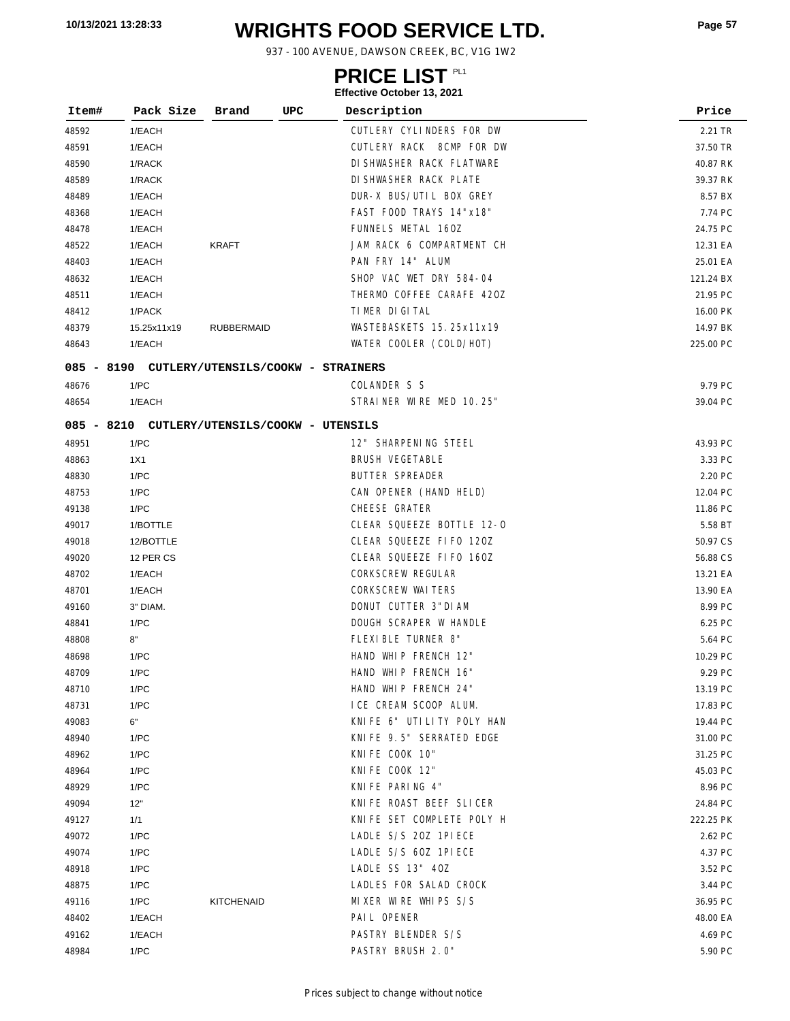# **WRIGHTS FOOD SERVICE LTD. 10/13/2021 13:28:33 Page <sup>57</sup>**

937 - 100 AVENUE, DAWSON CREEK, BC, V1G 1W2

### **PRICE LIST**

| Item# | Pack Size                                     | Brand             | UPC | Description               | Price     |
|-------|-----------------------------------------------|-------------------|-----|---------------------------|-----------|
| 48592 | 1/EACH                                        |                   |     | CUTLERY CYLINDERS FOR DW  | 2.21 TR   |
| 48591 | 1/EACH                                        |                   |     | CUTLERY RACK 8CMP FOR DW  | 37.50 TR  |
| 48590 | 1/RACK                                        |                   |     | DI SHWASHER RACK FLATWARE | 40.87 RK  |
| 48589 | 1/RACK                                        |                   |     | DI SHWASHER RACK PLATE    | 39.37 RK  |
| 48489 | 1/EACH                                        |                   |     | DUR-X BUS/UTIL BOX GREY   | 8.57 BX   |
| 48368 | 1/EACH                                        |                   |     | FAST FOOD TRAYS 14"x18"   | 7.74 PC   |
| 48478 | 1/EACH                                        |                   |     | FUNNELS METAL 160Z        | 24.75 PC  |
| 48522 | 1/EACH                                        | <b>KRAFT</b>      |     | JAM RACK 6 COMPARTMENT CH | 12.31 EA  |
| 48403 | 1/EACH                                        |                   |     | PAN FRY 14" ALUM          | 25.01 EA  |
| 48632 | 1/EACH                                        |                   |     | SHOP VAC WET DRY 584-04   | 121.24 BX |
| 48511 | 1/EACH                                        |                   |     | THERMO COFFEE CARAFE 420Z | 21.95 PC  |
| 48412 | 1/PACK                                        |                   |     | TIMER DIGITAL             | 16.00 PK  |
| 48379 | 15.25x11x19                                   | <b>RUBBERMAID</b> |     | WASTEBASKETS 15. 25x11x19 | 14.97 BK  |
| 48643 | 1/EACH                                        |                   |     | WATER COOLER (COLD/HOT)   | 225.00 PC |
|       | 085 - 8190 CUTLERY/UTENSILS/COOKW - STRAINERS |                   |     |                           |           |
| 48676 | 1/PC                                          |                   |     | COLANDER S S              | 9.79 PC   |
| 48654 | 1/EACH                                        |                   |     | STRAINER WIRE MED 10.25"  | 39.04 PC  |
|       |                                               |                   |     |                           |           |
|       | 085 - 8210 CUTLERY/UTENSILS/COOKW - UTENSILS  |                   |     |                           |           |
| 48951 | 1/PC                                          |                   |     | 12" SHARPENING STEEL      | 43.93 PC  |
| 48863 | 1X1                                           |                   |     | <b>BRUSH VEGETABLE</b>    | 3.33 PC   |
| 48830 | 1/PC                                          |                   |     | BUTTER SPREADER           | 2.20 PC   |
| 48753 | 1/PC                                          |                   |     | CAN OPENER (HAND HELD)    | 12.04 PC  |
| 49138 | 1/PC                                          |                   |     | CHEESE GRATER             | 11.86 PC  |
| 49017 | 1/BOTTLE                                      |                   |     | CLEAR SQUEEZE BOTTLE 12-0 | 5.58 BT   |
| 49018 | 12/BOTTLE                                     |                   |     | CLEAR SQUEEZE FIFO 120Z   | 50.97 CS  |
| 49020 | 12 PER CS                                     |                   |     | CLEAR SQUEEZE FIFO 160Z   | 56.88 CS  |
| 48702 | 1/EACH                                        |                   |     | <b>CORKSCREW REGULAR</b>  | 13.21 EA  |
| 48701 | 1/EACH                                        |                   |     | <b>CORKSCREW WAITERS</b>  | 13.90 EA  |
| 49160 | 3" DIAM.                                      |                   |     | DONUT CUTTER 3"DIAM       | 8.99 PC   |
| 48841 | 1/PC                                          |                   |     | DOUGH SCRAPER W HANDLE    | 6.25 PC   |
| 48808 | 8"                                            |                   |     | FLEXIBLE TURNER 8"        | 5.64 PC   |
| 48698 | 1/PC                                          |                   |     | HAND WHIP FRENCH 12"      | 10.29 PC  |
| 48709 | 1/PC                                          |                   |     | HAND WHIP FRENCH 16"      | 9.29 PC   |
| 48710 | 1/PC                                          |                   |     | HAND WHIP FRENCH 24"      | 13.19 PC  |
| 48731 | 1/PC                                          |                   |     | ICE CREAM SCOOP ALUM.     | 17.83 PC  |
| 49083 | 6"                                            |                   |     | KNIFE 6" UTILITY POLY HAN | 19.44 PC  |
| 48940 | 1/PC                                          |                   |     | KNIFE 9.5" SERRATED EDGE  | 31.00 PC  |
| 48962 | 1/PC                                          |                   |     | KNIFE COOK 10"            | 31.25 PC  |
| 48964 | 1/PC                                          |                   |     | KNIFE COOK 12"            | 45.03 PC  |
| 48929 | 1/PC                                          |                   |     | KNIFE PARING 4"           | 8.96 PC   |
| 49094 | 12"                                           |                   |     | KNIFE ROAST BEEF SLICER   | 24.84 PC  |
| 49127 | 1/1                                           |                   |     | KNIFE SET COMPLETE POLY H | 222.25 PK |
| 49072 | 1/PC                                          |                   |     | LADLE S/S 20Z 1PIECE      | 2.62 PC   |
| 49074 | 1/PC                                          |                   |     | LADLE S/S 60Z 1PIECE      | 4.37 PC   |
| 48918 | 1/PC                                          |                   |     | LADLE SS 13" 40Z          | 3.52 PC   |
| 48875 | 1/PC                                          |                   |     | LADLES FOR SALAD CROCK    | 3.44 PC   |
| 49116 | 1/PC                                          | <b>KITCHENAID</b> |     | MIXER WIRE WHIPS S/S      | 36.95 PC  |
| 48402 | 1/EACH                                        |                   |     | PAIL OPENER               | 48.00 EA  |
| 49162 | 1/EACH                                        |                   |     | PASTRY BLENDER S/S        | 4.69 PC   |
| 48984 | 1/PC                                          |                   |     | PASTRY BRUSH 2.0"         | 5.90 PC   |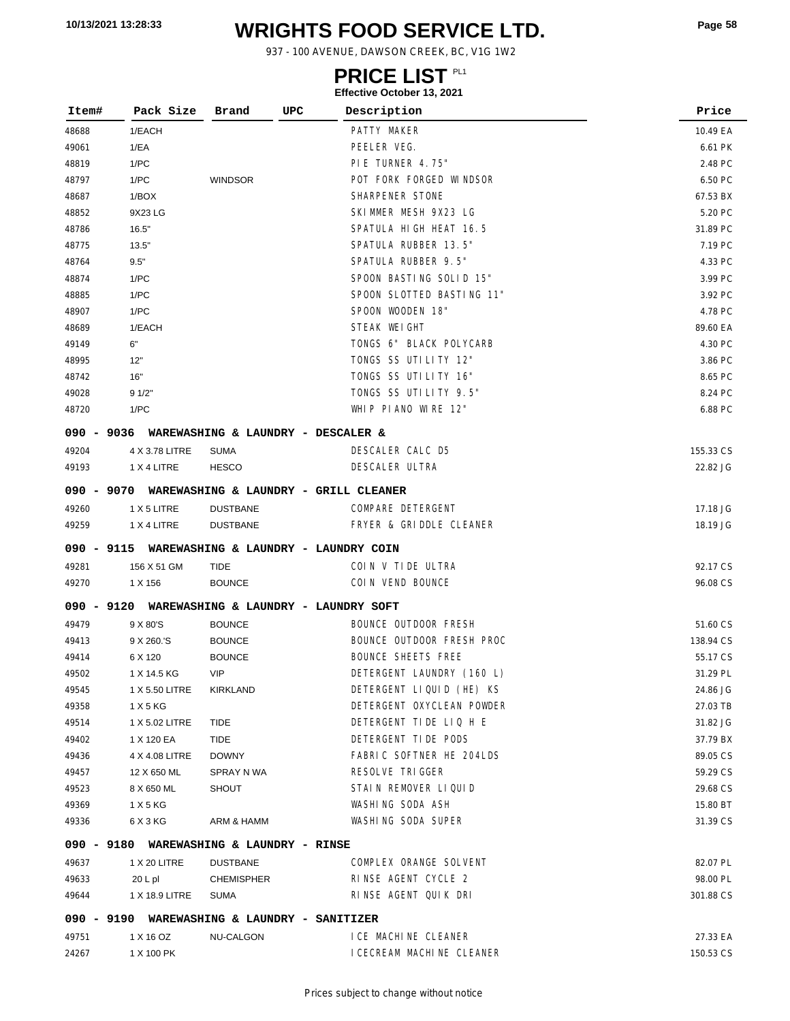# **WRIGHTS FOOD SERVICE LTD. 10/13/2021 13:28:33 Page <sup>58</sup>**

937 - 100 AVENUE, DAWSON CREEK, BC, V1G 1W2

### **PRICE LIST**

| Item# | Pack Size                                        | Brand             | UPC | Description                 | Price     |
|-------|--------------------------------------------------|-------------------|-----|-----------------------------|-----------|
| 48688 | 1/EACH                                           |                   |     | PATTY MAKER                 | 10.49 EA  |
| 49061 | 1/EA                                             |                   |     | PEELER VEG.                 | 6.61 PK   |
| 48819 | 1/PC                                             |                   |     | PIE TURNER 4.75"            | 2.48 PC   |
| 48797 | 1/PC                                             | <b>WINDSOR</b>    |     | POT FORK FORGED WINDSOR     | 6.50 PC   |
| 48687 | 1/BOX                                            |                   |     | SHARPENER STONE             | 67.53 BX  |
| 48852 | 9X23 LG                                          |                   |     | SKIMMER MESH 9X23 LG        | 5.20 PC   |
| 48786 | 16.5"                                            |                   |     | SPATULA HIGH HEAT 16.5      | 31.89 PC  |
| 48775 | 13.5"                                            |                   |     | SPATULA RUBBER 13.5"        | 7.19 PC   |
| 48764 | 9.5"                                             |                   |     | SPATULA RUBBER 9.5"         | 4.33 PC   |
| 48874 | 1/PC                                             |                   |     | SPOON BASTING SOLID 15"     | 3.99 PC   |
| 48885 | 1/PC                                             |                   |     | SPOON SLOTTED BASTING 11"   | 3.92 PC   |
| 48907 | 1/PC                                             |                   |     | SPOON WOODEN 18"            | 4.78 PC   |
| 48689 | 1/EACH                                           |                   |     | STEAK WEIGHT                | 89.60 EA  |
| 49149 | 6"                                               |                   |     | TONGS 6" BLACK POLYCARB     | 4.30 PC   |
| 48995 | 12"                                              |                   |     | TONGS SS UTILITY 12"        | 3.86 PC   |
| 48742 | 16"                                              |                   |     | TONGS SS UTILITY 16"        | 8.65 PC   |
| 49028 | 91/2"                                            |                   |     | TONGS SS UTILITY 9.5"       | 8.24 PC   |
| 48720 | 1/PC                                             |                   |     | WHIP PIANO WIRE 12"         | 6.88 PC   |
|       | 090 - 9036 WAREWASHING & LAUNDRY - DESCALER &    |                   |     |                             |           |
| 49204 | 4 X 3.78 LITRE                                   | <b>SUMA</b>       |     | DESCALER CALC D5            | 155.33 CS |
| 49193 | 1 X 4 LITRE                                      | <b>HESCO</b>      |     | <b>DESCALER ULTRA</b>       | 22.82 JG  |
|       | 090 - 9070 WAREWASHING & LAUNDRY - GRILL CLEANER |                   |     |                             |           |
| 49260 | 1 X 5 LITRE                                      | <b>DUSTBANE</b>   |     | COMPARE DETERGENT           | 17.18 JG  |
| 49259 | 1 X 4 LITRE                                      | <b>DUSTBANE</b>   |     | FRYER & GRIDDLE CLEANER     | 18.19 JG  |
|       | 090 - 9115 WAREWASHING & LAUNDRY - LAUNDRY COIN  |                   |     |                             |           |
| 49281 | 156 X 51 GM                                      | <b>TIDE</b>       |     | COIN V TIDE ULTRA           | 92.17 CS  |
| 49270 | 1 X 156                                          | <b>BOUNCE</b>     |     | COIN VEND BOUNCE            | 96.08 CS  |
|       | 090 - 9120 WAREWASHING & LAUNDRY - LAUNDRY SOFT  |                   |     |                             |           |
| 49479 | 9 X 80'S                                         | <b>BOUNCE</b>     |     | <b>BOUNCE OUTDOOR FRESH</b> | 51.60 CS  |
| 49413 | 9 X 260.'S                                       | <b>BOUNCE</b>     |     | BOUNCE OUTDOOR FRESH PROC   | 138.94 CS |
| 49414 | 6 X 120                                          | <b>BOUNCE</b>     |     | <b>BOUNCE SHEETS FREE</b>   | 55.17 CS  |
| 49502 | 1 X 14.5 KG                                      | <b>VIP</b>        |     | DETERGENT LAUNDRY (160 L)   | 31.29 PL  |
| 49545 | 1 X 5.50 LITRE                                   | KIRKLAND          |     | DETERGENT LIQUID (HE) KS    | 24.86 JG  |
| 49358 | 1 X 5 KG                                         |                   |     | DETERGENT OXYCLEAN POWDER   | 27.03 TB  |
| 49514 | 1 X 5.02 LITRE                                   | TIDE              |     | DETERGENT TIDE LIQ H E      | 31.82 JG  |
| 49402 | 1 X 120 EA                                       | TIDE              |     | DETERGENT TIDE PODS         | 37.79 BX  |
| 49436 | 4 X 4.08 LITRE                                   | <b>DOWNY</b>      |     | FABRIC SOFTNER HE 204LDS    | 89.05 CS  |
| 49457 | 12 X 650 ML                                      | SPRAY N WA        |     | RESOLVE TRIGGER             | 59.29 CS  |
| 49523 | 8 X 650 ML                                       | <b>SHOUT</b>      |     | STAIN REMOVER LIQUID        | 29.68 CS  |
| 49369 | 1 X 5 KG                                         |                   |     | WASHING SODA ASH            | 15.80 BT  |
| 49336 | 6 X 3 KG                                         | ARM & HAMM        |     | WASHING SODA SUPER          | 31.39 CS  |
|       | 090 - 9180 WAREWASHING & LAUNDRY - RINSE         |                   |     |                             |           |
| 49637 | 1 X 20 LITRE                                     | <b>DUSTBANE</b>   |     | COMPLEX ORANGE SOLVENT      | 82.07 PL  |
| 49633 | 20 L pl                                          | <b>CHEMISPHER</b> |     | RINSE AGENT CYCLE 2         | 98.00 PL  |
| 49644 | 1 X 18.9 LITRE                                   | SUMA              |     | RINSE AGENT QUIK DRI        | 301.88 CS |
|       | 090 - 9190 WAREWASHING & LAUNDRY - SANITIZER     |                   |     |                             |           |
| 49751 | 1 X 16 OZ                                        | NU-CALGON         |     | I CE MACHINE CLEANER        | 27.33 EA  |
| 24267 | 1 X 100 PK                                       |                   |     | I CECREAM MACHINE CLEANER   | 150.53 CS |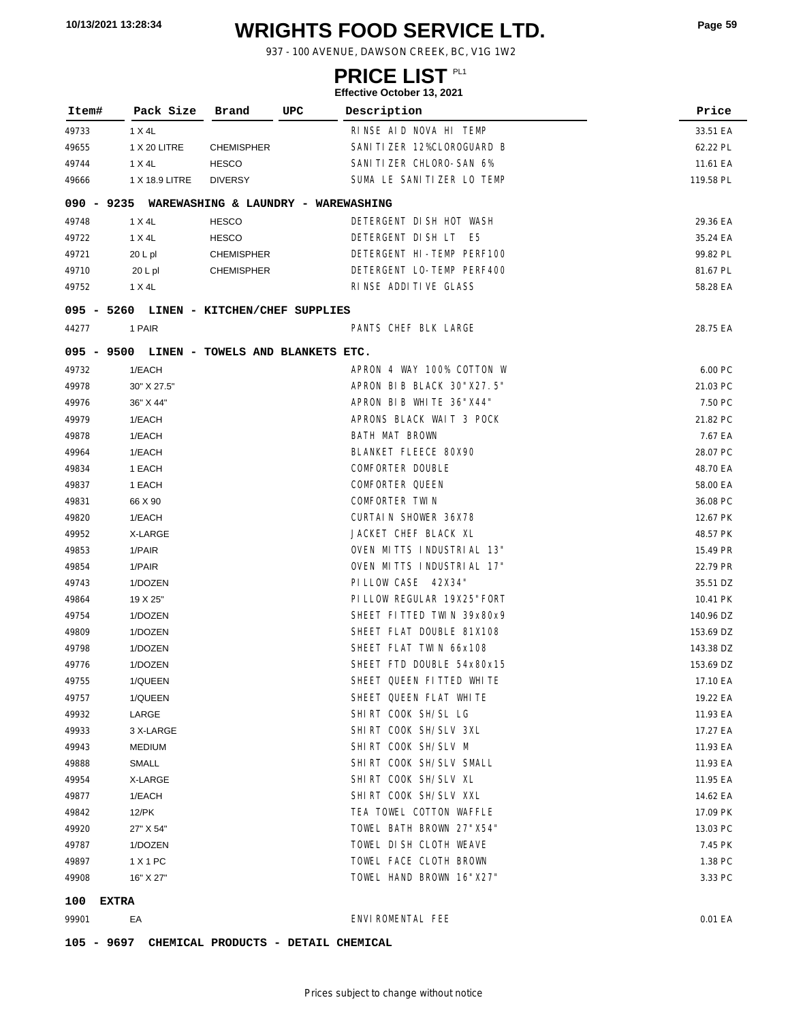# **WRIGHTS FOOD SERVICE LTD. 10/13/2021 13:28:34 Page <sup>59</sup>**

937 - 100 AVENUE, DAWSON CREEK, BC, V1G 1W2

### **PRICE LIST**

| Item#      | Pack Size      | Brand<br>UPC                                   | Description                 | Price     |
|------------|----------------|------------------------------------------------|-----------------------------|-----------|
| 49733      | 1 X 4L         |                                                | RINSE AID NOVA HI TEMP      | 33.51 EA  |
| 49655      | 1 X 20 LITRE   | <b>CHEMISPHER</b>                              | SANI TI ZER 12%CLOROGUARD B | 62.22 PL  |
| 49744      | 1 X 4L         | <b>HESCO</b>                                   | SANI TI ZER CHLORO-SAN 6%   | 11.61 EA  |
| 49666      | 1 X 18.9 LITRE | <b>DIVERSY</b>                                 | SUMA LE SANITIZER LO TEMP   | 119.58 PL |
|            |                | 090 - 9235 WAREWASHING & LAUNDRY - WAREWASHING |                             |           |
| 49748      | 1 X 4L         | <b>HESCO</b>                                   | DETERGENT DISH HOT WASH     | 29.36 EA  |
| 49722      | 1 X 4L         | <b>HESCO</b>                                   | DETERGENT DISH LT E5        | 35.24 EA  |
| 49721      | $20 L$ pl      | <b>CHEMISPHER</b>                              | DETERGENT HI-TEMP PERF100   | 99.82 PL  |
| 49710      | $20 L$ pl      | <b>CHEMISPHER</b>                              | DETERGENT LO-TEMP PERF400   | 81.67 PL  |
| 49752      | 1 X 4L         |                                                | RINSE ADDITIVE GLASS        | 58.28 EA  |
|            |                |                                                |                             |           |
| 44277      | 1 PAIR         | 095 - 5260 LINEN - KITCHEN/CHEF SUPPLIES       | PANTS CHEF BLK LARGE        | 28.75 EA  |
|            |                |                                                |                             |           |
|            |                | 095 - 9500 LINEN - TOWELS AND BLANKETS ETC.    |                             |           |
| 49732      | 1/EACH         |                                                | APRON 4 WAY 100% COTTON W   | 6.00 PC   |
| 49978      | 30" X 27.5"    |                                                | APRON BIB BLACK 30"X27.5"   | 21.03 PC  |
| 49976      | 36" X 44"      |                                                | APRON BIB WHITE 36"X44"     | 7.50 PC   |
| 49979      | 1/EACH         |                                                | APRONS BLACK WAIT 3 POCK    | 21.82 PC  |
| 49878      | 1/EACH         |                                                | BATH MAT BROWN              | 7.67 EA   |
| 49964      | 1/EACH         |                                                | BLANKET FLEECE 80X90        | 28.07 PC  |
| 49834      | 1 EACH         |                                                | COMFORTER DOUBLE            | 48.70 EA  |
| 49837      | 1 EACH         |                                                | COMFORTER QUEEN             | 58.00 EA  |
| 49831      | 66 X 90        |                                                | COMFORTER TWIN              | 36.08 PC  |
| 49820      | 1/EACH         |                                                | <b>CURTAIN SHOWER 36X78</b> | 12.67 PK  |
| 49952      | X-LARGE        |                                                | JACKET CHEF BLACK XL        | 48.57 PK  |
| 49853      | 1/PAIR         |                                                | OVEN MITTS INDUSTRIAL 13"   | 15.49 PR  |
| 49854      | 1/PAIR         |                                                | OVEN MITTS INDUSTRIAL 17"   | 22.79 PR  |
| 49743      | 1/DOZEN        |                                                | PI LLOW CASE 42X34"         | 35.51 DZ  |
| 49864      | 19 X 25"       |                                                | PI LLOW REGULAR 19X25" FORT | 10.41 PK  |
| 49754      | 1/DOZEN        |                                                | SHEET FITTED TWIN 39x80x9   | 140.96 DZ |
| 49809      | 1/DOZEN        |                                                | SHEET FLAT DOUBLE 81X108    | 153.69 DZ |
| 49798      | 1/DOZEN        |                                                | SHEET FLAT TWIN 66x108      | 143.38 DZ |
| 49776      | 1/DOZEN        |                                                | SHEET FTD DOUBLE 54x80x15   | 153.69 DZ |
| 49755      | 1/QUEEN        |                                                | SHEET QUEEN FITTED WHITE    | 17.10 EA  |
| 49757      | 1/QUEEN        |                                                | SHEET QUEEN FLAT WHITE      | 19.22 EA  |
| 49932      | LARGE          |                                                | SHIRT COOK SH/SL LG         | 11.93 EA  |
| 49933      | 3 X-LARGE      |                                                | SHIRT COOK SH/SLV 3XL       | 17.27 EA  |
| 49943      | <b>MEDIUM</b>  |                                                | SHIRT COOK SH/SLV M         | 11.93 EA  |
| 49888      | SMALL          |                                                | SHIRT COOK SH/SLV SMALL     | 11.93 EA  |
| 49954      | X-LARGE        |                                                | SHIRT COOK SH/SLV XL        | 11.95 EA  |
| 49877      | 1/EACH         |                                                | SHIRT COOK SH/SLV XXL       | 14.62 EA  |
| 49842      | 12/PK          |                                                | TEA TOWEL COTTON WAFFLE     | 17.09 PK  |
| 49920      | 27" X 54"      |                                                | TOWEL BATH BROWN 27"X54"    | 13.03 PC  |
| 49787      | 1/DOZEN        |                                                | TOWEL DISH CLOTH WEAVE      | 7.45 PK   |
| 49897      | 1 X 1 PC       |                                                | TOWEL FACE CLOTH BROWN      | 1.38 PC   |
| 49908      | 16" X 27"      |                                                | TOWEL HAND BROWN 16"X27"    | 3.33 PC   |
| 100        | <b>EXTRA</b>   |                                                |                             |           |
| 99901      | EA             |                                                | ENVIROMENTAL FEE            | 0.01 EA   |
| 105 - 9697 |                | CHEMICAL PRODUCTS - DETAIL CHEMICAL            |                             |           |